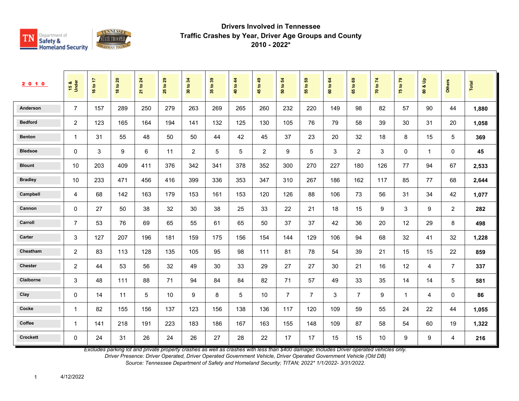

| 2010            | 15 &<br>Under  | 16 to 17 | <b>18 to 20</b> | 21 to 24 | 29<br>$\mathtt{S}$<br>25 | 34<br>30 to | 35 to 39 | 40 to 44 | 45 to 49 | 54<br>50 to    | 55 to 59       | 64<br>60 to | $\mathbf{69}$<br>65 to | 70 to 74 | 75 to 79     | $\frac{1}{2}$<br>οð<br>$\overline{8}$ | <b>Others</b>  | Total |
|-----------------|----------------|----------|-----------------|----------|--------------------------|-------------|----------|----------|----------|----------------|----------------|-------------|------------------------|----------|--------------|---------------------------------------|----------------|-------|
| Anderson        | $\overline{7}$ | 157      | 289             | 250      | 279                      | 263         | 269      | 265      | 260      | 232            | 220            | 149         | 98                     | 82       | 57           | 90                                    | 44             | 1,880 |
| <b>Bedford</b>  | 2              | 123      | 165             | 164      | 194                      | 141         | 132      | 125      | 130      | 105            | 76             | 79          | 58                     | 39       | 30           | 31                                    | 20             | 1,058 |
| <b>Benton</b>   | $\mathbf{1}$   | 31       | 55              | 48       | 50                       | 50          | 44       | 42       | 45       | 37             | 23             | 20          | 32                     | 18       | 8            | 15                                    | 5              | 369   |
| <b>Bledsoe</b>  | 0              | 3        | 9               | 6        | 11                       | 2           | 5        | 5        | 2        | 9              | 5              | 3           | 2                      | 3        | $\mathbf 0$  | $\mathbf{1}$                          | 0              | 45    |
| <b>Blount</b>   | 10             | 203      | 409             | 411      | 376                      | 342         | 341      | 378      | 352      | 300            | 270            | 227         | 180                    | 126      | 77           | 94                                    | 67             | 2,533 |
| <b>Bradley</b>  | 10             | 233      | 471             | 456      | 416                      | 399         | 336      | 353      | 347      | 310            | 267            | 186         | 162                    | 117      | 85           | 77                                    | 68             | 2,644 |
| Campbell        | 4              | 68       | 142             | 163      | 179                      | 153         | 161      | 153      | 120      | 126            | 88             | 106         | 73                     | 56       | 31           | 34                                    | 42             | 1,077 |
| Cannon          | $\mathbf 0$    | 27       | 50              | 38       | 32                       | 30          | 38       | 25       | 33       | 22             | 21             | 18          | 15                     | 9        | 3            | 9                                     | $\overline{c}$ | 282   |
| Carroll         | $\overline{7}$ | 53       | 76              | 69       | 65                       | 55          | 61       | 65       | 50       | 37             | 37             | 42          | 36                     | 20       | 12           | 29                                    | 8              | 498   |
| Carter          | 3              | 127      | 207             | 196      | 181                      | 159         | 175      | 156      | 154      | 144            | 129            | 106         | 94                     | 68       | 32           | 41                                    | 32             | 1,228 |
| Cheatham        | 2              | 83       | 113             | 128      | 135                      | 105         | 95       | 98       | 111      | 81             | 78             | 54          | 39                     | 21       | 15           | 15                                    | 22             | 859   |
| <b>Chester</b>  | $\overline{c}$ | 44       | 53              | 56       | 32                       | 49          | 30       | 33       | 29       | 27             | 27             | 30          | 21                     | 16       | 12           | 4                                     | $\overline{7}$ | 337   |
| Claiborne       | 3              | 48       | 111             | 88       | 71                       | 94          | 84       | 84       | 82       | 71             | 57             | 49          | 33                     | 35       | 14           | 14                                    | 5              | 581   |
| Clay            | 0              | 14       | 11              | 5        | 10                       | 9           | 8        | 5        | 10       | $\overline{7}$ | $\overline{7}$ | 3           | $\overline{7}$         | 9        | $\mathbf{1}$ | 4                                     | 0              | 86    |
| Cocke           | $\mathbf{1}$   | 82       | 155             | 156      | 137                      | 123         | 156      | 138      | 136      | 117            | 120            | 109         | 59                     | 55       | 24           | 22                                    | 44             | 1,055 |
| Coffee          | 1              | 141      | 218             | 191      | 223                      | 183         | 186      | 167      | 163      | 155            | 148            | 109         | 87                     | 58       | 54           | 60                                    | 19             | 1,322 |
| <b>Crockett</b> | 0              | 24       | 31              | 26       | 24                       | 26          | 27       | 28       | 22       | 17             | 17             | 15          | 15                     | 10       | 9            | 9                                     | 4              | 216   |

*Excludes parking lot and private property crashes as well as crashes with less than \$400 damage; Includes Driver operated vehicles only.*

*Driver Presence: Driver Operated, Driver Operated Government Vehicle, Driver Operated Government Vehicle (Old DB)*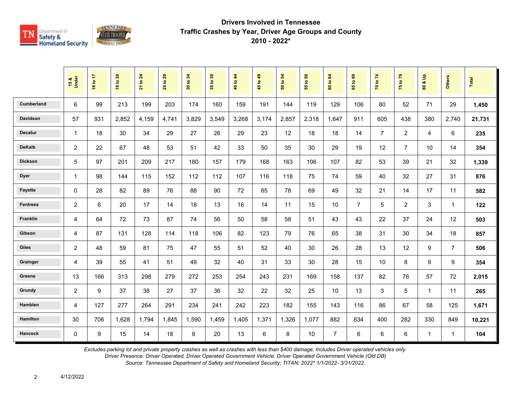

|                   | 15 &<br>Under   | 16 to 17 | <b>18 to 20</b> | 21 to 24 | 29<br>$\mathbf{e}$<br>25 | 34<br>30 to | 35 to 39 | 40 to 44 | 45 to 49       | $\overline{5}$<br>50 to | ${\bf 59}$<br>$\mathbf{e}$<br>$\overline{55}$ | $\mathbf{g}$<br>60 to | $\mathbf{69}$<br>65 to | 70 to 74       | 75 to 79       | $\mathbf{e}$<br>οð<br>$\overline{\mathbf{8}}$ | <b>Others</b>  | <b>Total</b> |
|-------------------|-----------------|----------|-----------------|----------|--------------------------|-------------|----------|----------|----------------|-------------------------|-----------------------------------------------|-----------------------|------------------------|----------------|----------------|-----------------------------------------------|----------------|--------------|
| <b>Cumberland</b> | $6\phantom{1}6$ | 99       | 213             | 199      | 203                      | 174         | 160      | 159      | 191            | 144                     | 119                                           | 129                   | 106                    | 80             | 52             | 71                                            | 29             | 1,450        |
| <b>Davidson</b>   | 57              | 931      | 2,852           | 4,159    | 4,741                    | 3,829       | 3,549    | 3,268    | 3,174          | 2,857                   | 2,318                                         | 1.647                 | 911                    | 605            | 438            | 380                                           | 2,740          | 21,731       |
| <b>Decatur</b>    | $\mathbf{1}$    | 18       | 30              | 34       | 29                       | 27          | 26       | 29       | 23             | 12                      | 18                                            | 18                    | 14                     | $\overline{7}$ | 2              | 4                                             | 6              | 235          |
| <b>DeKalb</b>     | 2               | 22       | 67              | 48       | 53                       | 51          | 42       | 33       | 50             | 35                      | 30                                            | 29                    | 19                     | 12             | $\overline{7}$ | 10                                            | 14             | 354          |
| <b>Dickson</b>    | 5               | 97       | 201             | 209      | 217                      | 180         | 157      | 179      | 168            | 163                     | 106                                           | 107                   | 82                     | 53             | 39             | 21                                            | 32             | 1,339        |
| <b>Dyer</b>       | $\mathbf{1}$    | 98       | 144             | 115      | 152                      | 112         | 112      | 107      | 116            | 118                     | 75                                            | 74                    | 59                     | 40             | 32             | 27                                            | 31             | 876          |
| <b>Fayette</b>    | $\mathbf{0}$    | 28       | 82              | 89       | 76                       | 88          | 90       | 72       | 65             | 78                      | 69                                            | 49                    | 32                     | 21             | 14             | 17                                            | 11             | 582          |
| <b>Fentress</b>   | 2               | 6        | 20              | 17       | 14                       | 18          | 13       | 16       | 14             | 11                      | 15                                            | 10                    | $\overline{7}$         | 5              | $\overline{2}$ | 3                                             | $\mathbf{1}$   | 122          |
| Franklin          | $\overline{4}$  | 64       | 72              | 73       | 87                       | 74          | 56       | 50       | 58             | 58                      | 51                                            | 43                    | 43                     | 22             | 37             | 24                                            | 12             | 503          |
| Gibson            | $\overline{4}$  | 87       | 131             | 128      | 114                      | 118         | 106      | 82       | 123            | 79                      | 76                                            | 65                    | 38                     | 31             | 30             | 34                                            | 18             | 857          |
| <b>Giles</b>      | $\overline{c}$  | 48       | 59              | 81       | 75                       | 47          | 55       | 51       | 52             | 40                      | 30                                            | 26                    | 28                     | 13             | 12             | 9                                             | $\overline{7}$ | 506          |
| Grainger          | $\overline{4}$  | 39       | 55              | 41       | 51                       | 49          | 32       | 40       | 31             | 33                      | 30                                            | 28                    | 15                     | 10             | 8              | 9                                             | 9              | 354          |
| Greene            | 13              | 166      | 313             | 298      | 279                      | 272         | 253      | 254      | 243            | 231                     | 169                                           | 158                   | 137                    | 82             | 76             | 57                                            | 72             | 2,015        |
| Grundy            | $\overline{c}$  | 9        | 37              | 38       | 27                       | 37          | 36       | 32       | 22             | 32                      | 25                                            | 10                    | 13                     | 3              | 5              | $\mathbf{1}$                                  | 11             | 265          |
| Hamblen           | $\overline{4}$  | 127      | 277             | 264      | 291                      | 234         | 241      | 242      | 223            | 182                     | 155                                           | 143                   | 116                    | 86             | 67             | 58                                            | 125            | 1,671        |
| <b>Hamilton</b>   | 30              | 706      | 1,628           | 1,794    | 1,845                    | 1,590       | 1,459    | 1,405    | 1,371          | 1,326                   | 1,077                                         | 882                   | 634                    | 400            | 282            | 330                                           | 849            | 10,221       |
| <b>Hancock</b>    | $\mathbf 0$     | 9        | 15              | 14       | 18                       | 9           | 20       | 13       | $6\phantom{1}$ | 8                       | 10                                            | $\overline{7}$        | 6                      | 6              | $6\phantom{a}$ | $\mathbf{1}$                                  | $\mathbf{1}$   | 104          |

*Excludes parking lot and private property crashes as well as crashes with less than \$400 damage; Includes Driver operated vehicles only.*

*Driver Presence: Driver Operated, Driver Operated Government Vehicle, Driver Operated Government Vehicle (Old DB)*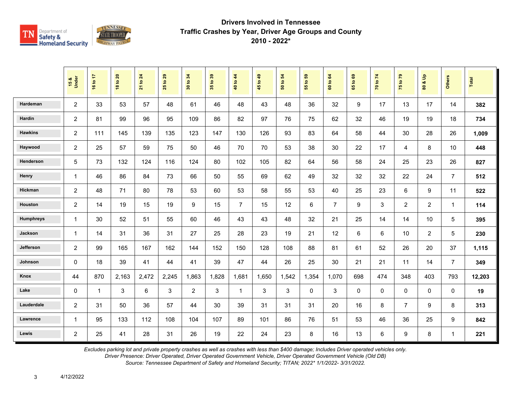

|                  | 15 &<br>Under  | 16 to 17     | <b>18 to 20</b> | 21 to 24 | $t$ o 29<br>25 | 34<br>$\mathbf{S}$<br>$\overline{30}$ | 35 to 39 | 40 to 44       | 45 to 49 | $\boldsymbol{54}$<br>50 to | $t_0$ 59<br>$\overline{5}$ | 60 to 64       | 1069<br>$65^{\circ}$ | 70 to 74    | 75 to 79       | $\frac{6}{10}$<br>οð<br>80 | <b>Others</b>  | Total  |
|------------------|----------------|--------------|-----------------|----------|----------------|---------------------------------------|----------|----------------|----------|----------------------------|----------------------------|----------------|----------------------|-------------|----------------|----------------------------|----------------|--------|
| Hardeman         | $\overline{c}$ | 33           | 53              | 57       | 48             | 61                                    | 46       | 48             | 43       | 48                         | 36                         | 32             | 9                    | 17          | 13             | 17                         | 14             | 382    |
| Hardin           | $\overline{c}$ | 81           | 99              | 96       | 95             | 109                                   | 86       | 82             | 97       | 76                         | 75                         | 62             | 32                   | 46          | 19             | 19                         | 18             | 734    |
| <b>Hawkins</b>   | $\overline{c}$ | 111          | 145             | 139      | 135            | 123                                   | 147      | 130            | 126      | 93                         | 83                         | 64             | 58                   | 44          | 30             | 28                         | 26             | 1,009  |
| Haywood          | $\overline{c}$ | 25           | 57              | 59       | 75             | 50                                    | 46       | 70             | 70       | 53                         | 38                         | 30             | 22                   | 17          | 4              | 8                          | 10             | 448    |
| Henderson        | 5              | 73           | 132             | 124      | 116            | 124                                   | 80       | 102            | 105      | 82                         | 64                         | 56             | 58                   | 24          | 25             | 23                         | 26             | 827    |
| Henry            | $\mathbf{1}$   | 46           | 86              | 84       | 73             | 66                                    | 50       | 55             | 69       | 62                         | 49                         | 32             | 32                   | 32          | 22             | 24                         | $\overline{7}$ | 512    |
| Hickman          | $\overline{c}$ | 48           | 71              | 80       | 78             | 53                                    | 60       | 53             | 58       | 55                         | 53                         | 40             | 25                   | 23          | 6              | 9                          | 11             | 522    |
| Houston          | $\overline{2}$ | 14           | 19              | 15       | 19             | 9                                     | 15       | $\overline{7}$ | 15       | 12                         | 6                          | $\overline{7}$ | 9                    | 3           | $\overline{2}$ | $\overline{2}$             | $\mathbf{1}$   | 114    |
| <b>Humphreys</b> | $\mathbf{1}$   | 30           | 52              | 51       | 55             | 60                                    | 46       | 43             | 43       | 48                         | 32                         | 21             | 25                   | 14          | 14             | 10                         | 5              | 395    |
| Jackson          | 1              | 14           | 31              | 36       | 31             | 27                                    | 25       | 28             | 23       | 19                         | 21                         | 12             | 6                    | 6           | 10             | $\overline{2}$             | 5              | 230    |
| Jefferson        | 2              | 99           | 165             | 167      | 162            | 144                                   | 152      | 150            | 128      | 108                        | 88                         | 81             | 61                   | 52          | 26             | 20                         | 37             | 1,115  |
| Johnson          | 0              | 18           | 39              | 41       | 44             | 41                                    | 39       | 47             | 44       | 26                         | 25                         | 30             | 21                   | 21          | 11             | 14                         | $\overline{7}$ | 349    |
| Knox             | 44             | 870          | 2,163           | 2,472    | 2,245          | 1,863                                 | 1,828    | 1,681          | 1,650    | 1,542                      | 1,354                      | 1,070          | 698                  | 474         | 348            | 403                        | 793            | 12,203 |
| Lake             | 0              | $\mathbf{1}$ | 3               | 6        | 3              | $\overline{2}$                        | 3        | $\mathbf{1}$   | 3        | 3                          | $\Omega$                   | 3              | $\mathbf 0$          | $\mathbf 0$ | $\mathbf 0$    | $\mathbf 0$                | 0              | 19     |
| Lauderdale       | $\overline{c}$ | 31           | 50              | 36       | 57             | 44                                    | 30       | 39             | 31       | 31                         | 31                         | 20             | 16                   | 8           | $\overline{7}$ | 9                          | 8              | 313    |
| Lawrence         | $\mathbf{1}$   | 95           | 133             | 112      | 108            | 104                                   | 107      | 89             | 101      | 86                         | 76                         | 51             | 53                   | 46          | 36             | 25                         | 9              | 842    |
| Lewis            | $\overline{2}$ | 25           | 41              | 28       | 31             | 26                                    | 19       | 22             | 24       | 23                         | 8                          | 16             | 13                   | 6           | 9              | 8                          | $\mathbf{1}$   | 221    |

*Excludes parking lot and private property crashes as well as crashes with less than \$400 damage; Includes Driver operated vehicles only.*

*Driver Presence: Driver Operated, Driver Operated Government Vehicle, Driver Operated Government Vehicle (Old DB)*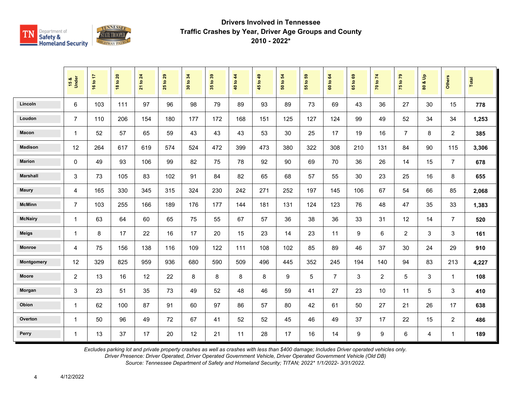

|                 | 15 &<br>Under  | 16 to 17 | <b>18 to 20</b> | 21 to 24 | $t$ o 29<br>25 | 34<br>30 to | 35 to 39 | 40 to 44 | 45 to 49 | $\mathbf{5}$<br>50 to | $t_0$ 59<br>$\overline{5}$ | 60 to 64       | 1069<br>$65^{\circ}$ | 70 to 74       | 75 to 79       | $\frac{9}{2}$<br>οð<br>80 | <b>Others</b>  | Total |
|-----------------|----------------|----------|-----------------|----------|----------------|-------------|----------|----------|----------|-----------------------|----------------------------|----------------|----------------------|----------------|----------------|---------------------------|----------------|-------|
| Lincoln         | 6              | 103      | 111             | 97       | 96             | 98          | 79       | 89       | 93       | 89                    | 73                         | 69             | 43                   | 36             | 27             | 30                        | 15             | 778   |
| Loudon          | $\overline{7}$ | 110      | 206             | 154      | 180            | 177         | 172      | 168      | 151      | 125                   | 127                        | 124            | 99                   | 49             | 52             | 34                        | 34             | 1,253 |
| Macon           | $\mathbf{1}$   | 52       | 57              | 65       | 59             | 43          | 43       | 43       | 53       | 30                    | 25                         | 17             | 19                   | 16             | $\overline{7}$ | 8                         | $\overline{2}$ | 385   |
| <b>Madison</b>  | 12             | 264      | 617             | 619      | 574            | 524         | 472      | 399      | 473      | 380                   | 322                        | 308            | 210                  | 131            | 84             | 90                        | 115            | 3,306 |
| <b>Marion</b>   | 0              | 49       | 93              | 106      | 99             | 82          | 75       | 78       | 92       | 90                    | 69                         | 70             | 36                   | 26             | 14             | 15                        | $\overline{7}$ | 678   |
| <b>Marshall</b> | 3              | 73       | 105             | 83       | 102            | 91          | 84       | 82       | 65       | 68                    | 57                         | 55             | 30                   | 23             | 25             | 16                        | 8              | 655   |
| <b>Maury</b>    | 4              | 165      | 330             | 345      | 315            | 324         | 230      | 242      | 271      | 252                   | 197                        | 145            | 106                  | 67             | 54             | 66                        | 85             | 2,068 |
| <b>McMinn</b>   | $\overline{7}$ | 103      | 255             | 166      | 189            | 176         | 177      | 144      | 181      | 131                   | 124                        | 123            | 76                   | 48             | 47             | 35                        | 33             | 1,383 |
| <b>McNairy</b>  | $\mathbf{1}$   | 63       | 64              | 60       | 65             | 75          | 55       | 67       | 57       | 36                    | 38                         | 36             | 33                   | 31             | 12             | 14                        | $\overline{7}$ | 520   |
| <b>Meigs</b>    | 1              | 8        | 17              | 22       | 16             | 17          | 20       | 15       | 23       | 14                    | 23                         | 11             | 9                    | 6              | $\overline{c}$ | 3                         | 3              | 161   |
| <b>Monroe</b>   | 4              | 75       | 156             | 138      | 116            | 109         | 122      | 111      | 108      | 102                   | 85                         | 89             | 46                   | 37             | 30             | 24                        | 29             | 910   |
| Montgomery      | 12             | 329      | 825             | 959      | 936            | 680         | 590      | 509      | 496      | 445                   | 352                        | 245            | 194                  | 140            | 94             | 83                        | 213            | 4,227 |
| <b>Moore</b>    | $\overline{c}$ | 13       | 16              | 12       | 22             | 8           | 8        | 8        | 8        | 9                     | 5                          | $\overline{7}$ | 3                    | $\overline{2}$ | 5              | 3                         | $\mathbf{1}$   | 108   |
| Morgan          | 3              | 23       | 51              | 35       | 73             | 49          | 52       | 48       | 46       | 59                    | 41                         | 27             | 23                   | 10             | 11             | 5                         | 3              | 410   |
| Obion           | $\mathbf{1}$   | 62       | 100             | 87       | 91             | 60          | 97       | 86       | 57       | 80                    | 42                         | 61             | 50                   | 27             | 21             | 26                        | 17             | 638   |
| Overton         | 1              | 50       | 96              | 49       | 72             | 67          | 41       | 52       | 52       | 45                    | 46                         | 49             | 37                   | 17             | 22             | 15                        | $\overline{2}$ | 486   |
| Perry           | $\mathbf{1}$   | 13       | 37              | 17       | 20             | 12          | 21       | 11       | 28       | 17                    | 16                         | 14             | 9                    | 9              | $\,6\,$        | 4                         | $\mathbf{1}$   | 189   |

*Excludes parking lot and private property crashes as well as crashes with less than \$400 damage; Includes Driver operated vehicles only.*

*Driver Presence: Driver Operated, Driver Operated Government Vehicle, Driver Operated Government Vehicle (Old DB)*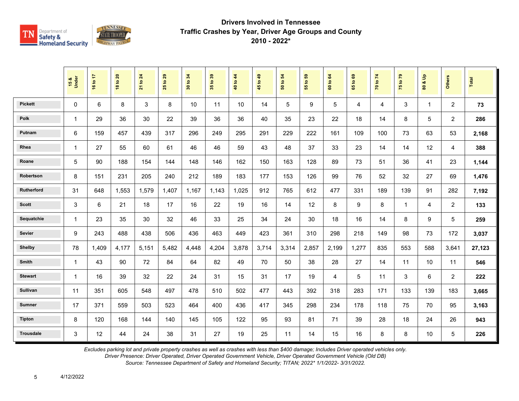

|                  | 15 &<br>Under | 16 to 17       | <b>18 to 20</b> | 21 to 24 | 29<br>$\overline{5}$<br>25 | 34<br>30 to | 35 to 39 | 40 to 44 | 45 to 49 | 54<br>50 to | 55 to 59 | 64<br>60 to | 65 to 69 | 70 to 74 | 75 to 79       | å<br>οð<br>$\overline{\mathbf{3}}$ | <b>Others</b>  | Total  |
|------------------|---------------|----------------|-----------------|----------|----------------------------|-------------|----------|----------|----------|-------------|----------|-------------|----------|----------|----------------|------------------------------------|----------------|--------|
| <b>Pickett</b>   | 0             | $6\phantom{1}$ | 8               | 3        | 8                          | 10          | 11       | 10       | 14       | 5           | 9        | 5           | 4        | 4        | 3              | $\mathbf{1}$                       | $\overline{2}$ | 73     |
| <b>Polk</b>      | $\mathbf{1}$  | 29             | 36              | 30       | 22                         | 39          | 36       | 36       | 40       | 35          | 23       | 22          | 18       | 14       | 8              | 5                                  | $\overline{2}$ | 286    |
| Putnam           | 6             | 159            | 457             | 439      | 317                        | 296         | 249      | 295      | 291      | 229         | 222      | 161         | 109      | 100      | 73             | 63                                 | 53             | 2,168  |
| Rhea             | $\mathbf{1}$  | 27             | 55              | 60       | 61                         | 46          | 46       | 59       | 43       | 48          | 37       | 33          | 23       | 14       | 14             | 12                                 | 4              | 388    |
| Roane            | 5             | 90             | 188             | 154      | 144                        | 148         | 146      | 162      | 150      | 163         | 128      | 89          | 73       | 51       | 36             | 41                                 | 23             | 1,144  |
| Robertson        | 8             | 151            | 231             | 205      | 240                        | 212         | 189      | 183      | 177      | 153         | 126      | 99          | 76       | 52       | 32             | 27                                 | 69             | 1,476  |
| Rutherford       | 31            | 648            | 1,553           | 1,579    | 1,407                      | 1.167       | 1.143    | 1.025    | 912      | 765         | 612      | 477         | 331      | 189      | 139            | 91                                 | 282            | 7,192  |
| <b>Scott</b>     | 3             | 6              | 21              | 18       | 17                         | 16          | 22       | 19       | 16       | 14          | 12       | 8           | 9        | 8        | $\overline{1}$ | 4                                  | $\overline{2}$ | 133    |
| Sequatchie       | $\mathbf{1}$  | 23             | 35              | 30       | 32                         | 46          | 33       | 25       | 34       | 24          | 30       | 18          | 16       | 14       | 8              | 9                                  | 5              | 259    |
| Sevier           | 9             | 243            | 488             | 438      | 506                        | 436         | 463      | 449      | 423      | 361         | 310      | 298         | 218      | 149      | 98             | 73                                 | 172            | 3,037  |
| <b>Shelby</b>    | 78            | 1,409          | 4,177           | 5,151    | 5,482                      | 4,448       | 4,204    | 3,878    | 3,714    | 3,314       | 2,857    | 2,199       | 1,277    | 835      | 553            | 588                                | 3,641          | 27,123 |
| Smith            | 1             | 43             | 90              | 72       | 84                         | 64          | 82       | 49       | 70       | 50          | 38       | 28          | 27       | 14       | 11             | 10                                 | 11             | 546    |
| <b>Stewart</b>   | 1             | 16             | 39              | 32       | 22                         | 24          | 31       | 15       | 31       | 17          | 19       | 4           | 5        | 11       | 3              | 6                                  | $\overline{2}$ | 222    |
| <b>Sullivan</b>  | 11            | 351            | 605             | 548      | 497                        | 478         | 510      | 502      | 477      | 443         | 392      | 318         | 283      | 171      | 133            | 139                                | 183            | 3,665  |
| <b>Sumner</b>    | 17            | 371            | 559             | 503      | 523                        | 464         | 400      | 436      | 417      | 345         | 298      | 234         | 178      | 118      | 75             | 70                                 | 95             | 3,163  |
| <b>Tipton</b>    | 8             | 120            | 168             | 144      | 140                        | 145         | 105      | 122      | 95       | 93          | 81       | 71          | 39       | 28       | 18             | 24                                 | 26             | 943    |
| <b>Trousdale</b> | 3             | 12             | 44              | 24       | 38                         | 31          | 27       | 19       | 25       | 11          | 14       | 15          | 16       | 8        | 8              | 10                                 | 5              | 226    |

*Excludes parking lot and private property crashes as well as crashes with less than \$400 damage; Includes Driver operated vehicles only.*

*Driver Presence: Driver Operated, Driver Operated Government Vehicle, Driver Operated Government Vehicle (Old DB)*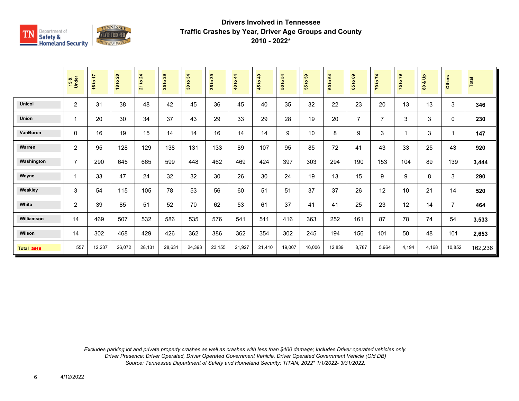

|                   | 15 &<br>Under  | 16 to 17 | 18 to 20 | 21 to 24 | 29<br>$\mathbf{S}$<br>25 | 34<br>$\mathbf{S}$<br>$\overline{\mathbf{30}}$ | $t_0$ 39<br>35 | $\frac{4}{3}$<br>40 to | 49<br>45 to | 50 to 54 | $t_0$ 59<br>55 | 64<br>60 to ( | $\mathbf{69}$<br>$\mathbf{S}$<br>65 | 70 to 74       | 75 to 79 | $\frac{9}{2}$<br>ಯ<br>$\overline{8}$ | Others         | Total   |
|-------------------|----------------|----------|----------|----------|--------------------------|------------------------------------------------|----------------|------------------------|-------------|----------|----------------|---------------|-------------------------------------|----------------|----------|--------------------------------------|----------------|---------|
| <b>Unicoi</b>     | $\overline{2}$ | 31       | 38       | 48       | 42                       | 45                                             | 36             | 45                     | 40          | 35       | 32             | 22            | 23                                  | 20             | 13       | 13                                   | 3              | 346     |
| <b>Union</b>      | 1              | 20       | 30       | 34       | 37                       | 43                                             | 29             | 33                     | 29          | 28       | 19             | 20            | $\overline{7}$                      | $\overline{7}$ | 3        | 3                                    | 0              | 230     |
| VanBuren          | $\mathbf{0}$   | 16       | 19       | 15       | 14                       | 14                                             | 16             | 14                     | 14          | 9        | 10             | 8             | 9                                   | 3              |          | 3                                    |                | 147     |
| Warren            | 2              | 95       | 128      | 129      | 138                      | 131                                            | 133            | 89                     | 107         | 95       | 85             | 72            | 41                                  | 43             | 33       | 25                                   | 43             | 920     |
| Washington        | 7              | 290      | 645      | 665      | 599                      | 448                                            | 462            | 469                    | 424         | 397      | 303            | 294           | 190                                 | 153            | 104      | 89                                   | 139            | 3,444   |
| Wayne             | 1              | 33       | 47       | 24       | 32                       | 32                                             | 30             | 26                     | 30          | 24       | 19             | 13            | 15                                  | 9              | 9        | 8                                    | 3              | 290     |
| Weakley           | 3              | 54       | 115      | 105      | 78                       | 53                                             | 56             | 60                     | 51          | 51       | 37             | 37            | 26                                  | 12             | 10       | 21                                   | 14             | 520     |
| White             | 2              | 39       | 85       | 51       | 52                       | 70                                             | 62             | 53                     | 61          | 37       | 41             | 41            | 25                                  | 23             | 12       | 14                                   | $\overline{7}$ | 464     |
| Williamson        | 14             | 469      | 507      | 532      | 586                      | 535                                            | 576            | 541                    | 511         | 416      | 363            | 252           | 161                                 | 87             | 78       | 74                                   | 54             | 3,533   |
| Wilson            | 14             | 302      | 468      | 429      | 426                      | 362                                            | 386            | 362                    | 354         | 302      | 245            | 194           | 156                                 | 101            | 50       | 48                                   | 101            | 2,653   |
| <b>Total 2010</b> | 557            | 12,237   | 26,072   | 28,131   | 28,631                   | 24,393                                         | 23,155         | 21,927                 | 21,410      | 19,007   | 16,006         | 12,839        | 8,787                               | 5,964          | 4,194    | 4,168                                | 10,852         | 162,236 |

*Excludes parking lot and private property crashes as well as crashes with less than \$400 damage; Includes Driver operated vehicles only. Driver Presence: Driver Operated, Driver Operated Government Vehicle, Driver Operated Government Vehicle (Old DB) Source: Tennessee Department of Safety and Homeland Security; TITAN; 2022\* 1/1/2022- 3/31/2022.*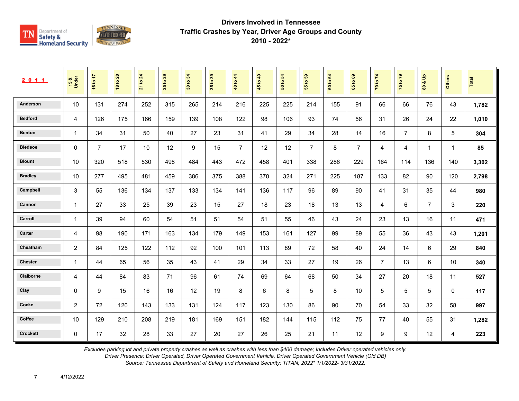

| 2 0 1 1        | 15 &<br>Under  | 16 to 17       | $\overline{20}$<br>$\mathtt{S}$<br>$\infty$ | 24<br>$\mathtt{S}$<br>$\overline{21}$ | 29<br>$\mathbf{e}$<br>25 | 34<br>$\tt{S}$<br>30 | 35 to 39 | 40 to 44       | 49<br>45 to | 54<br>$\mathbf{e}$<br>ន | 69<br>55 to    | 64<br>60 to | $\mathbf{69}$<br>$\mathbf{e}$<br>59 | 70 to 74       | $\mathbf{r}$<br>75 to | $\frac{9}{2}$<br>ಯ<br>$\pmb{\mathbb{S}}$ | <b>Others</b>  | Total |
|----------------|----------------|----------------|---------------------------------------------|---------------------------------------|--------------------------|----------------------|----------|----------------|-------------|-------------------------|----------------|-------------|-------------------------------------|----------------|-----------------------|------------------------------------------|----------------|-------|
| Anderson       | 10             | 131            | 274                                         | 252                                   | 315                      | 265                  | 214      | 216            | 225         | 225                     | 214            | 155         | 91                                  | 66             | 66                    | 76                                       | 43             | 1,782 |
| <b>Bedford</b> | 4              | 126            | 175                                         | 166                                   | 159                      | 139                  | 108      | 122            | 98          | 106                     | 93             | 74          | 56                                  | 31             | 26                    | 24                                       | 22             | 1,010 |
| <b>Benton</b>  | $\mathbf{1}$   | 34             | 31                                          | 50                                    | 40                       | 27                   | 23       | 31             | 41          | 29                      | 34             | 28          | 14                                  | 16             | $\overline{7}$        | 8                                        | 5              | 304   |
| <b>Bledsoe</b> | $\mathbf 0$    | $\overline{7}$ | 17                                          | 10                                    | 12                       | 9                    | 15       | $\overline{7}$ | 12          | 12                      | $\overline{7}$ | 8           | $\overline{7}$                      | 4              | $\overline{4}$        | $\mathbf{1}$                             | $\overline{1}$ | 85    |
| <b>Blount</b>  | 10             | 320            | 518                                         | 530                                   | 498                      | 484                  | 443      | 472            | 458         | 401                     | 338            | 286         | 229                                 | 164            | 114                   | 136                                      | 140            | 3,302 |
| <b>Bradley</b> | 10             | 277            | 495                                         | 481                                   | 459                      | 386                  | 375      | 388            | 370         | 324                     | 271            | 225         | 187                                 | 133            | 82                    | 90                                       | 120            | 2,798 |
| Campbell       | 3              | 55             | 136                                         | 134                                   | 137                      | 133                  | 134      | 141            | 136         | 117                     | 96             | 89          | 90                                  | 41             | 31                    | 35                                       | 44             | 980   |
| Cannon         | $\mathbf{1}$   | 27             | 33                                          | 25                                    | 39                       | 23                   | 15       | 27             | 18          | 23                      | 18             | 13          | 13                                  | 4              | 6                     | $\overline{7}$                           | 3              | 220   |
| Carroll        | $\mathbf{1}$   | 39             | 94                                          | 60                                    | 54                       | 51                   | 51       | 54             | 51          | 55                      | 46             | 43          | 24                                  | 23             | 13                    | 16                                       | 11             | 471   |
| Carter         | $\overline{4}$ | 98             | 190                                         | 171                                   | 163                      | 134                  | 179      | 149            | 153         | 161                     | 127            | 99          | 89                                  | 55             | 36                    | 43                                       | 43             | 1,201 |
| Cheatham       | 2              | 84             | 125                                         | 122                                   | 112                      | 92                   | 100      | 101            | 113         | 89                      | 72             | 58          | 40                                  | 24             | 14                    | 6                                        | 29             | 840   |
| <b>Chester</b> | 1              | 44             | 65                                          | 56                                    | 35                       | 43                   | 41       | 29             | 34          | 33                      | 27             | 19          | 26                                  | $\overline{7}$ | 13                    | 6                                        | 10             | 340   |
| Claiborne      | 4              | 44             | 84                                          | 83                                    | 71                       | 96                   | 61       | 74             | 69          | 64                      | 68             | 50          | 34                                  | 27             | 20                    | 18                                       | 11             | 527   |
| Clay           | 0              | 9              | 15                                          | 16                                    | 16                       | 12                   | 19       | 8              | 6           | 8                       | 5              | 8           | 10                                  | 5              | 5                     | 5                                        | $\mathbf{0}$   | 117   |
| Cocke          | 2              | 72             | 120                                         | 143                                   | 133                      | 131                  | 124      | 117            | 123         | 130                     | 86             | 90          | 70                                  | 54             | 33                    | 32                                       | 58             | 997   |
| Coffee         | 10             | 129            | 210                                         | 208                                   | 219                      | 181                  | 169      | 151            | 182         | 144                     | 115            | 112         | 75                                  | 77             | 40                    | 55                                       | 31             | 1,282 |
| Crockett       | $\mathbf 0$    | 17             | 32                                          | 28                                    | 33                       | 27                   | 20       | 27             | 26          | 25                      | 21             | 11          | 12                                  | 9              | $\boldsymbol{9}$      | 12                                       | 4              | 223   |

*Excludes parking lot and private property crashes as well as crashes with less than \$400 damage; Includes Driver operated vehicles only.*

*Driver Presence: Driver Operated, Driver Operated Government Vehicle, Driver Operated Government Vehicle (Old DB)*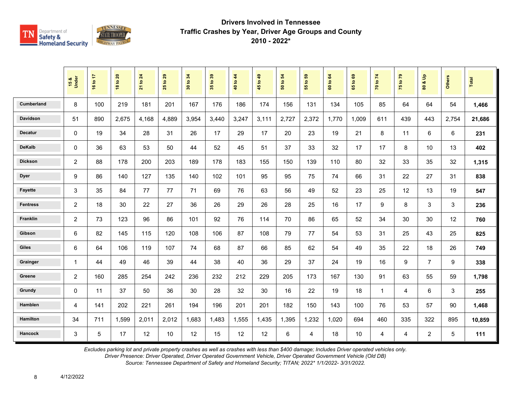

|                   | 15 &<br>Under  | 16 to 17 | <b>18 to 20</b> | 21 to 24 | 29<br>$\mathbf{e}$<br>25 | 34<br>30 to | 35 to 39 | 40 to 44 | 45 to 49 | $\overline{5}$<br>50 to | ${\bf 59}$<br>$\mathbf{e}$<br>$\overline{55}$ | $\mathbf{g}$<br>60 to | G9<br>65 to | 70 to 74 | 75 to 79 | $\mathbf{e}$<br>οð<br>$\overline{\mathbf{8}}$ | Others | <b>Total</b> |
|-------------------|----------------|----------|-----------------|----------|--------------------------|-------------|----------|----------|----------|-------------------------|-----------------------------------------------|-----------------------|-------------|----------|----------|-----------------------------------------------|--------|--------------|
| <b>Cumberland</b> | 8              | 100      | 219             | 181      | 201                      | 167         | 176      | 186      | 174      | 156                     | 131                                           | 134                   | 105         | 85       | 64       | 64                                            | 54     | 1,466        |
| <b>Davidson</b>   | 51             | 890      | 2,675           | 4,168    | 4,889                    | 3,954       | 3.440    | 3,247    | 3,111    | 2,727                   | 2,372                                         | 1.770                 | 1.009       | 611      | 439      | 443                                           | 2,754  | 21,686       |
| <b>Decatur</b>    | $\mathbf{0}$   | 19       | 34              | 28       | 31                       | 26          | 17       | 29       | 17       | 20                      | 23                                            | 19                    | 21          | 8        | 11       | 6                                             | 6      | 231          |
| <b>DeKalb</b>     | $\Omega$       | 36       | 63              | 53       | 50                       | 44          | 52       | 45       | 51       | 37                      | 33                                            | 32                    | 17          | 17       | 8        | 10                                            | 13     | 402          |
| <b>Dickson</b>    | 2              | 88       | 178             | 200      | 203                      | 189         | 178      | 183      | 155      | 150                     | 139                                           | 110                   | 80          | 32       | 33       | 35                                            | 32     | 1,315        |
| <b>Dyer</b>       | 9              | 86       | 140             | 127      | 135                      | 140         | 102      | 101      | 95       | 95                      | 75                                            | 74                    | 66          | 31       | 22       | 27                                            | 31     | 838          |
| <b>Fayette</b>    | 3              | 35       | 84              | 77       | 77                       | 71          | 69       | 76       | 63       | 56                      | 49                                            | 52                    | 23          | 25       | 12       | 13                                            | 19     | 547          |
| <b>Fentress</b>   | 2              | 18       | 30              | 22       | 27                       | 36          | 26       | 29       | 26       | 28                      | 25                                            | 16                    | 17          | 9        | 8        | 3                                             | 3      | 236          |
| Franklin          | 2              | 73       | 123             | 96       | 86                       | 101         | 92       | 76       | 114      | 70                      | 86                                            | 65                    | 52          | 34       | 30       | 30                                            | 12     | 760          |
| Gibson            | 6              | 82       | 145             | 115      | 120                      | 108         | 106      | 87       | 108      | 79                      | 77                                            | 54                    | 53          | 31       | 25       | 43                                            | 25     | 825          |
| <b>Giles</b>      | 6              | 64       | 106             | 119      | 107                      | 74          | 68       | 87       | 66       | 85                      | 62                                            | 54                    | 49          | 35       | 22       | 18                                            | 26     | 749          |
| Grainger          | 1              | 44       | 49              | 46       | 39                       | 44          | 38       | 40       | 36       | 29                      | 37                                            | 24                    | 19          | 16       | 9        | $\overline{7}$                                | 9      | 338          |
| Greene            | 2              | 160      | 285             | 254      | 242                      | 236         | 232      | 212      | 229      | 205                     | 173                                           | 167                   | 130         | 91       | 63       | 55                                            | 59     | 1,798        |
| Grundy            | $\mathbf 0$    | 11       | 37              | 50       | 36                       | 30          | 28       | 32       | 30       | 16                      | 22                                            | 19                    | 18          | 1        | 4        | 6                                             | 3      | 255          |
| Hamblen           | $\overline{4}$ | 141      | 202             | 221      | 261                      | 194         | 196      | 201      | 201      | 182                     | 150                                           | 143                   | 100         | 76       | 53       | 57                                            | 90     | 1,468        |
| <b>Hamilton</b>   | 34             | 711      | 1,599           | 2,011    | 2,012                    | 1,683       | 1,483    | 1,555    | 1,435    | 1,395                   | 1,232                                         | 1,020                 | 694         | 460      | 335      | 322                                           | 895    | 10,859       |
| <b>Hancock</b>    | 3              | 5        | 17              | 12       | 10                       | 12          | 15       | 12       | 12       | 6                       | 4                                             | 18                    | 10          | 4        | 4        | $\overline{2}$                                | 5      | 111          |

*Excludes parking lot and private property crashes as well as crashes with less than \$400 damage; Includes Driver operated vehicles only.*

*Driver Presence: Driver Operated, Driver Operated Government Vehicle, Driver Operated Government Vehicle (Old DB)*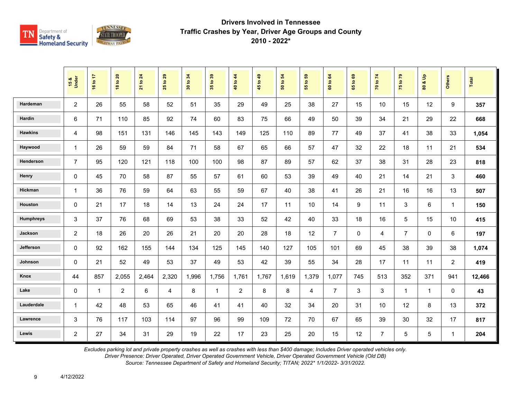

|                  | 15 &<br>Under  | 16 to 17       | <b>18 to 20</b> | to 24<br>$\overline{21}$ | 29<br>$\overline{\mathbf{S}}$<br>25 | 34<br>$\mathbf{S}$<br>$\boldsymbol{\mathsf{s}}$ | 35 to 39     | 40 to 44       | $6b$ of<br>45 | $\mathbf{5}$<br>50 to | G5<br>$\overline{\mathbf{e}}$<br>55 | to 64<br>$\tt G$ | $t_0$ 69<br>65 | 70 to 74       | 75 to 79       | $\frac{9}{2}$<br>οð<br>$\mathbf{S}$ | <b>Others</b>  | Total  |
|------------------|----------------|----------------|-----------------|--------------------------|-------------------------------------|-------------------------------------------------|--------------|----------------|---------------|-----------------------|-------------------------------------|------------------|----------------|----------------|----------------|-------------------------------------|----------------|--------|
| Hardeman         | $\overline{2}$ | 26             | 55              | 58                       | 52                                  | 51                                              | 35           | 29             | 49            | 25                    | 38                                  | 27               | 15             | 10             | 15             | 12                                  | 9              | 357    |
| Hardin           | 6              | 71             | 110             | 85                       | 92                                  | 74                                              | 60           | 83             | 75            | 66                    | 49                                  | 50               | 39             | 34             | 21             | 29                                  | 22             | 668    |
| <b>Hawkins</b>   | $\overline{4}$ | 98             | 151             | 131                      | 146                                 | 145                                             | 143          | 149            | 125           | 110                   | 89                                  | 77               | 49             | 37             | 41             | 38                                  | 33             | 1,054  |
| Haywood          | $\mathbf{1}$   | 26             | 59              | 59                       | 84                                  | 71                                              | 58           | 67             | 65            | 66                    | 57                                  | 47               | 32             | 22             | 18             | 11                                  | 21             | 534    |
| <b>Henderson</b> | $\overline{7}$ | 95             | 120             | 121                      | 118                                 | 100                                             | 100          | 98             | 87            | 89                    | 57                                  | 62               | 37             | 38             | 31             | 28                                  | 23             | 818    |
| Henry            | $\mathbf 0$    | 45             | 70              | 58                       | 87                                  | 55                                              | 57           | 61             | 60            | 53                    | 39                                  | 49               | 40             | 21             | 14             | 21                                  | 3              | 460    |
| Hickman          | $\mathbf{1}$   | 36             | 76              | 59                       | 64                                  | 63                                              | 55           | 59             | 67            | 40                    | 38                                  | 41               | 26             | 21             | 16             | 16                                  | 13             | 507    |
| Houston          | $\mathbf 0$    | 21             | 17              | 18                       | 14                                  | 13                                              | 24           | 24             | 17            | 11                    | 10                                  | 14               | 9              | 11             | 3              | 6                                   | $\mathbf{1}$   | 150    |
| <b>Humphreys</b> | 3              | 37             | 76              | 68                       | 69                                  | 53                                              | 38           | 33             | 52            | 42                    | 40                                  | 33               | 18             | 16             | 5              | 15                                  | 10             | 415    |
| Jackson          | $\overline{2}$ | 18             | 26              | 20                       | 26                                  | 21                                              | 20           | 20             | 28            | 18                    | 12                                  | $\overline{7}$   | $\mathbf{0}$   | 4              | $\overline{7}$ | $\mathbf 0$                         | 6              | 197    |
| Jefferson        | $\mathbf 0$    | 92             | 162             | 155                      | 144                                 | 134                                             | 125          | 145            | 140           | 127                   | 105                                 | 101              | 69             | 45             | 38             | 39                                  | 38             | 1,074  |
| Johnson          | $\mathbf 0$    | 21             | 52              | 49                       | 53                                  | 37                                              | 49           | 53             | 42            | 39                    | 55                                  | 34               | 28             | 17             | 11             | 11                                  | $\overline{2}$ | 419    |
| Knox             | 44             | 857            | 2,055           | 2,464                    | 2,320                               | 1,996                                           | 1,756        | 1,761          | 1,767         | 1,619                 | 1,379                               | 1,077            | 745            | 513            | 352            | 371                                 | 941            | 12,466 |
| Lake             | $\mathbf 0$    | $\overline{1}$ | $\overline{2}$  | 6                        | $\overline{4}$                      | 8                                               | $\mathbf{1}$ | $\overline{2}$ | 8             | 8                     | 4                                   | $\overline{7}$   | 3              | 3              | $\overline{1}$ | $\mathbf{1}$                        | $\Omega$       | 43     |
| Lauderdale       | $\mathbf{1}$   | 42             | 48              | 53                       | 65                                  | 46                                              | 41           | 41             | 40            | 32                    | 34                                  | 20               | 31             | 10             | 12             | 8                                   | 13             | 372    |
| Lawrence         | 3              | 76             | 117             | 103                      | 114                                 | 97                                              | 96           | 99             | 109           | 72                    | 70                                  | 67               | 65             | 39             | 30             | 32                                  | 17             | 817    |
| Lewis            | $\overline{2}$ | 27             | 34              | 31                       | 29                                  | 19                                              | 22           | 17             | 23            | 25                    | 20                                  | 15               | 12             | $\overline{7}$ | 5              | 5                                   | $\mathbf{1}$   | 204    |

*Excludes parking lot and private property crashes as well as crashes with less than \$400 damage; Includes Driver operated vehicles only.*

*Driver Presence: Driver Operated, Driver Operated Government Vehicle, Driver Operated Government Vehicle (Old DB)*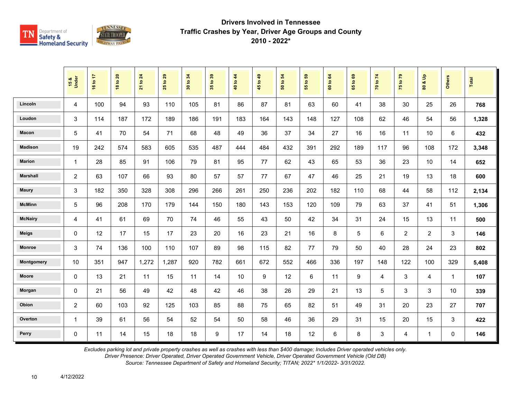

|                 | 15 &<br>Under  | 16 to 17 | <b>18 to 20</b> | 21 to 24 | $t$ o 29<br>25 | 34<br>30 to: | 35 to 39 | 40 to 44 | 45 to 49 | $\mathbf{5}$<br>50 to | $t_0$ 59<br>$\overline{5}$ | 60 to 64 | 1069<br>$65^{\circ}$ | 70 to 74 | 75 to 79       | $\frac{9}{2}$<br>οð<br>80 | <b>Others</b> | Total |
|-----------------|----------------|----------|-----------------|----------|----------------|--------------|----------|----------|----------|-----------------------|----------------------------|----------|----------------------|----------|----------------|---------------------------|---------------|-------|
| Lincoln         | 4              | 100      | 94              | 93       | 110            | 105          | 81       | 86       | 87       | 81                    | 63                         | 60       | 41                   | 38       | 30             | 25                        | 26            | 768   |
| Loudon          | 3              | 114      | 187             | 172      | 189            | 186          | 191      | 183      | 164      | 143                   | 148                        | 127      | 108                  | 62       | 46             | 54                        | 56            | 1,328 |
| Macon           | 5              | 41       | 70              | 54       | 71             | 68           | 48       | 49       | 36       | 37                    | 34                         | 27       | 16                   | 16       | 11             | 10                        | 6             | 432   |
| <b>Madison</b>  | 19             | 242      | 574             | 583      | 605            | 535          | 487      | 444      | 484      | 432                   | 391                        | 292      | 189                  | 117      | 96             | 108                       | 172           | 3,348 |
| <b>Marion</b>   | $\mathbf{1}$   | 28       | 85              | 91       | 106            | 79           | 81       | 95       | 77       | 62                    | 43                         | 65       | 53                   | 36       | 23             | 10                        | 14            | 652   |
| <b>Marshall</b> | $\overline{c}$ | 63       | 107             | 66       | 93             | 80           | 57       | 57       | 77       | 67                    | 47                         | 46       | 25                   | 21       | 19             | 13                        | 18            | 600   |
| <b>Maury</b>    | 3              | 182      | 350             | 328      | 308            | 296          | 266      | 261      | 250      | 236                   | 202                        | 182      | 110                  | 68       | 44             | 58                        | 112           | 2,134 |
| <b>McMinn</b>   | 5              | 96       | 208             | 170      | 179            | 144          | 150      | 180      | 143      | 153                   | 120                        | 109      | 79                   | 63       | 37             | 41                        | 51            | 1,306 |
| <b>McNairy</b>  | 4              | 41       | 61              | 69       | 70             | 74           | 46       | 55       | 43       | 50                    | 42                         | 34       | 31                   | 24       | 15             | 13                        | 11            | 500   |
| <b>Meigs</b>    | 0              | 12       | 17              | 15       | 17             | 23           | 20       | 16       | 23       | 21                    | 16                         | 8        | $\sqrt{5}$           | 6        | $\overline{2}$ | $\overline{2}$            | 3             | 146   |
| <b>Monroe</b>   | 3              | 74       | 136             | 100      | 110            | 107          | 89       | 98       | 115      | 82                    | 77                         | 79       | 50                   | 40       | 28             | 24                        | 23            | 802   |
| Montgomery      | 10             | 351      | 947             | 1,272    | 1,287          | 920          | 782      | 661      | 672      | 552                   | 466                        | 336      | 197                  | 148      | 122            | 100                       | 329           | 5,408 |
| <b>Moore</b>    | 0              | 13       | 21              | 11       | 15             | 11           | 14       | 10       | 9        | 12                    | 6                          | 11       | 9                    | 4        | 3              | 4                         | $\mathbf{1}$  | 107   |
| Morgan          | 0              | 21       | 56              | 49       | 42             | 48           | 42       | 46       | 38       | 26                    | 29                         | 21       | 13                   | 5        | 3              | 3                         | 10            | 339   |
| Obion           | $\overline{c}$ | 60       | 103             | 92       | 125            | 103          | 85       | 88       | 75       | 65                    | 82                         | 51       | 49                   | 31       | 20             | 23                        | 27            | 707   |
| Overton         | $\mathbf{1}$   | 39       | 61              | 56       | 54             | 52           | 54       | 50       | 58       | 46                    | 36                         | 29       | 31                   | 15       | 20             | 15                        | 3             | 422   |
| Perry           | 0              | 11       | 14              | 15       | 18             | 18           | 9        | 17       | 14       | 18                    | 12                         | 6        | 8                    | 3        | 4              | $\mathbf{1}$              | $\mathbf 0$   | 146   |

*Excludes parking lot and private property crashes as well as crashes with less than \$400 damage; Includes Driver operated vehicles only.*

*Driver Presence: Driver Operated, Driver Operated Government Vehicle, Driver Operated Government Vehicle (Old DB)*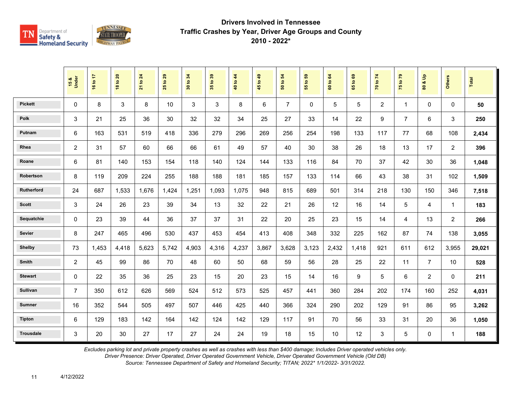

|                  | 15 &<br>Under  | 16 to 17 | <b>18 to 20</b> | $\overline{24}$<br>21 to | 29<br>$\overline{5}$<br>25 | 34<br>30 to | 35 to 39 | 40 to 44 | 45 to 49 | 54<br>50 to    | 55 to 59 | $\mathbf{g}$<br>60 to | $\mathbf{69}$<br>65 to | 70 to 74       | 75 to 79                | å<br>οð<br>$\overline{\mathbf{3}}$ | Others         | <b>Total</b> |
|------------------|----------------|----------|-----------------|--------------------------|----------------------------|-------------|----------|----------|----------|----------------|----------|-----------------------|------------------------|----------------|-------------------------|------------------------------------|----------------|--------------|
| <b>Pickett</b>   | $\mathbf{0}$   | 8        | 3               | 8                        | 10                         | 3           | 3        | 8        | 6        | $\overline{7}$ | $\Omega$ | 5                     | 5                      | $\overline{2}$ | $\overline{\mathbf{1}}$ | $\mathbf{0}$                       | $\Omega$       | 50           |
| <b>Polk</b>      | 3              | 21       | 25              | 36                       | 30                         | 32          | 32       | 34       | 25       | 27             | 33       | 14                    | 22                     | 9              | $\overline{7}$          | 6                                  | 3              | 250          |
| Putnam           | 6              | 163      | 531             | 519                      | 418                        | 336         | 279      | 296      | 269      | 256            | 254      | 198                   | 133                    | 117            | 77                      | 68                                 | 108            | 2,434        |
| Rhea             | $\overline{2}$ | 31       | 57              | 60                       | 66                         | 66          | 61       | 49       | 57       | 40             | 30       | 38                    | 26                     | 18             | 13                      | 17                                 | $\overline{2}$ | 396          |
| Roane            | 6              | 81       | 140             | 153                      | 154                        | 118         | 140      | 124      | 144      | 133            | 116      | 84                    | 70                     | 37             | 42                      | 30                                 | 36             | 1,048        |
| Robertson        | 8              | 119      | 209             | 224                      | 255                        | 188         | 188      | 181      | 185      | 157            | 133      | 114                   | 66                     | 43             | 38                      | 31                                 | 102            | 1,509        |
| Rutherford       | 24             | 687      | 1,533           | 1,676                    | 1,424                      | 1.251       | 1.093    | 1.075    | 948      | 815            | 689      | 501                   | 314                    | 218            | 130                     | 150                                | 346            | 7,518        |
| <b>Scott</b>     | 3              | 24       | 26              | 23                       | 39                         | 34          | 13       | 32       | 22       | 21             | 26       | 12                    | 16                     | 14             | 5                       | 4                                  | $\mathbf{1}$   | 183          |
| Sequatchie       | 0              | 23       | 39              | 44                       | 36                         | 37          | 37       | 31       | 22       | 20             | 25       | 23                    | 15                     | 14             | 4                       | 13                                 | 2              | 266          |
| <b>Sevier</b>    | 8              | 247      | 465             | 496                      | 530                        | 437         | 453      | 454      | 413      | 408            | 348      | 332                   | 225                    | 162            | 87                      | 74                                 | 138            | 3,055        |
| <b>Shelby</b>    | 73             | 1,453    | 4,418           | 5,623                    | 5,742                      | 4,903       | 4,316    | 4,237    | 3,867    | 3,628          | 3,123    | 2,432                 | 1,418                  | 921            | 611                     | 612                                | 3,955          | 29,021       |
| Smith            | 2              | 45       | 99              | 86                       | 70                         | 48          | 60       | 50       | 68       | 59             | 56       | 28                    | 25                     | 22             | 11                      | $\overline{7}$                     | 10             | 528          |
| <b>Stewart</b>   | 0              | 22       | 35              | 36                       | 25                         | 23          | 15       | 20       | 23       | 15             | 14       | 16                    | 9                      | 5              | 6                       | $\overline{2}$                     | $\Omega$       | 211          |
| Sullivan         | $\overline{7}$ | 350      | 612             | 626                      | 569                        | 524         | 512      | 573      | 525      | 457            | 441      | 360                   | 284                    | 202            | 174                     | 160                                | 252            | 4,031        |
| <b>Sumner</b>    | 16             | 352      | 544             | 505                      | 497                        | 507         | 446      | 425      | 440      | 366            | 324      | 290                   | 202                    | 129            | 91                      | 86                                 | 95             | 3,262        |
| <b>Tipton</b>    | 6              | 129      | 183             | 142                      | 164                        | 142         | 124      | 142      | 129      | 117            | 91       | 70                    | 56                     | 33             | 31                      | 20                                 | 36             | 1,050        |
| <b>Trousdale</b> | 3              | 20       | 30              | 27                       | 17                         | 27          | 24       | 24       | 19       | 18             | 15       | 10                    | 12                     | 3              | 5                       | $\mathbf 0$                        | $\mathbf{1}$   | 188          |

*Excludes parking lot and private property crashes as well as crashes with less than \$400 damage; Includes Driver operated vehicles only.*

*Driver Presence: Driver Operated, Driver Operated Government Vehicle, Driver Operated Government Vehicle (Old DB)*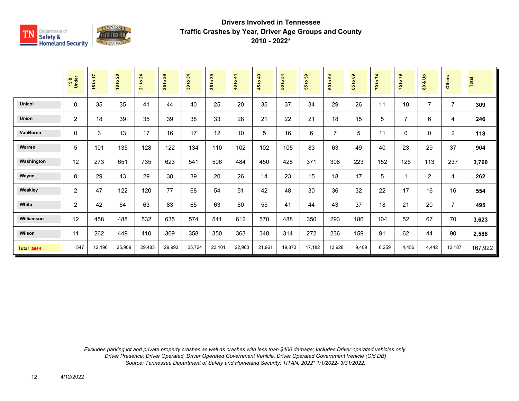

|                   | 15 &<br>Under  | 16 to 17 | 18 to 20 | <b>21 to 24</b> | 29<br>$\tt{S}$<br>25 | 30 to 34 | 35 to 39 | $4\overline{4}$<br>40 to | $\overline{49}$<br>45 to - | 50 to 54 | <b>e</b><br>$\overline{5}$<br>55 | 64<br>$\mathbf{c}$<br>$\bf{60}$ | $\mathbf{69}$<br>$\mathbf{c}$<br>59 | 70 to 74 | 75 to 79       | $\frac{9}{2}$<br>oð<br>80 | <b>Others</b>  | Total   |
|-------------------|----------------|----------|----------|-----------------|----------------------|----------|----------|--------------------------|----------------------------|----------|----------------------------------|---------------------------------|-------------------------------------|----------|----------------|---------------------------|----------------|---------|
| <b>Unicoi</b>     | 0              | 35       | 35       | 41              | 44                   | 40       | 25       | 20                       | 35                         | 37       | 34                               | 29                              | 26                                  | 11       | 10             | $\overline{7}$            | $\overline{7}$ | 309     |
| Union             | 2              | 18       | 39       | 35              | 39                   | 38       | 33       | 28                       | 21                         | 22       | 21                               | 18                              | 15                                  | 5        | $\overline{7}$ | 6                         | 4              | 246     |
| VanBuren          | 0              | 3        | 13       | 17              | 16                   | 17       | 12       | 10                       | 5                          | 16       | 6                                | $\overline{7}$                  | 5                                   | 11       | $\mathbf 0$    | 0                         | $\overline{2}$ | 118     |
| Warren            | 5              | 101      | 135      | 128             | 122                  | 134      | 110      | 102                      | 102                        | 105      | 83                               | 63                              | 49                                  | 40       | 23             | 29                        | 37             | 904     |
| Washington        | 12             | 273      | 651      | 735             | 623                  | 541      | 506      | 484                      | 450                        | 428      | 371                              | 308                             | 223                                 | 152      | 126            | 113                       | 237            | 3,760   |
| Wayne             | $\mathbf{0}$   | 29       | 43       | 29              | 38                   | 39       | 20       | 26                       | 14                         | 23       | 15                               | 18                              | 17                                  | 5        | 1              | $\overline{2}$            | 4              | 262     |
| Weakley           | $\overline{2}$ | 47       | 122      | 120             | 77                   | 68       | 54       | 51                       | 42                         | 48       | 30                               | 36                              | 32                                  | 22       | 17             | 16                        | 16             | 554     |
| White             | 2              | 42       | 64       | 63              | 83                   | 65       | 63       | 60                       | 55                         | 41       | 44                               | 43                              | 37                                  | 18       | 21             | 20                        | $\overline{7}$ | 495     |
| Williamson        | 12             | 458      | 488      | 532             | 635                  | 574      | 541      | 612                      | 570                        | 488      | 350                              | 293                             | 186                                 | 104      | 52             | 67                        | 70             | 3,623   |
| Wilson            | 11             | 262      | 449      | 410             | 369                  | 358      | 350      | 363                      | 348                        | 314      | 272                              | 236                             | 159                                 | 91       | 62             | 44                        | 90             | 2,588   |
| <b>Total 2011</b> | 547            | 12,196   | 25,909   | 29,483          | 29,993               | 25,724   | 23,101   | 22,960                   | 21,961                     | 19,873   | 17,182                           | 13,928                          | 9,409                               | 6,259    | 4,456          | 4,442                     | 12,187         | 167,922 |

*Excludes parking lot and private property crashes as well as crashes with less than \$400 damage; Includes Driver operated vehicles only. Driver Presence: Driver Operated, Driver Operated Government Vehicle, Driver Operated Government Vehicle (Old DB) Source: Tennessee Department of Safety and Homeland Security; TITAN; 2022\* 1/1/2022- 3/31/2022.*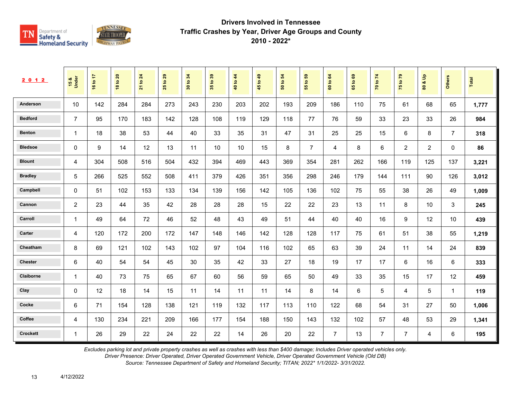

| 2 0 1 2         | 15 &<br>Under  | 16 to 17 | 20<br>$\overline{\mathbf{S}}$<br>$\frac{8}{3}$ | 24<br>$\overline{\mathbf{e}}$<br>$\overline{21}$ | 29<br>$\overline{5}$<br>25 | 34<br>$\tt{S}$<br>$30^{\circ}$ | $t_0$ 39<br>$35^{\circ}$ | 40 to 44 | 1049<br>45 | $\overline{5}$<br>$\mathbf{e}$<br>នី | 3<br>$\mathbf{S}$<br>55 | 64<br>$\mathbf{S}$<br>$\tt G$ | $\mathbf{63}$<br>$\mathbf{S}$<br>59 | 70 to 74       | $\mathbf{r}$<br>$\mathbf{S}$<br>$\frac{1}{2}$ | $\frac{9}{2}$<br>ಯ<br>$\tt{S}0$ | Others                  | Total |
|-----------------|----------------|----------|------------------------------------------------|--------------------------------------------------|----------------------------|--------------------------------|--------------------------|----------|------------|--------------------------------------|-------------------------|-------------------------------|-------------------------------------|----------------|-----------------------------------------------|---------------------------------|-------------------------|-------|
| Anderson        | 10             | 142      | 284                                            | 284                                              | 273                        | 243                            | 230                      | 203      | 202        | 193                                  | 209                     | 186                           | 110                                 | 75             | 61                                            | 68                              | 65                      | 1,777 |
| <b>Bedford</b>  | $\overline{7}$ | 95       | 170                                            | 183                                              | 142                        | 128                            | 108                      | 119      | 129        | 118                                  | 77                      | 76                            | 59                                  | 33             | 23                                            | 33                              | 26                      | 984   |
| <b>Benton</b>   | $\mathbf{1}$   | 18       | 38                                             | 53                                               | 44                         | 40                             | 33                       | 35       | 31         | 47                                   | 31                      | 25                            | 25                                  | 15             | 6                                             | 8                               | $\overline{7}$          | 318   |
| <b>Bledsoe</b>  | 0              | 9        | 14                                             | 12                                               | 13                         | 11                             | 10                       | 10       | 15         | 8                                    | $\overline{7}$          | 4                             | 8                                   | 6              | 2                                             | $\overline{2}$                  | $\mathbf{0}$            | 86    |
| <b>Blount</b>   | 4              | 304      | 508                                            | 516                                              | 504                        | 432                            | 394                      | 469      | 443        | 369                                  | 354                     | 281                           | 262                                 | 166            | 119                                           | 125                             | 137                     | 3,221 |
| <b>Bradley</b>  | 5              | 266      | 525                                            | 552                                              | 508                        | 411                            | 379                      | 426      | 351        | 356                                  | 298                     | 246                           | 179                                 | 144            | 111                                           | 90                              | 126                     | 3,012 |
| Campbell        | $\mathbf 0$    | 51       | 102                                            | 153                                              | 133                        | 134                            | 139                      | 156      | 142        | 105                                  | 136                     | 102                           | 75                                  | 55             | 38                                            | 26                              | 49                      | 1,009 |
| Cannon          | $\overline{2}$ | 23       | 44                                             | 35                                               | 42                         | 28                             | 28                       | 28       | 15         | 22                                   | 22                      | 23                            | 13                                  | 11             | 8                                             | 10                              | 3                       | 245   |
| Carroll         | $\mathbf{1}$   | 49       | 64                                             | 72                                               | 46                         | 52                             | 48                       | 43       | 49         | 51                                   | 44                      | 40                            | 40                                  | 16             | 9                                             | 12                              | 10                      | 439   |
| Carter          | $\overline{4}$ | 120      | 172                                            | 200                                              | 172                        | 147                            | 148                      | 146      | 142        | 128                                  | 128                     | 117                           | 75                                  | 61             | 51                                            | 38                              | 55                      | 1,219 |
| Cheatham        | 8              | 69       | 121                                            | 102                                              | 143                        | 102                            | 97                       | 104      | 116        | 102                                  | 65                      | 63                            | 39                                  | 24             | 11                                            | 14                              | 24                      | 839   |
| <b>Chester</b>  | 6              | 40       | 54                                             | 54                                               | 45                         | 30                             | 35                       | 42       | 33         | 27                                   | 18                      | 19                            | 17                                  | 17             | 6                                             | 16                              | 6                       | 333   |
| Claiborne       | $\mathbf{1}$   | 40       | 73                                             | 75                                               | 65                         | 67                             | 60                       | 56       | 59         | 65                                   | 50                      | 49                            | 33                                  | 35             | 15                                            | 17                              | 12                      | 459   |
| Clay            | $\Omega$       | 12       | 18                                             | 14                                               | 15                         | 11                             | 14                       | 11       | 11         | 14                                   | 8                       | 14                            | 6                                   | 5              | 4                                             | 5                               | $\overline{\mathbf{1}}$ | 119   |
| Cocke           | 6              | 71       | 154                                            | 128                                              | 138                        | 121                            | 119                      | 132      | 117        | 113                                  | 110                     | 122                           | 68                                  | 54             | 31                                            | 27                              | 50                      | 1,006 |
| Coffee          | 4              | 130      | 234                                            | 221                                              | 209                        | 166                            | 177                      | 154      | 188        | 150                                  | 143                     | 132                           | 102                                 | 57             | 48                                            | 53                              | 29                      | 1,341 |
| <b>Crockett</b> | $\mathbf{1}$   | 26       | 29                                             | 22                                               | 24                         | 22                             | 22                       | 14       | 26         | 20                                   | 22                      | $\overline{7}$                | 13                                  | $\overline{7}$ | $\overline{7}$                                | 4                               | 6                       | 195   |

*Excludes parking lot and private property crashes as well as crashes with less than \$400 damage; Includes Driver operated vehicles only.*

*Driver Presence: Driver Operated, Driver Operated Government Vehicle, Driver Operated Government Vehicle (Old DB)*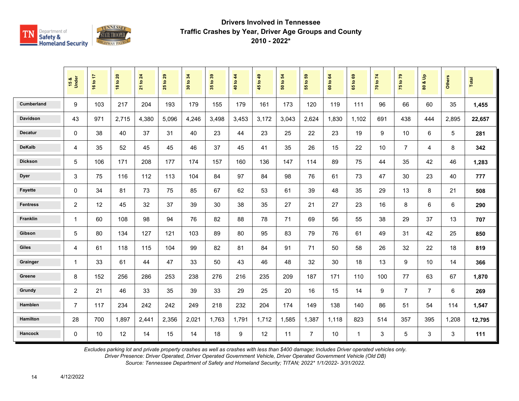

|                   | 15 &<br>Under  | 16 to 17 | 18 to 20 | 21 to 24 | 29<br>$\mathbf{e}$<br>25 | 30 to 34 | 35 to 39 | 40 to 44 | 45 to 49 | 50 to 54 | <b>e</b><br>$\mathbf{e}$<br>$\overline{5}$ | 60 to 64 | $\mathbf{63}$<br>$\overline{9}$<br>$65^{\circ}$ | 70 to 74 | 75 to 79       | $\frac{9}{2}$<br>οð<br>$\mathbf{S}$ | <b>Others</b> | Total  |
|-------------------|----------------|----------|----------|----------|--------------------------|----------|----------|----------|----------|----------|--------------------------------------------|----------|-------------------------------------------------|----------|----------------|-------------------------------------|---------------|--------|
| <b>Cumberland</b> | 9              | 103      | 217      | 204      | 193                      | 179      | 155      | 179      | 161      | 173      | 120                                        | 119      | 111                                             | 96       | 66             | 60                                  | 35            | 1,455  |
| <b>Davidson</b>   | 43             | 971      | 2,715    | 4,380    | 5,096                    | 4,246    | 3,498    | 3,453    | 3,172    | 3,043    | 2,624                                      | 1,830    | 1,102                                           | 691      | 438            | 444                                 | 2,895         | 22,657 |
| <b>Decatur</b>    | $\mathbf{0}$   | 38       | 40       | 37       | 31                       | 40       | 23       | 44       | 23       | 25       | 22                                         | 23       | 19                                              | 9        | 10             | 6                                   | 5             | 281    |
| <b>DeKalb</b>     | $\overline{4}$ | 35       | 52       | 45       | 45                       | 46       | 37       | 45       | 41       | 35       | 26                                         | 15       | 22                                              | 10       | $\overline{7}$ | 4                                   | 8             | 342    |
| <b>Dickson</b>    | 5              | 106      | 171      | 208      | 177                      | 174      | 157      | 160      | 136      | 147      | 114                                        | 89       | 75                                              | 44       | 35             | 42                                  | 46            | 1,283  |
| <b>Dyer</b>       | 3              | 75       | 116      | 112      | 113                      | 104      | 84       | 97       | 84       | 98       | 76                                         | 61       | 73                                              | 47       | 30             | 23                                  | 40            | 777    |
| <b>Fayette</b>    | $\mathbf 0$    | 34       | 81       | 73       | 75                       | 85       | 67       | 62       | 53       | 61       | 39                                         | 48       | 35                                              | 29       | 13             | 8                                   | 21            | 508    |
| <b>Fentress</b>   | 2              | 12       | 45       | 32       | 37                       | 39       | 30       | 38       | 35       | 27       | 21                                         | 27       | 23                                              | 16       | 8              | 6                                   | 6             | 290    |
| Franklin          | $\mathbf{1}$   | 60       | 108      | 98       | 94                       | 76       | 82       | 88       | 78       | 71       | 69                                         | 56       | 55                                              | 38       | 29             | 37                                  | 13            | 707    |
| Gibson            | 5              | 80       | 134      | 127      | 121                      | 103      | 89       | 80       | 95       | 83       | 79                                         | 76       | 61                                              | 49       | 31             | 42                                  | 25            | 850    |
| <b>Giles</b>      | $\overline{4}$ | 61       | 118      | 115      | 104                      | 99       | 82       | 81       | 84       | 91       | 71                                         | 50       | 58                                              | 26       | 32             | 22                                  | 18            | 819    |
| Grainger          | 1              | 33       | 61       | 44       | 47                       | 33       | 50       | 43       | 46       | 48       | 32                                         | 30       | 18                                              | 13       | 9              | 10 <sup>°</sup>                     | 14            | 366    |
| Greene            | 8              | 152      | 256      | 286      | 253                      | 238      | 276      | 216      | 235      | 209      | 187                                        | 171      | 110                                             | 100      | 77             | 63                                  | 67            | 1,870  |
| Grundy            | $\overline{c}$ | 21       | 46       | 33       | 35                       | 39       | 33       | 29       | 25       | 20       | 16                                         | 15       | 14                                              | 9        | $\overline{7}$ | $\overline{7}$                      | 6             | 269    |
| Hamblen           | $\overline{7}$ | 117      | 234      | 242      | 242                      | 249      | 218      | 232      | 204      | 174      | 149                                        | 138      | 140                                             | 86       | 51             | 54                                  | 114           | 1,547  |
| <b>Hamilton</b>   | 28             | 700      | 1,897    | 2,441    | 2,356                    | 2,021    | 1,763    | 1,791    | 1,712    | 1,585    | 1,387                                      | 1,118    | 823                                             | 514      | 357            | 395                                 | 1,208         | 12,795 |
| Hancock           | $\mathbf 0$    | 10       | 12       | 14       | 15                       | 14       | 18       | 9        | 12       | 11       | $\overline{7}$                             | 10       | $\mathbf{1}$                                    | 3        | 5              | 3                                   | 3             | 111    |

*Excludes parking lot and private property crashes as well as crashes with less than \$400 damage; Includes Driver operated vehicles only.*

*Driver Presence: Driver Operated, Driver Operated Government Vehicle, Driver Operated Government Vehicle (Old DB)*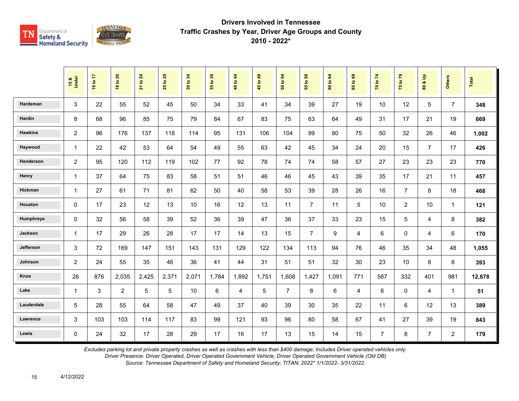

|                  | 15 &<br>Under  | 16 to 17 | <b>18 to 20</b> | 21 to 24 | 29<br>$\mathbf{e}$<br>25 | 34<br>30 to | 35 to 39 | 40 to 44 | 45 to 49 | $\mathbf{5}$<br>50 to | G5<br>$\ddot{\mathbf{5}}$<br>$\overline{55}$ | 60 to 64 | ${\tt g}$<br>$\overline{9}$<br>$65^{\circ}$ | 70 to 74       | 75 to 79       | $\frac{9}{2}$<br>οð<br>$\mathbf{S}$ | <b>Others</b>  | Total  |
|------------------|----------------|----------|-----------------|----------|--------------------------|-------------|----------|----------|----------|-----------------------|----------------------------------------------|----------|---------------------------------------------|----------------|----------------|-------------------------------------|----------------|--------|
| Hardeman         | 3              | 22       | 55              | 52       | 45                       | 50          | 34       | 33       | 41       | 34                    | 39                                           | 27       | 19                                          | 10             | 12             | 5                                   | $\overline{7}$ | 348    |
| Hardin           | 8              | 68       | 96              | 85       | 75                       | 79          | 84       | 67       | 83       | 75                    | 63                                           | 64       | 49                                          | 31             | 17             | 21                                  | 19             | 669    |
| <b>Hawkins</b>   | $\overline{c}$ | 96       | 176             | 137      | 118                      | 114         | 95       | 131      | 106      | 104                   | 99                                           | 80       | 75                                          | 50             | 32             | 26                                  | 46             | 1,002  |
| Haywood          | $\mathbf{1}$   | 22       | 42              | 53       | 64                       | 54          | 49       | 55       | 63       | 42                    | 45                                           | 34       | 24                                          | 20             | 15             | $\overline{7}$                      | 17             | 426    |
| Henderson        | $\overline{c}$ | 95       | 120             | 112      | 119                      | 102         | 77       | 92       | 78       | 74                    | 74                                           | 58       | 57                                          | 27             | 23             | 23                                  | 23             | 770    |
| Henry            | $\mathbf{1}$   | 37       | 64              | 75       | 83                       | 58          | 51       | 51       | 46       | 46                    | 45                                           | 43       | 39                                          | 35             | 17             | 21                                  | 11             | 457    |
| Hickman          | $\mathbf{1}$   | 27       | 61              | 71       | 81                       | 62          | 50       | 40       | 58       | 53                    | 39                                           | 28       | 26                                          | 16             | $\overline{7}$ | 8                                   | 18             | 468    |
| Houston          | $\mathbf 0$    | 17       | 23              | 12       | 13                       | 10          | 16       | 12       | 13       | 11                    | $\overline{7}$                               | 11       | 5                                           | 10             | $\overline{2}$ | 10                                  | $\mathbf{1}$   | 121    |
| <b>Humphreys</b> | $\mathbf 0$    | 32       | 56              | 58       | 39                       | 52          | 36       | 39       | 47       | 36                    | 37                                           | 33       | 23                                          | 15             | 5              | $\overline{4}$                      | 8              | 382    |
| Jackson          | $\mathbf{1}$   | 17       | 29              | 26       | 28                       | 17          | 17       | 14       | 13       | 15                    | $\overline{7}$                               | 9        | 4                                           | 6              | $\mathbf 0$    | $\overline{4}$                      | 6              | 170    |
| Jefferson        | 3              | 72       | 169             | 147      | 151                      | 143         | 131      | 129      | 122      | 134                   | 113                                          | 94       | 76                                          | 46             | 35             | 34                                  | 48             | 1,055  |
| Johnson          | $\overline{c}$ | 24       | 55              | 35       | 46                       | 36          | 41       | 44       | 31       | 51                    | 51                                           | 32       | 30                                          | 23             | 10             | 8                                   | 8              | 393    |
| Knox             | 26             | 876      | 2,035           | 2,425    | 2,371                    | 2,071       | 1,784    | 1,892    | 1,751    | 1,608                 | 1,427                                        | 1,091    | 771                                         | 587            | 332            | 401                                 | 981            | 12,678 |
| Lake             | $\mathbf{1}$   | 3        | $\overline{2}$  | 5        | 5                        | 10          | 6        | 4        | 5        | $\overline{7}$        | 8                                            | 6        | 4                                           | 6              | $\mathbf 0$    | 4                                   | $\mathbf{1}$   | 51     |
| Lauderdale       | 5              | 28       | 55              | 64       | 58                       | 47          | 49       | 37       | 40       | 39                    | 30                                           | 35       | 22                                          | 11             | 6              | 12                                  | 13             | 389    |
| Lawrence         | 3              | 103      | 103             | 114      | 117                      | 83          | 99       | 121      | 93       | 96                    | 80                                           | 58       | 67                                          | 41             | 27             | 39                                  | 19             | 843    |
| Lewis            | $\Omega$       | 24       | 32              | 17       | 28                       | 29          | 17       | 16       | 17       | 13                    | 15                                           | 14       | 15                                          | $\overline{7}$ | 8              | $\overline{7}$                      | $\overline{a}$ | 179    |

*Excludes parking lot and private property crashes as well as crashes with less than \$400 damage; Includes Driver operated vehicles only.*

*Driver Presence: Driver Operated, Driver Operated Government Vehicle, Driver Operated Government Vehicle (Old DB)*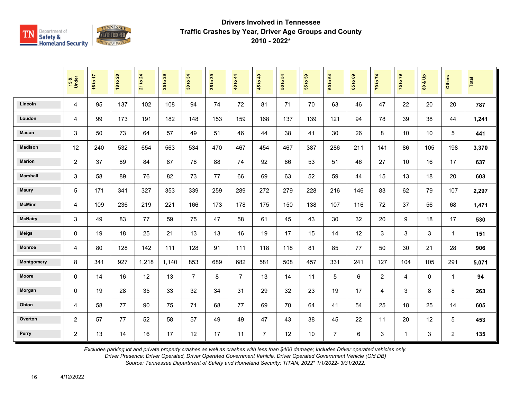

|                 | 15 &<br>Under  | 16 to 17 | <b>18 to 20</b> | 21 to 24 | $t$ o 29<br>25 | 34<br>30 to:   | 35 to 39 | 40 to 44       | 45 to 49       | $\overline{5}$<br>50 to | $t_0$ 59<br>$\overline{5}$ | 60 to 64       | 1069<br>$65^{\circ}$ | 70 to 74       | 75 to 79     | $\frac{9}{2}$<br>οð<br>80 | <b>Others</b>  | Total |
|-----------------|----------------|----------|-----------------|----------|----------------|----------------|----------|----------------|----------------|-------------------------|----------------------------|----------------|----------------------|----------------|--------------|---------------------------|----------------|-------|
| Lincoln         | 4              | 95       | 137             | 102      | 108            | 94             | 74       | 72             | 81             | 71                      | 70                         | 63             | 46                   | 47             | 22           | 20                        | 20             | 787   |
| Loudon          | 4              | 99       | 173             | 191      | 182            | 148            | 153      | 159            | 168            | 137                     | 139                        | 121            | 94                   | 78             | 39           | 38                        | 44             | 1,241 |
| Macon           | 3              | 50       | 73              | 64       | 57             | 49             | 51       | 46             | 44             | 38                      | 41                         | 30             | 26                   | 8              | 10           | 10                        | 5              | 441   |
| <b>Madison</b>  | 12             | 240      | 532             | 654      | 563            | 534            | 470      | 467            | 454            | 467                     | 387                        | 286            | 211                  | 141            | 86           | 105                       | 198            | 3,370 |
| <b>Marion</b>   | $\overline{c}$ | 37       | 89              | 84       | 87             | 78             | 88       | 74             | 92             | 86                      | 53                         | 51             | 46                   | 27             | 10           | 16                        | 17             | 637   |
| <b>Marshall</b> | 3              | 58       | 89              | 76       | 82             | 73             | 77       | 66             | 69             | 63                      | 52                         | 59             | 44                   | 15             | 13           | 18                        | 20             | 603   |
| <b>Maury</b>    | 5              | 171      | 341             | 327      | 353            | 339            | 259      | 289            | 272            | 279                     | 228                        | 216            | 146                  | 83             | 62           | 79                        | 107            | 2,297 |
| <b>McMinn</b>   | 4              | 109      | 236             | 219      | 221            | 166            | 173      | 178            | 175            | 150                     | 138                        | 107            | 116                  | 72             | 37           | 56                        | 68             | 1,471 |
| <b>McNairy</b>  | 3              | 49       | 83              | 77       | 59             | 75             | 47       | 58             | 61             | 45                      | 43                         | 30             | 32                   | 20             | 9            | 18                        | 17             | 530   |
| <b>Meigs</b>    | 0              | 19       | 18              | 25       | 21             | 13             | 13       | 16             | 19             | 17                      | 15                         | 14             | 12                   | 3              | 3            | 3                         | $\mathbf 1$    | 151   |
| <b>Monroe</b>   | 4              | 80       | 128             | 142      | 111            | 128            | 91       | 111            | 118            | 118                     | 81                         | 85             | 77                   | 50             | 30           | 21                        | 28             | 906   |
| Montgomery      | 8              | 341      | 927             | 1,218    | 1,140          | 853            | 689      | 682            | 581            | 508                     | 457                        | 331            | 241                  | 127            | 104          | 105                       | 291            | 5,071 |
| <b>Moore</b>    | $\Omega$       | 14       | 16              | 12       | 13             | $\overline{7}$ | 8        | $\overline{7}$ | 13             | 14                      | 11                         | 5              | 6                    | $\overline{2}$ | 4            | $\mathbf 0$               | $\mathbf{1}$   | 94    |
| Morgan          | 0              | 19       | 28              | 35       | 33             | 32             | 34       | 31             | 29             | 32                      | 23                         | 19             | 17                   | 4              | 3            | 8                         | 8              | 263   |
| Obion           | 4              | 58       | 77              | 90       | 75             | 71             | 68       | 77             | 69             | 70                      | 64                         | 41             | 54                   | 25             | 18           | 25                        | 14             | 605   |
| Overton         | $\overline{c}$ | 57       | 77              | 52       | 58             | 57             | 49       | 49             | 47             | 43                      | 38                         | 45             | 22                   | 11             | 20           | 12                        | 5              | 453   |
| Perry           | $\overline{2}$ | 13       | 14              | 16       | 17             | 12             | 17       | 11             | $\overline{7}$ | 12                      | 10                         | $\overline{7}$ | 6                    | 3              | $\mathbf{1}$ | 3                         | $\overline{a}$ | 135   |

*Excludes parking lot and private property crashes as well as crashes with less than \$400 damage; Includes Driver operated vehicles only.*

*Driver Presence: Driver Operated, Driver Operated Government Vehicle, Driver Operated Government Vehicle (Old DB)*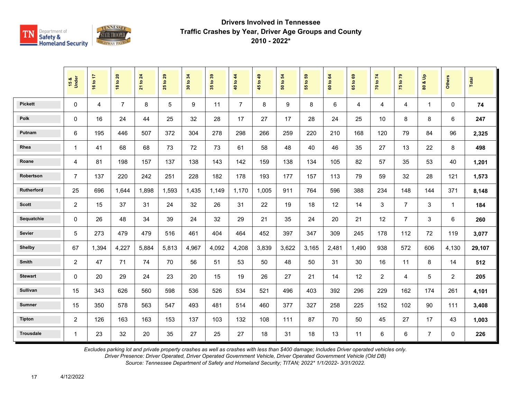

|                  | 15 &<br>Under  | 16 to 17       | <b>18 to 20</b> | $\overline{24}$<br>21 to | 29<br>$\overline{5}$<br>25 | 34<br>30 to | 35 to 39 | 40 to 44       | 45 to 49 | $\mathbf{5}$<br>50 to | 55 to 59 | 64<br>60 to | $\mathbf{69}$<br>65 to | 70 to 74       | 75 to 79       | å<br>οð<br>$\overline{\mathbf{3}}$ | <b>Others</b>  | <b>Total</b> |
|------------------|----------------|----------------|-----------------|--------------------------|----------------------------|-------------|----------|----------------|----------|-----------------------|----------|-------------|------------------------|----------------|----------------|------------------------------------|----------------|--------------|
| <b>Pickett</b>   | 0              | $\overline{4}$ | $\overline{7}$  | 8                        | 5                          | 9           | 11       | $\overline{7}$ | 8        | 9                     | 8        | 6           | 4                      | 4              | $\overline{4}$ | $\mathbf{1}$                       | $\Omega$       | 74           |
| <b>Polk</b>      | 0              | 16             | 24              | 44                       | 25                         | 32          | 28       | 17             | 27       | 17                    | 28       | 24          | 25                     | 10             | 8              | 8                                  | 6              | 247          |
| Putnam           | 6              | 195            | 446             | 507                      | 372                        | 304         | 278      | 298            | 266      | 259                   | 220      | 210         | 168                    | 120            | 79             | 84                                 | 96             | 2,325        |
| Rhea             | $\mathbf{1}$   | 41             | 68              | 68                       | 73                         | 72          | 73       | 61             | 58       | 48                    | 40       | 46          | 35                     | 27             | 13             | 22                                 | 8              | 498          |
| Roane            | 4              | 81             | 198             | 157                      | 137                        | 138         | 143      | 142            | 159      | 138                   | 134      | 105         | 82                     | 57             | 35             | 53                                 | 40             | 1,201        |
| Robertson        | $\overline{7}$ | 137            | 220             | 242                      | 251                        | 228         | 182      | 178            | 193      | 177                   | 157      | 113         | 79                     | 59             | 32             | 28                                 | 121            | 1,573        |
| Rutherford       | 25             | 696            | 1.644           | 1,898                    | 1,593                      | 1,435       | 1.149    | 1.170          | 1,005    | 911                   | 764      | 596         | 388                    | 234            | 148            | 144                                | 371            | 8,148        |
| <b>Scott</b>     | $\overline{c}$ | 15             | 37              | 31                       | 24                         | 32          | 26       | 31             | 22       | 19                    | 18       | 12          | 14                     | 3              | $\overline{7}$ | 3                                  | $\mathbf{1}$   | 184          |
| Sequatchie       | 0              | 26             | 48              | 34                       | 39                         | 24          | 32       | 29             | 21       | 35                    | 24       | 20          | 21                     | 12             | $\overline{7}$ | 3                                  | 6              | 260          |
| Sevier           | 5              | 273            | 479             | 479                      | 516                        | 461         | 404      | 464            | 452      | 397                   | 347      | 309         | 245                    | 178            | 112            | 72                                 | 119            | 3,077        |
| <b>Shelby</b>    | 67             | 1,394          | 4,227           | 5,884                    | 5,813                      | 4,967       | 4,092    | 4,208          | 3,839    | 3,622                 | 3,165    | 2,481       | 1,490                  | 938            | 572            | 606                                | 4,130          | 29,107       |
| Smith            | 2              | 47             | 71              | 74                       | 70                         | 56          | 51       | 53             | 50       | 48                    | 50       | 31          | 30                     | 16             | 11             | 8                                  | 14             | 512          |
| <b>Stewart</b>   | 0              | 20             | 29              | 24                       | 23                         | 20          | 15       | 19             | 26       | 27                    | 21       | 14          | 12                     | $\overline{2}$ | 4              | 5                                  | $\overline{2}$ | 205          |
| <b>Sullivan</b>  | 15             | 343            | 626             | 560                      | 598                        | 536         | 526      | 534            | 521      | 496                   | 403      | 392         | 296                    | 229            | 162            | 174                                | 261            | 4,101        |
| <b>Sumner</b>    | 15             | 350            | 578             | 563                      | 547                        | 493         | 481      | 514            | 460      | 377                   | 327      | 258         | 225                    | 152            | 102            | 90                                 | 111            | 3,408        |
| <b>Tipton</b>    | $\overline{c}$ | 126            | 163             | 163                      | 153                        | 137         | 103      | 132            | 108      | 111                   | 87       | 70          | 50                     | 45             | 27             | 17                                 | 43             | 1,003        |
| <b>Trousdale</b> | $\mathbf{1}$   | 23             | 32              | 20                       | 35                         | 27          | 25       | 27             | 18       | 31                    | 18       | 13          | 11                     | 6              | $\,6\,$        | $\overline{7}$                     | $\mathbf 0$    | 226          |

*Excludes parking lot and private property crashes as well as crashes with less than \$400 damage; Includes Driver operated vehicles only.*

*Driver Presence: Driver Operated, Driver Operated Government Vehicle, Driver Operated Government Vehicle (Old DB)*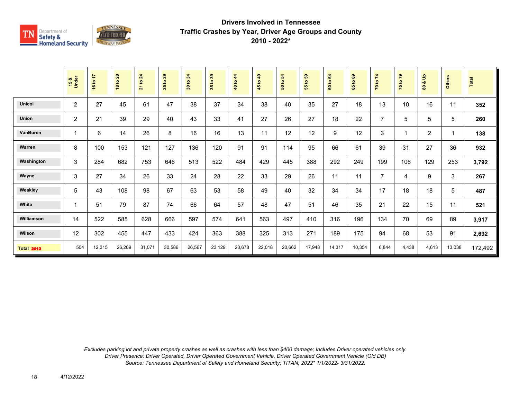

|                   | 15 &<br>Under  | 16 to 17 | 18 to 20 | to 24<br>$\overline{21}$ | 29<br>$\mathbf{S}$<br>25 | 30 to 34 | 35 to 39 | 40 to 44 | 45 to 49 | 50 to 54 | <b>e</b><br>$\mathbf{S}$<br>55 | 64<br>60 to | ස<br>$\overline{S}$<br>59 | 70 to 74       | 75 to 79 | $\frac{9}{2}$<br>oð<br>$\boldsymbol{80}$ | Others                  | <b>Total</b> |
|-------------------|----------------|----------|----------|--------------------------|--------------------------|----------|----------|----------|----------|----------|--------------------------------|-------------|---------------------------|----------------|----------|------------------------------------------|-------------------------|--------------|
| Unicoi            | $\overline{2}$ | 27       | 45       | 61                       | 47                       | 38       | 37       | 34       | 38       | 40       | 35                             | 27          | 18                        | 13             | 10       | 16                                       | 11                      | 352          |
| <b>Union</b>      | 2              | 21       | 39       | 29                       | 40                       | 43       | 33       | 41       | 27       | 26       | 27                             | 18          | 22                        | $\overline{7}$ | 5        | 5                                        | $\sqrt{5}$              | 260          |
| <b>VanBuren</b>   | $\mathbf 1$    | 6        | 14       | 26                       | 8                        | 16       | 16       | 13       | 11       | 12       | 12                             | 9           | 12                        | 3              | 1        | 2                                        | $\overline{\mathbf{1}}$ | 138          |
| Warren            | 8              | 100      | 153      | 121                      | 127                      | 136      | 120      | 91       | 91       | 114      | 95                             | 66          | 61                        | 39             | 31       | 27                                       | 36                      | 932          |
| Washington        | 3              | 284      | 682      | 753                      | 646                      | 513      | 522      | 484      | 429      | 445      | 388                            | 292         | 249                       | 199            | 106      | 129                                      | 253                     | 3,792        |
| Wayne             | 3              | 27       | 34       | 26                       | 33                       | 24       | 28       | 22       | 33       | 29       | 26                             | 11          | 11                        | $\overline{7}$ | 4        | 9                                        | 3                       | 267          |
| Weakley           | 5              | 43       | 108      | 98                       | 67                       | 63       | 53       | 58       | 49       | 40       | 32                             | 34          | 34                        | 17             | 18       | 18                                       | 5                       | 487          |
| White             | $\mathbf{1}$   | 51       | 79       | 87                       | 74                       | 66       | 64       | 57       | 48       | 47       | 51                             | 46          | 35                        | 21             | 22       | 15                                       | 11                      | 521          |
| Williamson        | 14             | 522      | 585      | 628                      | 666                      | 597      | 574      | 641      | 563      | 497      | 410                            | 316         | 196                       | 134            | 70       | 69                                       | 89                      | 3,917        |
| Wilson            | 12             | 302      | 455      | 447                      | 433                      | 424      | 363      | 388      | 325      | 313      | 271                            | 189         | 175                       | 94             | 68       | 53                                       | 91                      | 2,692        |
| <b>Total 2012</b> | 504            | 12,315   | 26,209   | 31,071                   | 30,586                   | 26,567   | 23,129   | 23,678   | 22,018   | 20,662   | 17,948                         | 14,317      | 10,354                    | 6,844          | 4,438    | 4,613                                    | 13,038                  | 172,492      |

*Excludes parking lot and private property crashes as well as crashes with less than \$400 damage; Includes Driver operated vehicles only. Driver Presence: Driver Operated, Driver Operated Government Vehicle, Driver Operated Government Vehicle (Old DB) Source: Tennessee Department of Safety and Homeland Security; TITAN; 2022\* 1/1/2022- 3/31/2022.*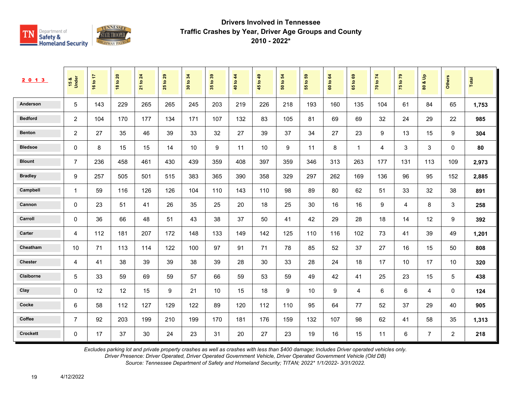

| 2 0 1 3         | 15 &<br>Under  | 16 to 17 | 20<br>$\overline{\mathbf{S}}$<br>$\frac{8}{3}$ | 24<br>$\overline{\mathbf{e}}$<br>$\overline{21}$ | 29<br>$\overline{5}$<br>25 | 34<br>$\tt{S}$<br>$30^{\circ}$ | $t_0$ 39<br>$35^{\circ}$ | 40 to 44 | 1049<br>45 | $\overline{5}$<br>$\mathbf{e}$<br>នី | 3<br>$\mathbf{S}$<br>55 | 64<br>$\mathbf{S}$<br>$\tt G$ | $\mathbf{63}$<br>$\mathbf{S}$<br>59 | 70 to 74 | $\mathbf{r}$<br>$\mathbf{S}$<br>$\frac{1}{2}$ | $\frac{9}{2}$<br>ಯ<br>$\pmb{\mathsf{s}}$ | Others         | Total |
|-----------------|----------------|----------|------------------------------------------------|--------------------------------------------------|----------------------------|--------------------------------|--------------------------|----------|------------|--------------------------------------|-------------------------|-------------------------------|-------------------------------------|----------|-----------------------------------------------|------------------------------------------|----------------|-------|
| Anderson        | 5              | 143      | 229                                            | 265                                              | 265                        | 245                            | 203                      | 219      | 226        | 218                                  | 193                     | 160                           | 135                                 | 104      | 61                                            | 84                                       | 65             | 1,753 |
| <b>Bedford</b>  | $\overline{2}$ | 104      | 170                                            | 177                                              | 134                        | 171                            | 107                      | 132      | 83         | 105                                  | 81                      | 69                            | 69                                  | 32       | 24                                            | 29                                       | 22             | 985   |
| <b>Benton</b>   | $\overline{2}$ | 27       | 35                                             | 46                                               | 39                         | 33                             | 32                       | 27       | 39         | 37                                   | 34                      | 27                            | 23                                  | 9        | 13                                            | 15                                       | 9              | 304   |
| <b>Bledsoe</b>  | 0              | 8        | 15                                             | 15                                               | 14                         | 10                             | 9                        | 11       | 10         | 9                                    | 11                      | 8                             | $\mathbf{1}$                        | 4        | 3                                             | 3                                        | $\mathbf{0}$   | 80    |
| <b>Blount</b>   | $\overline{7}$ | 236      | 458                                            | 461                                              | 430                        | 439                            | 359                      | 408      | 397        | 359                                  | 346                     | 313                           | 263                                 | 177      | 131                                           | 113                                      | 109            | 2,973 |
| <b>Bradley</b>  | 9              | 257      | 505                                            | 501                                              | 515                        | 383                            | 365                      | 390      | 358        | 329                                  | 297                     | 262                           | 169                                 | 136      | 96                                            | 95                                       | 152            | 2,885 |
| Campbell        | $\mathbf{1}$   | 59       | 116                                            | 126                                              | 126                        | 104                            | 110                      | 143      | 110        | 98                                   | 89                      | 80                            | 62                                  | 51       | 33                                            | 32                                       | 38             | 891   |
| Cannon          | $\mathbf 0$    | 23       | 51                                             | 41                                               | 26                         | 35                             | 25                       | 20       | 18         | 25                                   | 30                      | 16                            | 16                                  | 9        | $\overline{4}$                                | 8                                        | 3              | 258   |
| Carroll         | $\mathbf 0$    | 36       | 66                                             | 48                                               | 51                         | 43                             | 38                       | 37       | 50         | 41                                   | 42                      | 29                            | 28                                  | 18       | 14                                            | 12                                       | 9              | 392   |
| Carter          | $\overline{4}$ | 112      | 181                                            | 207                                              | 172                        | 148                            | 133                      | 149      | 142        | 125                                  | 110                     | 116                           | 102                                 | 73       | 41                                            | 39                                       | 49             | 1,201 |
| Cheatham        | 10             | 71       | 113                                            | 114                                              | 122                        | 100                            | 97                       | 91       | 71         | 78                                   | 85                      | 52                            | 37                                  | 27       | 16                                            | 15                                       | 50             | 808   |
| <b>Chester</b>  | 4              | 41       | 38                                             | 39                                               | 39                         | 38                             | 39                       | 28       | 30         | 33                                   | 28                      | 24                            | 18                                  | 17       | 10                                            | 17                                       | 10             | 320   |
| Claiborne       | 5              | 33       | 59                                             | 69                                               | 59                         | 57                             | 66                       | 59       | 53         | 59                                   | 49                      | 42                            | 41                                  | 25       | 23                                            | 15                                       | 5              | 438   |
| Clay            | $\mathbf{0}$   | 12       | 12                                             | 15                                               | 9                          | 21                             | 10                       | 15       | 18         | 9                                    | 10                      | 9                             | 4                                   | 6        | 6                                             | 4                                        | $\mathbf{0}$   | 124   |
| Cocke           | 6              | 58       | 112                                            | 127                                              | 129                        | 122                            | 89                       | 120      | 112        | 110                                  | 95                      | 64                            | 77                                  | 52       | 37                                            | 29                                       | 40             | 905   |
| Coffee          | $\overline{7}$ | 92       | 203                                            | 199                                              | 210                        | 199                            | 170                      | 181      | 176        | 159                                  | 132                     | 107                           | 98                                  | 62       | 41                                            | 58                                       | 35             | 1,313 |
| <b>Crockett</b> | $\mathbf 0$    | 17       | 37                                             | 30                                               | 24                         | 23                             | 31                       | 20       | 27         | 23                                   | 19                      | 16                            | 15                                  | 11       | 6                                             | $\overline{7}$                           | $\overline{2}$ | 218   |

*Excludes parking lot and private property crashes as well as crashes with less than \$400 damage; Includes Driver operated vehicles only.*

*Driver Presence: Driver Operated, Driver Operated Government Vehicle, Driver Operated Government Vehicle (Old DB)*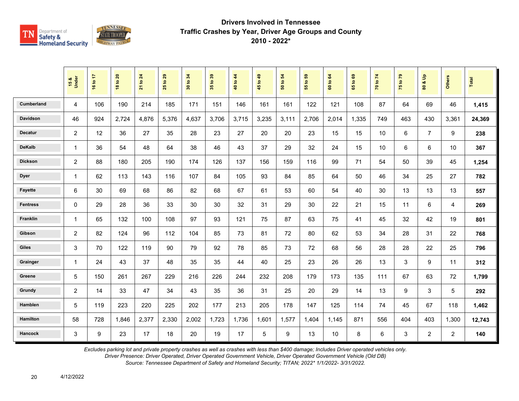

|                   | 15 &<br>Under  | 16 to 17 | <b>18 to 20</b> | 21 to 24 | 29<br>$\mathbf{e}$<br>25 | 34<br>30 to | 35 to 39 | 40 to 44 | 45 to 49        | 54<br>50 to | ${\bf 59}$<br>$\mathbf{e}$<br>$\overline{55}$ | $\mathbf{g}$<br>60 to | 69<br>65 to | 70 to 74 | 75 to 79 | $\mathbf{e}$<br>οð<br>$\overline{\mathbf{8}}$ | <b>Others</b>  | <b>Total</b> |
|-------------------|----------------|----------|-----------------|----------|--------------------------|-------------|----------|----------|-----------------|-------------|-----------------------------------------------|-----------------------|-------------|----------|----------|-----------------------------------------------|----------------|--------------|
| <b>Cumberland</b> | $\overline{4}$ | 106      | 190             | 214      | 185                      | 171         | 151      | 146      | 161             | 161         | 122                                           | 121                   | 108         | 87       | 64       | 69                                            | 46             | 1,415        |
| <b>Davidson</b>   | 46             | 924      | 2,724           | 4,876    | 5,376                    | 4,637       | 3.706    | 3,715    | 3,235           | 3,111       | 2,706                                         | 2,014                 | 1.335       | 749      | 463      | 430                                           | 3,361          | 24,369       |
| <b>Decatur</b>    | 2              | 12       | 36              | 27       | 35                       | 28          | 23       | 27       | 20              | 20          | 23                                            | 15                    | 15          | 10       | 6        | $\overline{7}$                                | 9              | 238          |
| <b>DeKalb</b>     | $\mathbf{1}$   | 36       | 54              | 48       | 64                       | 38          | 46       | 43       | 37              | 29          | 32                                            | 24                    | 15          | 10       | 6        | 6                                             | 10             | 367          |
| <b>Dickson</b>    | 2              | 88       | 180             | 205      | 190                      | 174         | 126      | 137      | 156             | 159         | 116                                           | 99                    | 71          | 54       | 50       | 39                                            | 45             | 1,254        |
| <b>Dyer</b>       | $\mathbf{1}$   | 62       | 113             | 143      | 116                      | 107         | 84       | 105      | 93              | 84          | 85                                            | 64                    | 50          | 46       | 34       | 25                                            | 27             | 782          |
| <b>Fayette</b>    | 6              | 30       | 69              | 68       | 86                       | 82          | 68       | 67       | 61              | 53          | 60                                            | 54                    | 40          | 30       | 13       | 13                                            | 13             | 557          |
| <b>Fentress</b>   | $\mathbf 0$    | 29       | 28              | 36       | 33                       | 30          | 30       | 32       | 31              | 29          | 30                                            | 22                    | 21          | 15       | 11       | 6                                             | 4              | 269          |
| Franklin          | $\mathbf{1}$   | 65       | 132             | 100      | 108                      | 97          | 93       | 121      | 75              | 87          | 63                                            | 75                    | 41          | 45       | 32       | 42                                            | 19             | 801          |
| Gibson            | $\overline{2}$ | 82       | 124             | 96       | 112                      | 104         | 85       | 73       | 81              | 72          | 80                                            | 62                    | 53          | 34       | 28       | 31                                            | 22             | 768          |
| <b>Giles</b>      | 3              | 70       | 122             | 119      | 90                       | 79          | 92       | 78       | 85              | 73          | 72                                            | 68                    | 56          | 28       | 28       | 22                                            | 25             | 796          |
| Grainger          | 1              | 24       | 43              | 37       | 48                       | 35          | 35       | 44       | 40              | 25          | 23                                            | 26                    | 26          | 13       | 3        | 9                                             | 11             | 312          |
| Greene            | 5              | 150      | 261             | 267      | 229                      | 216         | 226      | 244      | 232             | 208         | 179                                           | 173                   | 135         | 111      | 67       | 63                                            | 72             | 1,799        |
| Grundy            | $\overline{2}$ | 14       | 33              | 47       | 34                       | 43          | 35       | 36       | 31              | 25          | 20                                            | 29                    | 14          | 13       | 9        | 3                                             | 5              | 292          |
| Hamblen           | 5              | 119      | 223             | 220      | 225                      | 202         | 177      | 213      | 205             | 178         | 147                                           | 125                   | 114         | 74       | 45       | 67                                            | 118            | 1,462        |
| <b>Hamilton</b>   | 58             | 728      | 1,846           | 2,377    | 2,330                    | 2,002       | 1,723    | 1,736    | 1,601           | 1,577       | 1,404                                         | 1,145                 | 871         | 556      | 404      | 403                                           | 1,300          | 12,743       |
| <b>Hancock</b>    | 3              | 9        | 23              | 17       | 18                       | 20          | 19       | 17       | $5\phantom{.0}$ | 9           | 13                                            | 10                    | 8           | 6        | 3        | $\overline{2}$                                | $\overline{a}$ | 140          |

*Excludes parking lot and private property crashes as well as crashes with less than \$400 damage; Includes Driver operated vehicles only.*

*Driver Presence: Driver Operated, Driver Operated Government Vehicle, Driver Operated Government Vehicle (Old DB)*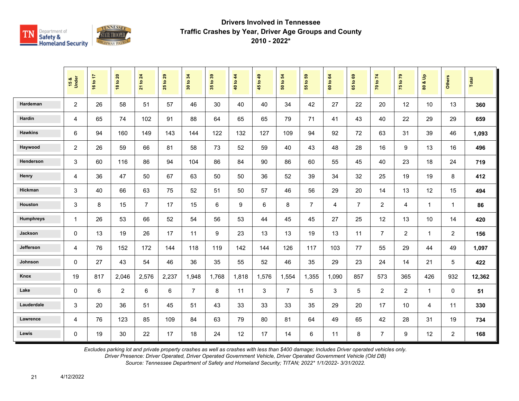

|                  | 15 &<br>Under  | 16 to 17 | <b>18 to 20</b> | 21 to 24       | 29<br>$\mathbf{e}$<br>25 | 34<br>30 to    | 35 to 39 | 40 to 44 | 45 to 49 | $\mathbf{5}$<br>50 to | G5<br>$\ddot{\mathbf{5}}$<br>$\overline{55}$ | 60 to 64       | ${\tt g}$<br>$\overline{9}$<br>$65^{\circ}$ | 70 to 74       | 75 to 79       | $\frac{9}{2}$<br>οð<br>$\mathbf{S}$ | <b>Others</b>  | Total  |
|------------------|----------------|----------|-----------------|----------------|--------------------------|----------------|----------|----------|----------|-----------------------|----------------------------------------------|----------------|---------------------------------------------|----------------|----------------|-------------------------------------|----------------|--------|
| Hardeman         | 2              | 26       | 58              | 51             | 57                       | 46             | 30       | 40       | 40       | 34                    | 42                                           | 27             | 22                                          | 20             | 12             | 10                                  | 13             | 360    |
| Hardin           | 4              | 65       | 74              | 102            | 91                       | 88             | 64       | 65       | 65       | 79                    | 71                                           | 41             | 43                                          | 40             | 22             | 29                                  | 29             | 659    |
| <b>Hawkins</b>   | 6              | 94       | 160             | 149            | 143                      | 144            | 122      | 132      | 127      | 109                   | 94                                           | 92             | 72                                          | 63             | 31             | 39                                  | 46             | 1,093  |
| Haywood          | $\overline{c}$ | 26       | 59              | 66             | 81                       | 58             | 73       | 52       | 59       | 40                    | 43                                           | 48             | 28                                          | 16             | 9              | 13                                  | 16             | 496    |
| Henderson        | 3              | 60       | 116             | 86             | 94                       | 104            | 86       | 84       | 90       | 86                    | 60                                           | 55             | 45                                          | 40             | 23             | 18                                  | 24             | 719    |
| Henry            | 4              | 36       | 47              | 50             | 67                       | 63             | 50       | 50       | 36       | 52                    | 39                                           | 34             | 32                                          | 25             | 19             | 19                                  | 8              | 412    |
| Hickman          | 3              | 40       | 66              | 63             | 75                       | 52             | 51       | 50       | 57       | 46                    | 56                                           | 29             | 20                                          | 14             | 13             | 12                                  | 15             | 494    |
| Houston          | 3              | 8        | 15              | $\overline{7}$ | 17                       | 15             | 6        | 9        | 6        | 8                     | $\overline{7}$                               | $\overline{4}$ | $\overline{7}$                              | $\overline{2}$ | 4              | $\mathbf{1}$                        | $\mathbf{1}$   | 86     |
| <b>Humphreys</b> | $\mathbf{1}$   | 26       | 53              | 66             | 52                       | 54             | 56       | 53       | 44       | 45                    | 45                                           | 27             | 25                                          | 12             | 13             | 10                                  | 14             | 420    |
| Jackson          | $\Omega$       | 13       | 19              | 26             | 17                       | 11             | 9        | 23       | 13       | 13                    | 19                                           | 13             | 11                                          | $\overline{7}$ | $\overline{2}$ | $\mathbf{1}$                        | $\overline{2}$ | 156    |
| Jefferson        | 4              | 76       | 152             | 172            | 144                      | 118            | 119      | 142      | 144      | 126                   | 117                                          | 103            | 77                                          | 55             | 29             | 44                                  | 49             | 1,097  |
| Johnson          | $\mathbf{0}$   | 27       | 43              | 54             | 46                       | 36             | 35       | 55       | 52       | 46                    | 35                                           | 29             | 23                                          | 24             | 14             | 21                                  | 5              | 422    |
| Knox             | 19             | 817      | 2,046           | 2,576          | 2,237                    | 1,948          | 1,768    | 1,818    | 1,576    | 1,554                 | 1,355                                        | 1,090          | 857                                         | 573            | 365            | 426                                 | 932            | 12,362 |
| Lake             | $\Omega$       | 6        | $\overline{2}$  | 6              | 6                        | $\overline{7}$ | 8        | 11       | 3        | $\overline{7}$        | 5                                            | 3              | 5                                           | $\overline{2}$ | $\overline{2}$ | $\mathbf{1}$                        | $\Omega$       | 51     |
| Lauderdale       | 3              | 20       | 36              | 51             | 45                       | 51             | 43       | 33       | 33       | 33                    | 35                                           | 29             | 20                                          | 17             | 10             | 4                                   | 11             | 330    |
| Lawrence         | $\overline{4}$ | 76       | 123             | 85             | 109                      | 84             | 63       | 79       | 80       | 81                    | 64                                           | 49             | 65                                          | 42             | 28             | 31                                  | 19             | 734    |
| Lewis            | $\Omega$       | 19       | 30              | 22             | 17                       | 18             | 24       | 12       | 17       | 14                    | 6                                            | 11             | 8                                           | $\overline{7}$ | 9              | 12                                  | $\overline{a}$ | 168    |

*Excludes parking lot and private property crashes as well as crashes with less than \$400 damage; Includes Driver operated vehicles only.*

*Driver Presence: Driver Operated, Driver Operated Government Vehicle, Driver Operated Government Vehicle (Old DB)*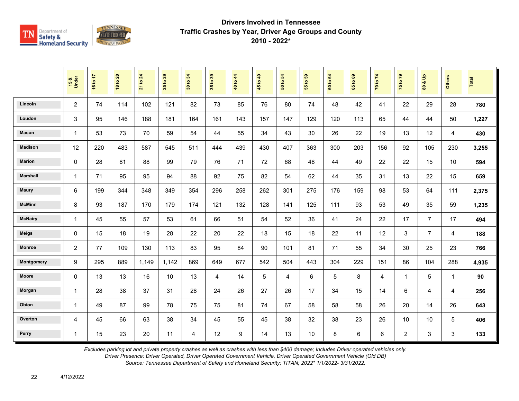

|                 | 15 &<br>Under  | 16 to 17 | <b>18 to 20</b> | 21 to 24 | $t$ o 29<br>25 | 34<br>30 to: | 35 to 39 | 40 to 44 | 45 to 49 | $\overline{5}$<br>50 to | $t_0$ 59<br>$\overline{5}$ | 60 to 64 | 1069<br>$65^{\circ}$ | 70 to 74 | 75 to 79       | $\frac{9}{2}$<br>οð<br>80 | <b>Others</b> | Total |
|-----------------|----------------|----------|-----------------|----------|----------------|--------------|----------|----------|----------|-------------------------|----------------------------|----------|----------------------|----------|----------------|---------------------------|---------------|-------|
| Lincoln         | $\overline{2}$ | 74       | 114             | 102      | 121            | 82           | 73       | 85       | 76       | 80                      | 74                         | 48       | 42                   | 41       | 22             | 29                        | 28            | 780   |
| Loudon          | 3              | 95       | 146             | 188      | 181            | 164          | 161      | 143      | 157      | 147                     | 129                        | 120      | 113                  | 65       | 44             | 44                        | 50            | 1,227 |
| Macon           | $\mathbf{1}$   | 53       | 73              | 70       | 59             | 54           | 44       | 55       | 34       | 43                      | 30                         | 26       | 22                   | 19       | 13             | 12                        | 4             | 430   |
| <b>Madison</b>  | 12             | 220      | 483             | 587      | 545            | 511          | 444      | 439      | 430      | 407                     | 363                        | 300      | 203                  | 156      | 92             | 105                       | 230           | 3,255 |
| <b>Marion</b>   | 0              | 28       | 81              | 88       | 99             | 79           | 76       | 71       | 72       | 68                      | 48                         | 44       | 49                   | 22       | 22             | 15                        | 10            | 594   |
| <b>Marshall</b> | $\mathbf{1}$   | 71       | 95              | 95       | 94             | 88           | 92       | 75       | 82       | 54                      | 62                         | 44       | 35                   | 31       | 13             | 22                        | 15            | 659   |
| <b>Maury</b>    | 6              | 199      | 344             | 348      | 349            | 354          | 296      | 258      | 262      | 301                     | 275                        | 176      | 159                  | 98       | 53             | 64                        | 111           | 2,375 |
| <b>McMinn</b>   | 8              | 93       | 187             | 170      | 179            | 174          | 121      | 132      | 128      | 141                     | 125                        | 111      | 93                   | 53       | 49             | 35                        | 59            | 1,235 |
| <b>McNairy</b>  | $\mathbf{1}$   | 45       | 55              | 57       | 53             | 61           | 66       | 51       | 54       | 52                      | 36                         | 41       | 24                   | 22       | 17             | $\overline{7}$            | 17            | 494   |
| <b>Meigs</b>    | 0              | 15       | 18              | 19       | 28             | 22           | 20       | 22       | 18       | 15                      | 18                         | 22       | 11                   | 12       | 3              | $\overline{7}$            | 4             | 188   |
| <b>Monroe</b>   | 2              | 77       | 109             | 130      | 113            | 83           | 95       | 84       | 90       | 101                     | 81                         | 71       | 55                   | 34       | 30             | 25                        | 23            | 766   |
| Montgomery      | 9              | 295      | 889             | 1,149    | 1,142          | 869          | 649      | 677      | 542      | 504                     | 443                        | 304      | 229                  | 151      | 86             | 104                       | 288           | 4,935 |
| <b>Moore</b>    | 0              | 13       | 13              | 16       | 10             | 13           | 4        | 14       | 5        | 4                       | 6                          | 5        | 8                    | 4        | $\overline{1}$ | 5                         | $\mathbf{1}$  | 90    |
| Morgan          | $\mathbf{1}$   | 28       | 38              | 37       | 31             | 28           | 24       | 26       | 27       | 26                      | 17                         | 34       | 15                   | 14       | 6              | 4                         | 4             | 256   |
| Obion           | $\mathbf{1}$   | 49       | 87              | 99       | 78             | 75           | 75       | 81       | 74       | 67                      | 58                         | 58       | 58                   | 26       | 20             | 14                        | 26            | 643   |
| Overton         | 4              | 45       | 66              | 63       | 38             | 34           | 45       | 55       | 45       | 38                      | 32                         | 38       | 23                   | 26       | 10             | 10                        | 5             | 406   |
| Perry           | $\mathbf{1}$   | 15       | 23              | 20       | 11             | 4            | 12       | 9        | 14       | 13                      | 10                         | 8        | 6                    | 6        | $\overline{2}$ | 3                         | 3             | 133   |

*Excludes parking lot and private property crashes as well as crashes with less than \$400 damage; Includes Driver operated vehicles only.*

*Driver Presence: Driver Operated, Driver Operated Government Vehicle, Driver Operated Government Vehicle (Old DB)*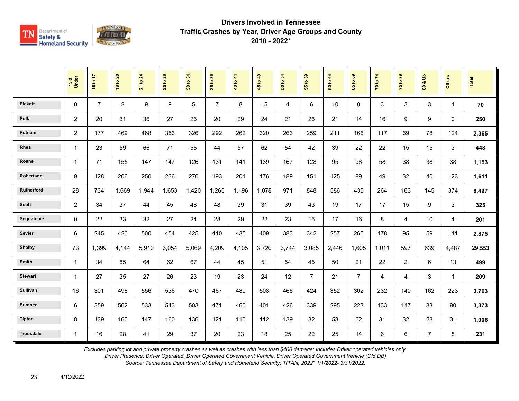

|                  | 15 &<br>Under  | 16 to 17       | <b>18 to 20</b> | $\overline{24}$<br>21 to | 29<br>$\overline{5}$<br>25 | 34<br>30 to | 35 to 39       | 40 to 44 | 45 to 49 | 54<br>50 to | 55 to 59       | 64<br>60 to | $\mathbf{69}$<br>65 to | 70 to 74 | 75 to 79       | å<br>οð<br>$\overline{\mathbf{3}}$ | <b>Others</b> | <b>Total</b> |
|------------------|----------------|----------------|-----------------|--------------------------|----------------------------|-------------|----------------|----------|----------|-------------|----------------|-------------|------------------------|----------|----------------|------------------------------------|---------------|--------------|
| <b>Pickett</b>   | $\mathbf{0}$   | $\overline{7}$ | $\overline{2}$  | 9                        | 9                          | 5           | $\overline{7}$ | 8        | 15       | 4           | 6              | 10          | $\mathbf{0}$           | 3        | 3              | 3                                  | $\mathbf 1$   | 70           |
| <b>Polk</b>      | $\overline{2}$ | 20             | 31              | 36                       | 27                         | 26          | 20             | 29       | 24       | 21          | 26             | 21          | 14                     | 16       | 9              | 9                                  | $\Omega$      | 250          |
| Putnam           | 2              | 177            | 469             | 468                      | 353                        | 326         | 292            | 262      | 320      | 263         | 259            | 211         | 166                    | 117      | 69             | 78                                 | 124           | 2,365        |
| Rhea             | $\mathbf{1}$   | 23             | 59              | 66                       | 71                         | 55          | 44             | 57       | 62       | 54          | 42             | 39          | 22                     | 22       | 15             | 15                                 | 3             | 448          |
| Roane            | 1              | 71             | 155             | 147                      | 147                        | 126         | 131            | 141      | 139      | 167         | 128            | 95          | 98                     | 58       | 38             | 38                                 | 38            | 1,153        |
| Robertson        | 9              | 128            | 206             | 250                      | 236                        | 270         | 193            | 201      | 176      | 189         | 151            | 125         | 89                     | 49       | 32             | 40                                 | 123           | 1,611        |
| Rutherford       | 28             | 734            | 1.669           | 1,944                    | 1,653                      | 1.420       | 1.265          | 1.196    | 1,078    | 971         | 848            | 586         | 436                    | 264      | 163            | 145                                | 374           | 8,497        |
| <b>Scott</b>     | $\overline{c}$ | 34             | 37              | 44                       | 45                         | 48          | 48             | 39       | 31       | 39          | 43             | 19          | 17                     | 17       | 15             | 9                                  | 3             | 325          |
| Sequatchie       | 0              | 22             | 33              | 32                       | 27                         | 24          | 28             | 29       | 22       | 23          | 16             | 17          | 16                     | 8        | 4              | 10                                 | 4             | 201          |
| Sevier           | 6              | 245            | 420             | 500                      | 454                        | 425         | 410            | 435      | 409      | 383         | 342            | 257         | 265                    | 178      | 95             | 59                                 | 111           | 2,875        |
| <b>Shelby</b>    | 73             | 1,399          | 4,144           | 5,910                    | 6,054                      | 5,069       | 4,209          | 4,105    | 3,720    | 3,744       | 3,085          | 2,446       | 1,605                  | 1,011    | 597            | 639                                | 4,487         | 29,553       |
| Smith            | 1              | 34             | 85              | 64                       | 62                         | 67          | 44             | 45       | 51       | 54          | 45             | 50          | 21                     | 22       | $\overline{2}$ | 6                                  | 13            | 499          |
| <b>Stewart</b>   | 1              | 27             | 35              | 27                       | 26                         | 23          | 19             | 23       | 24       | 12          | $\overline{7}$ | 21          | $\overline{7}$         | 4        | 4              | 3                                  | $\mathbf{1}$  | 209          |
| <b>Sullivan</b>  | 16             | 301            | 498             | 556                      | 536                        | 470         | 467            | 480      | 508      | 466         | 424            | 352         | 302                    | 232      | 140            | 162                                | 223           | 3,763        |
| <b>Sumner</b>    | 6              | 359            | 562             | 533                      | 543                        | 503         | 471            | 460      | 401      | 426         | 339            | 295         | 223                    | 133      | 117            | 83                                 | 90            | 3,373        |
| <b>Tipton</b>    | 8              | 139            | 160             | 147                      | 160                        | 136         | 121            | 110      | 112      | 139         | 82             | 58          | 62                     | 31       | 32             | 28                                 | 31            | 1,006        |
| <b>Trousdale</b> | $\mathbf{1}$   | 16             | 28              | 41                       | 29                         | 37          | 20             | 23       | 18       | 25          | 22             | 25          | 14                     | 6        | $\,6\,$        | $\overline{7}$                     | 8             | 231          |

*Excludes parking lot and private property crashes as well as crashes with less than \$400 damage; Includes Driver operated vehicles only.*

*Driver Presence: Driver Operated, Driver Operated Government Vehicle, Driver Operated Government Vehicle (Old DB)*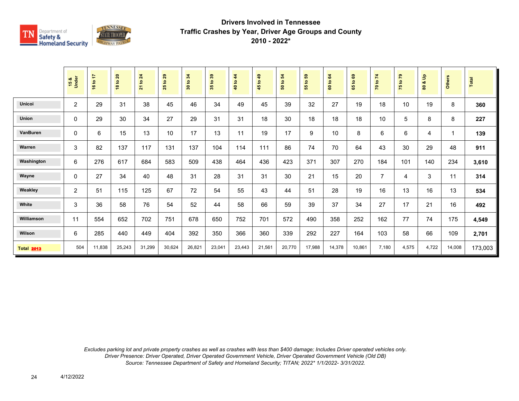

|                   | 15 &<br>Under  | 16 to 17 | 18 to 20 | <b>21 to 24</b> | 29<br>$\tt{S}$<br>25 | 30 to 34 | 35 to 39 | $4\overline{4}$<br>40 to | $\overline{49}$<br>45 to - | 50 to 54 | <b>e</b><br>$\overline{5}$<br>55 | 64<br>$\mathbf{c}$<br>$\bf{60}$ | $\mathbf{69}$<br>$\mathbf{c}$<br>59 | 70 to 74       | 75 to 79 | $\frac{a}{b}$<br>oð<br>80 | <b>Others</b> | Total   |
|-------------------|----------------|----------|----------|-----------------|----------------------|----------|----------|--------------------------|----------------------------|----------|----------------------------------|---------------------------------|-------------------------------------|----------------|----------|---------------------------|---------------|---------|
| <b>Unicoi</b>     | $\overline{2}$ | 29       | 31       | 38              | 45                   | 46       | 34       | 49                       | 45                         | 39       | 32                               | 27                              | 19                                  | 18             | 10       | 19                        | 8             | 360     |
| <b>Union</b>      | 0              | 29       | 30       | 34              | 27                   | 29       | 31       | 31                       | 18                         | 30       | 18                               | 18                              | 18                                  | 10             | 5        | 8                         | 8             | 227     |
| VanBuren          | 0              | 6        | 15       | 13              | 10                   | 17       | 13       | 11                       | 19                         | 17       | 9                                | 10                              | 8                                   | 6              | 6        | 4                         | 1             | 139     |
| Warren            | 3              | 82       | 137      | 117             | 131                  | 137      | 104      | 114                      | 111                        | 86       | 74                               | 70                              | 64                                  | 43             | 30       | 29                        | 48            | 911     |
| Washington        | 6              | 276      | 617      | 684             | 583                  | 509      | 438      | 464                      | 436                        | 423      | 371                              | 307                             | 270                                 | 184            | 101      | 140                       | 234           | 3,610   |
| Wayne             | $\mathbf{0}$   | 27       | 34       | 40              | 48                   | 31       | 28       | 31                       | 31                         | 30       | 21                               | 15                              | 20                                  | $\overline{7}$ | 4        | 3                         | 11            | 314     |
| Weakley           | $\overline{2}$ | 51       | 115      | 125             | 67                   | 72       | 54       | 55                       | 43                         | 44       | 51                               | 28                              | 19                                  | 16             | 13       | 16                        | 13            | 534     |
| White             | 3              | 36       | 58       | 76              | 54                   | 52       | 44       | 58                       | 66                         | 59       | 39                               | 37                              | 34                                  | 27             | 17       | 21                        | 16            | 492     |
| Williamson        | 11             | 554      | 652      | 702             | 751                  | 678      | 650      | 752                      | 701                        | 572      | 490                              | 358                             | 252                                 | 162            | 77       | 74                        | 175           | 4,549   |
| Wilson            | 6              | 285      | 440      | 449             | 404                  | 392      | 350      | 366                      | 360                        | 339      | 292                              | 227                             | 164                                 | 103            | 58       | 66                        | 109           | 2,701   |
| <b>Total 2013</b> | 504            | 11,838   | 25,243   | 31,299          | 30,624               | 26,821   | 23,041   | 23,443                   | 21,561                     | 20,770   | 17,988                           | 14,378                          | 10,861                              | 7,180          | 4,575    | 4,722                     | 14,008        | 173,003 |

*Excludes parking lot and private property crashes as well as crashes with less than \$400 damage; Includes Driver operated vehicles only. Driver Presence: Driver Operated, Driver Operated Government Vehicle, Driver Operated Government Vehicle (Old DB) Source: Tennessee Department of Safety and Homeland Security; TITAN; 2022\* 1/1/2022- 3/31/2022.*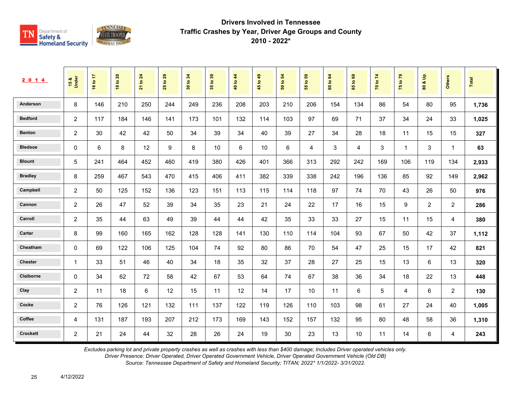

| 2 0 1 4         | 15 &<br>Under  | 16 to 17 | 20<br>$\overline{\mathbf{S}}$<br>$\frac{8}{3}$ | 24<br>$\overline{\mathbf{e}}$<br>$\overline{21}$ | 29<br>$\overline{5}$<br>25 | 34<br>$\tt{S}$<br>$30^{\circ}$ | $t_0$ 39<br>$35^{\circ}$ | 40 to 44 | 1049<br>45 | $\overline{5}$<br>$\mathbf{e}$<br>នី | 3<br>$\mathbf{S}$<br>55 | 64<br>$\mathbf{S}$<br>$\tt G$ | $\mathbf{63}$<br>$\mathbf{S}$<br>59 | 70 to 74 | $\mathbf{r}$<br>$\mathbf{S}$<br>$\frac{1}{2}$ | $\frac{9}{2}$<br>ಯ<br>$\pmb{\mathsf{s}}$ | Others         | Total |
|-----------------|----------------|----------|------------------------------------------------|--------------------------------------------------|----------------------------|--------------------------------|--------------------------|----------|------------|--------------------------------------|-------------------------|-------------------------------|-------------------------------------|----------|-----------------------------------------------|------------------------------------------|----------------|-------|
| Anderson        | 8              | 146      | 210                                            | 250                                              | 244                        | 249                            | 236                      | 208      | 203        | 210                                  | 206                     | 154                           | 134                                 | 86       | 54                                            | 80                                       | 95             | 1,736 |
| <b>Bedford</b>  | $\overline{2}$ | 117      | 184                                            | 146                                              | 141                        | 173                            | 101                      | 132      | 114        | 103                                  | 97                      | 69                            | 71                                  | 37       | 34                                            | 24                                       | 33             | 1,025 |
| <b>Benton</b>   | $\overline{2}$ | 30       | 42                                             | 42                                               | 50                         | 34                             | 39                       | 34       | 40         | 39                                   | 27                      | 34                            | 28                                  | 18       | 11                                            | 15                                       | 15             | 327   |
| <b>Bledsoe</b>  | 0              | 6        | 8                                              | 12                                               | 9                          | 8                              | 10                       | 6        | 10         | 6                                    | 4                       | 3                             | 4                                   | 3        | $\mathbf{1}$                                  | 3                                        | $\overline{1}$ | 63    |
| <b>Blount</b>   | $\sqrt{5}$     | 241      | 464                                            | 452                                              | 460                        | 419                            | 380                      | 426      | 401        | 366                                  | 313                     | 292                           | 242                                 | 169      | 106                                           | 119                                      | 134            | 2,933 |
| <b>Bradley</b>  | 8              | 259      | 467                                            | 543                                              | 470                        | 415                            | 406                      | 411      | 382        | 339                                  | 338                     | 242                           | 196                                 | 136      | 85                                            | 92                                       | 149            | 2,962 |
| Campbell        | $\overline{2}$ | 50       | 125                                            | 152                                              | 136                        | 123                            | 151                      | 113      | 115        | 114                                  | 118                     | 97                            | 74                                  | 70       | 43                                            | 26                                       | 50             | 976   |
| Cannon          | $\overline{c}$ | 26       | 47                                             | 52                                               | 39                         | 34                             | 35                       | 23       | 21         | 24                                   | 22                      | 17                            | 16                                  | 15       | 9                                             | $\overline{2}$                           | $\overline{c}$ | 286   |
| Carroll         | $\overline{2}$ | 35       | 44                                             | 63                                               | 49                         | 39                             | 44                       | 44       | 42         | 35                                   | 33                      | 33                            | 27                                  | 15       | 11                                            | 15                                       | 4              | 380   |
| Carter          | 8              | 99       | 160                                            | 165                                              | 162                        | 128                            | 128                      | 141      | 130        | 110                                  | 114                     | 104                           | 93                                  | 67       | 50                                            | 42                                       | 37             | 1,112 |
| Cheatham        | 0              | 69       | 122                                            | 106                                              | 125                        | 104                            | 74                       | 92       | 80         | 86                                   | 70                      | 54                            | 47                                  | 25       | 15                                            | 17                                       | 42             | 821   |
| <b>Chester</b>  | $\mathbf{1}$   | 33       | 51                                             | 46                                               | 40                         | 34                             | 18                       | 35       | 32         | 37                                   | 28                      | 27                            | 25                                  | 15       | 13                                            | 6                                        | 13             | 320   |
| Claiborne       | $\mathbf{0}$   | 34       | 62                                             | 72                                               | 58                         | 42                             | 67                       | 53       | 64         | 74                                   | 67                      | 38                            | 36                                  | 34       | 18                                            | 22                                       | 13             | 448   |
| Clay            | $\overline{2}$ | 11       | 18                                             | 6                                                | 12                         | 15                             | 11                       | 12       | 14         | 17                                   | 10                      | 11                            | 6                                   | 5        | 4                                             | 6                                        | 2              | 130   |
| Cocke           | $\overline{2}$ | 76       | 126                                            | 121                                              | 132                        | 111                            | 137                      | 122      | 119        | 126                                  | 110                     | 103                           | 98                                  | 61       | 27                                            | 24                                       | 40             | 1,005 |
| Coffee          | 4              | 131      | 187                                            | 193                                              | 207                        | 212                            | 173                      | 169      | 143        | 152                                  | 157                     | 132                           | 95                                  | 80       | 48                                            | 58                                       | 36             | 1,310 |
| <b>Crockett</b> | $\overline{2}$ | 21       | 24                                             | 44                                               | 32                         | 28                             | 26                       | 24       | 19         | 30                                   | 23                      | 13                            | 10                                  | 11       | 14                                            | 6                                        | 4              | 243   |

*Excludes parking lot and private property crashes as well as crashes with less than \$400 damage; Includes Driver operated vehicles only.*

*Driver Presence: Driver Operated, Driver Operated Government Vehicle, Driver Operated Government Vehicle (Old DB)*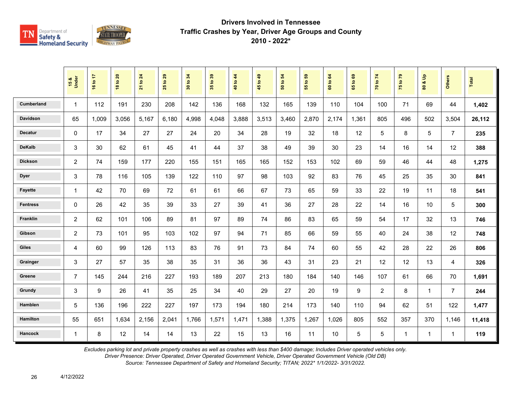

|                   | 15 &<br>Under  | 16 to 17 | <b>18 to 20</b> | 21 to 24 | 29<br>$\mathbf{S}$<br>25 | to 34<br>$\overline{\mathbf{30}}$ | 35 to 39 | to $44$<br>$\frac{40}{3}$ | 45 to 49 | 50 to 54 | 3<br>$\mathbf{e}$<br>15 | to 64<br>$\tt{c}$ | 65 to 69 | 70 to 74       | 75 to 79     | $\frac{a}{b}$<br>ಹ<br>$\mathbf{S}$ | Others         | Total  |
|-------------------|----------------|----------|-----------------|----------|--------------------------|-----------------------------------|----------|---------------------------|----------|----------|-------------------------|-------------------|----------|----------------|--------------|------------------------------------|----------------|--------|
| <b>Cumberland</b> | $\mathbf{1}$   | 112      | 191             | 230      | 208                      | 142                               | 136      | 168                       | 132      | 165      | 139                     | 110               | 104      | 100            | 71           | 69                                 | 44             | 1,402  |
| <b>Davidson</b>   | 65             | 1,009    | 3,056           | 5,167    | 6,180                    | 4,998                             | 4,048    | 3,888                     | 3,513    | 3,460    | 2,870                   | 2,174             | 1,361    | 805            | 496          | 502                                | 3,504          | 26,112 |
| <b>Decatur</b>    | $\Omega$       | 17       | 34              | 27       | 27                       | 24                                | 20       | 34                        | 28       | 19       | 32                      | 18                | 12       | 5              | 8            | 5                                  | $\overline{7}$ | 235    |
| <b>DeKalb</b>     | 3              | 30       | 62              | 61       | 45                       | 41                                | 44       | 37                        | 38       | 49       | 39                      | 30                | 23       | 14             | 16           | 14                                 | 12             | 388    |
| <b>Dickson</b>    | $\overline{2}$ | 74       | 159             | 177      | 220                      | 155                               | 151      | 165                       | 165      | 152      | 153                     | 102               | 69       | 59             | 46           | 44                                 | 48             | 1,275  |
| <b>Dyer</b>       | 3              | 78       | 116             | 105      | 139                      | 122                               | 110      | 97                        | 98       | 103      | 92                      | 83                | 76       | 45             | 25           | 35                                 | 30             | 841    |
| <b>Fayette</b>    | $\mathbf{1}$   | 42       | 70              | 69       | 72                       | 61                                | 61       | 66                        | 67       | 73       | 65                      | 59                | 33       | 22             | 19           | 11                                 | 18             | 541    |
| <b>Fentress</b>   | $\mathbf 0$    | 26       | 42              | 35       | 39                       | 33                                | 27       | 39                        | 41       | 36       | 27                      | 28                | 22       | 14             | 16           | 10                                 | 5              | 300    |
| Franklin          | $\overline{c}$ | 62       | 101             | 106      | 89                       | 81                                | 97       | 89                        | 74       | 86       | 83                      | 65                | 59       | 54             | 17           | 32                                 | 13             | 746    |
| Gibson            | $\overline{c}$ | 73       | 101             | 95       | 103                      | 102                               | 97       | 94                        | 71       | 85       | 66                      | 59                | 55       | 40             | 24           | 38                                 | 12             | 748    |
| <b>Giles</b>      | 4              | 60       | 99              | 126      | 113                      | 83                                | 76       | 91                        | 73       | 84       | 74                      | 60                | 55       | 42             | 28           | 22                                 | 26             | 806    |
| Grainger          | 3              | 27       | 57              | 35       | 38                       | 35                                | 31       | 36                        | 36       | 43       | 31                      | 23                | 21       | 12             | 12           | 13                                 | 4              | 326    |
| Greene            | $\overline{7}$ | 145      | 244             | 216      | 227                      | 193                               | 189      | 207                       | 213      | 180      | 184                     | 140               | 146      | 107            | 61           | 66                                 | 70             | 1,691  |
| Grundy            | 3              | 9        | 26              | 41       | 35                       | 25                                | 34       | 40                        | 29       | 27       | 20                      | 19                | 9        | $\overline{2}$ | 8            | $\mathbf{1}$                       | $\overline{7}$ | 244    |
| <b>Hamblen</b>    | 5              | 136      | 196             | 222      | 227                      | 197                               | 173      | 194                       | 180      | 214      | 173                     | 140               | 110      | 94             | 62           | 51                                 | 122            | 1,477  |
| <b>Hamilton</b>   | 55             | 651      | 1,634           | 2,156    | 2,041                    | 1,766                             | 1,571    | 1,471                     | 1,388    | 1,375    | 1,267                   | 1,026             | 805      | 552            | 357          | 370                                | 1,146          | 11,418 |
| <b>Hancock</b>    | $\mathbf{1}$   | 8        | 12              | 14       | 14                       | 13                                | 22       | 15                        | 13       | 16       | 11                      | 10                | 5        | 5              | $\mathbf{1}$ | $\mathbf{1}$                       | $\mathbf{1}$   | 119    |

*Excludes parking lot and private property crashes as well as crashes with less than \$400 damage; Includes Driver operated vehicles only.*

*Driver Presence: Driver Operated, Driver Operated Government Vehicle, Driver Operated Government Vehicle (Old DB)*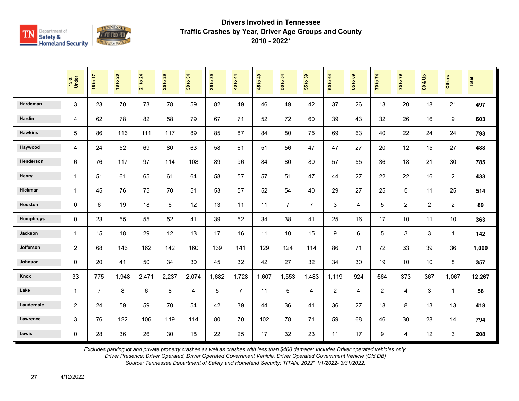

|                | 15 &<br>Under  | 16 to 17       | <b>18 to 20</b> | 21 to 24 | $\frac{29}{2}$<br>25 | 34<br>30 to | 35 to 39 | 40 to 44       | 45 to 49 | 54<br>50 to    | $t_0$ 59<br>$\overline{55}$ | 60 to 64       | 1069<br>$65^{\circ}$ | 70 to 74       | 75 to 79       | $\frac{1}{\pi}$<br>ಚ<br>$\tt{S}0$ | <b>Others</b>  | Total  |
|----------------|----------------|----------------|-----------------|----------|----------------------|-------------|----------|----------------|----------|----------------|-----------------------------|----------------|----------------------|----------------|----------------|-----------------------------------|----------------|--------|
| Hardeman       | 3              | 23             | 70              | 73       | 78                   | 59          | 82       | 49             | 46       | 49             | 42                          | 37             | 26                   | 13             | 20             | 18                                | 21             | 497    |
| Hardin         | 4              | 62             | 78              | 82       | 58                   | 79          | 67       | 71             | 52       | 72             | 60                          | 39             | 43                   | 32             | 26             | 16                                | 9              | 603    |
| <b>Hawkins</b> | 5              | 86             | 116             | 111      | 117                  | 89          | 85       | 87             | 84       | 80             | 75                          | 69             | 63                   | 40             | 22             | 24                                | 24             | 793    |
| Haywood        | $\overline{4}$ | 24             | 52              | 69       | 80                   | 63          | 58       | 61             | 51       | 56             | 47                          | 47             | 27                   | 20             | 12             | 15                                | 27             | 488    |
| Henderson      | 6              | 76             | 117             | 97       | 114                  | 108         | 89       | 96             | 84       | 80             | 80                          | 57             | 55                   | 36             | 18             | 21                                | 30             | 785    |
| Henry          | $\mathbf{1}$   | 51             | 61              | 65       | 61                   | 64          | 58       | 57             | 57       | 51             | 47                          | 44             | 27                   | 22             | 22             | 16                                | $\overline{2}$ | 433    |
| Hickman        | $\mathbf{1}$   | 45             | 76              | 75       | 70                   | 51          | 53       | 57             | 52       | 54             | 40                          | 29             | 27                   | 25             | $\overline{5}$ | 11                                | 25             | 514    |
| Houston        | $\mathbf 0$    | 6              | 19              | 18       | 6                    | 12          | 13       | 11             | 11       | $\overline{7}$ | $\overline{7}$              | 3              | 4                    | 5              | 2              | $\overline{2}$                    | $\overline{2}$ | 89     |
| Humphreys      | $\mathbf 0$    | 23             | 55              | 55       | 52                   | 41          | 39       | 52             | 34       | 38             | 41                          | 25             | 16                   | 17             | 10             | 11                                | 10             | 363    |
| Jackson        | $\mathbf{1}$   | 15             | 18              | 29       | 12                   | 13          | 17       | 16             | 11       | 10             | 15                          | 9              | 6                    | 5              | 3              | 3                                 | -1             | 142    |
| Jefferson      | $\overline{c}$ | 68             | 146             | 162      | 142                  | 160         | 139      | 141            | 129      | 124            | 114                         | 86             | 71                   | 72             | 33             | 39                                | 36             | 1,060  |
| Johnson        | $\mathbf 0$    | 20             | 41              | 50       | 34                   | 30          | 45       | 32             | 42       | 27             | 32                          | 34             | 30                   | 19             | 10             | 10                                | 8              | 357    |
| Knox           | 33             | 775            | 1,948           | 2,471    | 2,237                | 2,074       | 1,682    | 1,728          | 1,607    | 1,553          | 1,483                       | 1,119          | 924                  | 564            | 373            | 367                               | 1,067          | 12,267 |
| Lake           | $\mathbf{1}$   | $\overline{7}$ | 8               | 6        | 8                    | 4           | 5        | $\overline{7}$ | 11       | 5              | 4                           | $\overline{c}$ | 4                    | $\overline{2}$ | $\overline{4}$ | 3                                 | $\overline{1}$ | 56     |
| Lauderdale     | $\overline{2}$ | 24             | 59              | 59       | 70                   | 54          | 42       | 39             | 44       | 36             | 41                          | 36             | 27                   | 18             | 8              | 13                                | 13             | 418    |
| Lawrence       | 3              | 76             | 122             | 106      | 119                  | 114         | 80       | 70             | 102      | 78             | 71                          | 59             | 68                   | 46             | 30             | 28                                | 14             | 794    |
| Lewis          | $\mathbf 0$    | 28             | 36              | 26       | 30                   | 18          | 22       | 25             | 17       | 32             | 23                          | 11             | 17                   | 9              | $\overline{4}$ | 12                                | $\mathbf{3}$   | 208    |

*Excludes parking lot and private property crashes as well as crashes with less than \$400 damage; Includes Driver operated vehicles only.*

*Driver Presence: Driver Operated, Driver Operated Government Vehicle, Driver Operated Government Vehicle (Old DB)*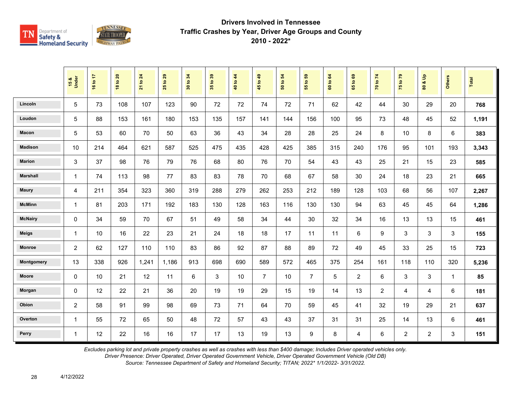

|                 | 15 &<br>Under  | 16 to 17 | <b>18 to 20</b> | 21 to 24 | to 29<br>25 | 34<br>30 to | 35 to 39 | 40 to 44 | 45 to 49       | $\overline{5}$<br>50 to | $t_0$ 59<br>$\overline{5}$ | 60 to 64 | 1069<br>$65^{\circ}$ | 70 to 74       | 75 to 79       | $\mathbf{e}$<br>οð<br>80 | <b>Others</b> | Total |
|-----------------|----------------|----------|-----------------|----------|-------------|-------------|----------|----------|----------------|-------------------------|----------------------------|----------|----------------------|----------------|----------------|--------------------------|---------------|-------|
| Lincoln         | 5              | 73       | 108             | 107      | 123         | 90          | 72       | 72       | 74             | 72                      | 71                         | 62       | 42                   | 44             | 30             | 29                       | 20            | 768   |
| Loudon          | 5              | 88       | 153             | 161      | 180         | 153         | 135      | 157      | 141            | 144                     | 156                        | 100      | 95                   | 73             | 48             | 45                       | 52            | 1,191 |
| Macon           | 5              | 53       | 60              | 70       | 50          | 63          | 36       | 43       | 34             | 28                      | 28                         | 25       | 24                   | 8              | 10             | 8                        | 6             | 383   |
| <b>Madison</b>  | 10             | 214      | 464             | 621      | 587         | 525         | 475      | 435      | 428            | 425                     | 385                        | 315      | 240                  | 176            | 95             | 101                      | 193           | 3,343 |
| <b>Marion</b>   | 3              | 37       | 98              | 76       | 79          | 76          | 68       | 80       | 76             | 70                      | 54                         | 43       | 43                   | 25             | 21             | 15                       | 23            | 585   |
| <b>Marshall</b> | $\mathbf{1}$   | 74       | 113             | 98       | 77          | 83          | 83       | 78       | 70             | 68                      | 67                         | 58       | 30                   | 24             | 18             | 23                       | 21            | 665   |
| <b>Maury</b>    | 4              | 211      | 354             | 323      | 360         | 319         | 288      | 279      | 262            | 253                     | 212                        | 189      | 128                  | 103            | 68             | 56                       | 107           | 2,267 |
| <b>McMinn</b>   | $\mathbf{1}$   | 81       | 203             | 171      | 192         | 183         | 130      | 128      | 163            | 116                     | 130                        | 130      | 94                   | 63             | 45             | 45                       | 64            | 1,286 |
| <b>McNairy</b>  | 0              | 34       | 59              | 70       | 67          | 51          | 49       | 58       | 34             | 44                      | 30                         | 32       | 34                   | 16             | 13             | 13                       | 15            | 461   |
| <b>Meigs</b>    | 1              | 10       | 16              | 22       | 23          | 21          | 24       | 18       | 18             | 17                      | 11                         | 11       | 6                    | 9              | $\mathbf{3}$   | 3                        | 3             | 155   |
| <b>Monroe</b>   | 2              | 62       | 127             | 110      | 110         | 83          | 86       | 92       | 87             | 88                      | 89                         | 72       | 49                   | 45             | 33             | 25                       | 15            | 723   |
| Montgomery      | 13             | 338      | 926             | 1,241    | 1,186       | 913         | 698      | 690      | 589            | 572                     | 465                        | 375      | 254                  | 161            | 118            | 110                      | 320           | 5,236 |
| <b>Moore</b>    | 0              | 10       | 21              | 12       | 11          | 6           | 3        | 10       | $\overline{7}$ | 10                      | $\overline{7}$             | 5        | $\overline{2}$       | 6              | 3              | 3                        | $\mathbf{1}$  | 85    |
| Morgan          | 0              | 12       | 22              | 21       | 36          | 20          | 19       | 19       | 29             | 15                      | 19                         | 14       | 13                   | $\overline{2}$ | 4              | 4                        | 6             | 181   |
| Obion           | $\overline{c}$ | 58       | 91              | 99       | 98          | 69          | 73       | 71       | 64             | 70                      | 59                         | 45       | 41                   | 32             | 19             | 29                       | 21            | 637   |
| Overton         | $\mathbf{1}$   | 55       | 72              | 65       | 50          | 48          | 72       | 57       | 43             | 43                      | 37                         | 31       | 31                   | 25             | 14             | 13                       | 6             | 461   |
| Perry           | $\mathbf{1}$   | 12       | 22              | 16       | 16          | 17          | 17       | 13       | 19             | 13                      | 9                          | 8        | 4                    | 6              | $\overline{c}$ | $\overline{2}$           | 3             | 151   |

*Excludes parking lot and private property crashes as well as crashes with less than \$400 damage; Includes Driver operated vehicles only.*

*Driver Presence: Driver Operated, Driver Operated Government Vehicle, Driver Operated Government Vehicle (Old DB)*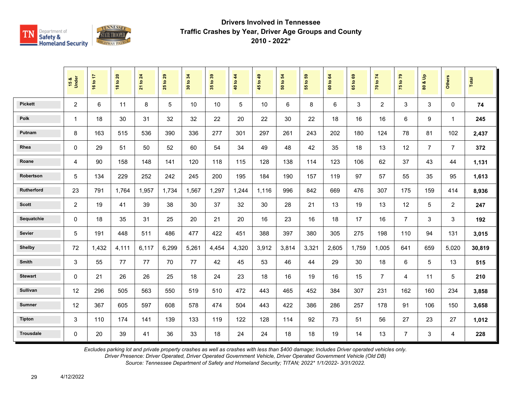

|                  | 15 &<br>Under  | 16 to 17 | <b>18 to 20</b> | $\overline{24}$<br>21 to | 29<br>$\overline{5}$<br>25 | 34<br>30 to | 35 to 39 | 40 to 44 | 45 to 49 | 54<br>50 to | 55 to 59 | $\mathbf{g}$<br>60 to | $\mathbf{69}$<br>65 to | 70 to 74       | 75 to 79       | å<br>οð<br>$\overline{\mathbf{3}}$ | <b>Others</b>  | <b>Total</b> |
|------------------|----------------|----------|-----------------|--------------------------|----------------------------|-------------|----------|----------|----------|-------------|----------|-----------------------|------------------------|----------------|----------------|------------------------------------|----------------|--------------|
| <b>Pickett</b>   | $\overline{2}$ | 6        | 11              | $\,8\,$                  | 5                          | 10          | 10       | 5        | 10       | 6           | 8        | 6                     | 3                      | $\overline{2}$ | 3              | 3                                  | $\Omega$       | 74           |
| Polk             | 1              | 18       | 30              | 31                       | 32                         | 32          | 22       | 20       | 22       | 30          | 22       | 18                    | 16                     | 16             | 6              | 9                                  | $\mathbf 1$    | 245          |
| Putnam           | 8              | 163      | 515             | 536                      | 390                        | 336         | 277      | 301      | 297      | 261         | 243      | 202                   | 180                    | 124            | 78             | 81                                 | 102            | 2,437        |
| Rhea             | 0              | 29       | 51              | 50                       | 52                         | 60          | 54       | 34       | 49       | 48          | 42       | 35                    | 18                     | 13             | 12             | $\overline{7}$                     | $\overline{7}$ | 372          |
| Roane            | 4              | 90       | 158             | 148                      | 141                        | 120         | 118      | 115      | 128      | 138         | 114      | 123                   | 106                    | 62             | 37             | 43                                 | 44             | 1,131        |
| Robertson        | 5              | 134      | 229             | 252                      | 242                        | 245         | 200      | 195      | 184      | 190         | 157      | 119                   | 97                     | 57             | 55             | 35                                 | 95             | 1,613        |
| Rutherford       | 23             | 791      | 1,764           | 1,957                    | 1,734                      | 1,567       | 1,297    | 1,244    | 1,116    | 996         | 842      | 669                   | 476                    | 307            | 175            | 159                                | 414            | 8,936        |
| <b>Scott</b>     | $\overline{2}$ | 19       | 41              | 39                       | 38                         | 30          | 37       | 32       | 30       | 28          | 21       | 13                    | 19                     | 13             | 12             | 5                                  | $\overline{2}$ | 247          |
| Sequatchie       | 0              | 18       | 35              | 31                       | 25                         | 20          | 21       | 20       | 16       | 23          | 16       | 18                    | 17                     | 16             | $\overline{7}$ | 3                                  | 3              | 192          |
| Sevier           | 5              | 191      | 448             | 511                      | 486                        | 477         | 422      | 451      | 388      | 397         | 380      | 305                   | 275                    | 198            | 110            | 94                                 | 131            | 3,015        |
| <b>Shelby</b>    | 72             | 1,432    | 4,111           | 6,117                    | 6,299                      | 5,261       | 4,454    | 4,320    | 3,912    | 3,814       | 3,321    | 2,605                 | 1,759                  | 1.005          | 641            | 659                                | 5,020          | 30,819       |
| Smith            | 3              | 55       | 77              | 77                       | 70                         | 77          | 42       | 45       | 53       | 46          | 44       | 29                    | 30                     | 18             | 6              | 5                                  | 13             | 515          |
| <b>Stewart</b>   | 0              | 21       | 26              | 26                       | 25                         | 18          | 24       | 23       | 18       | 16          | 19       | 16                    | 15                     | $\overline{7}$ | 4              | 11                                 | 5              | 210          |
| Sullivan         | 12             | 296      | 505             | 563                      | 550                        | 519         | 510      | 472      | 443      | 465         | 452      | 384                   | 307                    | 231            | 162            | 160                                | 234            | 3,858        |
| <b>Sumner</b>    | 12             | 367      | 605             | 597                      | 608                        | 578         | 474      | 504      | 443      | 422         | 386      | 286                   | 257                    | 178            | 91             | 106                                | 150            | 3,658        |
| <b>Tipton</b>    | 3              | 110      | 174             | 141                      | 139                        | 133         | 119      | 122      | 128      | 114         | 92       | 73                    | 51                     | 56             | 27             | 23                                 | 27             | 1,012        |
| <b>Trousdale</b> | 0              | 20       | 39              | 41                       | 36                         | 33          | 18       | 24       | 24       | 18          | 18       | 19                    | 14                     | 13             | $\overline{7}$ | 3                                  | $\overline{4}$ | 228          |

*Excludes parking lot and private property crashes as well as crashes with less than \$400 damage; Includes Driver operated vehicles only.*

*Driver Presence: Driver Operated, Driver Operated Government Vehicle, Driver Operated Government Vehicle (Old DB)*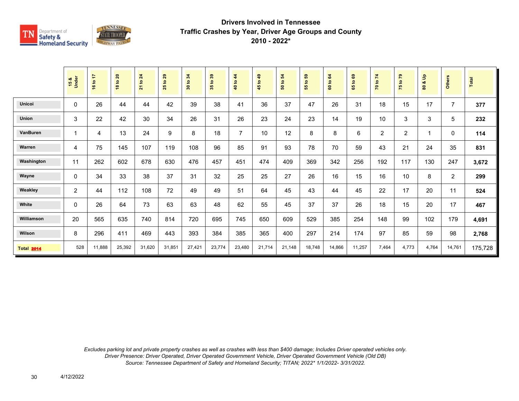

|                   | 15 &<br>Under  | 16 to 17 | 18 to 20 | <b>21 to 24</b> | 29<br>$\tt{S}$<br>25 | 30 to 34 | 35 to 39 | $\frac{4}{3}$<br>40 to | $\overline{49}$<br>45 to - | 50 to 54 | <b>e</b><br>$\overline{5}$<br>55 | 64<br>$\mathtt{S}$<br>$\bf{60}$ | $\mathbf{69}$<br>$\mathbf{c}$<br>59 | 70 to 74       | 75 to 79       | $\frac{9}{2}$<br>οđ<br>80 | <b>Others</b>  | Total   |
|-------------------|----------------|----------|----------|-----------------|----------------------|----------|----------|------------------------|----------------------------|----------|----------------------------------|---------------------------------|-------------------------------------|----------------|----------------|---------------------------|----------------|---------|
| <b>Unicoi</b>     | 0              | 26       | 44       | 44              | 42                   | 39       | 38       | 41                     | 36                         | 37       | 47                               | 26                              | 31                                  | 18             | 15             | 17                        | $\overline{7}$ | 377     |
| Union             | 3              | 22       | 42       | 30              | 34                   | 26       | 31       | 26                     | 23                         | 24       | 23                               | 14                              | 19                                  | 10             | 3              | $\ensuremath{\mathsf{3}}$ | 5              | 232     |
| VanBuren          | $\overline{1}$ | 4        | 13       | 24              | 9                    | 8        | 18       | $\overline{7}$         | 10                         | 12       | 8                                | 8                               | 6                                   | $\overline{2}$ | $\overline{2}$ | $\mathbf 1$               | 0              | 114     |
| Warren            | $\overline{4}$ | 75       | 145      | 107             | 119                  | 108      | 96       | 85                     | 91                         | 93       | 78                               | 70                              | 59                                  | 43             | 21             | 24                        | 35             | 831     |
| Washington        | 11             | 262      | 602      | 678             | 630                  | 476      | 457      | 451                    | 474                        | 409      | 369                              | 342                             | 256                                 | 192            | 117            | 130                       | 247            | 3,672   |
| Wayne             | $\mathbf{0}$   | 34       | 33       | 38              | 37                   | 31       | 32       | 25                     | 25                         | 27       | 26                               | 16                              | 15                                  | 16             | 10             | 8                         | $\overline{2}$ | 299     |
| Weakley           | $\overline{2}$ | 44       | 112      | 108             | 72                   | 49       | 49       | 51                     | 64                         | 45       | 43                               | 44                              | 45                                  | 22             | 17             | 20                        | 11             | 524     |
| White             | $\mathbf{0}$   | 26       | 64       | 73              | 63                   | 63       | 48       | 62                     | 55                         | 45       | 37                               | 37                              | 26                                  | 18             | 15             | 20                        | 17             | 467     |
| Williamson        | 20             | 565      | 635      | 740             | 814                  | 720      | 695      | 745                    | 650                        | 609      | 529                              | 385                             | 254                                 | 148            | 99             | 102                       | 179            | 4,691   |
| Wilson            | 8              | 296      | 411      | 469             | 443                  | 393      | 384      | 385                    | 365                        | 400      | 297                              | 214                             | 174                                 | 97             | 85             | 59                        | 98             | 2,768   |
| <b>Total 2014</b> | 528            | 11,888   | 25,392   | 31,620          | 31,851               | 27,421   | 23,774   | 23,480                 | 21,714                     | 21,148   | 18,748                           | 14,866                          | 11,257                              | 7,464          | 4,773          | 4,764                     | 14,761         | 175,728 |

*Excludes parking lot and private property crashes as well as crashes with less than \$400 damage; Includes Driver operated vehicles only. Driver Presence: Driver Operated, Driver Operated Government Vehicle, Driver Operated Government Vehicle (Old DB) Source: Tennessee Department of Safety and Homeland Security; TITAN; 2022\* 1/1/2022- 3/31/2022.*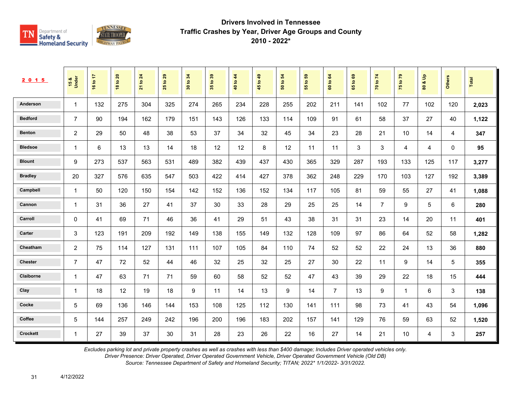

| 2 0 1 5         | 15 &<br>Under  | 16 to 17 | <b>18 to 20</b> | 21 to 24 | 29<br>$\mathbf{c}$<br>25 | 34<br>$\mathbf{e}$<br>$\overline{30}$ | 35 to 39 | 40 to 44 | 49<br>45 to - | 54<br>$\tt^\circ$<br>$\overline{5}$ | នូ<br>$\tt^\circ$<br>55 | 64<br>60 to    | $\mathbf{63}$<br>$\mathbf{S}$<br>$65^{\circ}$ | 70 to 74       | 75 to 79       | $\frac{9}{2}$<br>oð.<br>$\pmb{\mathsf{s}}$ | <b>Others</b> | Total |
|-----------------|----------------|----------|-----------------|----------|--------------------------|---------------------------------------|----------|----------|---------------|-------------------------------------|-------------------------|----------------|-----------------------------------------------|----------------|----------------|--------------------------------------------|---------------|-------|
| Anderson        | $\mathbf 1$    | 132      | 275             | 304      | 325                      | 274                                   | 265      | 234      | 228           | 255                                 | 202                     | 211            | 141                                           | 102            | 77             | 102                                        | 120           | 2,023 |
| <b>Bedford</b>  | $\overline{7}$ | 90       | 194             | 162      | 179                      | 151                                   | 143      | 126      | 133           | 114                                 | 109                     | 91             | 61                                            | 58             | 37             | 27                                         | 40            | 1,122 |
| <b>Benton</b>   | $\overline{c}$ | 29       | 50              | 48       | 38                       | 53                                    | 37       | 34       | 32            | 45                                  | 34                      | 23             | 28                                            | 21             | 10             | 14                                         | 4             | 347   |
| <b>Bledsoe</b>  | $\mathbf{1}$   | 6        | 13              | 13       | 14                       | 18                                    | 12       | 12       | 8             | 12                                  | 11                      | 11             | 3                                             | 3              | $\overline{4}$ | 4                                          | $\mathbf 0$   | 95    |
| <b>Blount</b>   | 9              | 273      | 537             | 563      | 531                      | 489                                   | 382      | 439      | 437           | 430                                 | 365                     | 329            | 287                                           | 193            | 133            | 125                                        | 117           | 3,277 |
| <b>Bradley</b>  | 20             | 327      | 576             | 635      | 547                      | 503                                   | 422      | 414      | 427           | 378                                 | 362                     | 248            | 229                                           | 170            | 103            | 127                                        | 192           | 3,389 |
| Campbell        | $\mathbf{1}$   | 50       | 120             | 150      | 154                      | 142                                   | 152      | 136      | 152           | 134                                 | 117                     | 105            | 81                                            | 59             | 55             | 27                                         | 41            | 1,088 |
| Cannon          | $\mathbf{1}$   | 31       | 36              | 27       | 41                       | 37                                    | 30       | 33       | 28            | 29                                  | 25                      | 25             | 14                                            | $\overline{7}$ | 9              | 5                                          | 6             | 280   |
| Carroll         | $\mathbf 0$    | 41       | 69              | 71       | 46                       | 36                                    | 41       | 29       | 51            | 43                                  | 38                      | 31             | 31                                            | 23             | 14             | 20                                         | 11            | 401   |
| Carter          | 3              | 123      | 191             | 209      | 192                      | 149                                   | 138      | 155      | 149           | 132                                 | 128                     | 109            | 97                                            | 86             | 64             | 52                                         | 58            | 1,282 |
| Cheatham        | 2              | 75       | 114             | 127      | 131                      | 111                                   | 107      | 105      | 84            | 110                                 | 74                      | 52             | 52                                            | 22             | 24             | 13                                         | 36            | 880   |
| <b>Chester</b>  | $\overline{7}$ | 47       | 72              | 52       | 44                       | 46                                    | 32       | 25       | 32            | 25                                  | 27                      | 30             | 22                                            | 11             | 9              | 14                                         | 5             | 355   |
| Claiborne       | $\mathbf{1}$   | 47       | 63              | 71       | 71                       | 59                                    | 60       | 58       | 52            | 52                                  | 47                      | 43             | 39                                            | 29             | 22             | 18                                         | 15            | 444   |
| Clay            | $\mathbf 1$    | 18       | 12              | 19       | 18                       | 9                                     | 11       | 14       | 13            | 9                                   | 14                      | $\overline{7}$ | 13                                            | 9              | $\mathbf{1}$   | 6                                          | 3             | 138   |
| Cocke           | 5              | 69       | 136             | 146      | 144                      | 153                                   | 108      | 125      | 112           | 130                                 | 141                     | 111            | 98                                            | 73             | 41             | 43                                         | 54            | 1,096 |
| Coffee          | 5              | 144      | 257             | 249      | 242                      | 196                                   | 200      | 196      | 183           | 202                                 | 157                     | 141            | 129                                           | 76             | 59             | 63                                         | 52            | 1,520 |
| <b>Crockett</b> | $\mathbf{1}$   | 27       | 39              | 37       | 30                       | 31                                    | 28       | 23       | 26            | 22                                  | 16                      | 27             | 14                                            | 21             | 10             | $\overline{4}$                             | 3             | 257   |

*Excludes parking lot and private property crashes as well as crashes with less than \$400 damage; Includes Driver operated vehicles only.*

*Driver Presence: Driver Operated, Driver Operated Government Vehicle, Driver Operated Government Vehicle (Old DB)*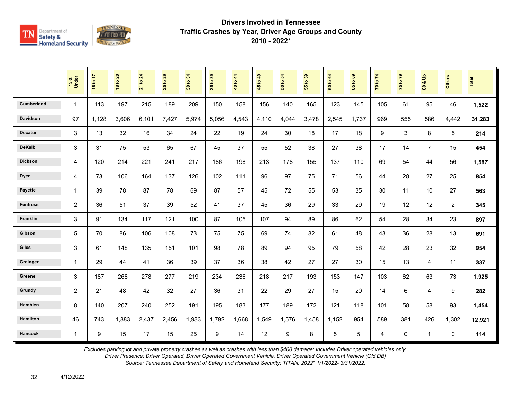

|                   | 15 &<br>Under  | 16 to 17 | <b>18 to 20</b> | 21 to 24 | 29<br>$\mathbf{e}$<br>25 | 34<br>30 to | 35 to 39 | 40 to 44 | 45 to 49 | $\overline{5}$<br>50 to | ${\bf 59}$<br>$\mathbf{e}$<br>$\overline{55}$ | $\mathbf{g}$<br>60 to | $\mathbf{69}$<br>65 to | 70 to 74       | 75 to 79    | $\mathbf{e}$<br>οð<br>$\overline{\mathbf{8}}$ | <b>Others</b>  | <b>Total</b> |
|-------------------|----------------|----------|-----------------|----------|--------------------------|-------------|----------|----------|----------|-------------------------|-----------------------------------------------|-----------------------|------------------------|----------------|-------------|-----------------------------------------------|----------------|--------------|
| <b>Cumberland</b> | $\mathbf{1}$   | 113      | 197             | 215      | 189                      | 209         | 150      | 158      | 156      | 140                     | 165                                           | 123                   | 145                    | 105            | 61          | 95                                            | 46             | 1,522        |
| <b>Davidson</b>   | 97             | 1,128    | 3.606           | 6,101    | 7,427                    | 5,974       | 5.056    | 4,543    | 4,110    | 4,044                   | 3,478                                         | 2,545                 | 1.737                  | 969            | 555         | 586                                           | 4,442          | 31,283       |
| <b>Decatur</b>    | 3              | 13       | 32              | 16       | 34                       | 24          | 22       | 19       | 24       | 30                      | 18                                            | 17                    | 18                     | 9              | 3           | 8                                             | 5              | 214          |
| <b>DeKalb</b>     | 3              | 31       | 75              | 53       | 65                       | 67          | 45       | 37       | 55       | 52                      | 38                                            | 27                    | 38                     | 17             | 14          | $\overline{7}$                                | 15             | 454          |
| <b>Dickson</b>    | $\overline{4}$ | 120      | 214             | 221      | 241                      | 217         | 186      | 198      | 213      | 178                     | 155                                           | 137                   | 110                    | 69             | 54          | 44                                            | 56             | 1,587        |
| <b>Dyer</b>       | $\overline{4}$ | 73       | 106             | 164      | 137                      | 126         | 102      | 111      | 96       | 97                      | 75                                            | 71                    | 56                     | 44             | 28          | 27                                            | 25             | 854          |
| <b>Fayette</b>    | $\mathbf{1}$   | 39       | 78              | 87       | 78                       | 69          | 87       | 57       | 45       | 72                      | 55                                            | 53                    | 35                     | 30             | 11          | 10                                            | 27             | 563          |
| <b>Fentress</b>   | 2              | 36       | 51              | 37       | 39                       | 52          | 41       | 37       | 45       | 36                      | 29                                            | 33                    | 29                     | 19             | 12          | 12                                            | $\overline{2}$ | 345          |
| Franklin          | 3              | 91       | 134             | 117      | 121                      | 100         | 87       | 105      | 107      | 94                      | 89                                            | 86                    | 62                     | 54             | 28          | 34                                            | 23             | 897          |
| Gibson            | $\overline{5}$ | 70       | 86              | 106      | 108                      | 73          | 75       | 75       | 69       | 74                      | 82                                            | 61                    | 48                     | 43             | 36          | 28                                            | 13             | 691          |
| <b>Giles</b>      | 3              | 61       | 148             | 135      | 151                      | 101         | 98       | 78       | 89       | 94                      | 95                                            | 79                    | 58                     | 42             | 28          | 23                                            | 32             | 954          |
| Grainger          | 1              | 29       | 44              | 41       | 36                       | 39          | 37       | 36       | 38       | 42                      | 27                                            | 27                    | 30                     | 15             | 13          | 4                                             | 11             | 337          |
| Greene            | 3              | 187      | 268             | 278      | 277                      | 219         | 234      | 236      | 218      | 217                     | 193                                           | 153                   | 147                    | 103            | 62          | 63                                            | 73             | 1,925        |
| Grundy            | $\overline{2}$ | 21       | 48              | 42       | 32                       | 27          | 36       | 31       | 22       | 29                      | 27                                            | 15                    | 20                     | 14             | 6           | 4                                             | 9              | 282          |
| Hamblen           | 8              | 140      | 207             | 240      | 252                      | 191         | 195      | 183      | 177      | 189                     | 172                                           | 121                   | 118                    | 101            | 58          | 58                                            | 93             | 1,454        |
| <b>Hamilton</b>   | 46             | 743      | 1,883           | 2,437    | 2,456                    | 1,933       | 1,792    | 1,668    | 1,549    | 1,576                   | 1,458                                         | 1,152                 | 954                    | 589            | 381         | 426                                           | 1,302          | 12,921       |
| <b>Hancock</b>    | $\mathbf{1}$   | 9        | 15              | 17       | 15                       | 25          | 9        | 14       | 12       | 9                       | 8                                             | 5                     | 5                      | $\overline{4}$ | $\mathbf 0$ | $\mathbf{1}$                                  | 0              | 114          |

*Excludes parking lot and private property crashes as well as crashes with less than \$400 damage; Includes Driver operated vehicles only.*

*Driver Presence: Driver Operated, Driver Operated Government Vehicle, Driver Operated Government Vehicle (Old DB)*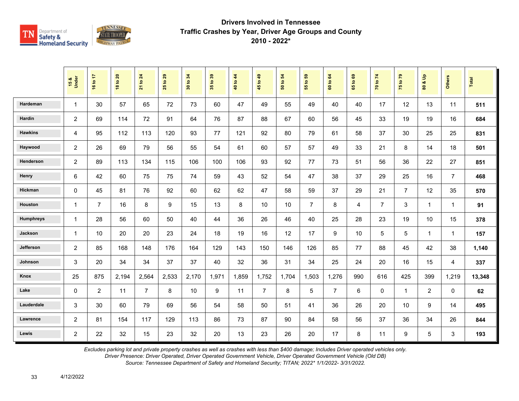

|                  | 15 &<br>Under  | 16 to 17       | <b>18 to 20</b> | 21 to 24       | 29<br>$\mathbf{e}$<br>25 | 34<br>30 to | 35 to 39 | 40 to 44 | 45 to 49       | $\overline{5}$<br>50 to | G5<br>$\ddot{\mathbf{5}}$<br>$\overline{55}$ | 60 to 64       | ${\tt g}$<br>$\overline{9}$<br>$65^{\circ}$ | 70 to 74       | 75 to 79       | $\frac{9}{2}$<br>οð<br>$\mathbf{S}$ | <b>Others</b>  | Total  |
|------------------|----------------|----------------|-----------------|----------------|--------------------------|-------------|----------|----------|----------------|-------------------------|----------------------------------------------|----------------|---------------------------------------------|----------------|----------------|-------------------------------------|----------------|--------|
| Hardeman         | $\mathbf{1}$   | 30             | 57              | 65             | 72                       | 73          | 60       | 47       | 49             | 55                      | 49                                           | 40             | 40                                          | 17             | 12             | 13                                  | 11             | 511    |
| Hardin           | $\overline{c}$ | 69             | 114             | 72             | 91                       | 64          | 76       | 87       | 88             | 67                      | 60                                           | 56             | 45                                          | 33             | 19             | 19                                  | 16             | 684    |
| <b>Hawkins</b>   | $\overline{4}$ | 95             | 112             | 113            | 120                      | 93          | 77       | 121      | 92             | 80                      | 79                                           | 61             | 58                                          | 37             | 30             | 25                                  | 25             | 831    |
| Haywood          | $\overline{c}$ | 26             | 69              | 79             | 56                       | 55          | 54       | 61       | 60             | 57                      | 57                                           | 49             | 33                                          | 21             | 8              | 14                                  | 18             | 501    |
| Henderson        | $\overline{c}$ | 89             | 113             | 134            | 115                      | 106         | 100      | 106      | 93             | 92                      | 77                                           | 73             | 51                                          | 56             | 36             | 22                                  | 27             | 851    |
| Henry            | 6              | 42             | 60              | 75             | 75                       | 74          | 59       | 43       | 52             | 54                      | 47                                           | 38             | 37                                          | 29             | 25             | 16                                  | $\overline{7}$ | 468    |
| Hickman          | $\mathbf 0$    | 45             | 81              | 76             | 92                       | 60          | 62       | 62       | 47             | 58                      | 59                                           | 37             | 29                                          | 21             | $\overline{7}$ | 12                                  | 35             | 570    |
| Houston          | $\mathbf{1}$   | $\overline{7}$ | 16              | 8              | 9                        | 15          | 13       | 8        | 10             | 10                      | $\overline{7}$                               | 8              | $\overline{4}$                              | $\overline{7}$ | 3              | $\mathbf{1}$                        | $\mathbf{1}$   | 91     |
| <b>Humphreys</b> | $\mathbf{1}$   | 28             | 56              | 60             | 50                       | 40          | 44       | 36       | 26             | 46                      | 40                                           | 25             | 28                                          | 23             | 19             | 10                                  | 15             | 378    |
| Jackson          | $\mathbf{1}$   | 10             | 20              | 20             | 23                       | 24          | 18       | 19       | 16             | 12                      | 17                                           | 9              | 10                                          | 5              | 5              | $\mathbf{1}$                        | $\mathbf 1$    | 157    |
| Jefferson        | $\overline{c}$ | 85             | 168             | 148            | 176                      | 164         | 129      | 143      | 150            | 146                     | 126                                          | 85             | 77                                          | 88             | 45             | 42                                  | 38             | 1,140  |
| Johnson          | 3              | 20             | 34              | 34             | 37                       | 37          | 40       | 32       | 36             | 31                      | 34                                           | 25             | 24                                          | 20             | 16             | 15                                  | 4              | 337    |
| Knox             | 25             | 875            | 2,194           | 2,564          | 2,533                    | 2,170       | 1,971    | 1,859    | 1,752          | 1,704                   | 1,503                                        | 1,276          | 990                                         | 616            | 425            | 399                                 | 1,219          | 13,348 |
| Lake             | $\mathbf 0$    | $\overline{2}$ | 11              | $\overline{7}$ | 8                        | 10          | 9        | 11       | $\overline{7}$ | 8                       | 5                                            | $\overline{7}$ | 6                                           | $\mathbf 0$    | $\overline{1}$ | $\overline{2}$                      | $\Omega$       | 62     |
| Lauderdale       | 3              | 30             | 60              | 79             | 69                       | 56          | 54       | 58       | 50             | 51                      | 41                                           | 36             | 26                                          | 20             | 10             | 9                                   | 14             | 495    |
| Lawrence         | $\overline{c}$ | 81             | 154             | 117            | 129                      | 113         | 86       | 73       | 87             | 90                      | 84                                           | 58             | 56                                          | 37             | 36             | 34                                  | 26             | 844    |
| Lewis            | $\overline{2}$ | 22             | 32              | 15             | 23                       | 32          | 20       | 13       | 23             | 26                      | 20                                           | 17             | 8                                           | 11             | 9              | 5                                   | 3              | 193    |

*Excludes parking lot and private property crashes as well as crashes with less than \$400 damage; Includes Driver operated vehicles only.*

*Driver Presence: Driver Operated, Driver Operated Government Vehicle, Driver Operated Government Vehicle (Old DB)*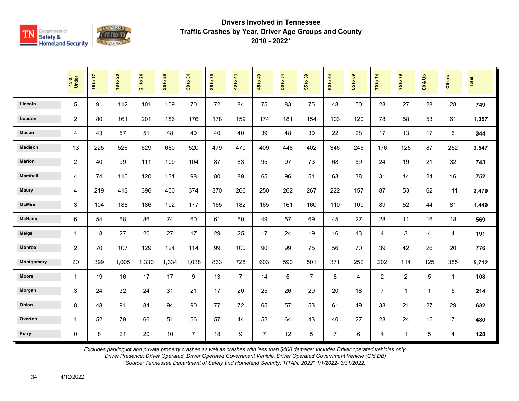

|                 | 15 &<br>Under  | 16 to 17 | <b>18 to 20</b> | 21 to 24 | $t$ o 29<br>25 | 34<br>$\mathbf{S}$<br>$\overline{30}$ | 35 to 39 | 40 to 44       | 45 to 49       | $\mathbf{5}$<br>50 to | $t_0$ 59<br>$\overline{5}$ | 60 to 64       | 1069<br>$65^{\circ}$ | 70 to 74       | 75 to 79       | $\frac{9}{2}$<br>οð<br>80 | <b>Others</b>  | Total |
|-----------------|----------------|----------|-----------------|----------|----------------|---------------------------------------|----------|----------------|----------------|-----------------------|----------------------------|----------------|----------------------|----------------|----------------|---------------------------|----------------|-------|
| Lincoln         | 5              | 91       | 112             | 101      | 109            | 70                                    | 72       | 84             | 75             | 83                    | 75                         | 48             | 50                   | 28             | 27             | 28                        | 28             | 749   |
| Loudon          | $\overline{c}$ | 80       | 161             | 201      | 186            | 176                                   | 178      | 159            | 174            | 181                   | 154                        | 103            | 120                  | 78             | 58             | 53                        | 61             | 1,357 |
| Macon           | 4              | 43       | 57              | 51       | 48             | 40                                    | 40       | 40             | 39             | 48                    | 30                         | 22             | 28                   | 17             | 13             | 17                        | 6              | 344   |
| <b>Madison</b>  | 13             | 225      | 526             | 629      | 680            | 520                                   | 479      | 470            | 409            | 448                   | 402                        | 346            | 245                  | 176            | 125            | 87                        | 252            | 3,547 |
| <b>Marion</b>   | $\overline{c}$ | 40       | 99              | 111      | 109            | 104                                   | 87       | 83             | 95             | 97                    | 73                         | 68             | 59                   | 24             | 19             | 21                        | 32             | 743   |
| <b>Marshall</b> | 4              | 74       | 110             | 120      | 131            | 98                                    | 80       | 89             | 65             | 96                    | 51                         | 63             | 38                   | 31             | 14             | 24                        | 16             | 752   |
| <b>Maury</b>    | 4              | 219      | 413             | 396      | 400            | 374                                   | 370      | 266            | 250            | 262                   | 267                        | 222            | 157                  | 87             | 53             | 62                        | 111            | 2,479 |
| <b>McMinn</b>   | 3              | 104      | 188             | 186      | 192            | 177                                   | 165      | 182            | 165            | 161                   | 160                        | 110            | 109                  | 89             | 52             | 44                        | 81             | 1,449 |
| <b>McNairy</b>  | 6              | 54       | 68              | 86       | 74             | 60                                    | 61       | 50             | 49             | 57                    | 69                         | 45             | 27                   | 28             | 11             | 16                        | 18             | 569   |
| <b>Meigs</b>    | 1              | 18       | 27              | 20       | 27             | 17                                    | 29       | 25             | 17             | 24                    | 19                         | 16             | 13                   | 4              | 3              | 4                         | 4              | 191   |
| <b>Monroe</b>   | 2              | 70       | 107             | 129      | 124            | 114                                   | 99       | 100            | 90             | 99                    | 75                         | 56             | 70                   | 39             | 42             | 26                        | 20             | 776   |
| Montgomery      | 20             | 399      | 1,005           | 1,330    | 1,334          | 1,038                                 | 833      | 728            | 603            | 590                   | 501                        | 371            | 252                  | 202            | 114            | 125                       | 385            | 5,712 |
| <b>Moore</b>    | $\mathbf{1}$   | 19       | 16              | 17       | 17             | 9                                     | 13       | $\overline{7}$ | 14             | 5                     | $\overline{7}$             | 8              | $\overline{4}$       | $\overline{2}$ | $\overline{2}$ | 5                         | $\mathbf{1}$   | 108   |
| Morgan          | 3              | 24       | 32              | 24       | 31             | 21                                    | 17       | 20             | 25             | 26                    | 29                         | 20             | 18                   | $\overline{7}$ | $\mathbf{1}$   | $\mathbf{1}$              | 5              | 214   |
| Obion           | 8              | 48       | 91              | 84       | 94             | 90                                    | 77       | 72             | 65             | 57                    | 53                         | 61             | 49                   | 38             | 21             | 27                        | 29             | 632   |
| Overton         | $\mathbf{1}$   | 52       | 79              | 66       | 51             | 56                                    | 57       | 44             | 52             | 64                    | 43                         | 40             | 27                   | 28             | 24             | 15                        | $\overline{7}$ | 480   |
| Perry           | 0              | 8        | 21              | 20       | 10             | $\overline{7}$                        | 18       | 9              | $\overline{7}$ | 12                    | 5                          | $\overline{7}$ | 6                    | 4              | $\mathbf{1}$   | 5                         | 4              | 128   |

*Excludes parking lot and private property crashes as well as crashes with less than \$400 damage; Includes Driver operated vehicles only.*

*Driver Presence: Driver Operated, Driver Operated Government Vehicle, Driver Operated Government Vehicle (Old DB)*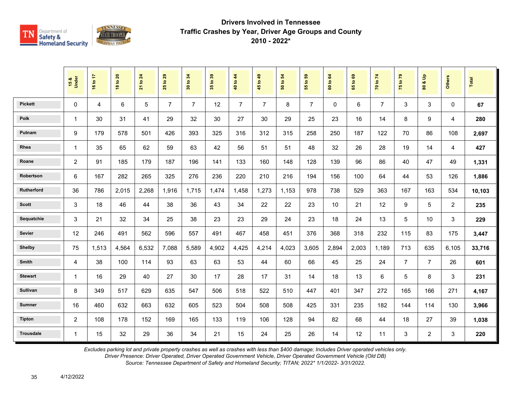

|                  | 15 &<br>Under  | 16 to 17       | <b>18 to 20</b> | $\overline{24}$<br>21 to | 29<br>$\overline{5}$<br>25 | 34<br>30 to    | 35 to 39 | 40 to 44       | 45 to 49       | $\mathbf{5}$<br>50 to | 55 to 59       | 64<br>60 to | $\mathbf{69}$<br>65 to | 70 to 74       | 75 to 79       | å<br>οð<br>$\overline{\mathbf{3}}$ | <b>Others</b>  | <b>Total</b> |
|------------------|----------------|----------------|-----------------|--------------------------|----------------------------|----------------|----------|----------------|----------------|-----------------------|----------------|-------------|------------------------|----------------|----------------|------------------------------------|----------------|--------------|
| <b>Pickett</b>   | 0              | $\overline{4}$ | 6               | 5                        | $\overline{7}$             | $\overline{7}$ | 12       | $\overline{7}$ | $\overline{7}$ | 8                     | $\overline{7}$ | $\Omega$    | 6                      | $\overline{7}$ | 3              | 3                                  | $\Omega$       | 67           |
| <b>Polk</b>      | 1              | 30             | 31              | 41                       | 29                         | 32             | 30       | 27             | 30             | 29                    | 25             | 23          | 16                     | 14             | 8              | 9                                  | 4              | 280          |
| Putnam           | 9              | 179            | 578             | 501                      | 426                        | 393            | 325      | 316            | 312            | 315                   | 258            | 250         | 187                    | 122            | 70             | 86                                 | 108            | 2,697        |
| Rhea             | $\mathbf{1}$   | 35             | 65              | 62                       | 59                         | 63             | 42       | 56             | 51             | 51                    | 48             | 32          | 26                     | 28             | 19             | 14                                 | 4              | 427          |
| Roane            | $\overline{2}$ | 91             | 185             | 179                      | 187                        | 196            | 141      | 133            | 160            | 148                   | 128            | 139         | 96                     | 86             | 40             | 47                                 | 49             | 1,331        |
| Robertson        | 6              | 167            | 282             | 265                      | 325                        | 276            | 236      | 220            | 210            | 216                   | 194            | 156         | 100                    | 64             | 44             | 53                                 | 126            | 1,886        |
| Rutherford       | 36             | 786            | 2,015           | 2,268                    | 1,916                      | 1.715          | 1,474    | 1.458          | 1,273          | 1,153                 | 978            | 738         | 529                    | 363            | 167            | 163                                | 534            | 10,103       |
| <b>Scott</b>     | 3              | 18             | 46              | 44                       | 38                         | 36             | 43       | 34             | 22             | 22                    | 23             | 10          | 21                     | 12             | 9              | 5                                  | $\overline{2}$ | 235          |
| Sequatchie       | 3              | 21             | 32              | 34                       | 25                         | 38             | 23       | 23             | 29             | 24                    | 23             | 18          | 24                     | 13             | 5              | 10                                 | 3              | 229          |
| Sevier           | 12             | 246            | 491             | 562                      | 596                        | 557            | 491      | 467            | 458            | 451                   | 376            | 368         | 318                    | 232            | 115            | 83                                 | 175            | 3,447        |
| <b>Shelby</b>    | 75             | 1,513          | 4,564           | 6,532                    | 7,088                      | 5,589          | 4,902    | 4,425          | 4,214          | 4,023                 | 3,605          | 2,894       | 2,003                  | 1,189          | 713            | 635                                | 6,105          | 33,716       |
| Smith            | 4              | 38             | 100             | 114                      | 93                         | 63             | 63       | 53             | 44             | 60                    | 66             | 45          | 25                     | 24             | $\overline{7}$ | $\overline{7}$                     | 26             | 601          |
| <b>Stewart</b>   | 1              | 16             | 29              | 40                       | 27                         | 30             | 17       | 28             | 17             | 31                    | 14             | 18          | 13                     | 6              | 5              | 8                                  | 3              | 231          |
| <b>Sullivan</b>  | 8              | 349            | 517             | 629                      | 635                        | 547            | 506      | 518            | 522            | 510                   | 447            | 401         | 347                    | 272            | 165            | 166                                | 271            | 4,167        |
| <b>Sumner</b>    | 16             | 460            | 632             | 663                      | 632                        | 605            | 523      | 504            | 508            | 508                   | 425            | 331         | 235                    | 182            | 144            | 114                                | 130            | 3,966        |
| <b>Tipton</b>    | $\overline{c}$ | 108            | 178             | 152                      | 169                        | 165            | 133      | 119            | 106            | 128                   | 94             | 82          | 68                     | 44             | 18             | 27                                 | 39             | 1,038        |
| <b>Trousdale</b> | $\mathbf{1}$   | 15             | 32              | 29                       | 36                         | 34             | 21       | 15             | 24             | 25                    | 26             | 14          | 12                     | 11             | $\mathbf{3}$   | $\overline{2}$                     | 3              | 220          |

*Excludes parking lot and private property crashes as well as crashes with less than \$400 damage; Includes Driver operated vehicles only.*

*Driver Presence: Driver Operated, Driver Operated Government Vehicle, Driver Operated Government Vehicle (Old DB)*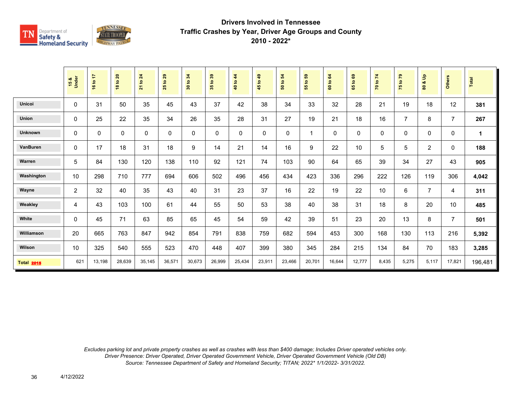

|                   | 15 &<br>Under  | 16 to 17 | <b>18 to 20</b> | 21 to 24    | 29<br>$\mathbf{e}$<br>25 | 34<br>$\mathbf{S}$<br>$\ddot{30}$ | 35 to 39    | 40 to 44 | 45 to 49    | 50 to 54 | 59<br>$\overline{a}$<br>$\overline{5}$ | 60 to 64 | $\mathbf{63}$<br>$\mathbf{S}$<br>59 | 70 to 74 | 75 to 79       | $\frac{9}{2}$<br>øð<br>$\boldsymbol{80}$ | <b>Others</b>  | Total       |
|-------------------|----------------|----------|-----------------|-------------|--------------------------|-----------------------------------|-------------|----------|-------------|----------|----------------------------------------|----------|-------------------------------------|----------|----------------|------------------------------------------|----------------|-------------|
| Unicoi            | $\Omega$       | 31       | 50              | 35          | 45                       | 43                                | 37          | 42       | 38          | 34       | 33                                     | 32       | 28                                  | 21       | 19             | 18                                       | 12             | 381         |
| Union             | 0              | 25       | 22              | 35          | 34                       | 26                                | 35          | 28       | 31          | 27       | 19                                     | 21       | 18                                  | 16       | $\overline{7}$ | 8                                        | $\overline{7}$ | 267         |
| <b>Unknown</b>    | 0              | 0        | 0               | $\mathbf 0$ | $\mathbf 0$              | 0                                 | $\mathbf 0$ | 0        | $\mathbf 0$ | 0        |                                        | 0        | 0                                   | 0        | 0              | 0                                        | 0              | $\mathbf 1$ |
| VanBuren          | $\mathbf 0$    | 17       | 18              | 31          | 18                       | 9                                 | 14          | 21       | 14          | 16       | 9                                      | 22       | 10 <sup>1</sup>                     | 5        | 5              | $\overline{2}$                           | $\pmb{0}$      | 188         |
| Warren            | $\sqrt{5}$     | 84       | 130             | 120         | 138                      | 110                               | 92          | 121      | 74          | 103      | 90                                     | 64       | 65                                  | 39       | 34             | 27                                       | 43             | 905         |
| Washington        | 10             | 298      | 710             | 777         | 694                      | 606                               | 502         | 496      | 456         | 434      | 423                                    | 336      | 296                                 | 222      | 126            | 119                                      | 306            | 4,042       |
| Wayne             | $\overline{2}$ | 32       | 40              | 35          | 43                       | 40                                | 31          | 23       | 37          | 16       | 22                                     | 19       | 22                                  | 10       | 6              | $\overline{7}$                           | 4              | 311         |
| Weakley           | 4              | 43       | 103             | 100         | 61                       | 44                                | 55          | 50       | 53          | 38       | 40                                     | 38       | 31                                  | 18       | 8              | 20                                       | 10             | 485         |
| White             | $\mathbf 0$    | 45       | 71              | 63          | 85                       | 65                                | 45          | 54       | 59          | 42       | 39                                     | 51       | 23                                  | 20       | 13             | 8                                        | $\overline{7}$ | 501         |
| Williamson        | 20             | 665      | 763             | 847         | 942                      | 854                               | 791         | 838      | 759         | 682      | 594                                    | 453      | 300                                 | 168      | 130            | 113                                      | 216            | 5,392       |
| Wilson            | 10             | 325      | 540             | 555         | 523                      | 470                               | 448         | 407      | 399         | 380      | 345                                    | 284      | 215                                 | 134      | 84             | 70                                       | 183            | 3,285       |
| <b>Total 2015</b> | 621            | 13,198   | 28,639          | 35,145      | 36,571                   | 30,673                            | 26,999      | 25,434   | 23,911      | 23,466   | 20,701                                 | 16,644   | 12,777                              | 8,435    | 5,275          | 5,117                                    | 17,821         | 196,481     |

*Excludes parking lot and private property crashes as well as crashes with less than \$400 damage; Includes Driver operated vehicles only. Driver Presence: Driver Operated, Driver Operated Government Vehicle, Driver Operated Government Vehicle (Old DB) Source: Tennessee Department of Safety and Homeland Security; TITAN; 2022\* 1/1/2022- 3/31/2022.*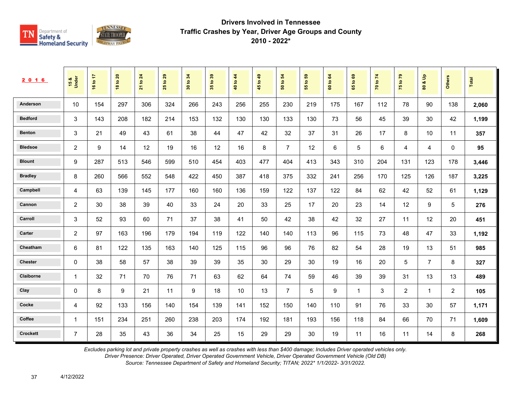

| 2 0 1 6         | 15 &<br>Under  | ÷<br>16 to | <b>18 to 20</b> | 24<br>$\overline{5}$<br>$\overline{21}$ | 29<br>$\tt{S}$<br>25 | 34<br>$\mathbf{e}$<br>$30\,$ | 35 to 39 | 44<br>$\overline{5}$<br>$\overline{40}$ | 49<br>$\ddot{\mathbf{S}}$<br>$45^{\circ}$ | 54<br>$\mathfrak{S}$<br>${\tt s}$ | 59<br>$\tt{S}$<br>55 | 64<br>$\overline{5}$<br>$\ddot{\mathbf{e}}$ | ශී<br>$\mathbf{S}$<br>65 | 70 to 74 | $\mathbb{R}^n$<br>$\overline{5}$<br>$\overline{75}$ | $\frac{9}{2}$<br>oð.<br>$\pmb{\mathsf{s}}$ | Others       | <b>Total</b> |
|-----------------|----------------|------------|-----------------|-----------------------------------------|----------------------|------------------------------|----------|-----------------------------------------|-------------------------------------------|-----------------------------------|----------------------|---------------------------------------------|--------------------------|----------|-----------------------------------------------------|--------------------------------------------|--------------|--------------|
| Anderson        | 10             | 154        | 297             | 306                                     | 324                  | 266                          | 243      | 256                                     | 255                                       | 230                               | 219                  | 175                                         | 167                      | 112      | 78                                                  | 90                                         | 138          | 2,060        |
| <b>Bedford</b>  | 3              | 143        | 208             | 182                                     | 214                  | 153                          | 132      | 130                                     | 130                                       | 133                               | 130                  | 73                                          | 56                       | 45       | 39                                                  | 30                                         | 42           | 1,199        |
| <b>Benton</b>   | 3              | 21         | 49              | 43                                      | 61                   | 38                           | 44       | 47                                      | 42                                        | 32                                | 37                   | 31                                          | 26                       | 17       | 8                                                   | 10                                         | 11           | 357          |
| <b>Bledsoe</b>  | $\overline{2}$ | 9          | 14              | 12                                      | 19                   | 16                           | 12       | 16                                      | 8                                         | $\overline{7}$                    | 12                   | 6                                           | 5                        | 6        | 4                                                   | 4                                          | $\mathbf{0}$ | 95           |
| <b>Blount</b>   | 9              | 287        | 513             | 546                                     | 599                  | 510                          | 454      | 403                                     | 477                                       | 404                               | 413                  | 343                                         | 310                      | 204      | 131                                                 | 123                                        | 178          | 3,446        |
| <b>Bradley</b>  | 8              | 260        | 566             | 552                                     | 548                  | 422                          | 450      | 387                                     | 418                                       | 375                               | 332                  | 241                                         | 256                      | 170      | 125                                                 | 126                                        | 187          | 3,225        |
| Campbell        | 4              | 63         | 139             | 145                                     | 177                  | 160                          | 160      | 136                                     | 159                                       | 122                               | 137                  | 122                                         | 84                       | 62       | 42                                                  | 52                                         | 61           | 1,129        |
| Cannon          | 2              | 30         | 38              | 39                                      | 40                   | 33                           | 24       | 20                                      | 33                                        | 25                                | 17                   | 20                                          | 23                       | 14       | 12                                                  | 9                                          | 5            | 276          |
| Carroll         | 3              | 52         | 93              | 60                                      | 71                   | 37                           | 38       | 41                                      | 50                                        | 42                                | 38                   | 42                                          | 32                       | 27       | 11                                                  | 12                                         | 20           | 451          |
| Carter          | 2              | 97         | 163             | 196                                     | 179                  | 194                          | 119      | 122                                     | 140                                       | 140                               | 113                  | 96                                          | 115                      | 73       | 48                                                  | 47                                         | 33           | 1,192        |
| Cheatham        | 6              | 81         | 122             | 135                                     | 163                  | 140                          | 125      | 115                                     | 96                                        | 96                                | 76                   | 82                                          | 54                       | 28       | 19                                                  | 13                                         | 51           | 985          |
| <b>Chester</b>  | 0              | 38         | 58              | 57                                      | 38                   | 39                           | 39       | 35                                      | 30                                        | 29                                | 30                   | 19                                          | 16                       | 20       | 5                                                   | $\overline{7}$                             | 8            | 327          |
| Claiborne       | -1             | 32         | 71              | 70                                      | 76                   | 71                           | 63       | 62                                      | 64                                        | 74                                | 59                   | 46                                          | 39                       | 39       | 31                                                  | 13                                         | 13           | 489          |
| Clay            | 0              | 8          | 9               | 21                                      | 11                   | 9                            | 18       | 10                                      | 13                                        | $\overline{7}$                    | 5                    | 9                                           | $\mathbf{1}$             | 3        | 2                                                   | $\mathbf{1}$                               | 2            | 105          |
| Cocke           | 4              | 92         | 133             | 156                                     | 140                  | 154                          | 139      | 141                                     | 152                                       | 150                               | 140                  | 110                                         | 91                       | 76       | 33                                                  | 30                                         | 57           | 1,171        |
| Coffee          | $\overline{1}$ | 151        | 234             | 251                                     | 260                  | 238                          | 203      | 174                                     | 192                                       | 181                               | 193                  | 156                                         | 118                      | 84       | 66                                                  | 70                                         | 71           | 1,609        |
| <b>Crockett</b> | $\overline{7}$ | 28         | 35              | 43                                      | 36                   | 34                           | 25       | 15                                      | 29                                        | 29                                | 30                   | 19                                          | 11                       | 16       | 11                                                  | 14                                         | 8            | 268          |

*Excludes parking lot and private property crashes as well as crashes with less than \$400 damage; Includes Driver operated vehicles only.*

*Driver Presence: Driver Operated, Driver Operated Government Vehicle, Driver Operated Government Vehicle (Old DB)*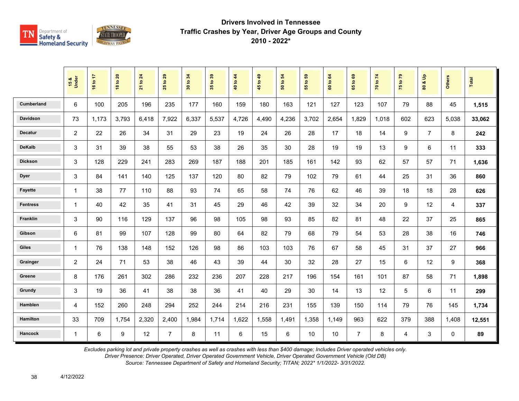

|                   | 15 &<br>Under  | 16 to 17 | <b>18 to 20</b> | to 24<br>$\frac{1}{2}$ | 29<br>$\mathbf{S}$<br>25 | 34<br>$\mathbf{S}$<br>$\overline{\mathbf{30}}$ | $t_0$ 39<br>$\overline{35}$ | to $44$<br>$\overline{\mathbf{a}}$ | 1049<br>45 | $\overline{5}$<br>$\overline{\mathbf{S}}$<br>$\overline{5}$ | 3<br>$\mathbf{e}$<br>15 | 64<br>$\mathbf{S}$<br><b>GO</b> | 65 to 69       | 70 to 74 | 75 to 79 | $\frac{a}{b}$<br>øð<br>$\mathbf{S}$ | <b>Others</b> | Total  |
|-------------------|----------------|----------|-----------------|------------------------|--------------------------|------------------------------------------------|-----------------------------|------------------------------------|------------|-------------------------------------------------------------|-------------------------|---------------------------------|----------------|----------|----------|-------------------------------------|---------------|--------|
| <b>Cumberland</b> | 6              | 100      | 205             | 196                    | 235                      | 177                                            | 160                         | 159                                | 180        | 163                                                         | 121                     | 127                             | 123            | 107      | 79       | 88                                  | 45            | 1,515  |
| <b>Davidson</b>   | 73             | 1,173    | 3,793           | 6,418                  | 7,922                    | 6,337                                          | 5,537                       | 4,726                              | 4,490      | 4,236                                                       | 3,702                   | 2,654                           | 1,829          | 1,018    | 602      | 623                                 | 5,038         | 33,062 |
| <b>Decatur</b>    | 2              | 22       | 26              | 34                     | 31                       | 29                                             | 23                          | 19                                 | 24         | 26                                                          | 28                      | 17                              | 18             | 14       | 9        | $\overline{7}$                      | 8             | 242    |
| <b>DeKalb</b>     | 3              | 31       | 39              | 38                     | 55                       | 53                                             | 38                          | 26                                 | 35         | 30                                                          | 28                      | 19                              | 19             | 13       | 9        | $\,6\,$                             | 11            | 333    |
| <b>Dickson</b>    | $\mathsf 3$    | 128      | 229             | 241                    | 283                      | 269                                            | 187                         | 188                                | 201        | 185                                                         | 161                     | 142                             | 93             | 62       | 57       | 57                                  | 71            | 1,636  |
| <b>Dyer</b>       | $\mathsf 3$    | 84       | 141             | 140                    | 125                      | 137                                            | 120                         | 80                                 | 82         | 79                                                          | 102                     | 79                              | 61             | 44       | 25       | 31                                  | 36            | 860    |
| <b>Fayette</b>    | $\mathbf{1}$   | 38       | 77              | 110                    | 88                       | 93                                             | 74                          | 65                                 | 58         | 74                                                          | 76                      | 62                              | 46             | 39       | 18       | 18                                  | 28            | 626    |
| <b>Fentress</b>   | $\mathbf{1}$   | 40       | 42              | 35                     | 41                       | 31                                             | 45                          | 29                                 | 46         | 42                                                          | 39                      | 32                              | 34             | 20       | 9        | 12                                  | 4             | 337    |
| Franklin          | 3              | 90       | 116             | 129                    | 137                      | 96                                             | 98                          | 105                                | 98         | 93                                                          | 85                      | 82                              | 81             | 48       | 22       | 37                                  | 25            | 865    |
| Gibson            | 6              | 81       | 99              | 107                    | 128                      | 99                                             | 80                          | 64                                 | 82         | 79                                                          | 68                      | 79                              | 54             | 53       | 28       | 38                                  | 16            | 746    |
| <b>Giles</b>      | $\mathbf{1}$   | 76       | 138             | 148                    | 152                      | 126                                            | 98                          | 86                                 | 103        | 103                                                         | 76                      | 67                              | 58             | 45       | 31       | 37                                  | 27            | 966    |
| Grainger          | $\overline{2}$ | 24       | 71              | 53                     | 38                       | 46                                             | 43                          | 39                                 | 44         | 30                                                          | 32                      | 28                              | 27             | 15       | 6        | 12                                  | 9             | 368    |
| Greene            | 8              | 176      | 261             | 302                    | 286                      | 232                                            | 236                         | 207                                | 228        | 217                                                         | 196                     | 154                             | 161            | 101      | 87       | 58                                  | 71            | 1,898  |
| Grundy            | 3              | 19       | 36              | 41                     | 38                       | 38                                             | 36                          | 41                                 | 40         | 29                                                          | 30                      | 14                              | 13             | 12       | 5        | 6                                   | 11            | 299    |
| <b>Hamblen</b>    | 4              | 152      | 260             | 248                    | 294                      | 252                                            | 244                         | 214                                | 216        | 231                                                         | 155                     | 139                             | 150            | 114      | 79       | 76                                  | 145           | 1,734  |
| <b>Hamilton</b>   | 33             | 709      | 1,754           | 2,320                  | 2,400                    | 1,984                                          | 1,714                       | 1,622                              | 1,558      | 1,491                                                       | 1,358                   | 1,149                           | 963            | 622      | 379      | 388                                 | 1,408         | 12,551 |
| <b>Hancock</b>    | $\mathbf{1}$   | 6        | 9               | 12                     | $\overline{7}$           | 8                                              | 11                          | 6                                  | 15         | 6                                                           | 10                      | 10                              | $\overline{7}$ | 8        | 4        | 3                                   | $\mathbf 0$   | 89     |

*Excludes parking lot and private property crashes as well as crashes with less than \$400 damage; Includes Driver operated vehicles only.*

*Driver Presence: Driver Operated, Driver Operated Government Vehicle, Driver Operated Government Vehicle (Old DB)*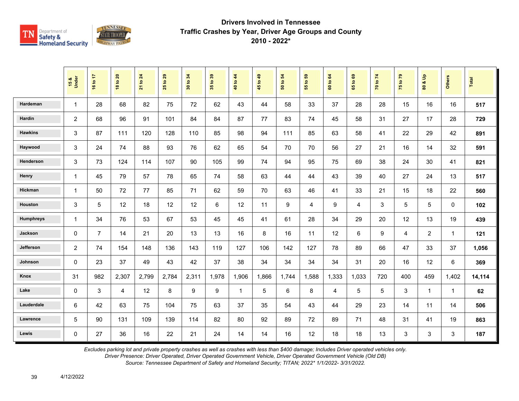

|                  | 15 &<br>Under  | 16 to 17       | <b>18 to 20</b> | 21 to 24 | 29<br>$\mathbf{e}$<br>25 | 34<br>30 to | 35 to 39 | 40 to 44     | 45 to 49 | $\mathbf{5}$<br>50 to | G5<br>$\ddot{\mathbf{5}}$<br>$\overline{55}$ | 60 to 64 | ${\tt g}$<br>$\overline{9}$<br>$65^{\circ}$ | 70 to 74 | 75 to 79     | $\frac{9}{2}$<br>οð<br>$\mathbf{S}$ | <b>Others</b> | Total  |
|------------------|----------------|----------------|-----------------|----------|--------------------------|-------------|----------|--------------|----------|-----------------------|----------------------------------------------|----------|---------------------------------------------|----------|--------------|-------------------------------------|---------------|--------|
| Hardeman         | $\mathbf{1}$   | 28             | 68              | 82       | 75                       | 72          | 62       | 43           | 44       | 58                    | 33                                           | 37       | 28                                          | 28       | 15           | 16                                  | 16            | 517    |
| Hardin           | $\overline{c}$ | 68             | 96              | 91       | 101                      | 84          | 84       | 87           | 77       | 83                    | 74                                           | 45       | 58                                          | 31       | 27           | 17                                  | 28            | 729    |
| <b>Hawkins</b>   | 3              | 87             | 111             | 120      | 128                      | 110         | 85       | 98           | 94       | 111                   | 85                                           | 63       | 58                                          | 41       | 22           | 29                                  | 42            | 891    |
| Haywood          | 3              | 24             | 74              | 88       | 93                       | 76          | 62       | 65           | 54       | 70                    | 70                                           | 56       | 27                                          | 21       | 16           | 14                                  | 32            | 591    |
| Henderson        | 3              | 73             | 124             | 114      | 107                      | 90          | 105      | 99           | 74       | 94                    | 95                                           | 75       | 69                                          | 38       | 24           | 30                                  | 41            | 821    |
| Henry            | $\mathbf{1}$   | 45             | 79              | 57       | 78                       | 65          | 74       | 58           | 63       | 44                    | 44                                           | 43       | 39                                          | 40       | 27           | 24                                  | 13            | 517    |
| Hickman          | $\mathbf{1}$   | 50             | 72              | 77       | 85                       | 71          | 62       | 59           | 70       | 63                    | 46                                           | 41       | 33                                          | 21       | 15           | 18                                  | 22            | 560    |
| Houston          | 3              | 5              | 12              | 18       | 12                       | 12          | 6        | 12           | 11       | 9                     | 4                                            | 9        | $\overline{4}$                              | 3        | 5            | 5                                   | $\mathbf{0}$  | 102    |
| <b>Humphreys</b> | $\mathbf{1}$   | 34             | 76              | 53       | 67                       | 53          | 45       | 45           | 41       | 61                    | 28                                           | 34       | 29                                          | 20       | 12           | 13                                  | 19            | 439    |
| Jackson          | $\Omega$       | $\overline{7}$ | 14              | 21       | 20                       | 13          | 13       | 16           | 8        | 16                    | 11                                           | 12       | 6                                           | 9        | 4            | $\overline{2}$                      | 1             | 121    |
| Jefferson        | $\overline{c}$ | 74             | 154             | 148      | 136                      | 143         | 119      | 127          | 106      | 142                   | 127                                          | 78       | 89                                          | 66       | 47           | 33                                  | 37            | 1,056  |
| Johnson          | $\mathbf 0$    | 23             | 37              | 49       | 43                       | 42          | 37       | 38           | 34       | 34                    | 34                                           | 34       | 31                                          | 20       | 16           | 12                                  | 6             | 369    |
| Knox             | 31             | 982            | 2,307           | 2,799    | 2,784                    | 2,311       | 1,978    | 1,906        | 1,866    | 1,744                 | 1,588                                        | 1,333    | 1,033                                       | 720      | 400          | 459                                 | 1,402         | 14,114 |
| Lake             | $\mathbf 0$    | 3              | $\overline{4}$  | 12       | 8                        | 9           | 9        | $\mathbf{1}$ | 5        | 6                     | 8                                            | 4        | 5                                           | 5        | 3            | $\mathbf{1}$                        | $\mathbf{1}$  | 62     |
| Lauderdale       | 6              | 42             | 63              | 75       | 104                      | 75          | 63       | 37           | 35       | 54                    | 43                                           | 44       | 29                                          | 23       | 14           | 11                                  | 14            | 506    |
| Lawrence         | 5              | 90             | 131             | 109      | 139                      | 114         | 82       | 80           | 92       | 89                    | 72                                           | 89       | 71                                          | 48       | 31           | 41                                  | 19            | 863    |
| Lewis            | $\Omega$       | 27             | 36              | 16       | 22                       | 21          | 24       | 14           | 14       | 16                    | 12                                           | 18       | 18                                          | 13       | $\mathbf{3}$ | $\mathbf{3}$                        | 3             | 187    |

*Excludes parking lot and private property crashes as well as crashes with less than \$400 damage; Includes Driver operated vehicles only.*

*Driver Presence: Driver Operated, Driver Operated Government Vehicle, Driver Operated Government Vehicle (Old DB)*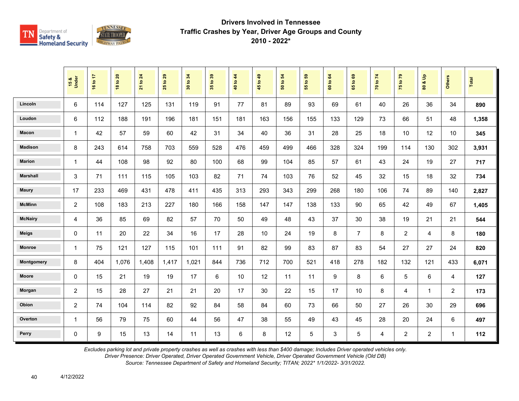

|                 | 15 &<br>Under  | 16 to 17 | <b>18 to 20</b> | to 24<br>$\overline{21}$ | $t$ o 29<br>25 | 34<br>$\mathbf{S}$<br>$30\,$ | 35 to 39 | to 44<br>$\frac{1}{4}$ | 45 to 49 | $\mathbf{5}$<br>50 to | $t_0$ 59<br>15 | to 64<br>$\tt G$ | $t_0$ 69<br>65 | 70 to 74 | 75 to 79       | $\frac{9}{2}$<br>οð<br>80 | Others       | Total |
|-----------------|----------------|----------|-----------------|--------------------------|----------------|------------------------------|----------|------------------------|----------|-----------------------|----------------|------------------|----------------|----------|----------------|---------------------------|--------------|-------|
| Lincoln         | 6              | 114      | 127             | 125                      | 131            | 119                          | 91       | 77                     | 81       | 89                    | 93             | 69               | 61             | 40       | 26             | 36                        | 34           | 890   |
| Loudon          | 6              | 112      | 188             | 191                      | 196            | 181                          | 151      | 181                    | 163      | 156                   | 155            | 133              | 129            | 73       | 66             | 51                        | 48           | 1,358 |
| Macon           | $\mathbf{1}$   | 42       | 57              | 59                       | 60             | 42                           | 31       | 34                     | 40       | 36                    | 31             | 28               | 25             | 18       | 10             | 12                        | 10           | 345   |
| <b>Madison</b>  | 8              | 243      | 614             | 758                      | 703            | 559                          | 528      | 476                    | 459      | 499                   | 466            | 328              | 324            | 199      | 114            | 130                       | 302          | 3,931 |
| <b>Marion</b>   | $\mathbf{1}$   | 44       | 108             | 98                       | 92             | 80                           | 100      | 68                     | 99       | 104                   | 85             | 57               | 61             | 43       | 24             | 19                        | 27           | 717   |
| <b>Marshall</b> | 3              | 71       | 111             | 115                      | 105            | 103                          | 82       | 71                     | 74       | 103                   | 76             | 52               | 45             | 32       | 15             | 18                        | 32           | 734   |
| <b>Maury</b>    | 17             | 233      | 469             | 431                      | 478            | 411                          | 435      | 313                    | 293      | 343                   | 299            | 268              | 180            | 106      | 74             | 89                        | 140          | 2,827 |
| <b>McMinn</b>   | $\overline{2}$ | 108      | 183             | 213                      | 227            | 180                          | 166      | 158                    | 147      | 147                   | 138            | 133              | 90             | 65       | 42             | 49                        | 67           | 1,405 |
| <b>McNairy</b>  | 4              | 36       | 85              | 69                       | 82             | 57                           | 70       | 50                     | 49       | 48                    | 43             | 37               | 30             | 38       | 19             | 21                        | 21           | 544   |
| <b>Meigs</b>    | $\Omega$       | 11       | 20              | 22                       | 34             | 16                           | 17       | 28                     | 10       | 24                    | 19             | 8                | $\overline{7}$ | 8        | 2              | 4                         | 8            | 180   |
| <b>Monroe</b>   | 1              | 75       | 121             | 127                      | 115            | 101                          | 111      | 91                     | 82       | 99                    | 83             | 87               | 83             | 54       | 27             | 27                        | 24           | 820   |
| Montgomery      | 8              | 404      | 1,076           | 1,408                    | 1,417          | 1,021                        | 844      | 736                    | 712      | 700                   | 521            | 418              | 278            | 182      | 132            | 121                       | 433          | 6,071 |
| Moore           | 0              | 15       | 21              | 19                       | 19             | 17                           | 6        | 10                     | 12       | 11                    | 11             | 9                | 8              | 6        | 5              | 6                         | 4            | 127   |
| Morgan          | 2              | 15       | 28              | 27                       | 21             | 21                           | 20       | 17                     | 30       | 22                    | 15             | 17               | 10             | 8        | 4              | $\mathbf{1}$              | 2            | 173   |
| Obion           | $\overline{c}$ | 74       | 104             | 114                      | 82             | 92                           | 84       | 58                     | 84       | 60                    | 73             | 66               | 50             | 27       | 26             | 30                        | 29           | 696   |
| Overton         | $\mathbf{1}$   | 56       | 79              | 75                       | 60             | 44                           | 56       | 47                     | 38       | 55                    | 49             | 43               | 45             | 28       | 20             | 24                        | 6            | 497   |
| Perry           | 0              | 9        | 15              | 13                       | 14             | 11                           | 13       | 6                      | 8        | 12                    | 5              | 3                | 5              | 4        | $\overline{2}$ | $\overline{2}$            | $\mathbf{1}$ | 112   |

*Excludes parking lot and private property crashes as well as crashes with less than \$400 damage; Includes Driver operated vehicles only.*

*Driver Presence: Driver Operated, Driver Operated Government Vehicle, Driver Operated Government Vehicle (Old DB)*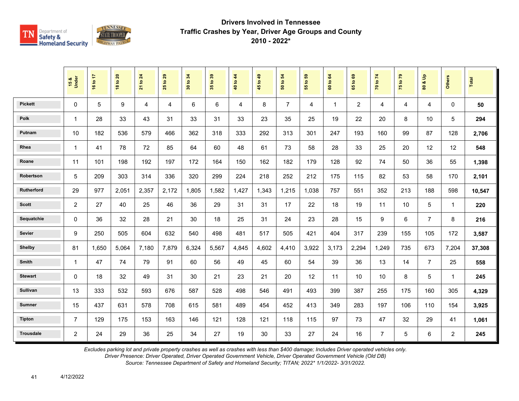

|                  | 15 &<br>Under  | 16 to 17 | <b>18 to 20</b> | 21 to 24 | 29<br>$\overline{\mathbf{c}}$<br>25 | 34<br>30 to | 35 to 39 | 40 to 44 | 45 to 49 | 54<br>50 to    | 55 to 59 | 64<br>60 to  | $\mathbf{69}$<br>65 to | 70 to 74       | 75 to 79       | å<br>οð<br>$\overline{\mathbf{3}}$ | <b>Others</b>  | <b>Total</b> |
|------------------|----------------|----------|-----------------|----------|-------------------------------------|-------------|----------|----------|----------|----------------|----------|--------------|------------------------|----------------|----------------|------------------------------------|----------------|--------------|
| <b>Pickett</b>   | $\mathbf{0}$   | 5        | 9               | 4        | 4                                   | 6           | 6        | 4        | 8        | $\overline{7}$ | 4        | $\mathbf{1}$ | $\overline{2}$         | 4              | $\overline{4}$ | 4                                  | $\Omega$       | 50           |
| <b>Polk</b>      | 1              | 28       | 33              | 43       | 31                                  | 33          | 31       | 33       | 23       | 35             | 25       | 19           | 22                     | 20             | 8              | 10                                 | 5              | 294          |
| Putnam           | 10             | 182      | 536             | 579      | 466                                 | 362         | 318      | 333      | 292      | 313            | 301      | 247          | 193                    | 160            | 99             | 87                                 | 128            | 2,706        |
| Rhea             | $\mathbf{1}$   | 41       | 78              | 72       | 85                                  | 64          | 60       | 48       | 61       | 73             | 58       | 28           | 33                     | 25             | 20             | 12                                 | 12             | 548          |
| Roane            | 11             | 101      | 198             | 192      | 197                                 | 172         | 164      | 150      | 162      | 182            | 179      | 128          | 92                     | 74             | 50             | 36                                 | 55             | 1,398        |
| Robertson        | 5              | 209      | 303             | 314      | 336                                 | 320         | 299      | 224      | 218      | 252            | 212      | 175          | 115                    | 82             | 53             | 58                                 | 170            | 2,101        |
| Rutherford       | 29             | 977      | 2,051           | 2,357    | 2,172                               | 1.805       | 1,582    | 1.427    | 1,343    | 1,215          | 1,038    | 757          | 551                    | 352            | 213            | 188                                | 598            | 10,547       |
| <b>Scott</b>     | $\overline{c}$ | 27       | 40              | 25       | 46                                  | 36          | 29       | 31       | 31       | 17             | 22       | 18           | 19                     | 11             | 10             | 5                                  | $\mathbf{1}$   | 220          |
| Sequatchie       | 0              | 36       | 32              | 28       | 21                                  | 30          | 18       | 25       | 31       | 24             | 23       | 28           | 15                     | 9              | 6              | $\overline{7}$                     | 8              | 216          |
| Sevier           | 9              | 250      | 505             | 604      | 632                                 | 540         | 498      | 481      | 517      | 505            | 421      | 404          | 317                    | 239            | 155            | 105                                | 172            | 3,587        |
| <b>Shelby</b>    | 81             | 1,650    | 5,064           | 7,180    | 7,879                               | 6,324       | 5,567    | 4,845    | 4,602    | 4,410          | 3,922    | 3,173        | 2,294                  | 1,249          | 735            | 673                                | 7,204          | 37,308       |
| Smith            | 1              | 47       | 74              | 79       | 91                                  | 60          | 56       | 49       | 45       | 60             | 54       | 39           | 36                     | 13             | 14             | $\overline{7}$                     | 25             | 558          |
| <b>Stewart</b>   | 0              | 18       | 32              | 49       | 31                                  | 30          | 21       | 23       | 21       | 20             | 12       | 11           | 10                     | 10             | 8              | 5                                  | $\mathbf{1}$   | 245          |
| Sullivan         | 13             | 333      | 532             | 593      | 676                                 | 587         | 528      | 498      | 546      | 491            | 493      | 399          | 387                    | 255            | 175            | 160                                | 305            | 4,329        |
| <b>Sumner</b>    | 15             | 437      | 631             | 578      | 708                                 | 615         | 581      | 489      | 454      | 452            | 413      | 349          | 283                    | 197            | 106            | 110                                | 154            | 3,925        |
| <b>Tipton</b>    | $\overline{7}$ | 129      | 175             | 153      | 163                                 | 146         | 121      | 128      | 121      | 118            | 115      | 97           | 73                     | 47             | 32             | 29                                 | 41             | 1,061        |
| <b>Trousdale</b> | $\overline{2}$ | 24       | 29              | 36       | 25                                  | 34          | 27       | 19       | 30       | 33             | 27       | 24           | 16                     | $\overline{7}$ | 5              | 6                                  | $\overline{a}$ | 245          |

*Excludes parking lot and private property crashes as well as crashes with less than \$400 damage; Includes Driver operated vehicles only.*

*Driver Presence: Driver Operated, Driver Operated Government Vehicle, Driver Operated Government Vehicle (Old DB)*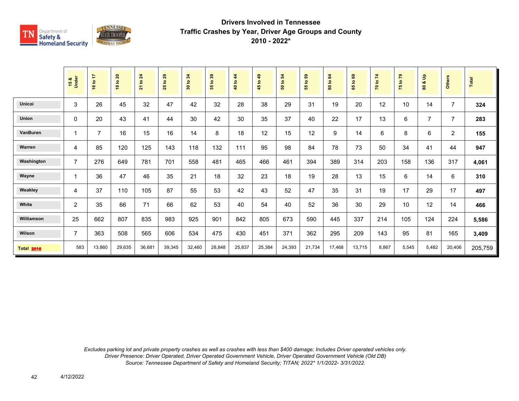

|                   | 15 &<br>Under  | 16 to 17       | 18 to 20 | 21 to 24 | 29<br>$\mathbf{S}$<br>25 | 30 to 34 | 35 to 39 | $4\overline{4}$<br>40 to | 49<br>45 to | 50 to 54 | <b>e</b><br>$\mathbf{c}$<br>55 | 64<br>$\mathtt{S}$<br>$\ddot{\mathbf{s}}$ | ${\tt s}$<br>$\overline{a}$<br>59 | 70 to 74 | 75 to 79 | $\frac{9}{2}$<br>ಯ<br>$\tt{S}$ | Others         | Total   |
|-------------------|----------------|----------------|----------|----------|--------------------------|----------|----------|--------------------------|-------------|----------|--------------------------------|-------------------------------------------|-----------------------------------|----------|----------|--------------------------------|----------------|---------|
| <b>Unicoi</b>     | 3              | 26             | 45       | 32       | 47                       | 42       | 32       | 28                       | 38          | 29       | 31                             | 19                                        | 20                                | 12       | 10       | 14                             | $\overline{7}$ | 324     |
| <b>Union</b>      | 0              | 20             | 43       | 41       | 44                       | 30       | 42       | 30                       | 35          | 37       | 40                             | 22                                        | 17                                | 13       | 6        | $\overline{7}$                 | $\overline{7}$ | 283     |
| <b>VanBuren</b>   | $\mathbf 1$    | $\overline{7}$ | 16       | 15       | 16                       | 14       | 8        | 18                       | 12          | 15       | 12                             | 9                                         | 14                                | 6        | 8        | 6                              | $\overline{2}$ | 155     |
| Warren            | 4              | 85             | 120      | 125      | 143                      | 118      | 132      | 111                      | 95          | 98       | 84                             | 78                                        | 73                                | 50       | 34       | 41                             | 44             | 947     |
| Washington        | $\overline{7}$ | 276            | 649      | 781      | 701                      | 558      | 481      | 465                      | 466         | 461      | 394                            | 389                                       | 314                               | 203      | 158      | 136                            | 317            | 4,061   |
| Wayne             | $\mathbf 1$    | 36             | 47       | 46       | 35                       | 21       | 18       | 32                       | 23          | 18       | 19                             | 28                                        | 13                                | 15       | $\,6\,$  | 14                             | 6              | 310     |
| Weakley           | 4              | 37             | 110      | 105      | 87                       | 55       | 53       | 42                       | 43          | 52       | 47                             | 35                                        | 31                                | 19       | 17       | 29                             | 17             | 497     |
| White             | $\overline{2}$ | 35             | 66       | 71       | 66                       | 62       | 53       | 40                       | 54          | 40       | 52                             | 36                                        | 30                                | 29       | 10       | 12                             | 14             | 466     |
| Williamson        | 25             | 662            | 807      | 835      | 983                      | 925      | 901      | 842                      | 805         | 673      | 590                            | 445                                       | 337                               | 214      | 105      | 124                            | 224            | 5,586   |
| Wilson            | $\overline{7}$ | 363            | 508      | 565      | 606                      | 534      | 475      | 430                      | 451         | 371      | 362                            | 295                                       | 209                               | 143      | 95       | 81                             | 165            | 3,409   |
| <b>Total 2016</b> | 583            | 13,860         | 29,635   | 36,681   | 39,345                   | 32,460   | 28,848   | 25,837                   | 25,384      | 24,393   | 21,734                         | 17,468                                    | 13,715                            | 8,867    | 5,545    | 5,482                          | 20,406         | 205,759 |

*Excludes parking lot and private property crashes as well as crashes with less than \$400 damage; Includes Driver operated vehicles only. Driver Presence: Driver Operated, Driver Operated Government Vehicle, Driver Operated Government Vehicle (Old DB) Source: Tennessee Department of Safety and Homeland Security; TITAN; 2022\* 1/1/2022- 3/31/2022.*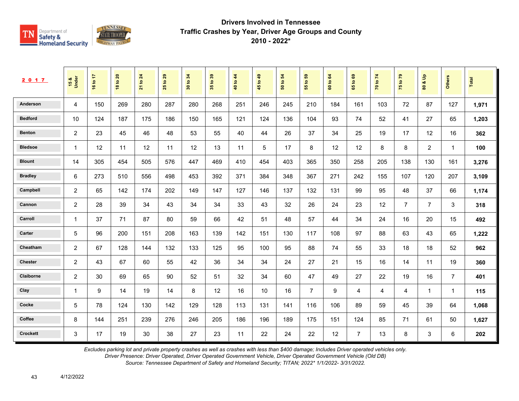

| 2017            | 15 &<br>Under           | ÷<br>16 to | $\mathbf{20}$<br>18 to | 24<br>$\tt{S}$<br>$\overline{21}$ | 29<br>$\mathbf{S}$<br>25 | 34<br>$\mathbf{e}$<br>$\boldsymbol{30}$ | $39$<br>35 <sub>to</sub> | 44<br>$\tt{S}$<br>$\overline{\mathbf{a}}$ | 49<br>45 to | 54<br>$\mathfrak{S}$<br>${\tt s}$ | 59<br>$\mathbf{e}$<br>55 | 64<br>60 to | ශී<br>$\mathbf{e}$<br>59 | 74<br>70 to | 79<br>75 to    | $\frac{9}{2}$<br>οð<br>$\pmb{\mathbb{S}}$ | Others         | <b>Total</b> |
|-----------------|-------------------------|------------|------------------------|-----------------------------------|--------------------------|-----------------------------------------|--------------------------|-------------------------------------------|-------------|-----------------------------------|--------------------------|-------------|--------------------------|-------------|----------------|-------------------------------------------|----------------|--------------|
| Anderson        | 4                       | 150        | 269                    | 280                               | 287                      | 280                                     | 268                      | 251                                       | 246         | 245                               | 210                      | 184         | 161                      | 103         | 72             | 87                                        | 127            | 1,971        |
| <b>Bedford</b>  | 10                      | 124        | 187                    | 175                               | 186                      | 150                                     | 165                      | 121                                       | 124         | 136                               | 104                      | 93          | 74                       | 52          | 41             | 27                                        | 65             | 1,203        |
| <b>Benton</b>   | 2                       | 23         | 45                     | 46                                | 48                       | 53                                      | 55                       | 40                                        | 44          | 26                                | 37                       | 34          | 25                       | 19          | 17             | 12                                        | 16             | 362          |
| <b>Bledsoe</b>  | $\overline{\mathbf{1}}$ | 12         | 11                     | 12                                | 11                       | 12                                      | 13                       | 11                                        | 5           | 17                                | 8                        | 12          | 12                       | 8           | 8              | $\overline{2}$                            | $\overline{1}$ | 100          |
| <b>Blount</b>   | 14                      | 305        | 454                    | 505                               | 576                      | 447                                     | 469                      | 410                                       | 454         | 403                               | 365                      | 350         | 258                      | 205         | 138            | 130                                       | 161            | 3,276        |
| <b>Bradley</b>  | 6                       | 273        | 510                    | 556                               | 498                      | 453                                     | 392                      | 371                                       | 384         | 348                               | 367                      | 271         | 242                      | 155         | 107            | 120                                       | 207            | 3,109        |
| Campbell        | $\overline{2}$          | 65         | 142                    | 174                               | 202                      | 149                                     | 147                      | 127                                       | 146         | 137                               | 132                      | 131         | 99                       | 95          | 48             | 37                                        | 66             | 1,174        |
| Cannon          | $\overline{2}$          | 28         | 39                     | 34                                | 43                       | 34                                      | 34                       | 33                                        | 43          | 32                                | 26                       | 24          | 23                       | 12          | $\overline{7}$ | $\overline{7}$                            | 3              | 318          |
| Carroll         | $\overline{1}$          | 37         | 71                     | 87                                | 80                       | 59                                      | 66                       | 42                                        | 51          | 48                                | 57                       | 44          | 34                       | 24          | 16             | 20                                        | 15             | 492          |
| Carter          | 5                       | 96         | 200                    | 151                               | 208                      | 163                                     | 139                      | 142                                       | 151         | 130                               | 117                      | 108         | 97                       | 88          | 63             | 43                                        | 65             | 1,222        |
| Cheatham        | 2                       | 67         | 128                    | 144                               | 132                      | 133                                     | 125                      | 95                                        | 100         | 95                                | 88                       | 74          | 55                       | 33          | 18             | 18                                        | 52             | 962          |
| <b>Chester</b>  | $\overline{c}$          | 43         | 67                     | 60                                | 55                       | 42                                      | 36                       | 34                                        | 34          | 24                                | 27                       | 21          | 15                       | 16          | 14             | 11                                        | 19             | 360          |
| Claiborne       | 2                       | 30         | 69                     | 65                                | 90                       | 52                                      | 51                       | 32                                        | 34          | 60                                | 47                       | 49          | 27                       | 22          | 19             | 16                                        | $\overline{7}$ | 401          |
| Clay            | -1                      | 9          | 14                     | 19                                | 14                       | 8                                       | 12                       | 16                                        | 10          | 16                                | $\overline{7}$           | 9           | 4                        | 4           | 4              | 1                                         | -1             | 115          |
| Cocke           | 5                       | 78         | 124                    | 130                               | 142                      | 129                                     | 128                      | 113                                       | 131         | 141                               | 116                      | 106         | 89                       | 59          | 45             | 39                                        | 64             | 1,068        |
| Coffee          | 8                       | 144        | 251                    | 239                               | 276                      | 246                                     | 205                      | 186                                       | 196         | 189                               | 175                      | 151         | 124                      | 85          | 71             | 61                                        | 50             | 1,627        |
| <b>Crockett</b> | 3                       | 17         | 19                     | 30                                | 38                       | 27                                      | 23                       | 11                                        | 22          | 24                                | 22                       | 12          | $\overline{7}$           | 13          | 8              | 3                                         | 6              | 202          |

*Excludes parking lot and private property crashes as well as crashes with less than \$400 damage; Includes Driver operated vehicles only.*

*Driver Presence: Driver Operated, Driver Operated Government Vehicle, Driver Operated Government Vehicle (Old DB)*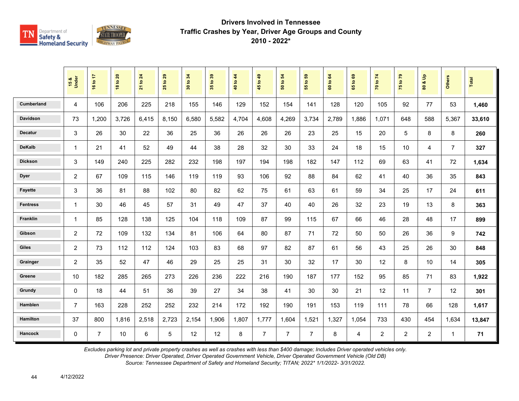

|                   | 15 &<br>Under  | 16 to 17       | 18 to 20 | 21 to 24 | 29<br>$\mathbf{S}$<br>25 | 34<br>$\mathbf{S}$<br>$\overline{\mathbf{30}}$ | 35 to 39 | to $44$<br>$\frac{40}{3}$ | 45 to 49       | 50 to 54       | 3<br>$\mathbf{e}$<br>15 | 64<br>$\mathbf{S}$<br><b>GO</b> | 65 to 69 | 70 to 74       | 75 to 79       | $\frac{a}{b}$<br>ಹ<br>$\tt{S}$ | Others         | Total  |
|-------------------|----------------|----------------|----------|----------|--------------------------|------------------------------------------------|----------|---------------------------|----------------|----------------|-------------------------|---------------------------------|----------|----------------|----------------|--------------------------------|----------------|--------|
| <b>Cumberland</b> | 4              | 106            | 206      | 225      | 218                      | 155                                            | 146      | 129                       | 152            | 154            | 141                     | 128                             | 120      | 105            | 92             | 77                             | 53             | 1,460  |
| <b>Davidson</b>   | 73             | 1,200          | 3,726    | 6,415    | 8,150                    | 6,580                                          | 5,582    | 4,704                     | 4,608          | 4,269          | 3,734                   | 2,789                           | 1,886    | 1,071          | 648            | 588                            | 5,367          | 33,610 |
| <b>Decatur</b>    | 3              | 26             | 30       | 22       | 36                       | 25                                             | 36       | 26                        | 26             | 26             | 23                      | 25                              | 15       | 20             | 5              | 8                              | 8              | 260    |
| <b>DeKalb</b>     | $\mathbf{1}$   | 21             | 41       | 52       | 49                       | 44                                             | 38       | 28                        | 32             | 30             | 33                      | 24                              | 18       | 15             | 10             | 4                              | $\overline{7}$ | 327    |
| <b>Dickson</b>    | 3              | 149            | 240      | 225      | 282                      | 232                                            | 198      | 197                       | 194            | 198            | 182                     | 147                             | 112      | 69             | 63             | 41                             | 72             | 1,634  |
| <b>Dyer</b>       | $\overline{c}$ | 67             | 109      | 115      | 146                      | 119                                            | 119      | 93                        | 106            | 92             | 88                      | 84                              | 62       | 41             | 40             | 36                             | 35             | 843    |
| <b>Fayette</b>    | 3              | 36             | 81       | 88       | 102                      | 80                                             | 82       | 62                        | 75             | 61             | 63                      | 61                              | 59       | 34             | 25             | 17                             | 24             | 611    |
| <b>Fentress</b>   | $\mathbf{1}$   | 30             | 46       | 45       | 57                       | 31                                             | 49       | 47                        | 37             | 40             | 40                      | 26                              | 32       | 23             | 19             | 13                             | 8              | 363    |
| Franklin          | $\mathbf{1}$   | 85             | 128      | 138      | 125                      | 104                                            | 118      | 109                       | 87             | 99             | 115                     | 67                              | 66       | 46             | 28             | 48                             | 17             | 899    |
| Gibson            | 2              | 72             | 109      | 132      | 134                      | 81                                             | 106      | 64                        | 80             | 87             | 71                      | 72                              | 50       | 50             | 26             | 36                             | 9              | 742    |
| <b>Giles</b>      | 2              | 73             | 112      | 112      | 124                      | 103                                            | 83       | 68                        | 97             | 82             | 87                      | 61                              | 56       | 43             | 25             | 26                             | 30             | 848    |
| Grainger          | $\overline{2}$ | 35             | 52       | 47       | 46                       | 29                                             | 25       | 25                        | 31             | 30             | 32                      | 17                              | 30       | 12             | 8              | 10                             | 14             | 305    |
| Greene            | 10             | 182            | 285      | 265      | 273                      | 226                                            | 236      | 222                       | 216            | 190            | 187                     | 177                             | 152      | 95             | 85             | 71                             | 83             | 1,922  |
| Grundy            | $\mathbf 0$    | 18             | 44       | 51       | 36                       | 39                                             | 27       | 34                        | 38             | 41             | 30                      | 30                              | 21       | 12             | 11             | $\overline{7}$                 | 12             | 301    |
| <b>Hamblen</b>    | $\overline{7}$ | 163            | 228      | 252      | 252                      | 232                                            | 214      | 172                       | 192            | 190            | 191                     | 153                             | 119      | 111            | 78             | 66                             | 128            | 1,617  |
| <b>Hamilton</b>   | 37             | 800            | 1,816    | 2,518    | 2,723                    | 2,154                                          | 1,906    | 1,807                     | 1,777          | 1,604          | 1,521                   | 1,327                           | 1,054    | 733            | 430            | 454                            | 1,634          | 13,847 |
| <b>Hancock</b>    | $\mathbf 0$    | $\overline{7}$ | 10       | 6        | 5                        | 12                                             | 12       | 8                         | $\overline{7}$ | $\overline{7}$ | $\overline{7}$          | 8                               | 4        | $\overline{2}$ | $\overline{2}$ | $\overline{2}$                 | $\mathbf{1}$   | 71     |

*Excludes parking lot and private property crashes as well as crashes with less than \$400 damage; Includes Driver operated vehicles only.*

*Driver Presence: Driver Operated, Driver Operated Government Vehicle, Driver Operated Government Vehicle (Old DB)*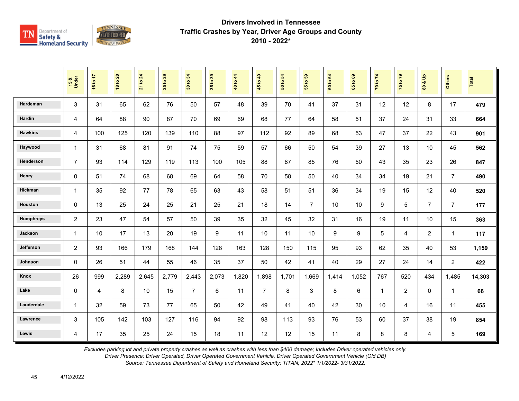

|                  | 15 &<br>Under  | 16 to 17       | <b>18 to 20</b> | to 24<br>$\overline{21}$ | 29<br>$\overline{\mathbf{S}}$<br>25 | 34<br>$\mathbf{S}$<br>$30\,$ | 35 to 39 | 40 to 44 | $6b$ of<br>45  | $\mathbf{5}$<br>$\mathbf{S}$<br>$\overline{5}$ | G5<br>$\overline{\mathbf{e}}$<br>55 | to 64<br>$\tt G$ | $t_0$ 69<br>65 | 70 to 74 | 75 to 79       | $\frac{9}{2}$<br>ಯ<br>$\mathbf{S}$ | <b>Others</b>  | Total  |
|------------------|----------------|----------------|-----------------|--------------------------|-------------------------------------|------------------------------|----------|----------|----------------|------------------------------------------------|-------------------------------------|------------------|----------------|----------|----------------|------------------------------------|----------------|--------|
| Hardeman         | 3              | 31             | 65              | 62                       | 76                                  | 50                           | 57       | 48       | 39             | 70                                             | 41                                  | 37               | 31             | 12       | 12             | 8                                  | 17             | 479    |
| Hardin           | 4              | 64             | 88              | 90                       | 87                                  | 70                           | 69       | 69       | 68             | 77                                             | 64                                  | 58               | 51             | 37       | 24             | 31                                 | 33             | 664    |
| <b>Hawkins</b>   | 4              | 100            | 125             | 120                      | 139                                 | 110                          | 88       | 97       | 112            | 92                                             | 89                                  | 68               | 53             | 47       | 37             | 22                                 | 43             | 901    |
| Haywood          | $\mathbf{1}$   | 31             | 68              | 81                       | 91                                  | 74                           | 75       | 59       | 57             | 66                                             | 50                                  | 54               | 39             | 27       | 13             | 10                                 | 45             | 562    |
| <b>Henderson</b> | $\overline{7}$ | 93             | 114             | 129                      | 119                                 | 113                          | 100      | 105      | 88             | 87                                             | 85                                  | 76               | 50             | 43       | 35             | 23                                 | 26             | 847    |
| Henry            | $\mathbf 0$    | 51             | 74              | 68                       | 68                                  | 69                           | 64       | 58       | 70             | 58                                             | 50                                  | 40               | 34             | 34       | 19             | 21                                 | $\overline{7}$ | 490    |
| Hickman          | $\mathbf{1}$   | 35             | 92              | 77                       | 78                                  | 65                           | 63       | 43       | 58             | 51                                             | 51                                  | 36               | 34             | 19       | 15             | 12                                 | 40             | 520    |
| Houston          | $\Omega$       | 13             | 25              | 24                       | 25                                  | 21                           | 25       | 21       | 18             | 14                                             | $\overline{7}$                      | 10               | 10             | 9        | 5              | $\overline{7}$                     | $\overline{7}$ | 177    |
| Humphreys        | $\overline{c}$ | 23             | 47              | 54                       | 57                                  | 50                           | 39       | 35       | 32             | 45                                             | 32                                  | 31               | 16             | 19       | 11             | 10                                 | 15             | 363    |
| Jackson          | $\mathbf{1}$   | 10             | 17              | 13                       | 20                                  | 19                           | 9        | 11       | 10             | 11                                             | 10                                  | 9                | 9              | 5        | 4              | $\overline{2}$                     | 1              | 117    |
| Jefferson        | 2              | 93             | 166             | 179                      | 168                                 | 144                          | 128      | 163      | 128            | 150                                            | 115                                 | 95               | 93             | 62       | 35             | 40                                 | 53             | 1,159  |
| Johnson          | $\Omega$       | 26             | 51              | 44                       | 55                                  | 46                           | 35       | 37       | 50             | 42                                             | 41                                  | 40               | 29             | 27       | 24             | 14                                 | $\overline{2}$ | 422    |
| Knox             | 26             | 999            | 2,289           | 2,645                    | 2,779                               | 2,443                        | 2,073    | 1,820    | 1,898          | 1,701                                          | 1,669                               | 1,414            | 1,052          | 767      | 520            | 434                                | 1,485          | 14,303 |
| Lake             | $\mathbf 0$    | $\overline{4}$ | 8               | 10                       | 15                                  | $\overline{7}$               | 6        | 11       | $\overline{7}$ | 8                                              | 3                                   | 8                | 6              | 1        | $\overline{2}$ | $\mathbf 0$                        | $\mathbf{1}$   | 66     |
| Lauderdale       | $\mathbf{1}$   | 32             | 59              | 73                       | 77                                  | 65                           | 50       | 42       | 49             | 41                                             | 40                                  | 42               | 30             | 10       | 4              | 16                                 | 11             | 455    |
| Lawrence         | 3              | 105            | 142             | 103                      | 127                                 | 116                          | 94       | 92       | 98             | 113                                            | 93                                  | 76               | 53             | 60       | 37             | 38                                 | 19             | 854    |
| Lewis            | 4              | 17             | 35              | 25                       | 24                                  | 15                           | 18       | 11       | 12             | 12                                             | 15                                  | 11               | 8              | 8        | 8              | $\overline{4}$                     | 5              | 169    |

*Excludes parking lot and private property crashes as well as crashes with less than \$400 damage; Includes Driver operated vehicles only.*

*Driver Presence: Driver Operated, Driver Operated Government Vehicle, Driver Operated Government Vehicle (Old DB)*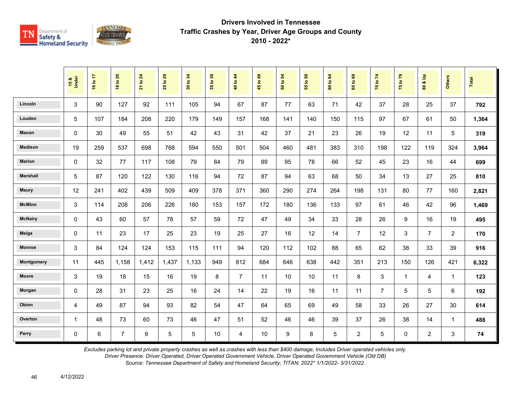

|                 | 15 &<br>Under | 16 to 17 | <b>18 to 20</b> | 21 to 24         | to 29<br>25 | 34<br>$\mathbf{S}$<br>$\overline{30}$ | 35 to 39 | 40 to 44       | 45 to 49 | $\overline{5}$<br>50 to | $t_0$ 59<br>$\overline{5}$ | 60 to 64 | 1069<br>$65^{\circ}$ | 70 to 74       | 75 to 79       | $\mathbf{e}$<br>οð<br>80 | <b>Others</b>  | Total |
|-----------------|---------------|----------|-----------------|------------------|-------------|---------------------------------------|----------|----------------|----------|-------------------------|----------------------------|----------|----------------------|----------------|----------------|--------------------------|----------------|-------|
| Lincoln         | 3             | 90       | 127             | 92               | 111         | 105                                   | 94       | 67             | 87       | 77                      | 63                         | 71       | 42                   | 37             | 28             | 25                       | 37             | 792   |
| Loudon          | 5             | 107      | 184             | 208              | 220         | 179                                   | 149      | 157            | 168      | 141                     | 140                        | 150      | 115                  | 97             | 67             | 61                       | 50             | 1,364 |
| <b>Macon</b>    | 0             | 30       | 49              | 55               | 51          | 42                                    | 43       | 31             | 42       | 37                      | 21                         | 23       | 26                   | 19             | 12             | 11                       | 5              | 319   |
| <b>Madison</b>  | 19            | 259      | 537             | 698              | 768         | 594                                   | 550      | 501            | 504      | 460                     | 481                        | 383      | 310                  | 198            | 122            | 119                      | 324            | 3,964 |
| <b>Marion</b>   | 0             | 32       | 77              | 117              | 108         | 79                                    | 84       | 79             | 89       | 95                      | 78                         | 66       | 52                   | 45             | 23             | 16                       | 44             | 699   |
| <b>Marshall</b> | 5             | 87       | 120             | 122              | 130         | 116                                   | 94       | 72             | 87       | 94                      | 63                         | 68       | 50                   | 34             | 13             | 27                       | 25             | 810   |
| <b>Maury</b>    | 12            | 241      | 402             | 439              | 509         | 409                                   | 378      | 371            | 360      | 290                     | 274                        | 264      | 198                  | 131            | 80             | 77                       | 160            | 2,821 |
| <b>McMinn</b>   | 3             | 114      | 208             | 206              | 226         | 180                                   | 153      | 157            | 172      | 180                     | 136                        | 133      | 97                   | 61             | 46             | 42                       | 96             | 1,469 |
| <b>McNairy</b>  | $\mathbf 0$   | 43       | 60              | 57               | 78          | 57                                    | 59       | 72             | 47       | 49                      | 34                         | 33       | 28                   | 26             | 9              | 16                       | 19             | 495   |
| <b>Meigs</b>    | 0             | 11       | 23              | 17               | 25          | 23                                    | 19       | 25             | 27       | 16                      | 12                         | 14       | $\overline{7}$       | 12             | 3              | $\overline{7}$           | $\overline{2}$ | 170   |
| <b>Monroe</b>   | 3             | 84       | 124             | 124              | 153         | 115                                   | 111      | 94             | 120      | 112                     | 102                        | 88       | 65                   | 62             | 38             | 33                       | 39             | 916   |
| Montgomery      | 11            | 445      | 1,158           | 1,412            | 1,437       | 1,133                                 | 949      | 812            | 684      | 646                     | 638                        | 442      | 351                  | 213            | 150            | 126                      | 421            | 6,322 |
| <b>Moore</b>    | 3             | 19       | 18              | 15               | 16          | 19                                    | 8        | $\overline{7}$ | 11       | 10                      | 10                         | 11       | 8                    | 3              | $\overline{1}$ | 4                        | $\mathbf{1}$   | 123   |
| Morgan          | 0             | 28       | 31              | 23               | 25          | 16                                    | 24       | 14             | 22       | 19                      | 16                         | 11       | 11                   | $\overline{7}$ | 5              | 5                        | 6              | 192   |
| Obion           | 4             | 49       | 87              | 94               | 93          | 82                                    | 54       | 47             | 64       | 65                      | 69                         | 49       | 58                   | 33             | 26             | 27                       | 30             | 614   |
| Overton         | $\mathbf{1}$  | 48       | 73              | 60               | 73          | 46                                    | 47       | 51             | 52       | 46                      | 46                         | 39       | 37                   | 26             | 38             | 14                       | $\mathbf{1}$   | 488   |
| Perry           | 0             | 6        | $\overline{7}$  | $\boldsymbol{9}$ | 5           | 5                                     | 10       | 4              | 10       | 9                       | 8                          | 5        | $\overline{2}$       | 5              | $\mathbf 0$    | $\overline{2}$           | 3              | 74    |

*Excludes parking lot and private property crashes as well as crashes with less than \$400 damage; Includes Driver operated vehicles only.*

*Driver Presence: Driver Operated, Driver Operated Government Vehicle, Driver Operated Government Vehicle (Old DB)*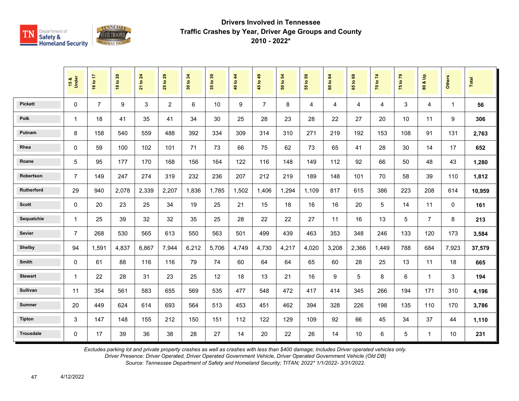

|                  | 15 &<br>Under  | 16 to 17       | <b>18 to 20</b> | 21 to 24 | 29<br>$\mathbf{e}$<br>25 | 34<br>30 to | 35 to 39 | 40 to 44 | 45 to 49       | $\mathbf{5}$<br>50 to | G5<br>$\ddot{\mathbf{5}}$<br>$\overline{55}$ | 60 to 64 | ${\tt g}$<br>$\overline{9}$<br>$65^{\circ}$ | 70 to 74 | 75 to 79 | $\frac{6}{2}$<br>oð<br>$\mathbf{S}$ | <b>Others</b> | Total  |
|------------------|----------------|----------------|-----------------|----------|--------------------------|-------------|----------|----------|----------------|-----------------------|----------------------------------------------|----------|---------------------------------------------|----------|----------|-------------------------------------|---------------|--------|
| <b>Pickett</b>   | $\mathbf 0$    | $\overline{7}$ | 9               | 3        | $\overline{2}$           | 6           | 10       | 9        | $\overline{7}$ | 8                     | 4                                            | 4        | 4                                           | 4        | 3        | $\overline{4}$                      | 1             | 56     |
| Polk             | $\mathbf{1}$   | 18             | 41              | 35       | 41                       | 34          | 30       | 25       | 28             | 23                    | 28                                           | 22       | 27                                          | 20       | 10       | 11                                  | 9             | 306    |
| Putnam           | 8              | 158            | 540             | 559      | 488                      | 392         | 334      | 309      | 314            | 310                   | 271                                          | 219      | 192                                         | 153      | 108      | 91                                  | 131           | 2,763  |
| Rhea             | 0              | 59             | 100             | 102      | 101                      | 71          | 73       | 66       | 75             | 62                    | 73                                           | 65       | 41                                          | 28       | 30       | 14                                  | 17            | 652    |
| Roane            | 5              | 95             | 177             | 170      | 168                      | 156         | 164      | 122      | 116            | 148                   | 149                                          | 112      | 92                                          | 66       | 50       | 48                                  | 43            | 1,280  |
| Robertson        | $\overline{7}$ | 149            | 247             | 274      | 319                      | 232         | 236      | 207      | 212            | 219                   | 189                                          | 148      | 101                                         | 70       | 58       | 39                                  | 110           | 1,812  |
| Rutherford       | 29             | 940            | 2,078           | 2,339    | 2,207                    | 1.836       | 1.785    | 1,502    | 1,406          | 1,294                 | 1.109                                        | 817      | 615                                         | 386      | 223      | 208                                 | 614           | 10,959 |
| <b>Scott</b>     | $\mathbf 0$    | 20             | 23              | 25       | 34                       | 19          | 25       | 21       | 15             | 18                    | 16                                           | 16       | 20                                          | 5        | 14       | 11                                  | $\mathbf 0$   | 161    |
| Sequatchie       | $\mathbf{1}$   | 25             | 39              | 32       | 32                       | 35          | 25       | 28       | 22             | 22                    | 27                                           | 11       | 16                                          | 13       | 5        | $\overline{7}$                      | 8             | 213    |
| Sevier           | $\overline{7}$ | 268            | 530             | 565      | 613                      | 550         | 563      | 501      | 499            | 439                   | 463                                          | 353      | 348                                         | 246      | 133      | 120                                 | 173           | 3,584  |
| Shelby           | 94             | 1,591          | 4.837           | 6.867    | 7,944                    | 6,212       | 5,706    | 4.749    | 4,730          | 4,217                 | 4,020                                        | 3,208    | 2,366                                       | 1.449    | 788      | 684                                 | 7,923         | 37,579 |
| <b>Smith</b>     | $\Omega$       | 61             | 88              | 116      | 116                      | 79          | 74       | 60       | 64             | 64                    | 65                                           | 60       | 28                                          | 25       | 13       | 11                                  | 18            | 665    |
| <b>Stewart</b>   | $\mathbf{1}$   | 22             | 28              | 31       | 23                       | 25          | 12       | 18       | 13             | 21                    | 16                                           | 9        | 5                                           | 8        | 6        | $\mathbf{1}$                        | 3             | 194    |
| Sullivan         | 11             | 354            | 561             | 583      | 655                      | 569         | 535      | 477      | 548            | 472                   | 417                                          | 414      | 345                                         | 266      | 194      | 171                                 | 310           | 4,196  |
| <b>Sumner</b>    | 20             | 449            | 624             | 614      | 693                      | 564         | 513      | 453      | 451            | 462                   | 394                                          | 328      | 226                                         | 198      | 135      | 110                                 | 170           | 3,786  |
| <b>Tipton</b>    | 3              | 147            | 148             | 155      | 212                      | 150         | 151      | 112      | 122            | 129                   | 109                                          | 92       | 66                                          | 45       | 34       | 37                                  | 44            | 1,110  |
| <b>Trousdale</b> | $\mathbf 0$    | 17             | 39              | 36       | 38                       | 28          | 27       | 14       | 20             | 22                    | 26                                           | 14       | 10 <sup>1</sup>                             | 6        | 5        | $\mathbf{1}$                        | 10            | 231    |

*Excludes parking lot and private property crashes as well as crashes with less than \$400 damage; Includes Driver operated vehicles only.*

*Driver Presence: Driver Operated, Driver Operated Government Vehicle, Driver Operated Government Vehicle (Old DB)*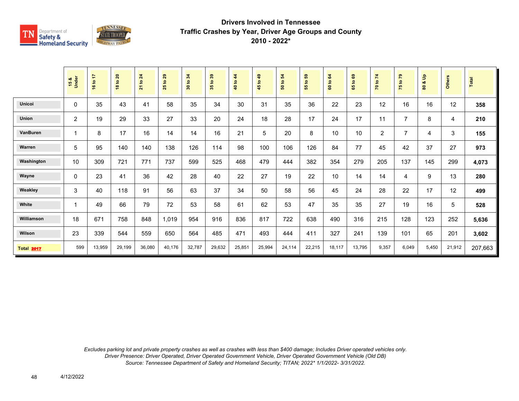

|                   | 15 &<br>Under | 16 to 17 | 18 to 20 | <b>21 to 24</b> | 29<br>$\tt{S}$<br>25 | 30 to 34 | 35 to 39 | $\frac{4}{3}$<br>40 to | $\overline{49}$<br>45 to - | 50 to 54 | <b>e</b><br>$\overline{5}$<br>55 | 64<br>$\mathtt{S}$<br>$\bf{60}$ | $\mathbf{69}$<br>$\mathbf{c}$<br>59 | 70 to 74       | 75 to 79       | $\frac{9}{2}$<br>οđ<br>80 | <b>Others</b> | Total   |
|-------------------|---------------|----------|----------|-----------------|----------------------|----------|----------|------------------------|----------------------------|----------|----------------------------------|---------------------------------|-------------------------------------|----------------|----------------|---------------------------|---------------|---------|
| <b>Unicoi</b>     | 0             | 35       | 43       | 41              | 58                   | 35       | 34       | 30                     | 31                         | 35       | 36                               | 22                              | 23                                  | 12             | 16             | 16                        | 12            | 358     |
| Union             | 2             | 19       | 29       | 33              | 27                   | 33       | 20       | 24                     | 18                         | 28       | 17                               | 24                              | 17                                  | 11             | $\overline{7}$ | 8                         | 4             | 210     |
| VanBuren          |               | 8        | 17       | 16              | 14                   | 14       | 16       | 21                     | 5                          | 20       | 8                                | 10                              | 10                                  | $\overline{2}$ | $\overline{7}$ | 4                         | 3             | 155     |
| Warren            | 5             | 95       | 140      | 140             | 138                  | 126      | 114      | 98                     | 100                        | 106      | 126                              | 84                              | 77                                  | 45             | 42             | 37                        | 27            | 973     |
| Washington        | 10            | 309      | 721      | 771             | 737                  | 599      | 525      | 468                    | 479                        | 444      | 382                              | 354                             | 279                                 | 205            | 137            | 145                       | 299           | 4,073   |
| Wayne             | $\mathbf{0}$  | 23       | 41       | 36              | 42                   | 28       | 40       | 22                     | 27                         | 19       | 22                               | 10                              | 14                                  | 14             | 4              | 9                         | 13            | 280     |
| Weakley           | 3             | 40       | 118      | 91              | 56                   | 63       | 37       | 34                     | 50                         | 58       | 56                               | 45                              | 24                                  | 28             | 22             | 17                        | 12            | 499     |
| White             |               | 49       | 66       | 79              | 72                   | 53       | 58       | 61                     | 62                         | 53       | 47                               | 35                              | 35                                  | 27             | 19             | 16                        | 5             | 528     |
| Williamson        | 18            | 671      | 758      | 848             | 1,019                | 954      | 916      | 836                    | 817                        | 722      | 638                              | 490                             | 316                                 | 215            | 128            | 123                       | 252           | 5,636   |
| Wilson            | 23            | 339      | 544      | 559             | 650                  | 564      | 485      | 471                    | 493                        | 444      | 411                              | 327                             | 241                                 | 139            | 101            | 65                        | 201           | 3,602   |
| <b>Total 2017</b> | 599           | 13,959   | 29,199   | 36,080          | 40,176               | 32,787   | 29,632   | 25,851                 | 25,994                     | 24,114   | 22,215                           | 18,117                          | 13,795                              | 9,357          | 6,049          | 5,450                     | 21,912        | 207,663 |

*Excludes parking lot and private property crashes as well as crashes with less than \$400 damage; Includes Driver operated vehicles only. Driver Presence: Driver Operated, Driver Operated Government Vehicle, Driver Operated Government Vehicle (Old DB) Source: Tennessee Department of Safety and Homeland Security; TITAN; 2022\* 1/1/2022- 3/31/2022.*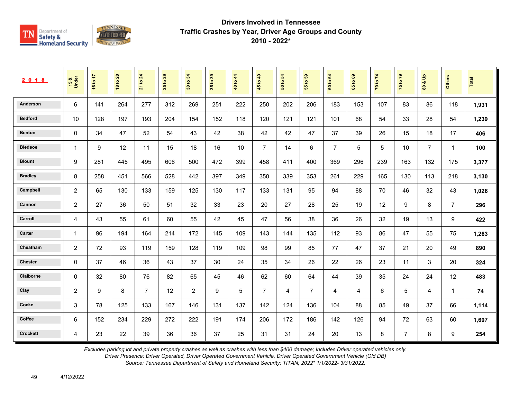

| 2 0 1 8         | 15 &<br>Under  | ÷<br>16 to | $\mathbf{20}$<br>18 to | 24<br>$\mathtt{S}$<br>$\overline{\mathbf{z}}$ | 29<br>$\mathbf{S}$<br>25 | 34<br>$\mathbf{e}$<br>$30^{\circ}$ | $39$<br>35 <sub>to</sub> | 44<br>40 to | 49<br>45 to    | 54<br>$\mathbf{e}$<br>${\tt s}$ | 59<br>$\mathbf{S}$<br>55 | 64<br>60 to    | $\mathbf{69}$<br>$\mathbf{e}$<br>59 | 74<br>70 to | $\mathbf{r}$<br>75 to | $\frac{9}{2}$<br>οð<br>$\pmb{\mathbb{S}}$ | Others                  | Total |
|-----------------|----------------|------------|------------------------|-----------------------------------------------|--------------------------|------------------------------------|--------------------------|-------------|----------------|---------------------------------|--------------------------|----------------|-------------------------------------|-------------|-----------------------|-------------------------------------------|-------------------------|-------|
| Anderson        | 6              | 141        | 264                    | 277                                           | 312                      | 269                                | 251                      | 222         | 250            | 202                             | 206                      | 183            | 153                                 | 107         | 83                    | 86                                        | 118                     | 1,931 |
| <b>Bedford</b>  | 10             | 128        | 197                    | 193                                           | 204                      | 154                                | 152                      | 118         | 120            | 121                             | 121                      | 101            | 68                                  | 54          | 33                    | 28                                        | 54                      | 1,239 |
| <b>Benton</b>   | 0              | 34         | 47                     | 52                                            | 54                       | 43                                 | 42                       | 38          | 42             | 42                              | 47                       | 37             | 39                                  | 26          | 15                    | 18                                        | 17                      | 406   |
| <b>Bledsoe</b>  | $\mathbf{1}$   | 9          | 12                     | 11                                            | 15                       | 18                                 | 16                       | 10          | $\overline{7}$ | 14                              | 6                        | $\overline{7}$ | 5                                   | 5           | 10                    | $\overline{7}$                            | $\overline{1}$          | 100   |
| <b>Blount</b>   | 9              | 281        | 445                    | 495                                           | 606                      | 500                                | 472                      | 399         | 458            | 411                             | 400                      | 369            | 296                                 | 239         | 163                   | 132                                       | 175                     | 3,377 |
| <b>Bradley</b>  | 8              | 258        | 451                    | 566                                           | 528                      | 442                                | 397                      | 349         | 350            | 339                             | 353                      | 261            | 229                                 | 165         | 130                   | 113                                       | 218                     | 3,130 |
| Campbell        | 2              | 65         | 130                    | 133                                           | 159                      | 125                                | 130                      | 117         | 133            | 131                             | 95                       | 94             | 88                                  | 70          | 46                    | 32                                        | 43                      | 1,026 |
| Cannon          | 2              | 27         | 36                     | 50                                            | 51                       | 32                                 | 33                       | 23          | 20             | 27                              | 28                       | 25             | 19                                  | 12          | 9                     | 8                                         | $\overline{7}$          | 296   |
| Carroll         | 4              | 43         | 55                     | 61                                            | 60                       | 55                                 | 42                       | 45          | 47             | 56                              | 38                       | 36             | 26                                  | 32          | 19                    | 13                                        | 9                       | 422   |
| Carter          | -1             | 96         | 194                    | 164                                           | 214                      | 172                                | 145                      | 109         | 143            | 144                             | 135                      | 112            | 93                                  | 86          | 47                    | 55                                        | 75                      | 1,263 |
| Cheatham        | 2              | 72         | 93                     | 119                                           | 159                      | 128                                | 119                      | 109         | 98             | 99                              | 85                       | 77             | 47                                  | 37          | 21                    | 20                                        | 49                      | 890   |
| <b>Chester</b>  | 0              | 37         | 46                     | 36                                            | 43                       | 37                                 | 30                       | 24          | 35             | 34                              | 26                       | 22             | 26                                  | 23          | 11                    | 3                                         | 20                      | 324   |
| Claiborne       | 0              | 32         | 80                     | 76                                            | 82                       | 65                                 | 45                       | 46          | 62             | 60                              | 64                       | 44             | 39                                  | 35          | 24                    | 24                                        | 12                      | 483   |
| Clay            | $\overline{c}$ | 9          | 8                      | $\overline{7}$                                | 12                       | 2                                  | 9                        | 5           | $\overline{7}$ | 4                               | $\overline{7}$           | 4              | 4                                   | 6           | 5                     | 4                                         | $\overline{\mathbf{1}}$ | 74    |
| Cocke           | 3              | 78         | 125                    | 133                                           | 167                      | 146                                | 131                      | 137         | 142            | 124                             | 136                      | 104            | 88                                  | 85          | 49                    | 37                                        | 66                      | 1,114 |
| Coffee          | 6              | 152        | 234                    | 229                                           | 272                      | 222                                | 191                      | 174         | 206            | 172                             | 186                      | 142            | 126                                 | 94          | 72                    | 63                                        | 60                      | 1,607 |
| <b>Crockett</b> | 4              | 23         | 22                     | 39                                            | 36                       | 36                                 | 37                       | 25          | 31             | 31                              | 24                       | 20             | 13                                  | 8           | $\overline{7}$        | 8                                         | 9                       | 254   |

*Excludes parking lot and private property crashes as well as crashes with less than \$400 damage; Includes Driver operated vehicles only.*

*Driver Presence: Driver Operated, Driver Operated Government Vehicle, Driver Operated Government Vehicle (Old DB)*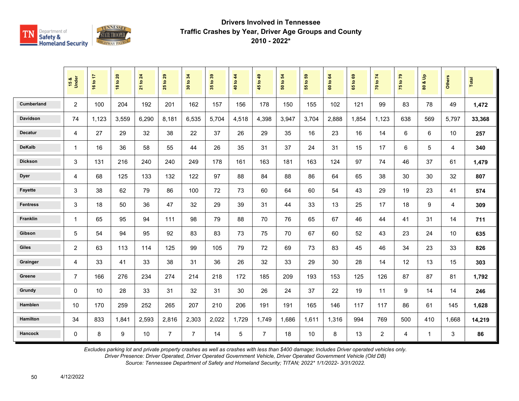

|                   | 15 &<br>Under  | 16 to 17 | <b>18 to 20</b> | 21 to 24 | 29<br>$\mathbf{e}$<br>25 | 30 to 34       | 35 to 39 | 40 to 44 | 45 to 49       | 50 to 54 | និ<br>$\mathbf{e}$<br>$\overline{5}$ | to 64<br>$\ddot{\mathbf{S}}$ | 65 to 69 | 70 to 74       | 75 to 79 | $\frac{a}{b}$<br>øð<br>$\mathbf{S}$ | Others | Total  |
|-------------------|----------------|----------|-----------------|----------|--------------------------|----------------|----------|----------|----------------|----------|--------------------------------------|------------------------------|----------|----------------|----------|-------------------------------------|--------|--------|
| <b>Cumberland</b> | 2              | 100      | 204             | 192      | 201                      | 162            | 157      | 156      | 178            | 150      | 155                                  | 102                          | 121      | 99             | 83       | 78                                  | 49     | 1,472  |
| <b>Davidson</b>   | 74             | 1,123    | 3,559           | 6,290    | 8,181                    | 6,535          | 5,704    | 4,518    | 4,398          | 3,947    | 3,704                                | 2,888                        | 1,854    | 1,123          | 638      | 569                                 | 5,797  | 33,368 |
| <b>Decatur</b>    | 4              | 27       | 29              | 32       | 38                       | 22             | 37       | 26       | 29             | 35       | 16                                   | 23                           | 16       | 14             | 6        | $\,6\,$                             | 10     | 257    |
| <b>DeKalb</b>     | $\mathbf{1}$   | 16       | 36              | 58       | 55                       | 44             | 26       | 35       | 31             | 37       | 24                                   | 31                           | 15       | 17             | 6        | 5                                   | 4      | 340    |
| <b>Dickson</b>    | 3              | 131      | 216             | 240      | 240                      | 249            | 178      | 161      | 163            | 181      | 163                                  | 124                          | 97       | 74             | 46       | 37                                  | 61     | 1,479  |
| <b>Dyer</b>       | 4              | 68       | 125             | 133      | 132                      | 122            | 97       | 88       | 84             | 88       | 86                                   | 64                           | 65       | 38             | 30       | 30                                  | 32     | 807    |
| <b>Fayette</b>    | 3              | 38       | 62              | 79       | 86                       | 100            | 72       | 73       | 60             | 64       | 60                                   | 54                           | 43       | 29             | 19       | 23                                  | 41     | 574    |
| <b>Fentress</b>   | 3              | 18       | 50              | 36       | 47                       | 32             | 29       | 39       | 31             | 44       | 33                                   | 13                           | 25       | 17             | 18       | 9                                   | 4      | 309    |
| <b>Franklin</b>   | $\mathbf{1}$   | 65       | 95              | 94       | 111                      | 98             | 79       | 88       | 70             | 76       | 65                                   | 67                           | 46       | 44             | 41       | 31                                  | 14     | 711    |
| Gibson            | 5              | 54       | 94              | 95       | 92                       | 83             | 83       | 73       | 75             | 70       | 67                                   | 60                           | 52       | 43             | 23       | 24                                  | 10     | 635    |
| <b>Giles</b>      | $\overline{c}$ | 63       | 113             | 114      | 125                      | 99             | 105      | 79       | 72             | 69       | 73                                   | 83                           | 45       | 46             | 34       | 23                                  | 33     | 826    |
| Grainger          | 4              | 33       | 41              | 33       | 38                       | 31             | 36       | 26       | 32             | 33       | 29                                   | 30                           | 28       | 14             | 12       | 13                                  | 15     | 303    |
| Greene            | $\overline{7}$ | 166      | 276             | 234      | 274                      | 214            | 218      | 172      | 185            | 209      | 193                                  | 153                          | 125      | 126            | 87       | 87                                  | 81     | 1,792  |
| Grundy            | $\Omega$       | 10       | 28              | 33       | 31                       | 32             | 31       | 30       | 26             | 24       | 37                                   | 22                           | 19       | 11             | 9        | 14                                  | 14     | 246    |
| Hamblen           | 10             | 170      | 259             | 252      | 265                      | 207            | 210      | 206      | 191            | 191      | 165                                  | 146                          | 117      | 117            | 86       | 61                                  | 145    | 1,628  |
| <b>Hamilton</b>   | 34             | 833      | 1,841           | 2,593    | 2,816                    | 2,303          | 2,022    | 1,729    | 1,749          | 1,686    | 1,611                                | 1,316                        | 994      | 769            | 500      | 410                                 | 1,668  | 14,219 |
| <b>Hancock</b>    | $\mathbf 0$    | 8        | 9               | 10       | $\overline{7}$           | $\overline{7}$ | 14       | 5        | $\overline{7}$ | 18       | 10                                   | 8                            | 13       | $\overline{2}$ | 4        | $\mathbf{1}$                        | 3      | 86     |

*Excludes parking lot and private property crashes as well as crashes with less than \$400 damage; Includes Driver operated vehicles only.*

*Driver Presence: Driver Operated, Driver Operated Government Vehicle, Driver Operated Government Vehicle (Old DB)*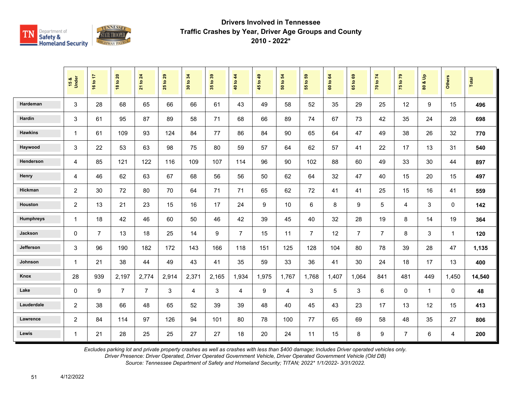

|                  | 15 &<br>Under  | 16 to 17       | <b>18 to 20</b> | 24<br>$\overline{5}$<br>$\overline{21}$ | 29<br>$\overline{5}$<br>25 | 34<br>$\mathbf{S}$<br>$30\,$ | 35 to 39 | to $44$<br>$\frac{1}{4}$ | 45 to 49 | $\boldsymbol{54}$<br>$\mathfrak{S}$<br>$\overline{5}$ | G,<br>$\overline{\mathbf{e}}$<br>55 | to 64<br>$\ddot{\mathbf{S}}$ | $\mathbf{63}$<br>$\mathbf{S}$<br>59 | 70 to 74       | 75 to 79       | $\frac{9}{2}$<br>oð.<br>80 | <b>Others</b>  | Total  |
|------------------|----------------|----------------|-----------------|-----------------------------------------|----------------------------|------------------------------|----------|--------------------------|----------|-------------------------------------------------------|-------------------------------------|------------------------------|-------------------------------------|----------------|----------------|----------------------------|----------------|--------|
| Hardeman         | 3              | 28             | 68              | 65                                      | 66                         | 66                           | 61       | 43                       | 49       | 58                                                    | 52                                  | 35                           | 29                                  | 25             | 12             | 9                          | 15             | 496    |
| Hardin           | 3              | 61             | 95              | 87                                      | 89                         | 58                           | 71       | 68                       | 66       | 89                                                    | 74                                  | 67                           | 73                                  | 42             | 35             | 24                         | 28             | 698    |
| <b>Hawkins</b>   | $\mathbf{1}$   | 61             | 109             | 93                                      | 124                        | 84                           | 77       | 86                       | 84       | 90                                                    | 65                                  | 64                           | 47                                  | 49             | 38             | 26                         | 32             | 770    |
| Haywood          | 3              | 22             | 53              | 63                                      | 98                         | 75                           | 80       | 59                       | 57       | 64                                                    | 62                                  | 57                           | 41                                  | 22             | 17             | 13                         | 31             | 540    |
| Henderson        | 4              | 85             | 121             | 122                                     | 116                        | 109                          | 107      | 114                      | 96       | 90                                                    | 102                                 | 88                           | 60                                  | 49             | 33             | 30                         | 44             | 897    |
| Henry            | $\overline{4}$ | 46             | 62              | 63                                      | 67                         | 68                           | 56       | 56                       | 50       | 62                                                    | 64                                  | 32                           | 47                                  | 40             | 15             | 20                         | 15             | 497    |
| Hickman          | $\overline{c}$ | 30             | 72              | 80                                      | 70                         | 64                           | 71       | 71                       | 65       | 62                                                    | 72                                  | 41                           | 41                                  | 25             | 15             | 16                         | 41             | 559    |
| Houston          | $\overline{c}$ | 13             | 21              | 23                                      | 15                         | 16                           | 17       | 24                       | 9        | 10                                                    | 6                                   | 8                            | 9                                   | 5              | 4              | 3                          | $\mathbf 0$    | 142    |
| <b>Humphreys</b> | $\mathbf{1}$   | 18             | 42              | 46                                      | 60                         | 50                           | 46       | 42                       | 39       | 45                                                    | 40                                  | 32                           | 28                                  | 19             | 8              | 14                         | 19             | 364    |
| Jackson          | $\Omega$       | $\overline{7}$ | 13              | 18                                      | 25                         | 14                           | 9        | $\overline{7}$           | 15       | 11                                                    | $\overline{7}$                      | 12                           | $\overline{7}$                      | $\overline{7}$ | 8              | 3                          | $\mathbf{1}$   | 120    |
| Jefferson        | 3              | 96             | 190             | 182                                     | 172                        | 143                          | 166      | 118                      | 151      | 125                                                   | 128                                 | 104                          | 80                                  | 78             | 39             | 28                         | 47             | 1,135  |
| Johnson          | $\mathbf 1$    | 21             | 38              | 44                                      | 49                         | 43                           | 41       | 35                       | 59       | 33                                                    | 36                                  | 41                           | 30                                  | 24             | 18             | 17                         | 13             | 400    |
| Knox             | 28             | 939            | 2,197           | 2,774                                   | 2,914                      | 2,371                        | 2,165    | 1,934                    | 1,975    | 1,767                                                 | 1,768                               | 1,407                        | 1,064                               | 841            | 481            | 449                        | 1,450          | 14,540 |
| Lake             | $\Omega$       | 9              | $\overline{7}$  | $\overline{7}$                          | 3                          | 4                            | 3        | 4                        | 9        | 4                                                     | 3                                   | 5                            | 3                                   | 6              | $\mathbf 0$    | $\mathbf{1}$               | 0              | 48     |
| Lauderdale       | $\overline{2}$ | 38             | 66              | 48                                      | 65                         | 52                           | 39       | 39                       | 48       | 40                                                    | 45                                  | 43                           | 23                                  | 17             | 13             | 12                         | 15             | 413    |
| Lawrence         | $\overline{2}$ | 84             | 114             | 97                                      | 126                        | 94                           | 101      | 80                       | 78       | 100                                                   | 77                                  | 65                           | 69                                  | 58             | 48             | 35                         | 27             | 806    |
| Lewis            | $\mathbf{1}$   | 21             | 28              | 25                                      | 25                         | 27                           | 27       | 18                       | 20       | 24                                                    | 11                                  | 15                           | 8                                   | 9              | $\overline{7}$ | 6                          | $\overline{4}$ | 200    |

*Excludes parking lot and private property crashes as well as crashes with less than \$400 damage; Includes Driver operated vehicles only.*

*Driver Presence: Driver Operated, Driver Operated Government Vehicle, Driver Operated Government Vehicle (Old DB)*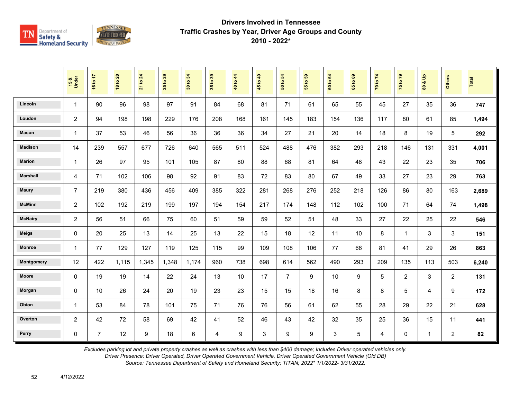

|                 | 15 &<br>Under  | 16 to 17       | <b>18 to 20</b> | 21 to 24         | $t$ o 29<br>25 | 34<br>$\mathbf{S}$<br>$\overline{30}$ | 35 to 39       | 40 to 44 | 45 to 49 | $\mathbf{5}$<br>50 to | $t_0$ 59<br>$\overline{5}$ | 60 to 64 | 1069<br>$65^{\circ}$ | 70 to 74 | 75 to 79       | $\frac{9}{2}$<br>οð<br>80 | <b>Others</b>  | Total |
|-----------------|----------------|----------------|-----------------|------------------|----------------|---------------------------------------|----------------|----------|----------|-----------------------|----------------------------|----------|----------------------|----------|----------------|---------------------------|----------------|-------|
| Lincoln         | 1              | 90             | 96              | 98               | 97             | 91                                    | 84             | 68       | 81       | 71                    | 61                         | 65       | 55                   | 45       | 27             | 35                        | 36             | 747   |
| Loudon          | $\overline{c}$ | 94             | 198             | 198              | 229            | 176                                   | 208            | 168      | 161      | 145                   | 183                        | 154      | 136                  | 117      | 80             | 61                        | 85             | 1,494 |
| Macon           | $\mathbf{1}$   | 37             | 53              | 46               | 56             | 36                                    | 36             | 36       | 34       | 27                    | 21                         | 20       | 14                   | 18       | 8              | 19                        | 5              | 292   |
| <b>Madison</b>  | 14             | 239            | 557             | 677              | 726            | 640                                   | 565            | 511      | 524      | 488                   | 476                        | 382      | 293                  | 218      | 146            | 131                       | 331            | 4,001 |
| <b>Marion</b>   | $\mathbf{1}$   | 26             | 97              | 95               | 101            | 105                                   | 87             | 80       | 88       | 68                    | 81                         | 64       | 48                   | 43       | 22             | 23                        | 35             | 706   |
| <b>Marshall</b> | 4              | 71             | 102             | 106              | 98             | 92                                    | 91             | 83       | 72       | 83                    | 80                         | 67       | 49                   | 33       | 27             | 23                        | 29             | 763   |
| <b>Maury</b>    | $\overline{7}$ | 219            | 380             | 436              | 456            | 409                                   | 385            | 322      | 281      | 268                   | 276                        | 252      | 218                  | 126      | 86             | 80                        | 163            | 2,689 |
| <b>McMinn</b>   | $\overline{2}$ | 102            | 192             | 219              | 199            | 197                                   | 194            | 154      | 217      | 174                   | 148                        | 112      | 102                  | 100      | 71             | 64                        | 74             | 1,498 |
| <b>McNairy</b>  | $\overline{c}$ | 56             | 51              | 66               | 75             | 60                                    | 51             | 59       | 59       | 52                    | 51                         | 48       | 33                   | 27       | 22             | 25                        | 22             | 546   |
| <b>Meigs</b>    | 0              | 20             | 25              | 13               | 14             | 25                                    | 13             | 22       | 15       | 18                    | 12                         | 11       | 10                   | 8        | $\overline{1}$ | 3                         | 3              | 151   |
| <b>Monroe</b>   | 1              | 77             | 129             | 127              | 119            | 125                                   | 115            | 99       | 109      | 108                   | 106                        | 77       | 66                   | 81       | 41             | 29                        | 26             | 863   |
| Montgomery      | 12             | 422            | 1,115           | 1,345            | 1,348          | 1,174                                 | 960            | 738      | 698      | 614                   | 562                        | 490      | 293                  | 209      | 135            | 113                       | 503            | 6,240 |
| <b>Moore</b>    | $\Omega$       | 19             | 19              | 14               | 22             | 24                                    | 13             | 10       | 17       | $\overline{7}$        | 9                          | 10       | 9                    | 5        | $\overline{2}$ | 3                         | $\overline{2}$ | 131   |
| Morgan          | 0              | 10             | 26              | 24               | 20             | 19                                    | 23             | 23       | 15       | 15                    | 18                         | 16       | 8                    | 8        | 5              | 4                         | 9              | 172   |
| Obion           | $\mathbf{1}$   | 53             | 84              | 78               | 101            | 75                                    | 71             | 76       | 76       | 56                    | 61                         | 62       | 55                   | 28       | 29             | 22                        | 21             | 628   |
| Overton         | $\overline{c}$ | 42             | 72              | 58               | 69             | 42                                    | 41             | 52       | 46       | 43                    | 42                         | 32       | 35                   | 25       | 36             | 15                        | 11             | 441   |
| Perry           | 0              | $\overline{7}$ | 12              | $\boldsymbol{9}$ | 18             | 6                                     | $\overline{4}$ | 9        | 3        | 9                     | 9                          | 3        | 5                    | 4        | $\mathbf 0$    | $\mathbf{1}$              | $\overline{a}$ | 82    |

*Excludes parking lot and private property crashes as well as crashes with less than \$400 damage; Includes Driver operated vehicles only.*

*Driver Presence: Driver Operated, Driver Operated Government Vehicle, Driver Operated Government Vehicle (Old DB)*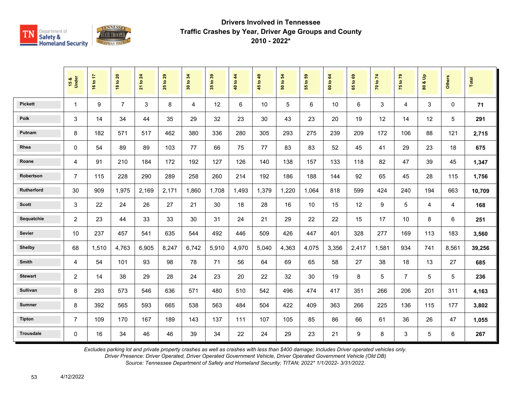

|                  | 15 &<br>Under  | 16 to 17 | <b>18 to 20</b> | 21 to 24 | 29<br>$\mathbf{e}$<br>25 <sub>1</sub> | 34<br>30 to | 35 to 39 | 40 to 44 | 45 to 49 | 54<br>50 to | $t_0$ 59<br>$\overline{55}$ | 64<br>60 to | $\mathbf{63}$<br>$\mathbf{e}$<br>65 | 70 to 74 | 75 to 79       | $\mathbf{e}$<br>οð<br>$\overline{\mathbf{8}}$ | <b>Others</b> | <b>Total</b> |
|------------------|----------------|----------|-----------------|----------|---------------------------------------|-------------|----------|----------|----------|-------------|-----------------------------|-------------|-------------------------------------|----------|----------------|-----------------------------------------------|---------------|--------------|
| <b>Pickett</b>   | $\mathbf{1}$   | 9        | $\overline{7}$  | 3        | 8                                     | 4           | 12       | 6        | 10       | 5           | 6                           | 10          | 6                                   | 3        | $\overline{4}$ | 3                                             | $\Omega$      | 71           |
| <b>Polk</b>      | 3              | 14       | 34              | 44       | 35                                    | 29          | 32       | 23       | 30       | 43          | 23                          | 20          | 19                                  | 12       | 14             | 12                                            | 5             | 291          |
| Putnam           | 8              | 182      | 571             | 517      | 462                                   | 380         | 336      | 280      | 305      | 293         | 275                         | 239         | 209                                 | 172      | 106            | 88                                            | 121           | 2,715        |
| Rhea             | $\Omega$       | 54       | 89              | 89       | 103                                   | 77          | 66       | 75       | 77       | 83          | 83                          | 52          | 45                                  | 41       | 29             | 23                                            | 18            | 675          |
| Roane            | 4              | 91       | 210             | 184      | 172                                   | 192         | 127      | 126      | 140      | 138         | 157                         | 133         | 118                                 | 82       | 47             | 39                                            | 45            | 1,347        |
| Robertson        | $\overline{7}$ | 115      | 228             | 290      | 289                                   | 258         | 260      | 214      | 192      | 186         | 188                         | 144         | 92                                  | 65       | 45             | 28                                            | 115           | 1,756        |
| Rutherford       | 30             | 909      | 1,975           | 2,169    | 2,171                                 | 1.860       | 1.708    | 1.493    | 1,379    | 1,220       | 1,064                       | 818         | 599                                 | 424      | 240            | 194                                           | 663           | 10,709       |
| <b>Scott</b>     | 3              | 22       | 24              | 26       | 27                                    | 21          | 30       | 18       | 28       | 16          | 10                          | 15          | 12                                  | 9        | 5              | 4                                             | 4             | 168          |
| Sequatchie       | 2              | 23       | 44              | 33       | 33                                    | 30          | 31       | 24       | 21       | 29          | 22                          | 22          | 15                                  | 17       | 10             | 8                                             | 6             | 251          |
| Sevier           | 10             | 237      | 457             | 541      | 635                                   | 544         | 492      | 446      | 509      | 426         | 447                         | 401         | 328                                 | 277      | 169            | 113                                           | 183           | 3,560        |
| <b>Shelby</b>    | 68             | 1,510    | 4,763           | 6,905    | 8,247                                 | 6,742       | 5,910    | 4,970    | 5,040    | 4,363       | 4,075                       | 3,356       | 2,417                               | 1,581    | 934            | 741                                           | 8,561         | 39,256       |
| Smith            | 4              | 54       | 101             | 93       | 98                                    | 78          | 71       | 56       | 64       | 69          | 65                          | 58          | 27                                  | 38       | 18             | 13                                            | 27            | 685          |
| <b>Stewart</b>   | $\overline{2}$ | 14       | 38              | 29       | 28                                    | 24          | 23       | 20       | 22       | 32          | 30                          | 19          | 8                                   | 5        | $\overline{7}$ | 5                                             | 5             | 236          |
| Sullivan         | 8              | 293      | 573             | 546      | 636                                   | 571         | 480      | 510      | 542      | 496         | 474                         | 417         | 351                                 | 266      | 206            | 201                                           | 311           | 4,163        |
| <b>Sumner</b>    | 8              | 392      | 565             | 593      | 665                                   | 538         | 563      | 484      | 504      | 422         | 409                         | 363         | 266                                 | 225      | 136            | 115                                           | 177           | 3,802        |
| <b>Tipton</b>    | $\overline{7}$ | 109      | 170             | 167      | 189                                   | 143         | 137      | 111      | 107      | 105         | 85                          | 86          | 66                                  | 61       | 36             | 26                                            | 47            | 1,055        |
| <b>Trousdale</b> | $\Omega$       | 16       | 34              | 46       | 46                                    | 39          | 34       | 22       | 24       | 29          | 23                          | 21          | 9                                   | 8        | 3              | 5                                             | 6             | 267          |

*Excludes parking lot and private property crashes as well as crashes with less than \$400 damage; Includes Driver operated vehicles only.*

*Driver Presence: Driver Operated, Driver Operated Government Vehicle, Driver Operated Government Vehicle (Old DB)*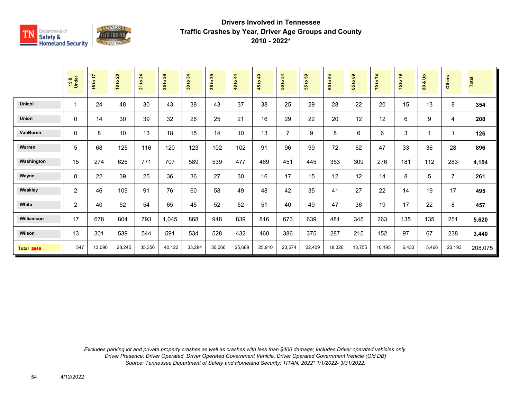

|                   | 15 &<br>Under  | 16 to 17 | 18 to 20 | 21 to 24 | 29<br>$\mathbf{e}$<br>25 | 34<br>30 to | 35 to 39 | $4\overline{4}$<br>40 to | 49<br>45 to | 50 to 54       | S.<br>$\mathbf{c}$<br>55 | 64<br>$\mathtt{S}$<br>$\ddot{\mathbf{s}}$ | ${\bf \hat{e}}$<br>$\overline{a}$<br>59 | 70 to 74 | 75 to 79 | $\frac{9}{2}$<br>ಯ<br>$\tt{S}$ | Others                  | Total   |
|-------------------|----------------|----------|----------|----------|--------------------------|-------------|----------|--------------------------|-------------|----------------|--------------------------|-------------------------------------------|-----------------------------------------|----------|----------|--------------------------------|-------------------------|---------|
| <b>Unicoi</b>     | -1             | 24       | 48       | 30       | 43                       | 38          | 43       | 37                       | 38          | 25             | 29                       | 28                                        | 22                                      | 20       | 15       | 13                             | 8                       | 354     |
| <b>Union</b>      | $\mathbf 0$    | 14       | 30       | 39       | 32                       | 26          | 25       | 21                       | 16          | 29             | 22                       | 20                                        | 12                                      | 12       | 6        | 9                              | 4                       | 208     |
| <b>VanBuren</b>   | 0              | 8        | 10       | 13       | 18                       | 15          | 14       | 10                       | 13          | $\overline{7}$ | 9                        | 8                                         | 6                                       | 6        | 3        | 1                              | $\overline{\mathbf{1}}$ | 126     |
| Warren            | 5              | 68       | 125      | 116      | 120                      | 123         | 102      | 102                      | 91          | 96             | 99                       | 72                                        | 62                                      | 47       | 33       | 36                             | 28                      | 896     |
| Washington        | 15             | 274      | 626      | 771      | 707                      | 589         | 539      | 477                      | 469         | 451            | 445                      | 353                                       | 309                                     | 276      | 181      | 112                            | 283                     | 4,154   |
| Wayne             | $\mathbf{0}$   | 22       | 39       | 25       | 36                       | 36          | 27       | 30                       | 16          | 17             | 15                       | 12                                        | 12                                      | 14       | 8        | 5                              | $\overline{7}$          | 261     |
| Weakley           | $\overline{c}$ | 46       | 109      | 91       | 76                       | 60          | 58       | 49                       | 48          | 42             | 35                       | 41                                        | 27                                      | 22       | 14       | 19                             | 17                      | 495     |
| White             | 2              | 40       | 52       | 54       | 65                       | 45          | 52       | 52                       | 51          | 40             | 49                       | 47                                        | 36                                      | 19       | 17       | 22                             | 8                       | 457     |
| Williamson        | 17             | 678      | 804      | 793      | 1,045                    | 868         | 948      | 839                      | 816         | 673            | 639                      | 481                                       | 345                                     | 263      | 135      | 135                            | 251                     | 5,620   |
| Wilson            | 13             | 301      | 539      | 544      | 591                      | 534         | 528      | 432                      | 460         | 386            | 375                      | 287                                       | 215                                     | 152      | 97       | 67                             | 238                     | 3,440   |
| <b>Total 2018</b> | 547            | 13,090   | 28,245   | 35,356   | 40,122                   | 33,284      | 30,066   | 25,689                   | 25,910      | 23,574         | 22,409                   | 18,326                                    | 13,755                                  | 10,195   | 6,433    | 5,466                          | 23,193                  | 208,075 |

*Excludes parking lot and private property crashes as well as crashes with less than \$400 damage; Includes Driver operated vehicles only. Driver Presence: Driver Operated, Driver Operated Government Vehicle, Driver Operated Government Vehicle (Old DB) Source: Tennessee Department of Safety and Homeland Security; TITAN; 2022\* 1/1/2022- 3/31/2022.*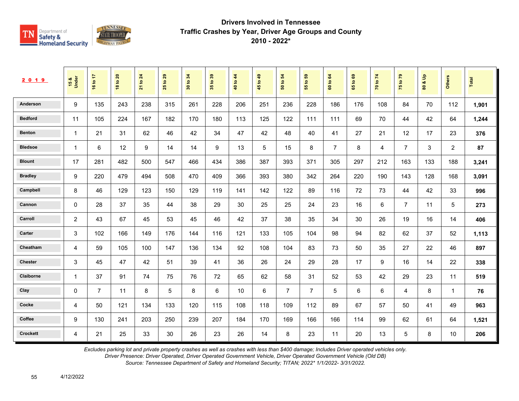

| 2 0 1 9         | 15 &<br>Under           | ÷<br>16 to     | $\overline{20}$<br>18 to | 24<br>$\overline{5}$<br>$\overline{21}$ | 29<br>$\mathbf{e}$<br>25 | 34<br>$\mathbf{e}$<br>$\overline{\mathbf{30}}$ | $t_0$ 39<br>$35^{\circ}$ | 44<br>$\overline{5}$<br>$\overline{\mathbf{a}}$ | 49<br>$\ddot{\mathbf{S}}$<br>45 | $\boldsymbol{54}$<br>$\mathtt{S}$<br>${\tt s}$ | 59<br>$\tt{S}$<br>55 | 64<br>$\overline{5}$<br>$\tt G$ | ශී<br>$\mathbf{S}$<br>65 | 70 to 74 | $\mathbf{r}$<br>$\mathbf{S}$<br>$\frac{1}{2}$ | $\frac{9}{2}$<br>oð.<br>$\pmb{\mathsf{s}}$ | Others         | <b>Total</b> |
|-----------------|-------------------------|----------------|--------------------------|-----------------------------------------|--------------------------|------------------------------------------------|--------------------------|-------------------------------------------------|---------------------------------|------------------------------------------------|----------------------|---------------------------------|--------------------------|----------|-----------------------------------------------|--------------------------------------------|----------------|--------------|
| Anderson        | 9                       | 135            | 243                      | 238                                     | 315                      | 261                                            | 228                      | 206                                             | 251                             | 236                                            | 228                  | 186                             | 176                      | 108      | 84                                            | 70                                         | 112            | 1,901        |
| <b>Bedford</b>  | 11                      | 105            | 224                      | 167                                     | 182                      | 170                                            | 180                      | 113                                             | 125                             | 122                                            | 111                  | 111                             | 69                       | 70       | 44                                            | 42                                         | 64             | 1,244        |
| <b>Benton</b>   | $\overline{\mathbf{1}}$ | 21             | 31                       | 62                                      | 46                       | 42                                             | 34                       | 47                                              | 42                              | 48                                             | 40                   | 41                              | 27                       | 21       | 12                                            | 17                                         | 23             | 376          |
| <b>Bledsoe</b>  | $\overline{\mathbf{1}}$ | 6              | 12                       | 9                                       | 14                       | 14                                             | 9                        | 13                                              | 5                               | 15                                             | 8                    | $\overline{7}$                  | 8                        | 4        | $\overline{7}$                                | 3                                          | $\overline{c}$ | 87           |
| <b>Blount</b>   | 17                      | 281            | 482                      | 500                                     | 547                      | 466                                            | 434                      | 386                                             | 387                             | 393                                            | 371                  | 305                             | 297                      | 212      | 163                                           | 133                                        | 188            | 3,241        |
| <b>Bradley</b>  | 9                       | 220            | 479                      | 494                                     | 508                      | 470                                            | 409                      | 366                                             | 393                             | 380                                            | 342                  | 264                             | 220                      | 190      | 143                                           | 128                                        | 168            | 3,091        |
| Campbell        | 8                       | 46             | 129                      | 123                                     | 150                      | 129                                            | 119                      | 141                                             | 142                             | 122                                            | 89                   | 116                             | 72                       | 73       | 44                                            | 42                                         | 33             | 996          |
| Cannon          | 0                       | 28             | 37                       | 35                                      | 44                       | 38                                             | 29                       | 30                                              | 25                              | 25                                             | 24                   | 23                              | 16                       | 6        | $\overline{7}$                                | 11                                         | 5              | 273          |
| Carroll         | 2                       | 43             | 67                       | 45                                      | 53                       | 45                                             | 46                       | 42                                              | 37                              | 38                                             | 35                   | 34                              | 30                       | 26       | 19                                            | 16                                         | 14             | 406          |
| Carter          | 3                       | 102            | 166                      | 149                                     | 176                      | 144                                            | 116                      | 121                                             | 133                             | 105                                            | 104                  | 98                              | 94                       | 82       | 62                                            | 37                                         | 52             | 1,113        |
| Cheatham        | 4                       | 59             | 105                      | 100                                     | 147                      | 136                                            | 134                      | 92                                              | 108                             | 104                                            | 83                   | 73                              | 50                       | 35       | 27                                            | 22                                         | 46             | 897          |
| <b>Chester</b>  | 3                       | 45             | 47                       | 42                                      | 51                       | 39                                             | 41                       | 36                                              | 26                              | 24                                             | 29                   | 28                              | 17                       | 9        | 16                                            | 14                                         | 22             | 338          |
| Claiborne       | $\overline{\mathbf{1}}$ | 37             | 91                       | 74                                      | 75                       | 76                                             | 72                       | 65                                              | 62                              | 58                                             | 31                   | 52                              | 53                       | 42       | 29                                            | 23                                         | 11             | 519          |
| Clay            | 0                       | $\overline{7}$ | 11                       | 8                                       | 5                        | 8                                              | 6                        | 10                                              | 6                               | $\overline{7}$                                 | $\overline{7}$       | 5                               | 6                        | 6        | 4                                             | 8                                          | $\overline{1}$ | 76           |
| Cocke           | 4                       | 50             | 121                      | 134                                     | 133                      | 120                                            | 115                      | 108                                             | 118                             | 109                                            | 112                  | 89                              | 67                       | 57       | 50                                            | 41                                         | 49             | 963          |
| Coffee          | 9                       | 130            | 241                      | 203                                     | 250                      | 239                                            | 207                      | 184                                             | 170                             | 169                                            | 166                  | 166                             | 114                      | 99       | 62                                            | 61                                         | 64             | 1,521        |
| <b>Crockett</b> | 4                       | 21             | 25                       | 33                                      | 30                       | 26                                             | 23                       | 26                                              | 14                              | 8                                              | 23                   | 11                              | 20                       | 13       | 5                                             | 8                                          | 10             | 206          |

*Excludes parking lot and private property crashes as well as crashes with less than \$400 damage; Includes Driver operated vehicles only.*

*Driver Presence: Driver Operated, Driver Operated Government Vehicle, Driver Operated Government Vehicle (Old DB)*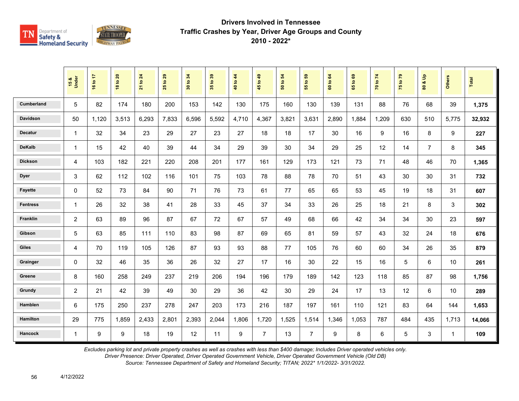

|                   | 15 &<br>Under  | 16 to 17 | 18 to 20 | 21 to 24 | 29<br>$\mathbf{e}$<br>25 | 30 to 34 | 35 to 39 | 40 to 44 | 45 to 49       | $\overline{5}$<br>50 to i | 65<br>$\mathbf{e}$<br>$\overline{5}$ | to 64<br>$\overline{6}$ | $\mathbf{63}$<br>$\overline{9}$<br>$65^{\circ}$ | 70 to 74 | 75 to 79 | $\frac{9}{2}$<br>οð<br>$\mathbf{S}$ | <b>Others</b> | Total  |
|-------------------|----------------|----------|----------|----------|--------------------------|----------|----------|----------|----------------|---------------------------|--------------------------------------|-------------------------|-------------------------------------------------|----------|----------|-------------------------------------|---------------|--------|
| <b>Cumberland</b> | 5              | 82       | 174      | 180      | 200                      | 153      | 142      | 130      | 175            | 160                       | 130                                  | 139                     | 131                                             | 88       | 76       | 68                                  | 39            | 1,375  |
| <b>Davidson</b>   | 50             | 1,120    | 3,513    | 6,293    | 7,833                    | 6,596    | 5,592    | 4,710    | 4,367          | 3,821                     | 3,631                                | 2,890                   | 1,884                                           | 1,209    | 630      | 510                                 | 5,775         | 32,932 |
| <b>Decatur</b>    | $\mathbf{1}$   | 32       | 34       | 23       | 29                       | 27       | 23       | 27       | 18             | 18                        | 17                                   | 30                      | 16                                              | 9        | 16       | 8                                   | 9             | 227    |
| <b>DeKalb</b>     | $\mathbf{1}$   | 15       | 42       | 40       | 39                       | 44       | 34       | 29       | 39             | 30                        | 34                                   | 29                      | 25                                              | 12       | 14       | $\overline{7}$                      | 8             | 345    |
| <b>Dickson</b>    | $\overline{4}$ | 103      | 182      | 221      | 220                      | 208      | 201      | 177      | 161            | 129                       | 173                                  | 121                     | 73                                              | 71       | 48       | 46                                  | 70            | 1,365  |
| <b>Dyer</b>       | 3              | 62       | 112      | 102      | 116                      | 101      | 75       | 103      | 78             | 88                        | 78                                   | 70                      | 51                                              | 43       | 30       | 30                                  | 31            | 732    |
| <b>Fayette</b>    | $\mathbf 0$    | 52       | 73       | 84       | 90                       | 71       | 76       | 73       | 61             | 77                        | 65                                   | 65                      | 53                                              | 45       | 19       | 18                                  | 31            | 607    |
| <b>Fentress</b>   | $\mathbf{1}$   | 26       | 32       | 38       | 41                       | 28       | 33       | 45       | 37             | 34                        | 33                                   | 26                      | 25                                              | 18       | 21       | 8                                   | 3             | 302    |
| Franklin          | 2              | 63       | 89       | 96       | 87                       | 67       | 72       | 67       | 57             | 49                        | 68                                   | 66                      | 42                                              | 34       | 34       | 30                                  | 23            | 597    |
| Gibson            | 5              | 63       | 85       | 111      | 110                      | 83       | 98       | 87       | 69             | 65                        | 81                                   | 59                      | 57                                              | 43       | 32       | 24                                  | 18            | 676    |
| <b>Giles</b>      | $\overline{4}$ | 70       | 119      | 105      | 126                      | 87       | 93       | 93       | 88             | 77                        | 105                                  | 76                      | 60                                              | 60       | 34       | 26                                  | 35            | 879    |
| Grainger          | $\Omega$       | 32       | 46       | 35       | 36                       | 26       | 32       | 27       | 17             | 16                        | 30                                   | 22                      | 15                                              | 16       | 5        | 6                                   | 10            | 261    |
| Greene            | 8              | 160      | 258      | 249      | 237                      | 219      | 206      | 194      | 196            | 179                       | 189                                  | 142                     | 123                                             | 118      | 85       | 87                                  | 98            | 1,756  |
| Grundy            | $\overline{2}$ | 21       | 42       | 39       | 49                       | 30       | 29       | 36       | 42             | 30                        | 29                                   | 24                      | 17                                              | 13       | 12       | 6                                   | 10            | 289    |
| Hamblen           | 6              | 175      | 250      | 237      | 278                      | 247      | 203      | 173      | 216            | 187                       | 197                                  | 161                     | 110                                             | 121      | 83       | 64                                  | 144           | 1,653  |
| <b>Hamilton</b>   | 29             | 775      | 1,859    | 2,433    | 2,801                    | 2,393    | 2,044    | 1,806    | 1,720          | 1,525                     | 1,514                                | 1,346                   | 1,053                                           | 787      | 484      | 435                                 | 1,713         | 14,066 |
| Hancock           | $\mathbf{1}$   | 9        | 9        | 18       | 19                       | 12       | 11       | 9        | $\overline{7}$ | 13                        | $\overline{7}$                       | 9                       | 8                                               | 6        | 5        | 3                                   | $\mathbf{1}$  | 109    |

*Excludes parking lot and private property crashes as well as crashes with less than \$400 damage; Includes Driver operated vehicles only.*

*Driver Presence: Driver Operated, Driver Operated Government Vehicle, Driver Operated Government Vehicle (Old DB)*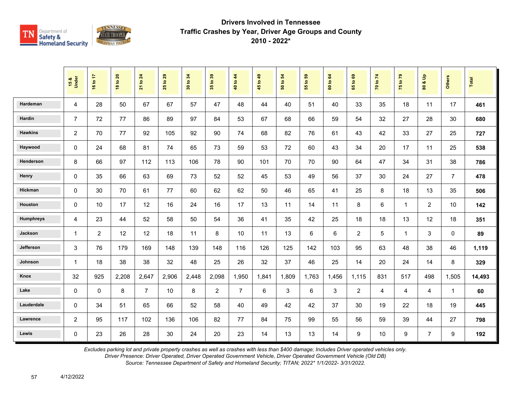

|                | 15 &<br>Under  | 16 to 17       | <b>18 to 20</b> | 21 to 24       | 29<br>$\mathbf{e}$<br>25 <sub>1</sub> | 34<br>30 to | 35 to 39       | 40 to 44       | 45 to 49 | 54<br>50 to | $t_0 59$<br>$\overline{55}$ | 64<br>60 to | $\mathbf{63}$<br>65 to | 70 to 74       | 75 to 79       | $\mathbf{e}$<br>οð<br>$\overline{\mathbf{3}}$ | <b>Others</b>  | Total  |
|----------------|----------------|----------------|-----------------|----------------|---------------------------------------|-------------|----------------|----------------|----------|-------------|-----------------------------|-------------|------------------------|----------------|----------------|-----------------------------------------------|----------------|--------|
| Hardeman       | $\overline{4}$ | 28             | 50              | 67             | 67                                    | 57          | 47             | 48             | 44       | 40          | 51                          | 40          | 33                     | 35             | 18             | 11                                            | 17             | 461    |
| Hardin         | $\overline{7}$ | 72             | 77              | 86             | 89                                    | 97          | 84             | 53             | 67       | 68          | 66                          | 59          | 54                     | 32             | 27             | 28                                            | 30             | 680    |
| <b>Hawkins</b> | 2              | 70             | 77              | 92             | 105                                   | 92          | 90             | 74             | 68       | 82          | 76                          | 61          | 43                     | 42             | 33             | 27                                            | 25             | 727    |
| Haywood        | $\mathbf{0}$   | 24             | 68              | 81             | 74                                    | 65          | 73             | 59             | 53       | 72          | 60                          | 43          | 34                     | 20             | 17             | 11                                            | 25             | 538    |
| Henderson      | 8              | 66             | 97              | 112            | 113                                   | 106         | 78             | 90             | 101      | 70          | 70                          | 90          | 64                     | 47             | 34             | 31                                            | 38             | 786    |
| Henry          | $\Omega$       | 35             | 66              | 63             | 69                                    | 73          | 52             | 52             | 45       | 53          | 49                          | 56          | 37                     | 30             | 24             | 27                                            | $\overline{7}$ | 478    |
| Hickman        | $\Omega$       | 30             | 70              | 61             | 77                                    | 60          | 62             | 62             | 50       | 46          | 65                          | 41          | 25                     | 8              | 18             | 13                                            | 35             | 506    |
| Houston        | $\mathbf 0$    | 10             | 17              | 12             | 16                                    | 24          | 16             | 17             | 13       | 11          | 14                          | 11          | 8                      | 6              | $\mathbf{1}$   | $\overline{2}$                                | 10             | 142    |
| Humphreys      | 4              | 23             | 44              | 52             | 58                                    | 50          | 54             | 36             | 41       | 35          | 42                          | 25          | 18                     | 18             | 13             | 12                                            | 18             | 351    |
| Jackson        | $\mathbf{1}$   | $\overline{2}$ | 12              | 12             | 18                                    | 11          | 8              | 10             | 11       | 13          | 6                           | 6           | $\overline{2}$         | 5              | $\overline{1}$ | 3                                             | 0              | 89     |
| Jefferson      | 3              | 76             | 179             | 169            | 148                                   | 139         | 148            | 116            | 126      | 125         | 142                         | 103         | 95                     | 63             | 48             | 38                                            | 46             | 1,119  |
| Johnson        | $\mathbf{1}$   | 18             | 38              | 38             | 32                                    | 48          | 25             | 26             | 32       | 37          | 46                          | 25          | 14                     | 20             | 24             | 14                                            | 8              | 329    |
| Knox           | 32             | 925            | 2,208           | 2,647          | 2,906                                 | 2,448       | 2,098          | 1,950          | 1,841    | 1,809       | 1,763                       | 1,456       | 1,115                  | 831            | 517            | 498                                           | 1,505          | 14,493 |
| Lake           | $\mathbf 0$    | $\mathbf 0$    | 8               | $\overline{7}$ | 10                                    | 8           | $\overline{2}$ | $\overline{7}$ | 6        | 3           | 6                           | 3           | $\overline{2}$         | $\overline{4}$ | 4              | 4                                             | $\mathbf{1}$   | 60     |
| Lauderdale     | $\Omega$       | 34             | 51              | 65             | 66                                    | 52          | 58             | 40             | 49       | 42          | 42                          | 37          | 30                     | 19             | 22             | 18                                            | 19             | 445    |
| Lawrence       | $\overline{2}$ | 95             | 117             | 102            | 136                                   | 106         | 82             | 77             | 84       | 75          | 99                          | 55          | 56                     | 59             | 39             | 44                                            | 27             | 798    |
| Lewis          | $\mathbf 0$    | 23             | 26              | 28             | 30                                    | 24          | 20             | 23             | 14       | 13          | 13                          | 14          | 9                      | 10             | 9              | $\overline{7}$                                | 9              | 192    |

*Excludes parking lot and private property crashes as well as crashes with less than \$400 damage; Includes Driver operated vehicles only.*

*Driver Presence: Driver Operated, Driver Operated Government Vehicle, Driver Operated Government Vehicle (Old DB)*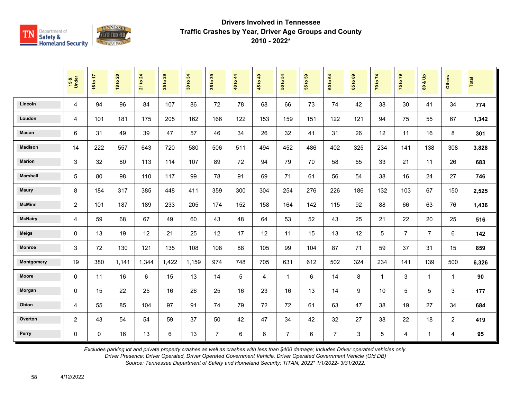

|                 | 15 &<br>Under  | 16 to 17    | <b>18 to 20</b> | 21 to 24 | $t$ o 29<br>25 | 34<br>$\mathbf{S}$<br>$\overline{30}$ | 35 to 39       | 40 to 44 | 45 to 49       | $\overline{5}$<br>50 to | $t_0$ 59<br>$\overline{5}$ | 60 to 64       | 1069<br>$65^{\circ}$ | 70 to 74     | 75 to 79       | $\frac{6}{10}$<br>οð<br>80 | <b>Others</b>  | Total |
|-----------------|----------------|-------------|-----------------|----------|----------------|---------------------------------------|----------------|----------|----------------|-------------------------|----------------------------|----------------|----------------------|--------------|----------------|----------------------------|----------------|-------|
| Lincoln         | 4              | 94          | 96              | 84       | 107            | 86                                    | 72             | 78       | 68             | 66                      | 73                         | 74             | 42                   | 38           | 30             | 41                         | 34             | 774   |
| Loudon          | 4              | 101         | 181             | 175      | 205            | 162                                   | 166            | 122      | 153            | 159                     | 151                        | 122            | 121                  | 94           | 75             | 55                         | 67             | 1,342 |
| Macon           | 6              | 31          | 49              | 39       | 47             | 57                                    | 46             | 34       | 26             | 32                      | 41                         | 31             | 26                   | 12           | 11             | 16                         | 8              | 301   |
| <b>Madison</b>  | 14             | 222         | 557             | 643      | 720            | 580                                   | 506            | 511      | 494            | 452                     | 486                        | 402            | 325                  | 234          | 141            | 138                        | 308            | 3,828 |
| <b>Marion</b>   | 3              | 32          | 80              | 113      | 114            | 107                                   | 89             | 72       | 94             | 79                      | 70                         | 58             | 55                   | 33           | 21             | 11                         | 26             | 683   |
| <b>Marshall</b> | 5              | 80          | 98              | 110      | 117            | 99                                    | 78             | 91       | 69             | 71                      | 61                         | 56             | 54                   | 38           | 16             | 24                         | 27             | 746   |
| <b>Maury</b>    | 8              | 184         | 317             | 385      | 448            | 411                                   | 359            | 300      | 304            | 254                     | 276                        | 226            | 186                  | 132          | 103            | 67                         | 150            | 2,525 |
| <b>McMinn</b>   | $\overline{2}$ | 101         | 187             | 189      | 233            | 205                                   | 174            | 152      | 158            | 164                     | 142                        | 115            | 92                   | 88           | 66             | 63                         | 76             | 1,436 |
| <b>McNairy</b>  | 4              | 59          | 68              | 67       | 49             | 60                                    | 43             | 48       | 64             | 53                      | 52                         | 43             | 25                   | 21           | 22             | 20                         | 25             | 516   |
| <b>Meigs</b>    | 0              | 13          | 19              | 12       | 21             | 25                                    | 12             | 17       | 12             | 11                      | 15                         | 13             | 12                   | 5            | $\overline{7}$ | $\overline{7}$             | 6              | 142   |
| <b>Monroe</b>   | 3              | 72          | 130             | 121      | 135            | 108                                   | 108            | 88       | 105            | 99                      | 104                        | 87             | 71                   | 59           | 37             | 31                         | 15             | 859   |
| Montgomery      | 19             | 380         | 1,141           | 1,344    | 1,422          | 1,159                                 | 974            | 748      | 705            | 631                     | 612                        | 502            | 324                  | 234          | 141            | 139                        | 500            | 6,326 |
| <b>Moore</b>    | 0              | 11          | 16              | 6        | 15             | 13                                    | 14             | 5        | 4              | $\mathbf{1}$            | 6                          | 14             | 8                    | $\mathbf{1}$ | 3              | $\mathbf{1}$               | $\mathbf{1}$   | 90    |
| Morgan          | 0              | 15          | 22              | 25       | 16             | 26                                    | 25             | 16       | 23             | 16                      | 13                         | 14             | 9                    | 10           | 5              | 5                          | 3              | 177   |
| Obion           | 4              | 55          | 85              | 104      | 97             | 91                                    | 74             | 79       | 72             | 72                      | 61                         | 63             | 47                   | 38           | 19             | 27                         | 34             | 684   |
| Overton         | $\overline{c}$ | 43          | 54              | 54       | 59             | 37                                    | 50             | 42       | 47             | 34                      | 42                         | 32             | 27                   | 38           | 22             | 18                         | $\overline{2}$ | 419   |
| Perry           | 0              | $\mathbf 0$ | 16              | 13       | $6\phantom{a}$ | 13                                    | $\overline{7}$ | 6        | $6\phantom{a}$ | $\overline{7}$          | 6                          | $\overline{7}$ | 3                    | 5            | 4              | $\mathbf{1}$               | 4              | 95    |

*Excludes parking lot and private property crashes as well as crashes with less than \$400 damage; Includes Driver operated vehicles only.*

*Driver Presence: Driver Operated, Driver Operated Government Vehicle, Driver Operated Government Vehicle (Old DB)*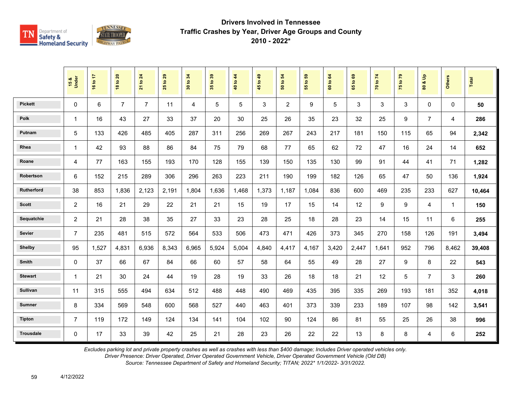

|                  | 15 &<br>Under  | 16 to 17       | <b>18 to 20</b> | 21 to 24       | 29<br>$\overline{\mathbf{c}}$<br>25 | 34<br>30 to | 35 to 39 | 40 to 44 | 45 to 49 | 54<br>50 to    | 55 to 59 | 64<br>60 to | $\mathbf{69}$<br>65 to | 70 to 74 | 75 to 79 | å<br>οð<br>$\overline{\mathbf{3}}$ | <b>Others</b> | <b>Total</b> |
|------------------|----------------|----------------|-----------------|----------------|-------------------------------------|-------------|----------|----------|----------|----------------|----------|-------------|------------------------|----------|----------|------------------------------------|---------------|--------------|
| <b>Pickett</b>   | 0              | $6\phantom{1}$ | $\overline{7}$  | $\overline{7}$ | 11                                  | 4           | 5        | 5        | 3        | $\overline{2}$ | 9        | 5           | 3                      | 3        | 3        | $\mathbf 0$                        | $\Omega$      | 50           |
| Polk             | 1              | 16             | 43              | 27             | 33                                  | 37          | 20       | 30       | 25       | 26             | 35       | 23          | 32                     | 25       | 9        | $\overline{7}$                     | 4             | 286          |
| Putnam           | 5              | 133            | 426             | 485            | 405                                 | 287         | 311      | 256      | 269      | 267            | 243      | 217         | 181                    | 150      | 115      | 65                                 | 94            | 2,342        |
| Rhea             | $\mathbf{1}$   | 42             | 93              | 88             | 86                                  | 84          | 75       | 79       | 68       | 77             | 65       | 62          | 72                     | 47       | 16       | 24                                 | 14            | 652          |
| Roane            | 4              | 77             | 163             | 155            | 193                                 | 170         | 128      | 155      | 139      | 150            | 135      | 130         | 99                     | 91       | 44       | 41                                 | 71            | 1,282        |
| Robertson        | 6              | 152            | 215             | 289            | 306                                 | 296         | 263      | 223      | 211      | 190            | 199      | 182         | 126                    | 65       | 47       | 50                                 | 136           | 1,924        |
| Rutherford       | 38             | 853            | 1,836           | 2,123          | 2,191                               | 1,804       | 1,636    | 1,468    | 1,373    | 1,187          | 1,084    | 836         | 600                    | 469      | 235      | 233                                | 627           | 10,464       |
| <b>Scott</b>     | $\overline{2}$ | 16             | 21              | 29             | 22                                  | 21          | 21       | 15       | 19       | 17             | 15       | 14          | 12                     | 9        | 9        | 4                                  | $\mathbf{1}$  | 150          |
| Sequatchie       | $\overline{2}$ | 21             | 28              | 38             | 35                                  | 27          | 33       | 23       | 28       | 25             | 18       | 28          | 23                     | 14       | 15       | 11                                 | 6             | 255          |
| Sevier           | $\overline{7}$ | 235            | 481             | 515            | 572                                 | 564         | 533      | 506      | 473      | 471            | 426      | 373         | 345                    | 270      | 158      | 126                                | 191           | 3,494        |
| <b>Shelby</b>    | 95             | 1,527          | 4,831           | 6,936          | 8,343                               | 6,965       | 5,924    | 5,004    | 4,840    | 4,417          | 4,167    | 3,420       | 2,447                  | 1.641    | 952      | 796                                | 8,462         | 39,408       |
| Smith            | 0              | 37             | 66              | 67             | 84                                  | 66          | 60       | 57       | 58       | 64             | 55       | 49          | 28                     | 27       | 9        | 8                                  | 22            | 543          |
| <b>Stewart</b>   | 1              | 21             | 30              | 24             | 44                                  | 19          | 28       | 19       | 33       | 26             | 18       | 18          | 21                     | 12       | 5        | $\overline{7}$                     | 3             | 260          |
| Sullivan         | 11             | 315            | 555             | 494            | 634                                 | 512         | 488      | 448      | 490      | 469            | 435      | 395         | 335                    | 269      | 193      | 181                                | 352           | 4,018        |
| <b>Sumner</b>    | 8              | 334            | 569             | 548            | 600                                 | 568         | 527      | 440      | 463      | 401            | 373      | 339         | 233                    | 189      | 107      | 98                                 | 142           | 3,541        |
| <b>Tipton</b>    | $\overline{7}$ | 119            | 172             | 149            | 124                                 | 134         | 141      | 104      | 102      | 90             | 124      | 86          | 81                     | 55       | 25       | 26                                 | 38            | 996          |
| <b>Trousdale</b> | 0              | 17             | 33              | 39             | 42                                  | 25          | 21       | 28       | 23       | 26             | 22       | 22          | 13                     | 8        | 8        | 4                                  | 6             | 252          |

*Excludes parking lot and private property crashes as well as crashes with less than \$400 damage; Includes Driver operated vehicles only.*

*Driver Presence: Driver Operated, Driver Operated Government Vehicle, Driver Operated Government Vehicle (Old DB)*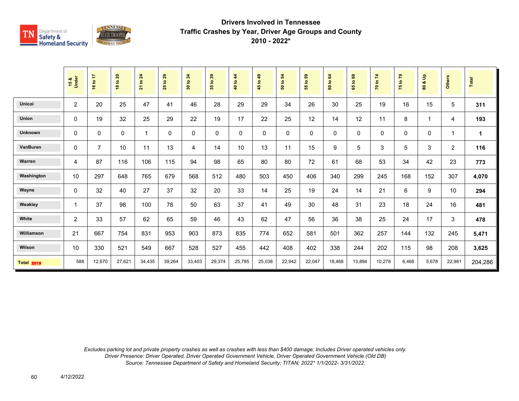

|                   | 15 &<br>Under  | 47<br>16 to    | <b>18 to 20</b> | to 24<br>$\overline{21}$ | 29<br>$\overline{5}$<br>25 | 34<br>$\mathbf{S}$<br>$\overline{\phantom{0}}\phantom{00}30$ | 35 to 39    | $\frac{4}{3}$<br>40 to | $\frac{1}{2}$<br>45 to | 50 to 54    | ${\bf 59}$<br>55 to | 64<br>60 to | $\mathbf{63}$<br>$\mathbf{S}$<br>59 | $\mathbf{z}$<br>70 to | 75 to 79    | $\frac{9}{2}$<br>oð<br>$\boldsymbol{80}$ | <b>Others</b>           | Total   |
|-------------------|----------------|----------------|-----------------|--------------------------|----------------------------|--------------------------------------------------------------|-------------|------------------------|------------------------|-------------|---------------------|-------------|-------------------------------------|-----------------------|-------------|------------------------------------------|-------------------------|---------|
| Unicoi            | $\overline{c}$ | 20             | 25              | 47                       | 41                         | 46                                                           | 28          | 29                     | 29                     | 34          | 26                  | 30          | 25                                  | 19                    | 16          | 15                                       | 5                       | 311     |
| Union             | 0              | 19             | 32              | 25                       | 29                         | 22                                                           | 19          | 17                     | 22                     | 25          | 12                  | 14          | 12                                  | 11                    | 8           | 1                                        | 4                       | 193     |
| Unknown           | 0              | 0              | 0               | 1                        | $\mathbf 0$                | $\Omega$                                                     | $\mathbf 0$ | 0                      | $\mathbf 0$            | $\mathbf 0$ | 0                   | 0           | 0                                   | 0                     | $\mathbf 0$ | 0                                        | $\overline{\mathbf{1}}$ | 1       |
| VanBuren          | 0              | $\overline{7}$ | 10              | 11                       | 13                         | 4                                                            | 14          | 10                     | 13                     | 11          | 15                  | 9           | $\sqrt{5}$                          | 3                     | $\sqrt{5}$  | 3                                        | $\overline{2}$          | 116     |
| Warren            | $\overline{4}$ | 87             | 116             | 106                      | 115                        | 94                                                           | 98          | 65                     | 80                     | 80          | 72                  | 61          | 68                                  | 53                    | 34          | 42                                       | 23                      | 773     |
| Washington        | 10             | 297            | 648             | 765                      | 679                        | 568                                                          | 512         | 480                    | 503                    | 450         | 406                 | 340         | 299                                 | 245                   | 168         | 152                                      | 307                     | 4,070   |
| Wayne             | 0              | 32             | 40              | 27                       | 37                         | 32                                                           | 20          | 33                     | 14                     | 25          | 19                  | 24          | 14                                  | 21                    | 6           | 9                                        | 10                      | 294     |
| Weakley           | 1              | 37             | 98              | 100                      | 78                         | 50                                                           | 63          | 37                     | 41                     | 49          | 30                  | 48          | 31                                  | 23                    | 18          | 24                                       | 16                      | 481     |
| White             | $\overline{c}$ | 33             | 57              | 62                       | 65                         | 59                                                           | 46          | 43                     | 62                     | 47          | 56                  | 36          | 38                                  | 25                    | 24          | 17                                       | $\mathbf{3}$            | 478     |
| Williamson        | 21             | 667            | 754             | 831                      | 953                        | 903                                                          | 873         | 835                    | 774                    | 652         | 581                 | 501         | 362                                 | 257                   | 144         | 132                                      | 245                     | 5,471   |
| Wilson            | 10             | 330            | 521             | 549                      | 667                        | 528                                                          | 527         | 455                    | 442                    | 408         | 402                 | 338         | 244                                 | 202                   | 115         | 98                                       | 208                     | 3,625   |
| <b>Total 2019</b> | 588            | 12,670         | 27,621          | 34,435                   | 39,264                     | 33,403                                                       | 29,374      | 25,785                 | 25,038                 | 22,942      | 22,047              | 18,468      | 13,894                              | 10,278                | 6,466       | 5,678                                    | 22,981                  | 204,286 |

*Excludes parking lot and private property crashes as well as crashes with less than \$400 damage; Includes Driver operated vehicles only. Driver Presence: Driver Operated, Driver Operated Government Vehicle, Driver Operated Government Vehicle (Old DB) Source: Tennessee Department of Safety and Homeland Security; TITAN; 2022\* 1/1/2022- 3/31/2022.*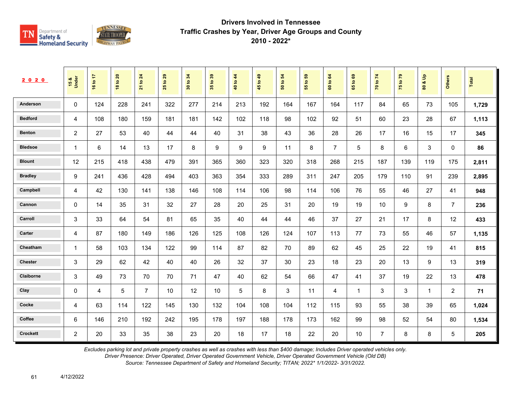

| 2020            | 15 &<br>Under   | 16 to 17 | 20<br>$\overline{\mathbf{S}}$<br>$\frac{8}{3}$ | 24<br>$\overline{\mathbf{e}}$<br>$\overline{21}$ | 29<br>$\overline{5}$<br>25 | 34<br>$\tt{S}$<br>$30^{\circ}$ | $t_0$ 39<br>$35^{\circ}$ | 40 to 44 | 1049<br>45 | $\overline{5}$<br>$\mathbf{e}$<br>នី | 3<br>$\mathbf{S}$<br>55 | 64<br>$\mathbf{S}$<br>$\tt G$ | $\mathbf{63}$<br>$\mathbf{S}$<br>59 | 70 to 74       | $\mathbf{r}$<br>$\mathbf{S}$<br>$\frac{1}{2}$ | $\frac{9}{2}$<br>ಯ<br>$\tt{S}0$ | Others         | Total |
|-----------------|-----------------|----------|------------------------------------------------|--------------------------------------------------|----------------------------|--------------------------------|--------------------------|----------|------------|--------------------------------------|-------------------------|-------------------------------|-------------------------------------|----------------|-----------------------------------------------|---------------------------------|----------------|-------|
| Anderson        | $\mathbf 0$     | 124      | 228                                            | 241                                              | 322                        | 277                            | 214                      | 213      | 192        | 164                                  | 167                     | 164                           | 117                                 | 84             | 65                                            | 73                              | 105            | 1,729 |
| <b>Bedford</b>  | 4               | 108      | 180                                            | 159                                              | 181                        | 181                            | 142                      | 102      | 118        | 98                                   | 102                     | 92                            | 51                                  | 60             | 23                                            | 28                              | 67             | 1,113 |
| <b>Benton</b>   | $\overline{2}$  | 27       | 53                                             | 40                                               | 44                         | 44                             | 40                       | 31       | 38         | 43                                   | 36                      | 28                            | 26                                  | 17             | 16                                            | 15                              | 17             | 345   |
| <b>Bledsoe</b>  | $\mathbf{1}$    | 6        | 14                                             | 13                                               | 17                         | 8                              | 9                        | 9        | 9          | 11                                   | 8                       | $\overline{7}$                | 5                                   | 8              | 6                                             | 3                               | $\mathbf{0}$   | 86    |
| <b>Blount</b>   | 12              | 215      | 418                                            | 438                                              | 479                        | 391                            | 365                      | 360      | 323        | 320                                  | 318                     | 268                           | 215                                 | 187            | 139                                           | 119                             | 175            | 2,811 |
| <b>Bradley</b>  | 9               | 241      | 436                                            | 428                                              | 494                        | 403                            | 363                      | 354      | 333        | 289                                  | 311                     | 247                           | 205                                 | 179            | 110                                           | 91                              | 239            | 2,895 |
| Campbell        | 4               | 42       | 130                                            | 141                                              | 138                        | 146                            | 108                      | 114      | 106        | 98                                   | 114                     | 106                           | 76                                  | 55             | 46                                            | 27                              | 41             | 948   |
| Cannon          | $\mathbf 0$     | 14       | 35                                             | 31                                               | 32                         | 27                             | 28                       | 20       | 25         | 31                                   | 20                      | 19                            | 19                                  | 10             | 9                                             | 8                               | $\overline{7}$ | 236   |
| Carroll         | 3               | 33       | 64                                             | 54                                               | 81                         | 65                             | 35                       | 40       | 44         | 44                                   | 46                      | 37                            | 27                                  | 21             | 17                                            | 8                               | 12             | 433   |
| Carter          | 4               | 87       | 180                                            | 149                                              | 186                        | 126                            | 125                      | 108      | 126        | 124                                  | 107                     | 113                           | 77                                  | 73             | 55                                            | 46                              | 57             | 1,135 |
| Cheatham        | 1               | 58       | 103                                            | 134                                              | 122                        | 99                             | 114                      | 87       | 82         | 70                                   | 89                      | 62                            | 45                                  | 25             | 22                                            | 19                              | 41             | 815   |
| <b>Chester</b>  | 3               | 29       | 62                                             | 42                                               | 40                         | 40                             | 26                       | 32       | 37         | 30                                   | 23                      | 18                            | 23                                  | 20             | 13                                            | 9                               | 13             | 319   |
| Claiborne       | 3               | 49       | 73                                             | 70                                               | 70                         | 71                             | 47                       | 40       | 62         | 54                                   | 66                      | 47                            | 41                                  | 37             | 19                                            | 22                              | 13             | 478   |
| Clay            | 0               | 4        | 5                                              | $\overline{7}$                                   | 10                         | 12                             | 10                       | 5        | 8          | 3                                    | 11                      | 4                             | $\mathbf{1}$                        | 3              | 3                                             | $\mathbf{1}$                    | 2              | 71    |
| Cocke           | $\overline{4}$  | 63       | 114                                            | 122                                              | 145                        | 130                            | 132                      | 104      | 108        | 104                                  | 112                     | 115                           | 93                                  | 55             | 38                                            | 39                              | 65             | 1,024 |
| Coffee          | $6\phantom{1}6$ | 146      | 210                                            | 192                                              | 242                        | 195                            | 178                      | 197      | 188        | 178                                  | 173                     | 162                           | 99                                  | 98             | 52                                            | 54                              | 80             | 1,534 |
| <b>Crockett</b> | $\overline{2}$  | 20       | 33                                             | 35                                               | 38                         | 23                             | 20                       | 18       | 17         | 18                                   | 22                      | 20                            | 10                                  | $\overline{7}$ | $\bf 8$                                       | 8                               | 5              | 205   |

*Excludes parking lot and private property crashes as well as crashes with less than \$400 damage; Includes Driver operated vehicles only.*

*Driver Presence: Driver Operated, Driver Operated Government Vehicle, Driver Operated Government Vehicle (Old DB)*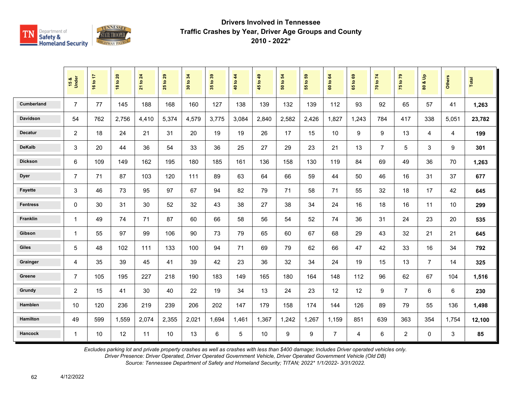

|                   | 15 &<br>Under  | 16 to 17 | <b>18 to 20</b> | 21 to 24 | 29<br>$\mathbf{e}$<br>25 | 34<br>30 to | 35 to 39 | 40 to 44 | 45 to 49 | $\overline{5}$<br>50 to | ${\bf 59}$<br>$\mathbf{e}$<br>$\overline{55}$ | $\mathbf{g}$<br>60 to | $\mathbf{69}$<br>65 to | 70 to 74       | 75 to 79       | $\mathbf{e}$<br>οð<br>$\overline{\mathbf{8}}$ | <b>Others</b> | <b>Total</b> |
|-------------------|----------------|----------|-----------------|----------|--------------------------|-------------|----------|----------|----------|-------------------------|-----------------------------------------------|-----------------------|------------------------|----------------|----------------|-----------------------------------------------|---------------|--------------|
| <b>Cumberland</b> | $\overline{7}$ | 77       | 145             | 188      | 168                      | 160         | 127      | 138      | 139      | 132                     | 139                                           | 112                   | 93                     | 92             | 65             | 57                                            | 41            | 1,263        |
| <b>Davidson</b>   | 54             | 762      | 2,756           | 4,410    | 5,374                    | 4,579       | 3.775    | 3,084    | 2,840    | 2,582                   | 2,426                                         | 1,827                 | 1.243                  | 784            | 417            | 338                                           | 5,051         | 23,782       |
| <b>Decatur</b>    | 2              | 18       | 24              | 21       | 31                       | 20          | 19       | 19       | 26       | 17                      | 15                                            | 10                    | 9                      | 9              | 13             | 4                                             | 4             | 199          |
| <b>DeKalb</b>     | 3              | 20       | 44              | 36       | 54                       | 33          | 36       | 25       | 27       | 29                      | 23                                            | 21                    | 13                     | $\overline{7}$ | 5              | 3                                             | 9             | 301          |
| <b>Dickson</b>    | 6              | 109      | 149             | 162      | 195                      | 180         | 185      | 161      | 136      | 158                     | 130                                           | 119                   | 84                     | 69             | 49             | 36                                            | 70            | 1,263        |
| <b>Dyer</b>       | $\overline{7}$ | 71       | 87              | 103      | 120                      | 111         | 89       | 63       | 64       | 66                      | 59                                            | 44                    | 50                     | 46             | 16             | 31                                            | 37            | 677          |
| <b>Fayette</b>    | 3              | 46       | 73              | 95       | 97                       | 67          | 94       | 82       | 79       | 71                      | 58                                            | 71                    | 55                     | 32             | 18             | 17                                            | 42            | 645          |
| <b>Fentress</b>   | $\mathbf 0$    | 30       | 31              | 30       | 52                       | 32          | 43       | 38       | 27       | 38                      | 34                                            | 24                    | 16                     | 18             | 16             | 11                                            | 10            | 299          |
| Franklin          | $\mathbf{1}$   | 49       | 74              | 71       | 87                       | 60          | 66       | 58       | 56       | 54                      | 52                                            | 74                    | 36                     | 31             | 24             | 23                                            | 20            | 535          |
| Gibson            | $\mathbf{1}$   | 55       | 97              | 99       | 106                      | 90          | 73       | 79       | 65       | 60                      | 67                                            | 68                    | 29                     | 43             | 32             | 21                                            | 21            | 645          |
| <b>Giles</b>      | $\overline{5}$ | 48       | 102             | 111      | 133                      | 100         | 94       | 71       | 69       | 79                      | 62                                            | 66                    | 47                     | 42             | 33             | 16                                            | 34            | 792          |
| Grainger          | 4              | 35       | 39              | 45       | 41                       | 39          | 42       | 23       | 36       | 32                      | 34                                            | 24                    | 19                     | 15             | 13             | $\overline{7}$                                | 14            | 325          |
| Greene            | $\overline{7}$ | 105      | 195             | 227      | 218                      | 190         | 183      | 149      | 165      | 180                     | 164                                           | 148                   | 112                    | 96             | 62             | 67                                            | 104           | 1,516        |
| Grundy            | $\overline{c}$ | 15       | 41              | 30       | 40                       | 22          | 19       | 34       | 13       | 24                      | 23                                            | 12                    | 12                     | 9              | $\overline{7}$ | 6                                             | 6             | 230          |
| Hamblen           | 10             | 120      | 236             | 219      | 239                      | 206         | 202      | 147      | 179      | 158                     | 174                                           | 144                   | 126                    | 89             | 79             | 55                                            | 136           | 1,498        |
| <b>Hamilton</b>   | 49             | 599      | 1,559           | 2,074    | 2,355                    | 2,021       | 1,694    | 1,461    | 1,367    | 1,242                   | 1,267                                         | 1,159                 | 851                    | 639            | 363            | 354                                           | 1,754         | 12,100       |
| <b>Hancock</b>    | $\mathbf{1}$   | 10       | 12              | 11       | 10                       | 13          | 6        | 5        | 10       | 9                       | 9                                             | $\overline{7}$        | 4                      | 6              | $\overline{2}$ | $\mathbf 0$                                   | 3             | 85           |

*Excludes parking lot and private property crashes as well as crashes with less than \$400 damage; Includes Driver operated vehicles only.*

*Driver Presence: Driver Operated, Driver Operated Government Vehicle, Driver Operated Government Vehicle (Old DB)*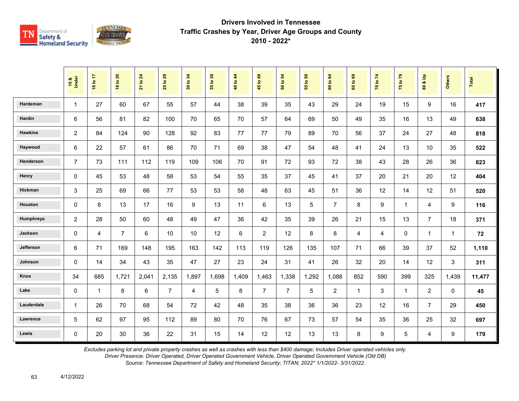

|                  | 15 &<br>Under  | 16 to 17     | <b>18 to 20</b> | 21 to 24 | 29<br>$\mathbf{e}$<br>25 | 34<br>30 to | 35 to 39 | 40 to 44 | 45 to 49       | $\mathbf{5}$<br>50 to | G5<br>$\ddot{\mathbf{5}}$<br>$\overline{55}$ | to 64<br>$\overline{6}$ | ${\tt g}$<br>$\overline{9}$<br>$65^{\circ}$ | 70 to 74       | 75 to 79       | $\frac{9}{2}$<br>οð<br>$\mathbf{S}$ | <b>Others</b> | Total  |
|------------------|----------------|--------------|-----------------|----------|--------------------------|-------------|----------|----------|----------------|-----------------------|----------------------------------------------|-------------------------|---------------------------------------------|----------------|----------------|-------------------------------------|---------------|--------|
| Hardeman         | $\mathbf{1}$   | 27           | 60              | 67       | 55                       | 57          | 44       | 38       | 39             | 35                    | 43                                           | 29                      | 24                                          | 19             | 15             | 9                                   | 16            | 417    |
| Hardin           | 6              | 56           | 81              | 82       | 100                      | 70          | 65       | 70       | 57             | 64                    | 69                                           | 50                      | 49                                          | 35             | 16             | 13                                  | 49            | 638    |
| <b>Hawkins</b>   | $\overline{c}$ | 84           | 124             | 90       | 128                      | 92          | 83       | 77       | 77             | 79                    | 89                                           | 70                      | 56                                          | 37             | 24             | 27                                  | 48            | 818    |
| Haywood          | 6              | 22           | 57              | 61       | 86                       | 70          | 71       | 69       | 38             | 47                    | 54                                           | 48                      | 41                                          | 24             | 13             | 10                                  | 35            | 522    |
| Henderson        | $\overline{7}$ | 73           | 111             | 112      | 119                      | 109         | 106      | 70       | 91             | 72                    | 93                                           | 72                      | 38                                          | 43             | 28             | 26                                  | 36            | 823    |
| Henry            | $\mathbf 0$    | 45           | 53              | 48       | 58                       | 53          | 54       | 55       | 35             | 37                    | 45                                           | 41                      | 37                                          | 20             | 21             | 20                                  | 12            | 404    |
| Hickman          | 3              | 25           | 69              | 66       | 77                       | 53          | 53       | 58       | 48             | 63                    | 45                                           | 51                      | 36                                          | 12             | 14             | 12                                  | 51            | 520    |
| Houston          | $\mathbf 0$    | 8            | 13              | 17       | 16                       | 9           | 13       | 11       | 6              | 13                    | 5                                            | $\overline{7}$          | 8                                           | 9              | $\mathbf{1}$   | 4                                   | 9             | 116    |
| <b>Humphreys</b> | $\overline{c}$ | 28           | 50              | 60       | 48                       | 49          | 47       | 36       | 42             | 35                    | 39                                           | 26                      | 21                                          | 15             | 13             | $\overline{7}$                      | 18            | 371    |
| Jackson          | $\mathbf 0$    | 4            | $\overline{7}$  | 6        | 10                       | 10          | 12       | 6        | $\overline{c}$ | 12                    | 8                                            | 8                       | 4                                           | $\overline{4}$ | $\mathbf{0}$   | $\mathbf{1}$                        | 1             | 72     |
| Jefferson        | 6              | 71           | 169             | 148      | 195                      | 163         | 142      | 113      | 119            | 126                   | 135                                          | 107                     | 71                                          | 66             | 39             | 37                                  | 52            | 1,110  |
| Johnson          | $\Omega$       | 14           | 34              | 43       | 35                       | 47          | 27       | 23       | 24             | 31                    | 41                                           | 26                      | 32                                          | 20             | 14             | 12                                  | 3             | 311    |
| Knox             | 34             | 685          | 1,721           | 2,041    | 2,135                    | 1,897       | 1,698    | 1,409    | 1,463          | 1,338                 | 1,292                                        | 1,088                   | 852                                         | 590            | 399            | 325                                 | 1,439         | 11,477 |
| Lake             | $\Omega$       | $\mathbf{1}$ | 8               | 6        | $\overline{7}$           | 4           | 5        | 8        | $\overline{7}$ | $\overline{7}$        | 5                                            | $\overline{c}$          | $\mathbf{1}$                                | 3              | $\overline{1}$ | $\overline{2}$                      | $\Omega$      | 45     |
| Lauderdale       | $\mathbf{1}$   | 26           | 70              | 68       | 54                       | 72          | 42       | 48       | 35             | 38                    | 36                                           | 36                      | 23                                          | 12             | 16             | $\overline{7}$                      | 29            | 450    |
| Lawrence         | 5              | 62           | 97              | 95       | 112                      | 89          | 80       | 70       | 76             | 67                    | 73                                           | 57                      | 54                                          | 35             | 36             | 25                                  | 32            | 697    |
| Lewis            | $\Omega$       | 20           | 30              | 36       | 22                       | 31          | 15       | 14       | 12             | 12                    | 13                                           | 13                      | 8                                           | 9              | 5              | 4                                   | 9             | 179    |

*Excludes parking lot and private property crashes as well as crashes with less than \$400 damage; Includes Driver operated vehicles only.*

*Driver Presence: Driver Operated, Driver Operated Government Vehicle, Driver Operated Government Vehicle (Old DB)*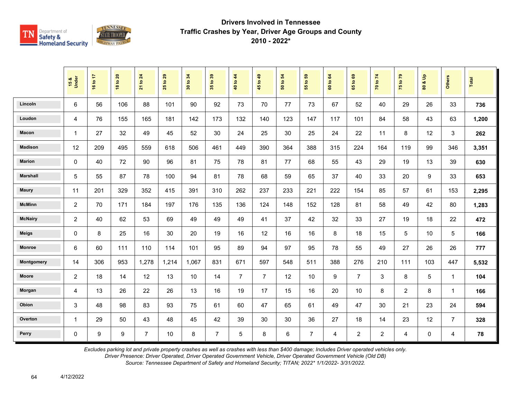

|                 | 15 &<br>Under  | 16 to 17 | <b>18 to 20</b> | 24<br>21 to    | 29<br>$\mathbf{e}$<br>25 | 34<br>30 to | 35 to 39       | 40 to 44       | 45 to 49       | 54<br>50 to | 55 to 59       | $\mathbf{g}$<br>60 to | $\mathbf{63}$<br>$\tt{S}$<br>65 | 70 to 74       | 75 to 79       | $\mathbf{e}$<br>οð<br>$\overline{\mathbf{8}}$ | <b>Others</b>  | <b>Total</b> |
|-----------------|----------------|----------|-----------------|----------------|--------------------------|-------------|----------------|----------------|----------------|-------------|----------------|-----------------------|---------------------------------|----------------|----------------|-----------------------------------------------|----------------|--------------|
| Lincoln         | 6              | 56       | 106             | 88             | 101                      | 90          | 92             | 73             | 70             | 77          | 73             | 67                    | 52                              | 40             | 29             | 26                                            | 33             | 736          |
| Loudon          | 4              | 76       | 155             | 165            | 181                      | 142         | 173            | 132            | 140            | 123         | 147            | 117                   | 101                             | 84             | 58             | 43                                            | 63             | 1,200        |
| Macon           | 1              | 27       | 32              | 49             | 45                       | 52          | 30             | 24             | 25             | 30          | 25             | 24                    | 22                              | 11             | 8              | 12                                            | 3              | 262          |
| <b>Madison</b>  | 12             | 209      | 495             | 559            | 618                      | 506         | 461            | 449            | 390            | 364         | 388            | 315                   | 224                             | 164            | 119            | 99                                            | 346            | 3,351        |
| <b>Marion</b>   | 0              | 40       | 72              | 90             | 96                       | 81          | 75             | 78             | 81             | 77          | 68             | 55                    | 43                              | 29             | 19             | 13                                            | 39             | 630          |
| <b>Marshall</b> | 5              | 55       | 87              | 78             | 100                      | 94          | 81             | 78             | 68             | 59          | 65             | 37                    | 40                              | 33             | 20             | 9                                             | 33             | 653          |
| Maury           | 11             | 201      | 329             | 352            | 415                      | 391         | 310            | 262            | 237            | 233         | 221            | 222                   | 154                             | 85             | 57             | 61                                            | 153            | 2,295        |
| <b>McMinn</b>   | $\overline{c}$ | 70       | 171             | 184            | 197                      | 176         | 135            | 136            | 124            | 148         | 152            | 128                   | 81                              | 58             | 49             | 42                                            | 80             | 1,283        |
| <b>McNairy</b>  | $\overline{2}$ | 40       | 62              | 53             | 69                       | 49          | 49             | 49             | 41             | 37          | 42             | 32                    | 33                              | 27             | 19             | 18                                            | 22             | 472          |
| <b>Meigs</b>    | 0              | 8        | 25              | 16             | 30                       | 20          | 19             | 16             | 12             | 16          | 16             | 8                     | 18                              | 15             | 5              | 10                                            | 5              | 166          |
| <b>Monroe</b>   | 6              | 60       | 111             | 110            | 114                      | 101         | 95             | 89             | 94             | 97          | 95             | 78                    | 55                              | 49             | 27             | 26                                            | 26             | 777          |
| Montgomery      | 14             | 306      | 953             | 1,278          | 1,214                    | 1,067       | 831            | 671            | 597            | 548         | 511            | 388                   | 276                             | 210            | 111            | 103                                           | 447            | 5,532        |
| Moore           | $\overline{c}$ | 18       | 14              | 12             | 13                       | 10          | 14             | $\overline{7}$ | $\overline{7}$ | 12          | 10             | 9                     | $\overline{7}$                  | 3              | 8              | 5                                             | $\mathbf{1}$   | 104          |
| Morgan          | 4              | 13       | 26              | 22             | 26                       | 13          | 16             | 19             | 17             | 15          | 16             | 20                    | 10                              | 8              | $\overline{2}$ | 8                                             | $\mathbf{1}$   | 166          |
| Obion           | 3              | 48       | 98              | 83             | 93                       | 75          | 61             | 60             | 47             | 65          | 61             | 49                    | 47                              | 30             | 21             | 23                                            | 24             | 594          |
| Overton         | $\mathbf{1}$   | 29       | 50              | 43             | 48                       | 45          | 42             | 39             | 30             | 30          | 36             | 27                    | 18                              | 14             | 23             | 12                                            | $\overline{7}$ | 328          |
| Perry           | 0              | 9        | 9               | $\overline{7}$ | 10                       | 8           | $\overline{7}$ | 5              | 8              | 6           | $\overline{7}$ | $\overline{4}$        | $\overline{2}$                  | $\overline{2}$ | 4              | $\mathbf 0$                                   | 4              | 78           |

*Excludes parking lot and private property crashes as well as crashes with less than \$400 damage; Includes Driver operated vehicles only.*

*Driver Presence: Driver Operated, Driver Operated Government Vehicle, Driver Operated Government Vehicle (Old DB)*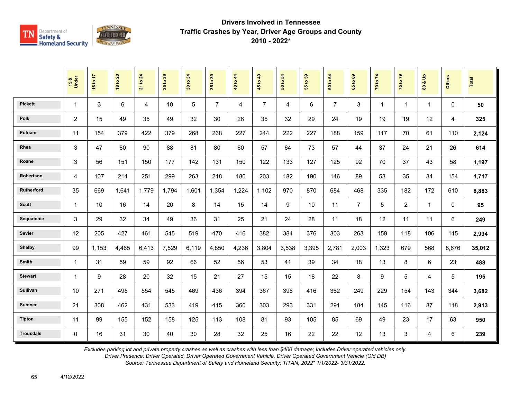

|                  | 15 &<br>Under  | 16 to 17 | <b>18 to 20</b> | 21 to 24       | 29<br>$\overline{5}$<br>25 | 34<br>30 to | 35 to 39       | 40 to 44 | 45 to 49       | 54<br>50 to | 55 to 59 | 64<br>60 to    | $\mathbf{69}$<br>65 to | 70 to 74     | 75 to 79       | å<br>οð<br>$\overline{\mathbf{3}}$ | <b>Others</b> | Total  |
|------------------|----------------|----------|-----------------|----------------|----------------------------|-------------|----------------|----------|----------------|-------------|----------|----------------|------------------------|--------------|----------------|------------------------------------|---------------|--------|
| <b>Pickett</b>   | 1              | 3        | 6               | $\overline{4}$ | 10                         | 5           | $\overline{7}$ | 4        | $\overline{7}$ | 4           | 6        | $\overline{7}$ | 3                      | $\mathbf{1}$ | $\overline{1}$ | $\mathbf{1}$                       | $\Omega$      | 50     |
| <b>Polk</b>      | $\overline{2}$ | 15       | 49              | 35             | 49                         | 32          | 30             | 26       | 35             | 32          | 29       | 24             | 19                     | 19           | 19             | 12                                 | 4             | 325    |
| Putnam           | 11             | 154      | 379             | 422            | 379                        | 268         | 268            | 227      | 244            | 222         | 227      | 188            | 159                    | 117          | 70             | 61                                 | 110           | 2,124  |
| Rhea             | 3              | 47       | 80              | 90             | 88                         | 81          | 80             | 60       | 57             | 64          | 73       | 57             | 44                     | 37           | 24             | 21                                 | 26            | 614    |
| Roane            | 3              | 56       | 151             | 150            | 177                        | 142         | 131            | 150      | 122            | 133         | 127      | 125            | 92                     | 70           | 37             | 43                                 | 58            | 1,197  |
| Robertson        | 4              | 107      | 214             | 251            | 299                        | 263         | 218            | 180      | 203            | 182         | 190      | 146            | 89                     | 53           | 35             | 34                                 | 154           | 1,717  |
| Rutherford       | 35             | 669      | 1.641           | 1,779          | 1,794                      | 1.601       | 1,354          | 1.224    | 1,102          | 970         | 870      | 684            | 468                    | 335          | 182            | 172                                | 610           | 8,883  |
| <b>Scott</b>     | 1              | 10       | 16              | 14             | 20                         | 8           | 14             | 15       | 14             | 9           | 10       | 11             | $\overline{7}$         | 5            | $\overline{2}$ | $\mathbf{1}$                       | $\mathbf 0$   | 95     |
| Sequatchie       | 3              | 29       | 32              | 34             | 49                         | 36          | 31             | 25       | 21             | 24          | 28       | 11             | 18                     | 12           | 11             | 11                                 | 6             | 249    |
| Sevier           | 12             | 205      | 427             | 461            | 545                        | 519         | 470            | 416      | 382            | 384         | 376      | 303            | 263                    | 159          | 118            | 106                                | 145           | 2,994  |
| <b>Shelby</b>    | 99             | 1,153    | 4,465           | 6,413          | 7,529                      | 6,119       | 4,850          | 4,236    | 3,804          | 3,538       | 3,395    | 2,781          | 2,003                  | 1,323        | 679            | 568                                | 8,676         | 35,012 |
| Smith            | 1              | 31       | 59              | 59             | 92                         | 66          | 52             | 56       | 53             | 41          | 39       | 34             | 18                     | 13           | 8              | 6                                  | 23            | 488    |
| <b>Stewart</b>   | 1              | 9        | 28              | 20             | 32                         | 15          | 21             | 27       | 15             | 15          | 18       | 22             | 8                      | 9            | 5              | 4                                  | 5             | 195    |
| <b>Sullivan</b>  | 10             | 271      | 495             | 554            | 545                        | 469         | 436            | 394      | 367            | 398         | 416      | 362            | 249                    | 229          | 154            | 143                                | 344           | 3,682  |
| <b>Sumner</b>    | 21             | 308      | 462             | 431            | 533                        | 419         | 415            | 360      | 303            | 293         | 331      | 291            | 184                    | 145          | 116            | 87                                 | 118           | 2,913  |
| <b>Tipton</b>    | 11             | 99       | 155             | 152            | 158                        | 125         | 113            | 108      | 81             | 93          | 105      | 85             | 69                     | 49           | 23             | 17                                 | 63            | 950    |
| <b>Trousdale</b> | 0              | 16       | 31              | 30             | 40                         | 30          | 28             | 32       | 25             | 16          | 22       | 22             | 12                     | 13           | $\mathbf{3}$   | 4                                  | 6             | 239    |

*Excludes parking lot and private property crashes as well as crashes with less than \$400 damage; Includes Driver operated vehicles only.*

*Driver Presence: Driver Operated, Driver Operated Government Vehicle, Driver Operated Government Vehicle (Old DB)*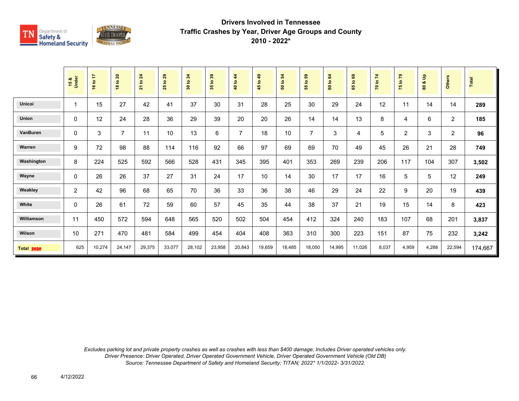

|                   | 15 &<br>Under  | 16 to 17 | 18 to 20       | 21 to 24 | 29<br>$\mathbf{e}$<br>25 | 30 to 34 | 35 to 39 | 44<br>40 to    | $\overline{49}$<br>45 to | 54<br>50 to | <b>e</b><br>$\overline{5}$<br>55 | 60 to 64 | $\mathbf{69}$<br>$\mathbf{e}$<br>59 | 70 to 74 | 75 to 79 | 을<br>ođ<br>80 | Others         | Total   |
|-------------------|----------------|----------|----------------|----------|--------------------------|----------|----------|----------------|--------------------------|-------------|----------------------------------|----------|-------------------------------------|----------|----------|---------------|----------------|---------|
| Unicoi            | 1              | 15       | 27             | 42       | 41                       | 37       | 30       | 31             | 28                       | 25          | 30                               | 29       | 24                                  | 12       | 11       | 14            | 14             | 289     |
| <b>Union</b>      | 0              | 12       | 24             | 28       | 36                       | 29       | 39       | 20             | 20                       | 26          | 14                               | 14       | 13                                  | 8        | 4        | 6             | $\overline{2}$ | 185     |
| VanBuren          | 0              | 3        | $\overline{7}$ | 11       | 10                       | 13       | 6        | $\overline{7}$ | 18                       | 10          | $\overline{7}$                   | 3        | 4                                   | 5        | 2        | 3             | $\overline{c}$ | 96      |
| Warren            | 9              | 72       | 98             | 88       | 114                      | 116      | 92       | 66             | 97                       | 69          | 69                               | 70       | 49                                  | 45       | 26       | 21            | 28             | 749     |
| Washington        | 8              | 224      | 525            | 592      | 566                      | 528      | 431      | 345            | 395                      | 401         | 353                              | 269      | 239                                 | 206      | 117      | 104           | 307            | 3,502   |
| Wayne             | 0              | 26       | 26             | 37       | 27                       | 31       | 24       | 17             | 10                       | 14          | 30                               | 17       | 17                                  | 16       | 5        | 5             | 12             | 249     |
| Weakley           | $\overline{2}$ | 42       | 96             | 68       | 65                       | 70       | 36       | 33             | 36                       | 38          | 46                               | 29       | 24                                  | 22       | 9        | 20            | 19             | 439     |
| White             | 0              | 26       | 61             | 72       | 59                       | 60       | 57       | 45             | 35                       | 44          | 38                               | 37       | 21                                  | 19       | 15       | 14            | 8              | 423     |
| Williamson        | 11             | 450      | 572            | 594      | 648                      | 565      | 520      | 502            | 504                      | 454         | 412                              | 324      | 240                                 | 183      | 107      | 68            | 201            | 3,837   |
| Wilson            | 10             | 271      | 470            | 481      | 584                      | 499      | 454      | 404            | 408                      | 363         | 310                              | 300      | 223                                 | 151      | 87       | 75            | 232            | 3,242   |
| <b>Total 2020</b> | 625            | 10,274   | 24,147         | 29,375   | 33,077                   | 28,102   | 23,958   | 20,843         | 19,659                   | 18,485      | 18,050                           | 14,995   | 11,026                              | 8,037    | 4,959    | 4,288         | 22,594         | 174,667 |

*Excludes parking lot and private property crashes as well as crashes with less than \$400 damage; Includes Driver operated vehicles only. Driver Presence: Driver Operated, Driver Operated Government Vehicle, Driver Operated Government Vehicle (Old DB) Source: Tennessee Department of Safety and Homeland Security; TITAN; 2022\* 1/1/2022- 3/31/2022.*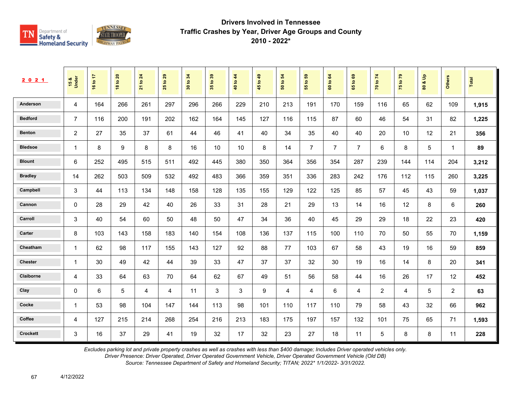

| 2021           | 15 &<br>Under  | 16 to 17 | $\overline{20}$<br>$\mathtt{S}$<br>$\infty$ | 24<br>$\mathtt{S}$<br>$\overline{21}$ | 29<br>$\mathbf{e}$<br>25 | 34<br>$\mathbf{S}$<br>30 | $39$<br>35 <sub>to</sub> | 40 to 44 | 49<br>45 to | 54<br>$\mathbf{e}$<br>ន | 69<br>55 to    | 64<br>60 to    | $\mathbf{69}$<br>$\mathbf{e}$<br>59 | 70 to 74       | $\mathbf{r}$<br>75 to | $\frac{9}{2}$<br>ಯ<br>$\pmb{\mathbb{S}}$ | <b>Others</b>  | Total |
|----------------|----------------|----------|---------------------------------------------|---------------------------------------|--------------------------|--------------------------|--------------------------|----------|-------------|-------------------------|----------------|----------------|-------------------------------------|----------------|-----------------------|------------------------------------------|----------------|-------|
| Anderson       | $\overline{4}$ | 164      | 266                                         | 261                                   | 297                      | 296                      | 266                      | 229      | 210         | 213                     | 191            | 170            | 159                                 | 116            | 65                    | 62                                       | 109            | 1,915 |
| <b>Bedford</b> | $\overline{7}$ | 116      | 200                                         | 191                                   | 202                      | 162                      | 164                      | 145      | 127         | 116                     | 115            | 87             | 60                                  | 46             | 54                    | 31                                       | 82             | 1,225 |
| <b>Benton</b>  | $\overline{c}$ | 27       | 35                                          | 37                                    | 61                       | 44                       | 46                       | 41       | 40          | 34                      | 35             | 40             | 40                                  | 20             | 10                    | 12                                       | 21             | 356   |
| <b>Bledsoe</b> | $\mathbf{1}$   | 8        | 9                                           | 8                                     | 8                        | 16                       | 10                       | 10       | 8           | 14                      | $\overline{7}$ | $\overline{7}$ | $\overline{7}$                      | 6              | 8                     | 5                                        | $\overline{1}$ | 89    |
| <b>Blount</b>  | 6              | 252      | 495                                         | 515                                   | 511                      | 492                      | 445                      | 380      | 350         | 364                     | 356            | 354            | 287                                 | 239            | 144                   | 114                                      | 204            | 3,212 |
| <b>Bradley</b> | 14             | 262      | 503                                         | 509                                   | 532                      | 492                      | 483                      | 366      | 359         | 351                     | 336            | 283            | 242                                 | 176            | 112                   | 115                                      | 260            | 3,225 |
| Campbell       | 3              | 44       | 113                                         | 134                                   | 148                      | 158                      | 128                      | 135      | 155         | 129                     | 122            | 125            | 85                                  | 57             | 45                    | 43                                       | 59             | 1,037 |
| Cannon         | $\mathbf 0$    | 28       | 29                                          | 42                                    | 40                       | 26                       | 33                       | 31       | 28          | 21                      | 29             | 13             | 14                                  | 16             | 12                    | 8                                        | 6              | 260   |
| Carroll        | 3              | 40       | 54                                          | 60                                    | 50                       | 48                       | 50                       | 47       | 34          | 36                      | 40             | 45             | 29                                  | 29             | 18                    | 22                                       | 23             | 420   |
| Carter         | 8              | 103      | 143                                         | 158                                   | 183                      | 140                      | 154                      | 108      | 136         | 137                     | 115            | 100            | 110                                 | 70             | 50                    | 55                                       | 70             | 1,159 |
| Cheatham       | $\mathbf{1}$   | 62       | 98                                          | 117                                   | 155                      | 143                      | 127                      | 92       | 88          | 77                      | 103            | 67             | 58                                  | 43             | 19                    | 16                                       | 59             | 859   |
| <b>Chester</b> | $\mathbf{1}$   | 30       | 49                                          | 42                                    | 44                       | 39                       | 33                       | 47       | 37          | 37                      | 32             | 30             | 19                                  | 16             | 14                    | 8                                        | 20             | 341   |
| Claiborne      | 4              | 33       | 64                                          | 63                                    | 70                       | 64                       | 62                       | 67       | 49          | 51                      | 56             | 58             | 44                                  | 16             | 26                    | 17                                       | 12             | 452   |
| Clay           | 0              | 6        | 5                                           | 4                                     | 4                        | 11                       | 3                        | 3        | 9           | 4                       | 4              | 6              | 4                                   | $\overline{2}$ | $\overline{4}$        | 5                                        | $\overline{2}$ | 63    |
| Cocke          | $\mathbf{1}$   | 53       | 98                                          | 104                                   | 147                      | 144                      | 113                      | 98       | 101         | 110                     | 117            | 110            | 79                                  | 58             | 43                    | 32                                       | 66             | 962   |
| Coffee         | $\overline{4}$ | 127      | 215                                         | 214                                   | 268                      | 254                      | 216                      | 213      | 183         | 175                     | 197            | 157            | 132                                 | 101            | 75                    | 65                                       | 71             | 1,593 |
| Crockett       | 3              | 16       | 37                                          | 29                                    | 41                       | 19                       | 32                       | 17       | 32          | 23                      | 27             | 18             | 11                                  | 5              | 8                     | 8                                        | 11             | 228   |

*Excludes parking lot and private property crashes as well as crashes with less than \$400 damage; Includes Driver operated vehicles only.*

*Driver Presence: Driver Operated, Driver Operated Government Vehicle, Driver Operated Government Vehicle (Old DB)*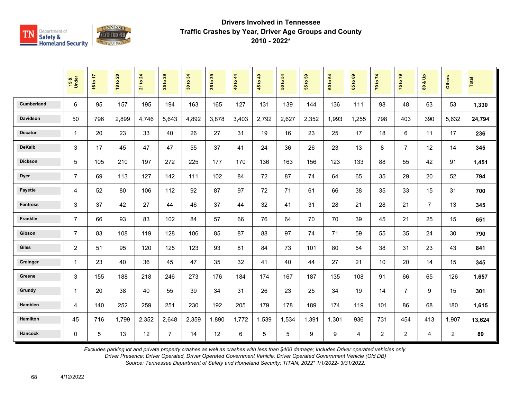

|                   | 15 &<br>Under  | 16 to 17 | 18 to 20 | 21 to 24 | 29<br>$\mathbf{e}$<br>25 | 30 to 34 | 35 to 39 | 40 to 44 | 45 to 49        | 50 to 54 | <b>e</b><br>$\mathbf{e}$<br>$\overline{5}$ | 60 to 64 | $\mathbf{63}$<br>$\overline{9}$<br>$65^{\circ}$ | 70 to 74       | 75 to 79       | $\frac{9}{2}$<br>οð<br>$\mathbf{S}$ | <b>Others</b>  | Total  |
|-------------------|----------------|----------|----------|----------|--------------------------|----------|----------|----------|-----------------|----------|--------------------------------------------|----------|-------------------------------------------------|----------------|----------------|-------------------------------------|----------------|--------|
| <b>Cumberland</b> | 6              | 95       | 157      | 195      | 194                      | 163      | 165      | 127      | 131             | 139      | 144                                        | 136      | 111                                             | 98             | 48             | 63                                  | 53             | 1,330  |
| <b>Davidson</b>   | 50             | 796      | 2,899    | 4,746    | 5,643                    | 4,892    | 3,878    | 3,403    | 2,792           | 2,627    | 2,352                                      | 1,993    | 1,255                                           | 798            | 403            | 390                                 | 5,632          | 24,794 |
| <b>Decatur</b>    | $\mathbf{1}$   | 20       | 23       | 33       | 40                       | 26       | 27       | 31       | 19              | 16       | 23                                         | 25       | 17                                              | 18             | 6              | 11                                  | 17             | 236    |
| <b>DeKalb</b>     | 3              | 17       | 45       | 47       | 47                       | 55       | 37       | 41       | 24              | 36       | 26                                         | 23       | 13                                              | 8              | $\overline{7}$ | 12                                  | 14             | 345    |
| <b>Dickson</b>    | 5              | 105      | 210      | 197      | 272                      | 225      | 177      | 170      | 136             | 163      | 156                                        | 123      | 133                                             | 88             | 55             | 42                                  | 91             | 1,451  |
| <b>Dyer</b>       | $\overline{7}$ | 69       | 113      | 127      | 142                      | 111      | 102      | 84       | 72              | 87       | 74                                         | 64       | 65                                              | 35             | 29             | 20                                  | 52             | 794    |
| <b>Fayette</b>    | $\overline{4}$ | 52       | 80       | 106      | 112                      | 92       | 87       | 97       | 72              | 71       | 61                                         | 66       | 38                                              | 35             | 33             | 15                                  | 31             | 700    |
| <b>Fentress</b>   | 3              | 37       | 42       | 27       | 44                       | 46       | 37       | 44       | 32              | 41       | 31                                         | 28       | 21                                              | 28             | 21             | $\overline{7}$                      | 13             | 345    |
| Franklin          | $\overline{7}$ | 66       | 93       | 83       | 102                      | 84       | 57       | 66       | 76              | 64       | 70                                         | 70       | 39                                              | 45             | 21             | 25                                  | 15             | 651    |
| Gibson            | $\overline{7}$ | 83       | 108      | 119      | 128                      | 106      | 85       | 87       | 88              | 97       | 74                                         | 71       | 59                                              | 55             | 35             | 24                                  | 30             | 790    |
| <b>Giles</b>      | $\overline{c}$ | 51       | 95       | 120      | 125                      | 123      | 93       | 81       | 84              | 73       | 101                                        | 80       | 54                                              | 38             | 31             | 23                                  | 43             | 841    |
| Grainger          | 1              | 23       | 40       | 36       | 45                       | 47       | 35       | 32       | 41              | 40       | 44                                         | 27       | 21                                              | 10             | 20             | 14                                  | 15             | 345    |
| Greene            | 3              | 155      | 188      | 218      | 246                      | 273      | 176      | 184      | 174             | 167      | 187                                        | 135      | 108                                             | 91             | 66             | 65                                  | 126            | 1,657  |
| Grundy            | $\mathbf{1}$   | 20       | 38       | 40       | 55                       | 39       | 34       | 31       | 26              | 23       | 25                                         | 34       | 19                                              | 14             | $\overline{7}$ | 9                                   | 15             | 301    |
| Hamblen           | $\overline{4}$ | 140      | 252      | 259      | 251                      | 230      | 192      | 205      | 179             | 178      | 189                                        | 174      | 119                                             | 101            | 86             | 68                                  | 180            | 1,615  |
| <b>Hamilton</b>   | 45             | 716      | 1,799    | 2,352    | 2,648                    | 2,359    | 1,890    | 1,772    | 1,539           | 1,534    | 1,391                                      | 1,301    | 936                                             | 731            | 454            | 413                                 | 1,907          | 13,624 |
| Hancock           | $\mathbf 0$    | 5        | 13       | 12       | $\overline{7}$           | 14       | 12       | 6        | $5\phantom{.0}$ | 5        | 9                                          | 9        | 4                                               | $\overline{2}$ | $\overline{2}$ | 4                                   | $\overline{a}$ | 89     |

*Excludes parking lot and private property crashes as well as crashes with less than \$400 damage; Includes Driver operated vehicles only.*

*Driver Presence: Driver Operated, Driver Operated Government Vehicle, Driver Operated Government Vehicle (Old DB)*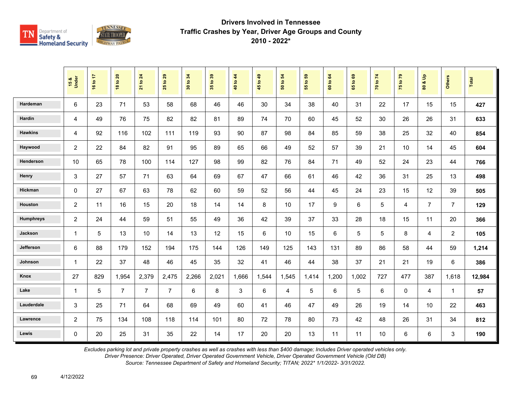

|                  | 15 &<br>Under  | 16 to 17 | <b>18 to 20</b> | 21 to 24       | 29<br>$\mathbf{e}$<br>25 | 34<br>30 to | 35 to 39 | 40 to 44 | 45 to 49 | $\mathbf{5}$<br>50 to | G5<br>$\overline{\mathbf{e}}$<br>$\overline{55}$ | 60 to 64 | ${\tt g}$<br>$\overline{9}$<br>$65^{\circ}$ | 70 to 74 | 75 to 79    | $\frac{9}{2}$<br>οð<br>$\mathbf{S}$ | <b>Others</b>  | Total  |
|------------------|----------------|----------|-----------------|----------------|--------------------------|-------------|----------|----------|----------|-----------------------|--------------------------------------------------|----------|---------------------------------------------|----------|-------------|-------------------------------------|----------------|--------|
| Hardeman         | 6              | 23       | 71              | 53             | 58                       | 68          | 46       | 46       | 30       | 34                    | 38                                               | 40       | 31                                          | 22       | 17          | 15                                  | 15             | 427    |
| Hardin           | 4              | 49       | 76              | 75             | 82                       | 82          | 81       | 89       | 74       | 70                    | 60                                               | 45       | 52                                          | 30       | 26          | 26                                  | 31             | 633    |
| <b>Hawkins</b>   | 4              | 92       | 116             | 102            | 111                      | 119         | 93       | 90       | 87       | 98                    | 84                                               | 85       | 59                                          | 38       | 25          | 32                                  | 40             | 854    |
| Haywood          | $\overline{c}$ | 22       | 84              | 82             | 91                       | 95          | 89       | 65       | 66       | 49                    | 52                                               | 57       | 39                                          | 21       | 10          | 14                                  | 45             | 604    |
| Henderson        | 10             | 65       | 78              | 100            | 114                      | 127         | 98       | 99       | 82       | 76                    | 84                                               | 71       | 49                                          | 52       | 24          | 23                                  | 44             | 766    |
| Henry            | 3              | 27       | 57              | 71             | 63                       | 64          | 69       | 67       | 47       | 66                    | 61                                               | 46       | 42                                          | 36       | 31          | 25                                  | 13             | 498    |
| Hickman          | $\mathbf 0$    | 27       | 67              | 63             | 78                       | 62          | 60       | 59       | 52       | 56                    | 44                                               | 45       | 24                                          | 23       | 15          | 12                                  | 39             | 505    |
| Houston          | $\overline{c}$ | 11       | 16              | 15             | 20                       | 18          | 14       | 14       | 8        | 10                    | 17                                               | 9        | 6                                           | 5        | 4           | $\overline{7}$                      | $\overline{7}$ | 129    |
| <b>Humphreys</b> | $\overline{c}$ | 24       | 44              | 59             | 51                       | 55          | 49       | 36       | 42       | 39                    | 37                                               | 33       | 28                                          | 18       | 15          | 11                                  | 20             | 366    |
| Jackson          | $\mathbf{1}$   | 5        | 13              | 10             | 14                       | 13          | 12       | 15       | 6        | 10                    | 15                                               | 6        | 5                                           | 5        | 8           | $\overline{4}$                      | $\overline{2}$ | 105    |
| Jefferson        | 6              | 88       | 179             | 152            | 194                      | 175         | 144      | 126      | 149      | 125                   | 143                                              | 131      | 89                                          | 86       | 58          | 44                                  | 59             | 1,214  |
| Johnson          | $\mathbf{1}$   | 22       | 37              | 48             | 46                       | 45          | 35       | 32       | 41       | 46                    | 44                                               | 38       | 37                                          | 21       | 21          | 19                                  | 6              | 386    |
| Knox             | 27             | 829      | 1,954           | 2,379          | 2,475                    | 2,266       | 2,021    | 1,666    | 1,544    | 1,545                 | 1,414                                            | 1,200    | 1,002                                       | 727      | 477         | 387                                 | 1,618          | 12,984 |
| Lake             | $\mathbf{1}$   | 5        | $\overline{7}$  | $\overline{7}$ | $\overline{7}$           | 6           | 8        | 3        | 6        | 4                     | 5                                                | 6        | 5                                           | 6        | $\mathbf 0$ | 4                                   | $\mathbf{1}$   | 57     |
| Lauderdale       | 3              | 25       | 71              | 64             | 68                       | 69          | 49       | 60       | 41       | 46                    | 47                                               | 49       | 26                                          | 19       | 14          | 10                                  | 22             | 463    |
| Lawrence         | $\overline{c}$ | 75       | 134             | 108            | 118                      | 114         | 101      | 80       | 72       | 78                    | 80                                               | 73       | 42                                          | 48       | 26          | 31                                  | 34             | 812    |
| Lewis            | $\Omega$       | 20       | 25              | 31             | 35                       | 22          | 14       | 17       | 20       | 20                    | 13                                               | 11       | 11                                          | 10       | $\,6\,$     | $6\phantom{1}$                      | 3              | 190    |

*Excludes parking lot and private property crashes as well as crashes with less than \$400 damage; Includes Driver operated vehicles only.*

*Driver Presence: Driver Operated, Driver Operated Government Vehicle, Driver Operated Government Vehicle (Old DB)*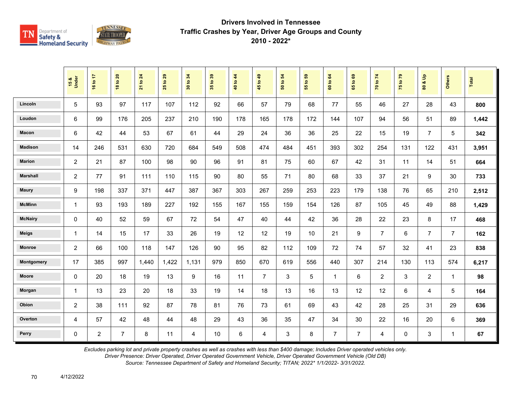

|                 | 15 &<br>Under  | 16 to 17       | <b>18 to 20</b> | 21 to 24 | to 29<br>25 | 34<br>$\mathbf{S}$<br>$\overline{30}$ | 35 to 39 | 40 to 44 | 45 to 49       | $\overline{5}$<br>50 to | $t_0$ 59<br>$\overline{5}$ | 60 to 64       | 1069<br>$65^{\circ}$ | 70 to 74       | 75 to 79    | $\mathbf{e}$<br>οð<br>80 | <b>Others</b>  | Total |
|-----------------|----------------|----------------|-----------------|----------|-------------|---------------------------------------|----------|----------|----------------|-------------------------|----------------------------|----------------|----------------------|----------------|-------------|--------------------------|----------------|-------|
| Lincoln         | 5              | 93             | 97              | 117      | 107         | 112                                   | 92       | 66       | 57             | 79                      | 68                         | 77             | 55                   | 46             | 27          | 28                       | 43             | 800   |
| Loudon          | 6              | 99             | 176             | 205      | 237         | 210                                   | 190      | 178      | 165            | 178                     | 172                        | 144            | 107                  | 94             | 56          | 51                       | 89             | 1,442 |
| Macon           | 6              | 42             | 44              | 53       | 67          | 61                                    | 44       | 29       | 24             | 36                      | 36                         | 25             | 22                   | 15             | 19          | $\overline{7}$           | 5              | 342   |
| <b>Madison</b>  | 14             | 246            | 531             | 630      | 720         | 684                                   | 549      | 508      | 474            | 484                     | 451                        | 393            | 302                  | 254            | 131         | 122                      | 431            | 3,951 |
| <b>Marion</b>   | $\overline{c}$ | 21             | 87              | 100      | 98          | 90                                    | 96       | 91       | 81             | 75                      | 60                         | 67             | 42                   | 31             | 11          | 14                       | 51             | 664   |
| <b>Marshall</b> | $\overline{c}$ | 77             | 91              | 111      | 110         | 115                                   | 90       | 80       | 55             | 71                      | 80                         | 68             | 33                   | 37             | 21          | 9                        | 30             | 733   |
| <b>Maury</b>    | 9              | 198            | 337             | 371      | 447         | 387                                   | 367      | 303      | 267            | 259                     | 253                        | 223            | 179                  | 138            | 76          | 65                       | 210            | 2,512 |
| <b>McMinn</b>   | $\mathbf{1}$   | 93             | 193             | 189      | 227         | 192                                   | 155      | 167      | 155            | 159                     | 154                        | 126            | 87                   | 105            | 45          | 49                       | 88             | 1,429 |
| <b>McNairy</b>  | 0              | 40             | 52              | 59       | 67          | 72                                    | 54       | 47       | 40             | 44                      | 42                         | 36             | 28                   | 22             | 23          | 8                        | 17             | 468   |
| <b>Meigs</b>    | 1              | 14             | 15              | 17       | 33          | 26                                    | 19       | 12       | 12             | 19                      | 10                         | 21             | 9                    | $\overline{7}$ | 6           | $\overline{7}$           | $\overline{7}$ | 162   |
| <b>Monroe</b>   | 2              | 66             | 100             | 118      | 147         | 126                                   | 90       | 95       | 82             | 112                     | 109                        | 72             | 74                   | 57             | 32          | 41                       | 23             | 838   |
| Montgomery      | 17             | 385            | 997             | 1,440    | 1,422       | 1,131                                 | 979      | 850      | 670            | 619                     | 556                        | 440            | 307                  | 214            | 130         | 113                      | 574            | 6,217 |
| <b>Moore</b>    | 0              | 20             | 18              | 19       | 13          | 9                                     | 16       | 11       | $\overline{7}$ | 3                       | 5                          | $\mathbf 1$    | 6                    | $\overline{2}$ | 3           | $\overline{2}$           | $\mathbf{1}$   | 98    |
| Morgan          | $\mathbf{1}$   | 13             | 23              | 20       | 18          | 33                                    | 19       | 14       | 18             | 13                      | 16                         | 13             | 12                   | 12             | 6           | 4                        | 5              | 164   |
| Obion           | $\overline{c}$ | 38             | 111             | 92       | 87          | 78                                    | 81       | 76       | 73             | 61                      | 69                         | 43             | 42                   | 28             | 25          | 31                       | 29             | 636   |
| Overton         | 4              | 57             | 42              | 48       | 44          | 48                                    | 29       | 43       | 36             | 35                      | 47                         | 34             | 30                   | 22             | 16          | 20                       | 6              | 369   |
| Perry           | 0              | $\overline{2}$ | $\overline{7}$  | 8        | 11          | 4                                     | 10       | 6        | 4              | 3                       | 8                          | $\overline{7}$ | $\overline{7}$       | 4              | $\mathbf 0$ | 3                        | $\mathbf{1}$   | 67    |

*Excludes parking lot and private property crashes as well as crashes with less than \$400 damage; Includes Driver operated vehicles only.*

*Driver Presence: Driver Operated, Driver Operated Government Vehicle, Driver Operated Government Vehicle (Old DB)*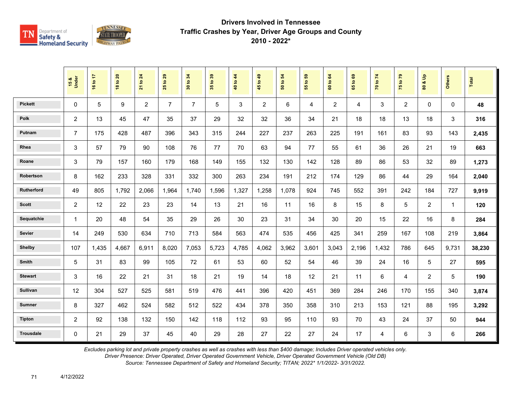

|                  | 15 &<br>Under  | 16 to 17 | <b>18 to 20</b> | $\overline{24}$<br>21 to | 29<br>$\overline{5}$<br>25 | 34<br>30 to    | 35 to 39 | 40 to 44 | 45 to 49       | $\mathbf{5}$<br>50 to | 55 to 59 | 64<br>60 to    | $\mathbf{69}$<br>65 to | 70 to 74 | 75 to 79       | å<br>οð<br>$\overline{\mathbf{3}}$ | <b>Others</b> | <b>Total</b> |
|------------------|----------------|----------|-----------------|--------------------------|----------------------------|----------------|----------|----------|----------------|-----------------------|----------|----------------|------------------------|----------|----------------|------------------------------------|---------------|--------------|
| <b>Pickett</b>   | $\mathbf{0}$   | 5        | 9               | $\overline{2}$           | $\overline{7}$             | $\overline{7}$ | 5        | 3        | $\overline{2}$ | 6                     | 4        | $\overline{2}$ | 4                      | 3        | $\overline{2}$ | $\mathbf 0$                        | $\Omega$      | 48           |
| <b>Polk</b>      | $\overline{2}$ | 13       | 45              | 47                       | 35                         | 37             | 29       | 32       | 32             | 36                    | 34       | 21             | 18                     | 18       | 13             | 18                                 | 3             | 316          |
| Putnam           | $\overline{7}$ | 175      | 428             | 487                      | 396                        | 343            | 315      | 244      | 227            | 237                   | 263      | 225            | 191                    | 161      | 83             | 93                                 | 143           | 2,435        |
| Rhea             | 3              | 57       | 79              | 90                       | 108                        | 76             | 77       | 70       | 63             | 94                    | 77       | 55             | 61                     | 36       | 26             | 21                                 | 19            | 663          |
| Roane            | 3              | 79       | 157             | 160                      | 179                        | 168            | 149      | 155      | 132            | 130                   | 142      | 128            | 89                     | 86       | 53             | 32                                 | 89            | 1,273        |
| Robertson        | 8              | 162      | 233             | 328                      | 331                        | 332            | 300      | 263      | 234            | 191                   | 212      | 174            | 129                    | 86       | 44             | 29                                 | 164           | 2,040        |
| Rutherford       | 49             | 805      | 1.792           | 2,066                    | 1,964                      | 1.740          | 1,596    | 1.327    | 1,258          | 1,078                 | 924      | 745            | 552                    | 391      | 242            | 184                                | 727           | 9,919        |
| <b>Scott</b>     | $\overline{c}$ | 12       | 22              | 23                       | 23                         | 14             | 13       | 21       | 16             | 11                    | 16       | 8              | 15                     | 8        | 5              | $\overline{2}$                     | $\mathbf{1}$  | 120          |
| Sequatchie       | $\mathbf{1}$   | 20       | 48              | 54                       | 35                         | 29             | 26       | 30       | 23             | 31                    | 34       | 30             | 20                     | 15       | 22             | 16                                 | 8             | 284          |
| Sevier           | 14             | 249      | 530             | 634                      | 710                        | 713            | 584      | 563      | 474            | 535                   | 456      | 425            | 341                    | 259      | 167            | 108                                | 219           | 3,864        |
| <b>Shelby</b>    | 107            | 1,435    | 4,667           | 6,911                    | 8,020                      | 7,053          | 5,723    | 4,785    | 4,062          | 3,962                 | 3,601    | 3,043          | 2,196                  | 1,432    | 786            | 645                                | 9,731         | 38,230       |
| Smith            | 5              | 31       | 83              | 99                       | 105                        | 72             | 61       | 53       | 60             | 52                    | 54       | 46             | 39                     | 24       | 16             | 5                                  | 27            | 595          |
| <b>Stewart</b>   | 3              | 16       | 22              | 21                       | 31                         | 18             | 21       | 19       | 14             | 18                    | 12       | 21             | 11                     | 6        | 4              | $\overline{2}$                     | 5             | 190          |
| Sullivan         | 12             | 304      | 527             | 525                      | 581                        | 519            | 476      | 441      | 396            | 420                   | 451      | 369            | 284                    | 246      | 170            | 155                                | 340           | 3,874        |
| <b>Sumner</b>    | 8              | 327      | 462             | 524                      | 582                        | 512            | 522      | 434      | 378            | 350                   | 358      | 310            | 213                    | 153      | 121            | 88                                 | 195           | 3,292        |
| <b>Tipton</b>    | $\overline{c}$ | 92       | 138             | 132                      | 150                        | 142            | 118      | 112      | 93             | 95                    | 110      | 93             | 70                     | 43       | 24             | 37                                 | 50            | 944          |
| <b>Trousdale</b> | 0              | 21       | 29              | 37                       | 45                         | 40             | 29       | 28       | 27             | 22                    | 27       | 24             | 17                     | 4        | $\,6\,$        | 3                                  | 6             | 266          |

*Excludes parking lot and private property crashes as well as crashes with less than \$400 damage; Includes Driver operated vehicles only.*

*Driver Presence: Driver Operated, Driver Operated Government Vehicle, Driver Operated Government Vehicle (Old DB)*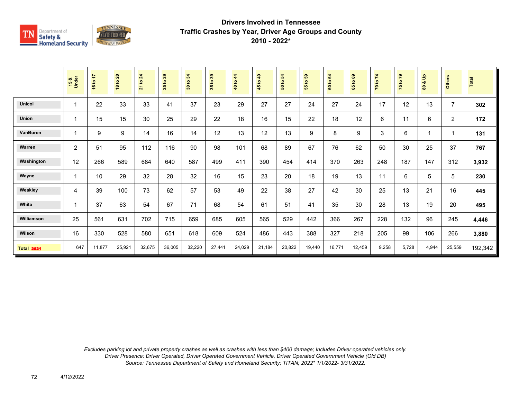

|                   | 15 &<br>Under | 16 to 17 | 18 to 20 | to 24<br>$\overline{21}$ | 29<br>$\mathbf{e}$<br>25 | 30 to 34 | $t_0$ 39<br>$\overline{35}$ | 44<br>40 to - | 45 to 49 | 50 to 54 | G9<br>$\mathbf{e}$<br>15 | 60 to 64 | $\mathbf{69}$<br>$\overline{5}$<br>59 | 70 to 74 | 75 to 79 | $\frac{1}{2}$<br>οđ<br>$\boldsymbol{\mathsf{s}}$ | <b>Others</b>  | Total   |
|-------------------|---------------|----------|----------|--------------------------|--------------------------|----------|-----------------------------|---------------|----------|----------|--------------------------|----------|---------------------------------------|----------|----------|--------------------------------------------------|----------------|---------|
| <b>Unicoi</b>     |               | 22       | 33       | 33                       | 41                       | 37       | 23                          | 29            | 27       | 27       | 24                       | 27       | 24                                    | 17       | 12       | 13                                               | $\overline{7}$ | 302     |
| Union             |               | 15       | 15       | 30                       | 25                       | 29       | 22                          | 18            | 16       | 15       | 22                       | 18       | 12                                    | 6        | 11       | 6                                                | $\overline{2}$ | 172     |
| VanBuren          |               | 9        | 9        | 14                       | 16                       | 14       | 12                          | 13            | 12       | 13       | 9                        | 8        | 9                                     | 3        | 6        |                                                  | 1              | 131     |
| Warren            | 2             | 51       | 95       | 112                      | 116                      | 90       | 98                          | 101           | 68       | 89       | 67                       | 76       | 62                                    | 50       | 30       | 25                                               | 37             | 767     |
| Washington        | 12            | 266      | 589      | 684                      | 640                      | 587      | 499                         | 411           | 390      | 454      | 414                      | 370      | 263                                   | 248      | 187      | 147                                              | 312            | 3,932   |
| Wayne             |               | 10       | 29       | 32                       | 28                       | 32       | 16                          | 15            | 23       | 20       | 18                       | 19       | 13                                    | 11       | 6        | 5                                                | 5              | 230     |
| Weakley           | 4             | 39       | 100      | 73                       | 62                       | 57       | 53                          | 49            | 22       | 38       | 27                       | 42       | 30                                    | 25       | 13       | 21                                               | 16             | 445     |
| White             |               | 37       | 63       | 54                       | 67                       | 71       | 68                          | 54            | 61       | 51       | 41                       | 35       | 30                                    | 28       | 13       | 19                                               | 20             | 495     |
| Williamson        | 25            | 561      | 631      | 702                      | 715                      | 659      | 685                         | 605           | 565      | 529      | 442                      | 366      | 267                                   | 228      | 132      | 96                                               | 245            | 4,446   |
| Wilson            | 16            | 330      | 528      | 580                      | 651                      | 618      | 609                         | 524           | 486      | 443      | 388                      | 327      | 218                                   | 205      | 99       | 106                                              | 266            | 3,880   |
| <b>Total 2021</b> | 647           | 11,877   | 25,921   | 32,675                   | 36,005                   | 32,220   | 27,441                      | 24,029        | 21,184   | 20,822   | 19,440                   | 16,771   | 12,459                                | 9,258    | 5,728    | 4,944                                            | 25,559         | 192,342 |

*Excludes parking lot and private property crashes as well as crashes with less than \$400 damage; Includes Driver operated vehicles only. Driver Presence: Driver Operated, Driver Operated Government Vehicle, Driver Operated Government Vehicle (Old DB) Source: Tennessee Department of Safety and Homeland Security; TITAN; 2022\* 1/1/2022- 3/31/2022.*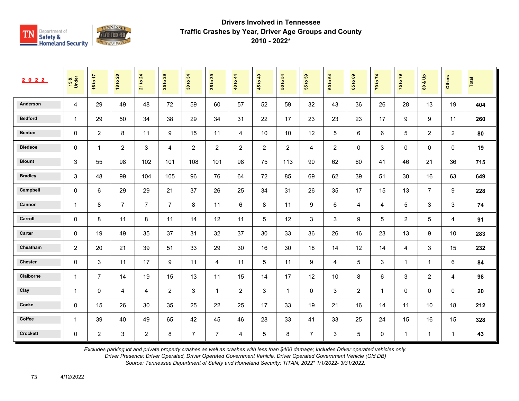

| 2022            | 15&<br>Under   | 47<br>16 to    | $\overline{20}$<br>$\overline{5}$<br>$\frac{8}{16}$ | 24<br>$\overline{5}$<br>$\overline{21}$ | 29<br>$\overline{5}$<br>25 | 34<br>$\overline{5}$<br>$30^{\circ}$ | $t_0$ 39<br>$35^{\circ}$ | to 44<br>$\ddot{=}$ | 1049<br>45     | $\boldsymbol{54}$<br>$\mathbf{e}$<br>${\tt s}$ | $\mathbb{S}^3$<br>$\mathfrak{S}$<br>55 | 64<br>$\mathbf{S}$<br>$\tt{c}$ | $\mathbf{69}$<br>$\mathbf{S}$<br>65 | $\mathbf{z}$<br>$\mathbf{S}$<br>$\overline{2}$ | $67$ ot<br>$\overline{75}$ | $\frac{\mathsf{o}}{\mathsf{o}}$<br>$\alpha$<br>$\tt{S}0$ | <b>Others</b>  | Total |
|-----------------|----------------|----------------|-----------------------------------------------------|-----------------------------------------|----------------------------|--------------------------------------|--------------------------|---------------------|----------------|------------------------------------------------|----------------------------------------|--------------------------------|-------------------------------------|------------------------------------------------|----------------------------|----------------------------------------------------------|----------------|-------|
| Anderson        | 4              | 29             | 49                                                  | 48                                      | 72                         | 59                                   | 60                       | 57                  | 52             | 59                                             | 32                                     | 43                             | 36                                  | 26                                             | 28                         | 13                                                       | 19             | 404   |
| <b>Bedford</b>  | $\mathbf{1}$   | 29             | 50                                                  | 34                                      | 38                         | 29                                   | 34                       | 31                  | 22             | 17                                             | 23                                     | 23                             | 23                                  | 17                                             | 9                          | 9                                                        | 11             | 260   |
| <b>Benton</b>   | 0              | $\overline{2}$ | 8                                                   | 11                                      | 9                          | 15                                   | 11                       | 4                   | 10             | 10                                             | 12                                     | 5                              | 6                                   | 6                                              | 5                          | $\overline{2}$                                           | 2              | 80    |
| <b>Bledsoe</b>  | $\mathbf 0$    | $\mathbf{1}$   | $\overline{2}$                                      | $\mathbf{3}$                            | 4                          | 2                                    | $\overline{c}$           | $\overline{2}$      | $\overline{2}$ | $\overline{2}$                                 | 4                                      | 2                              | $\mathbf 0$                         | 3                                              | 0                          | 0                                                        | $\mathbf 0$    | 19    |
| <b>Blount</b>   | $\mathbf{3}$   | 55             | 98                                                  | 102                                     | 101                        | 108                                  | 101                      | 98                  | 75             | 113                                            | 90                                     | 62                             | 60                                  | 41                                             | 46                         | 21                                                       | 36             | 715   |
| <b>Bradley</b>  | 3              | 48             | 99                                                  | 104                                     | 105                        | 96                                   | 76                       | 64                  | 72             | 85                                             | 69                                     | 62                             | 39                                  | 51                                             | 30                         | 16                                                       | 63             | 649   |
| Campbell        | $\pmb{0}$      | 6              | 29                                                  | 29                                      | 21                         | 37                                   | 26                       | 25                  | 34             | 31                                             | 26                                     | 35                             | 17                                  | 15                                             | 13                         | $\overline{7}$                                           | 9              | 228   |
| Cannon          | $\mathbf{1}$   | 8              | $\overline{7}$                                      | $\overline{7}$                          | $\overline{7}$             | 8                                    | 11                       | 6                   | 8              | 11                                             | 9                                      | 6                              | 4                                   | 4                                              | 5                          | 3                                                        | 3              | 74    |
| Carroll         | 0              | 8              | 11                                                  | 8                                       | 11                         | 14                                   | 12                       | 11                  | 5              | 12                                             | 3                                      | 3                              | 9                                   | 5                                              | $\overline{2}$             | 5                                                        | $\overline{4}$ | 91    |
| Carter          | $\mathbf 0$    | 19             | 49                                                  | 35                                      | 37                         | 31                                   | 32                       | 37                  | 30             | 33                                             | 36                                     | 26                             | 16                                  | 23                                             | 13                         | 9                                                        | 10             | 283   |
| Cheatham        | 2              | 20             | 21                                                  | 39                                      | 51                         | 33                                   | 29                       | 30                  | 16             | 30                                             | 18                                     | 14                             | 12                                  | 14                                             | $\overline{4}$             | 3                                                        | 15             | 232   |
| <b>Chester</b>  | 0              | 3              | 11                                                  | 17                                      | 9                          | 11                                   | 4                        | 11                  | 5              | 11                                             | 9                                      | 4                              | 5                                   | 3                                              | $\mathbf 1$                | $\mathbf 1$                                              | 6              | 84    |
| Claiborne       | $\overline{1}$ | $\overline{7}$ | 14                                                  | 19                                      | 15                         | 13                                   | 11                       | 15                  | 14             | 17                                             | 12                                     | 10                             | 8                                   | 6                                              | 3                          | $\overline{c}$                                           | $\overline{4}$ | 98    |
| Clay            | $\overline{1}$ | $\mathbf 0$    | 4                                                   | 4                                       | 2                          | 3                                    | $\mathbf{1}$             | $\overline{2}$      | 3              | $\mathbf{1}$                                   | $\Omega$                               | 3                              | 2                                   | $\mathbf{1}$                                   | $\mathbf 0$                | 0                                                        | $\mathbf 0$    | 20    |
| Cocke           | $\mathbf 0$    | 15             | 26                                                  | 30                                      | 35                         | 25                                   | 22                       | 25                  | 17             | 33                                             | 19                                     | 21                             | 16                                  | 14                                             | 11                         | 10                                                       | 18             | 212   |
| Coffee          | $\mathbf{1}$   | 39             | 40                                                  | 49                                      | 65                         | 42                                   | 45                       | 46                  | 28             | 33                                             | 41                                     | 33                             | 25                                  | 24                                             | 15                         | 16                                                       | 15             | 328   |
| <b>Crockett</b> | $\mathbf 0$    | $\overline{2}$ | $\mathsf 3$                                         | $\overline{2}$                          | 8                          | $\overline{7}$                       | $\overline{7}$           | 4                   | 5              | 8                                              | $\overline{7}$                         | 3                              | 5                                   | 0                                              | $\mathbf{1}$               | $\mathbf{1}$                                             | $\mathbf{1}$   | 43    |

*Excludes parking lot and private property crashes as well as crashes with less than \$400 damage; Includes Driver operated vehicles only.*

*Driver Presence: Driver Operated, Driver Operated Government Vehicle, Driver Operated Government Vehicle (Old DB)*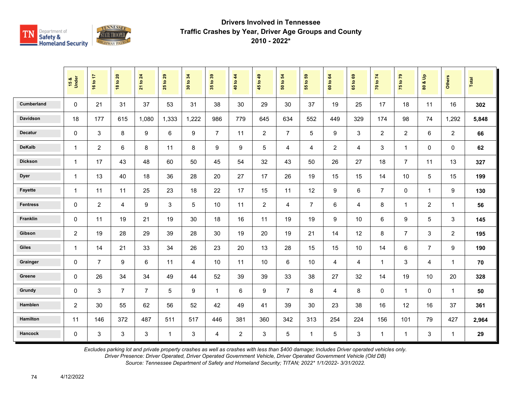

|                   | 15 &<br>Under  | 16 to 17       | <b>18 to 20</b> | 21 to 24       | $\frac{29}{2}$<br>25 | 30 to 34 | 35 to 39       | 40 to 44       | 45 to 49       | 54<br>50 to    | $t_0$ 59<br>$\overline{5}$ | 60 to 64       | 1069<br>$65^{\circ}$ | 70 to 74       | 75 to 79       | $\frac{1}{\sqrt{2}}$<br>ಚ<br>$\tt{S}0$ | <b>Others</b>           | Total |
|-------------------|----------------|----------------|-----------------|----------------|----------------------|----------|----------------|----------------|----------------|----------------|----------------------------|----------------|----------------------|----------------|----------------|----------------------------------------|-------------------------|-------|
| <b>Cumberland</b> | $\mathbf 0$    | 21             | 31              | 37             | 53                   | 31       | 38             | 30             | 29             | 30             | 37                         | 19             | 25                   | 17             | 18             | 11                                     | 16                      | 302   |
| Davidson          | 18             | 177            | 615             | 1,080          | 1,333                | 1,222    | 986            | 779            | 645            | 634            | 552                        | 449            | 329                  | 174            | 98             | 74                                     | 1,292                   | 5,848 |
| <b>Decatur</b>    | $\Omega$       | 3              | 8               | 9              | 6                    | 9        | $\overline{7}$ | 11             | 2              | $\overline{7}$ | 5                          | 9              | 3                    | $\overline{2}$ | $\overline{2}$ | 6                                      | 2                       | 66    |
| <b>DeKalb</b>     | $\mathbf{1}$   | $\overline{2}$ | 6               | 8              | 11                   | 8        | 9              | 9              | 5              | 4              | 4                          | $\overline{2}$ | $\overline{4}$       | 3              | $\mathbf{1}$   | $\mathbf 0$                            | $\mathbf 0$             | 62    |
| <b>Dickson</b>    | $\mathbf{1}$   | 17             | 43              | 48             | 60                   | 50       | 45             | 54             | 32             | 43             | 50                         | 26             | 27                   | 18             | $\overline{7}$ | 11                                     | 13                      | 327   |
| <b>Dyer</b>       | $\mathbf{1}$   | 13             | 40              | 18             | 36                   | 28       | 20             | 27             | 17             | 26             | 19                         | 15             | 15                   | 14             | 10             | 5                                      | 15                      | 199   |
| Fayette           | $\mathbf{1}$   | 11             | 11              | 25             | 23                   | 18       | 22             | 17             | 15             | 11             | 12                         | 9              | 6                    | $\overline{7}$ | $\mathbf 0$    | $\mathbf{1}$                           | 9                       | 130   |
| <b>Fentress</b>   | $\mathbf 0$    | $\overline{2}$ | 4               | 9              | 3                    | 5        | 10             | 11             | $\overline{2}$ | 4              | $\overline{7}$             | 6              | 4                    | 8              | $\mathbf{1}$   | $\overline{2}$                         | $\overline{1}$          | 56    |
| Franklin          | $\mathbf 0$    | 11             | 19              | 21             | 19                   | 30       | 18             | 16             | 11             | 19             | 19                         | 9              | 10                   | 6              | 9              | 5                                      | 3                       | 145   |
| Gibson            | $\overline{2}$ | 19             | 28              | 29             | 39                   | 28       | 30             | 19             | 20             | 19             | 21                         | 14             | 12                   | 8              | $\overline{7}$ | 3                                      | $\overline{2}$          | 195   |
| Giles             | $\mathbf{1}$   | 14             | 21              | 33             | 34                   | 26       | 23             | 20             | 13             | 28             | 15                         | 15             | 10                   | 14             | 6              | $\overline{7}$                         | 9                       | 190   |
| Grainger          | $\mathbf 0$    | $\overline{7}$ | 9               | 6              | 11                   | 4        | 10             | 11             | 10             | 6              | 10                         | 4              | 4                    | $\mathbf 1$    | 3              | 4                                      | $\overline{\mathbf{1}}$ | 70    |
| Greene            | $\mathbf 0$    | 26             | 34              | 34             | 49                   | 44       | 52             | 39             | 39             | 33             | 38                         | 27             | 32                   | 14             | 19             | 10                                     | 20                      | 328   |
| Grundy            | $\Omega$       | 3              | $\overline{7}$  | $\overline{7}$ | 5                    | 9        | $\mathbf 1$    | 6              | 9              | $\overline{7}$ | 8                          | 4              | 8                    | $\mathbf 0$    | $\mathbf{1}$   | 0                                      | $\overline{1}$          | 50    |
| Hamblen           | $\overline{2}$ | 30             | 55              | 62             | 56                   | 52       | 42             | 49             | 41             | 39             | 30                         | 23             | 38                   | 16             | 12             | 16                                     | 37                      | 361   |
| <b>Hamilton</b>   | 11             | 146            | 372             | 487            | 511                  | 517      | 446            | 381            | 360            | 342            | 313                        | 254            | 224                  | 156            | 101            | 79                                     | 427                     | 2,964 |
| <b>Hancock</b>    | $\mathbf 0$    | $\mathsf 3$    | 3               | $\mathbf{3}$   | $\mathbf{1}$         | 3        | 4              | $\overline{2}$ | 3              | 5              | 1                          | 5              | $\mathbf{3}$         | $\mathbf{1}$   | $\mathbf{1}$   | 3                                      | $\overline{1}$          | 29    |

*Excludes parking lot and private property crashes as well as crashes with less than \$400 damage; Includes Driver operated vehicles only.*

*Driver Presence: Driver Operated, Driver Operated Government Vehicle, Driver Operated Government Vehicle (Old DB)*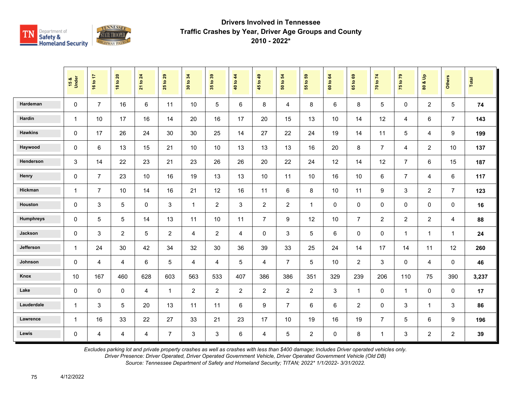

|                | 15 &<br>Under | 16 to 17       | <b>18 to 20</b> | 21 to 24       | 29<br>$\mathbf{e}$<br>25 | 34<br>30 to    | 35 to 39       | 40 to 44       | 45 to 49         | 54<br>50 to             | 55 to 59       | 64<br>60 to | $\mathbf{69}$<br>$\mathbf{e}$<br>65 | 70 to 74       | 75 to 79       | $\frac{9}{2}$<br>ಯ<br>$\overline{\mathbf{8}}$ | <b>Others</b>  | Total |
|----------------|---------------|----------------|-----------------|----------------|--------------------------|----------------|----------------|----------------|------------------|-------------------------|----------------|-------------|-------------------------------------|----------------|----------------|-----------------------------------------------|----------------|-------|
| Hardeman       | $\mathbf 0$   | $\overline{7}$ | 16              | $6\phantom{a}$ | 11                       | 10             | 5              | 6              | 8                | $\overline{\mathbf{4}}$ | 8              | 6           | 8                                   | 5              | $\mathbf 0$    | $\overline{2}$                                | $\sqrt{5}$     | 74    |
| Hardin         | $\mathbf{1}$  | 10             | 17              | 16             | 14                       | 20             | 16             | 17             | 20               | 15                      | 13             | 10          | 14                                  | 12             | 4              | 6                                             | $\overline{7}$ | 143   |
| <b>Hawkins</b> | $\mathbf{0}$  | 17             | 26              | 24             | 30                       | 30             | 25             | 14             | 27               | 22                      | 24             | 19          | 14                                  | 11             | 5              | 4                                             | 9              | 199   |
| Haywood        | $\Omega$      | 6              | 13              | 15             | 21                       | 10             | 10             | 13             | 13               | 13                      | 16             | 20          | 8                                   | $\overline{7}$ | 4              | $\overline{2}$                                | 10             | 137   |
| Henderson      | 3             | 14             | 22              | 23             | 21                       | 23             | 26             | 26             | 20               | 22                      | 24             | 12          | 14                                  | 12             | $\overline{7}$ | 6                                             | 15             | 187   |
| Henry          | $\mathbf 0$   | $\overline{7}$ | 23              | 10             | 16                       | 19             | 13             | 13             | 10               | 11                      | 10             | 16          | 10 <sup>1</sup>                     | 6              | $\overline{7}$ | 4                                             | 6              | 117   |
| Hickman        | $\mathbf{1}$  | $\overline{7}$ | 10              | 14             | 16                       | 21             | 12             | 16             | 11               | 6                       | 8              | 10          | 11                                  | 9              | 3              | $\overline{2}$                                | $\overline{7}$ | 123   |
| Houston        | $\mathbf 0$   | 3              | 5               | $\mathbf 0$    | 3                        | $\overline{1}$ | $\overline{2}$ | 3              | $\overline{2}$   | $\overline{2}$          | $\mathbf{1}$   | $\mathbf 0$ | $\mathbf 0$                         | 0              | $\mathbf 0$    | 0                                             | $\mathbf 0$    | 16    |
| Humphreys      | $\mathbf 0$   | 5              | 5               | 14             | 13                       | 11             | 10             | 11             | $\overline{7}$   | 9                       | 12             | 10          | $\overline{7}$                      | $\overline{2}$ | $\overline{2}$ | $\overline{2}$                                | $\overline{4}$ | 88    |
| Jackson        | $\mathbf 0$   | 3              | $\overline{2}$  | 5              | $\overline{2}$           | 4              | $\overline{2}$ | 4              | 0                | 3                       | 5              | 6           | 0                                   | $\mathbf 0$    | $\mathbf{1}$   | $\mathbf 1$                                   | $\mathbf{1}$   | 24    |
| Jefferson      | $\mathbf{1}$  | 24             | 30              | 42             | 34                       | 32             | 30             | 36             | 39               | 33                      | 25             | 24          | 14                                  | 17             | 14             | 11                                            | 12             | 260   |
| Johnson        | $\mathbf 0$   | 4              | 4               | 6              | $\sqrt{5}$               | 4              | 4              | 5              | 4                | $\overline{7}$          | 5              | 10          | $\overline{2}$                      | 3              | 0              | 4                                             | $\pmb{0}$      | 46    |
| Knox           | 10            | 167            | 460             | 628            | 603                      | 563            | 533            | 407            | 386              | 386                     | 351            | 329         | 239                                 | 206            | 110            | 75                                            | 390            | 3,237 |
| Lake           | $\mathbf 0$   | 0              | 0               | 4              | $\mathbf{1}$             | 2              | $\overline{2}$ | $\overline{2}$ | $\overline{2}$   | $\overline{c}$          | $\overline{2}$ | 3           | $\mathbf{1}$                        | 0              | $\mathbf{1}$   | 0                                             | $\mathbf 0$    | 17    |
| Lauderdale     | $\mathbf{1}$  | 3              | 5               | 20             | 13                       | 11             | 11             | 6              | $\boldsymbol{9}$ | $\overline{7}$          | 6              | 6           | $\overline{2}$                      | 0              | $\mathfrak{S}$ | $\mathbf{1}$                                  | $\sqrt{3}$     | 86    |
| Lawrence       | $\mathbf{1}$  | 16             | 33              | 22             | 27                       | 33             | 21             | 23             | 17               | 10                      | 19             | 16          | 19                                  | $\overline{7}$ | 5              | 6                                             | 9              | 196   |
| Lewis          | $\mathbf 0$   | 4              | 4               | $\overline{4}$ | $\overline{7}$           | 3              | 3              | 6              | $\overline{4}$   | 5                       | $\overline{a}$ | 0           | 8                                   | $\mathbf{1}$   | $\mathbf{3}$   | $\overline{2}$                                | $\overline{2}$ | 39    |

*Excludes parking lot and private property crashes as well as crashes with less than \$400 damage; Includes Driver operated vehicles only.*

*Driver Presence: Driver Operated, Driver Operated Government Vehicle, Driver Operated Government Vehicle (Old DB)*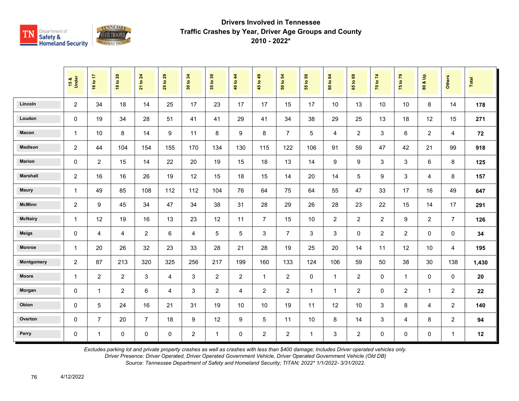

|                 | 15 &<br>Under  | 16 to 17       | <b>18 to 20</b> | <b>21 to 24</b> | 29<br>$\tt{S}$<br>25 | 34<br>30 to    | 35 to 39       | 40 to 44       | 45 to 49       | 54<br>50 to    | 55 to 59     | 60 to 64     | $t_0$ 69<br>65 | 70 to 74       | 75 to 79       | $\frac{1}{2}$<br>ಹ<br>$\overline{\mathbf{3}}$ | <b>Others</b>  | Total |
|-----------------|----------------|----------------|-----------------|-----------------|----------------------|----------------|----------------|----------------|----------------|----------------|--------------|--------------|----------------|----------------|----------------|-----------------------------------------------|----------------|-------|
| Lincoln         | $\overline{2}$ | 34             | 18              | 14              | 25                   | 17             | 23             | 17             | 17             | 15             | 17           | 10           | 13             | 10             | 10             | 8                                             | 14             | 178   |
| Loudon          | 0              | 19             | 34              | 28              | 51                   | 41             | 41             | 29             | 41             | 34             | 38           | 29           | 25             | 13             | 18             | 12                                            | 15             | 271   |
| Macon           | $\mathbf{1}$   | 10             | 8               | 14              | 9                    | 11             | 8              | 9              | 8              | $\overline{7}$ | 5            | 4            | 2              | 3              | 6              | $\overline{2}$                                | $\overline{4}$ | 72    |
| <b>Madison</b>  | $\overline{2}$ | 44             | 104             | 154             | 155                  | 170            | 134            | 130            | 115            | 122            | 106          | 91           | 59             | 47             | 42             | 21                                            | 99             | 918   |
| <b>Marion</b>   | 0              | $\overline{2}$ | 15              | 14              | 22                   | 20             | 19             | 15             | 18             | 13             | 14           | 9            | 9              | 3              | 3              | 6                                             | 8              | 125   |
| <b>Marshall</b> | $\overline{c}$ | 16             | 16              | 26              | 19                   | 12             | 15             | 18             | 15             | 14             | 20           | 14           | 5              | 9              | 3              | 4                                             | 8              | 157   |
| <b>Maury</b>    | $\mathbf{1}$   | 49             | 85              | 108             | 112                  | 112            | 104            | 76             | 64             | 75             | 64           | 55           | 47             | 33             | 17             | 16                                            | 49             | 647   |
| <b>McMinn</b>   | $\overline{2}$ | 9              | 45              | 34              | 47                   | 34             | 38             | 31             | 28             | 29             | 26           | 28           | 23             | 22             | 15             | 14                                            | 17             | 291   |
| <b>McNairy</b>  | $\mathbf{1}$   | 12             | 19              | 16              | 13                   | 23             | 12             | 11             | $\overline{7}$ | 15             | 10           | 2            | $\overline{2}$ | $\overline{2}$ | 9              | $\overline{2}$                                | $\overline{7}$ | 126   |
| <b>Meigs</b>    | 0              | 4              | 4               | $\overline{2}$  | 6                    | 4              | 5              | 5              | $\mathsf 3$    | $\overline{7}$ | 3            | 3            | 0              | $\overline{2}$ | $\overline{2}$ | 0                                             | 0              | 34    |
| <b>Monroe</b>   | 1              | 20             | 26              | 32              | 23                   | 33             | 28             | 21             | 28             | 19             | 25           | 20           | 14             | 11             | 12             | 10                                            | 4              | 195   |
| Montgomery      | $\overline{c}$ | 87             | 213             | 320             | 325                  | 256            | 217            | 199            | 160            | 133            | 124          | 106          | 59             | 50             | 38             | 30                                            | 138            | 1,430 |
| Moore           | $\mathbf{1}$   | $\overline{2}$ | $\overline{a}$  | 3               | 4                    | 3              | $\overline{c}$ | $\overline{c}$ | $\mathbf{1}$   | $\overline{c}$ | $\mathbf 0$  | $\mathbf{1}$ | $\overline{c}$ | 0              | $\mathbf{1}$   | $\mathbf 0$                                   | $\mathbf 0$    | 20    |
| Morgan          | 0              | $\mathbf{1}$   | $\overline{a}$  | $\,6\,$         | 4                    | 3              | $\overline{2}$ | 4              | $\overline{2}$ | $\overline{c}$ | $\mathbf{1}$ | $\mathbf{1}$ | $\overline{c}$ | 0              | $\sqrt{2}$     | $\mathbf{1}$                                  | $\overline{c}$ | 22    |
| Obion           | 0              | $\sqrt{5}$     | 24              | 16              | 21                   | 31             | 19             | 10             | 10             | 19             | 11           | 12           | 10             | 3              | 8              | 4                                             | $\overline{2}$ | 140   |
| Overton         | 0              | $\overline{7}$ | 20              | $\overline{7}$  | 18                   | 9              | 12             | 9              | 5              | 11             | 10           | 8            | 14             | $\mathbf{3}$   | $\overline{4}$ | 8                                             | $\overline{c}$ | 94    |
| Perry           | 0              | $\mathbf{1}$   | 0               | $\pmb{0}$       | $\pmb{0}$            | $\overline{2}$ | $\mathbf{1}$   | 0              | $\overline{c}$ | $\overline{2}$ | $\mathbf{1}$ | 3            | $\overline{c}$ | 0              | $\mathbf 0$    | $\pmb{0}$                                     | $\mathbf{1}$   | 12    |

*Excludes parking lot and private property crashes as well as crashes with less than \$400 damage; Includes Driver operated vehicles only.*

*Driver Presence: Driver Operated, Driver Operated Government Vehicle, Driver Operated Government Vehicle (Old DB)*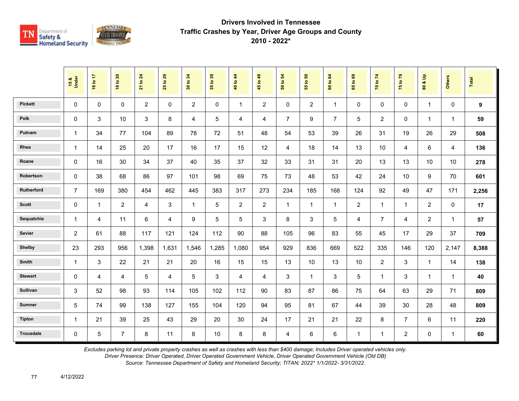

|                  | 15 &<br>Under  | 16 to 17     | <b>18 to 20</b> | <b>21 to 24</b> | 29<br>$\mathbf{c}$<br>25 | 34<br>30 to    | 35 to 39    | 40 to 44       | 45 to 49       | 54<br>50 to    | 55 to 59       | 64<br>60 to    | $t_0$ 69<br>65 | 70 to 74       | 75 to 79       | $\frac{1}{2}$<br>ಹ<br>$\overline{\mathbf{3}}$ | <b>Others</b>  | Total |
|------------------|----------------|--------------|-----------------|-----------------|--------------------------|----------------|-------------|----------------|----------------|----------------|----------------|----------------|----------------|----------------|----------------|-----------------------------------------------|----------------|-------|
| <b>Pickett</b>   | 0              | $\mathbf 0$  | $\mathbf 0$     | 2               | 0                        | $\overline{2}$ | $\mathbf 0$ | $\mathbf{1}$   | $\overline{2}$ | 0              | $\overline{2}$ | $\mathbf{1}$   | $\mathbf 0$    | $\mathbf{0}$   | $\mathbf 0$    | $\mathbf{1}$                                  | $\mathbf 0$    | 9     |
| Polk             | 0              | 3            | 10              | 3               | 8                        | 4              | 5           | 4              | $\overline{4}$ | $\overline{7}$ | 9              | $\overline{7}$ | 5              | $\overline{2}$ | $\mathbf 0$    | $\mathbf{1}$                                  | $\overline{1}$ | 59    |
| Putnam           | $\mathbf{1}$   | 34           | 77              | 104             | 89                       | 78             | 72          | 51             | 48             | 54             | 53             | 39             | 26             | 31             | 19             | 26                                            | 29             | 508   |
| Rhea             | $\mathbf{1}$   | 14           | 25              | 20              | 17                       | 16             | 17          | 15             | 12             | 4              | 18             | 14             | 13             | 10             | 4              | 6                                             | $\overline{4}$ | 136   |
| Roane            | 0              | 16           | 30              | 34              | 37                       | 40             | 35          | 37             | 32             | 33             | 31             | 31             | 20             | 13             | 13             | 10                                            | 10             | 278   |
| Robertson        | 0              | 38           | 68              | 86              | 97                       | 101            | 98          | 69             | 75             | 73             | 48             | 53             | 42             | 24             | 10             | 9                                             | 70             | 601   |
| Rutherford       | $\overline{7}$ | 169          | 380             | 454             | 462                      | 445            | 383         | 317            | 273            | 234            | 185            | 168            | 124            | 92             | 49             | 47                                            | 171            | 2,256 |
| <b>Scott</b>     | $\mathbf 0$    | $\mathbf{1}$ | $\overline{2}$  | 4               | 3                        | $\overline{1}$ | 5           | $\overline{2}$ | $\overline{2}$ | $\mathbf{1}$   | $\mathbf{1}$   | $\mathbf{1}$   | $\overline{2}$ | $\mathbf{1}$   | $\mathbf{1}$   | $\overline{2}$                                | $\mathbf 0$    | 17    |
| Sequatchie       | $\mathbf{1}$   | 4            | 11              | 6               | 4                        | 9              | 5           | 5              | 3              | 8              | 3              | 5              | 4              | $\overline{7}$ | 4              | $\overline{2}$                                | $\overline{1}$ | 57    |
| Sevier           | $\overline{c}$ | 61           | 88              | 117             | 121                      | 124            | 112         | 90             | 88             | 105            | 96             | 83             | 55             | 45             | 17             | 29                                            | 37             | 709   |
| <b>Shelby</b>    | 23             | 293          | 956             | 1,398           | 1,631                    | 1,546          | 1,285       | 1,080          | 954            | 929            | 836            | 669            | 522            | 335            | 146            | 120                                           | 2,147          | 8,388 |
| Smith            | 1              | $\mathbf{3}$ | 22              | 21              | 21                       | 20             | 16          | 15             | 15             | 13             | 10             | 13             | 10             | $\overline{2}$ | 3              | $\mathbf{1}$                                  | 14             | 138   |
| <b>Stewart</b>   | 0              | 4            | 4               | 5               | 4                        | 5              | 3           | 4              | 4              | 3              | $\mathbf{1}$   | 3              | 5              | $\mathbf{1}$   | 3              | $\mathbf{1}$                                  | $\overline{1}$ | 40    |
| <b>Sullivan</b>  | 3              | 52           | 98              | 93              | 114                      | 105            | 102         | 112            | 90             | 83             | 87             | 86             | 75             | 64             | 63             | 29                                            | 71             | 809   |
| <b>Sumner</b>    | 5              | 74           | 99              | 138             | 127                      | 155            | 104         | 120            | 94             | 95             | 81             | 67             | 44             | 39             | 30             | 28                                            | 48             | 809   |
| <b>Tipton</b>    | $\mathbf{1}$   | 21           | 39              | 25              | 43                       | 29             | 20          | 30             | 24             | 17             | 21             | 21             | 22             | 8              | $\overline{7}$ | 6                                             | 11             | 220   |
| <b>Trousdale</b> | 0              | $\sqrt{5}$   | $\overline{7}$  | $\,8\,$         | 11                       | 8              | 10          | 8              | 8              | 4              | 6              | 6              | $\mathbf{1}$   | $\mathbf 1$    | $\overline{2}$ | $\pmb{0}$                                     | $\mathbf{1}$   | 60    |

*Excludes parking lot and private property crashes as well as crashes with less than \$400 damage; Includes Driver operated vehicles only.*

*Driver Presence: Driver Operated, Driver Operated Government Vehicle, Driver Operated Government Vehicle (Old DB)*